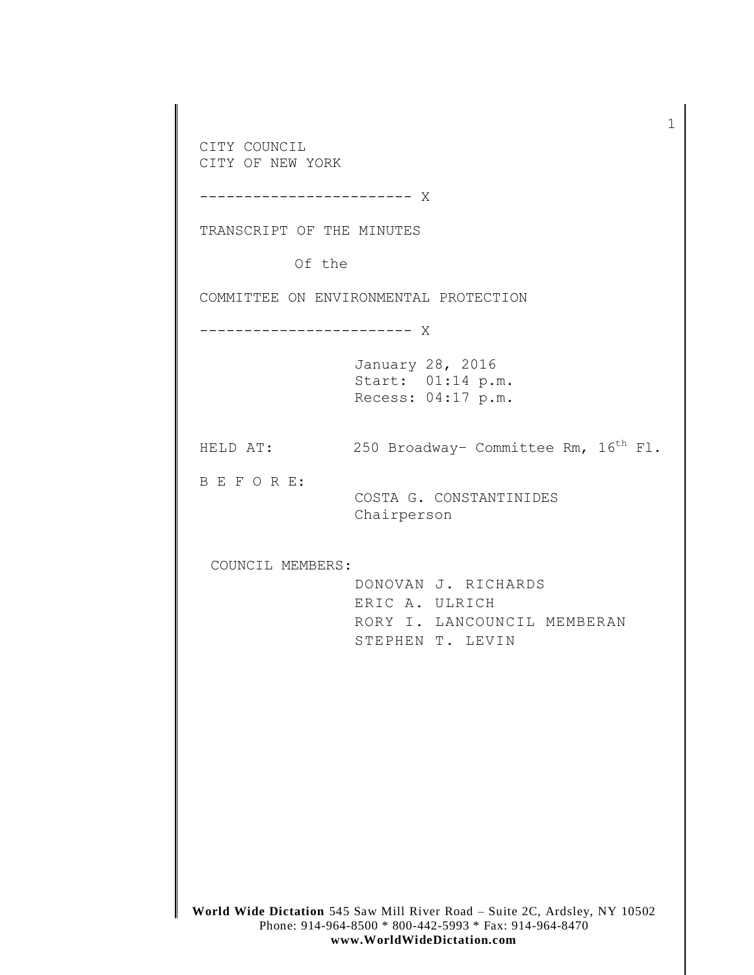**World Wide Dictation** 545 Saw Mill River Road – Suite 2C, Ardsley, NY 10502 Phone: 914-964-8500 \* 800-442-5993 \* Fax: 914-964-8470 CITY COUNCIL CITY OF NEW YORK ------------------------ X TRANSCRIPT OF THE MINUTES Of the COMMITTEE ON ENVIRONMENTAL PROTECTION ------------------------ X January 28, 2016 Start: 01:14 p.m. Recess: 04:17 p.m. HELD AT: 250 Broadway- Committee Rm,  $16<sup>th</sup>$  Fl. B E F O R E: COSTA G. CONSTANTINIDES Chairperson COUNCIL MEMBERS: DONOVAN J. RICHARDS ERIC A. ULRICH RORY I. LANCOUNCIL MEMBERAN STEPHEN T. LEVIN

1

## **www.WorldWideDictation.com**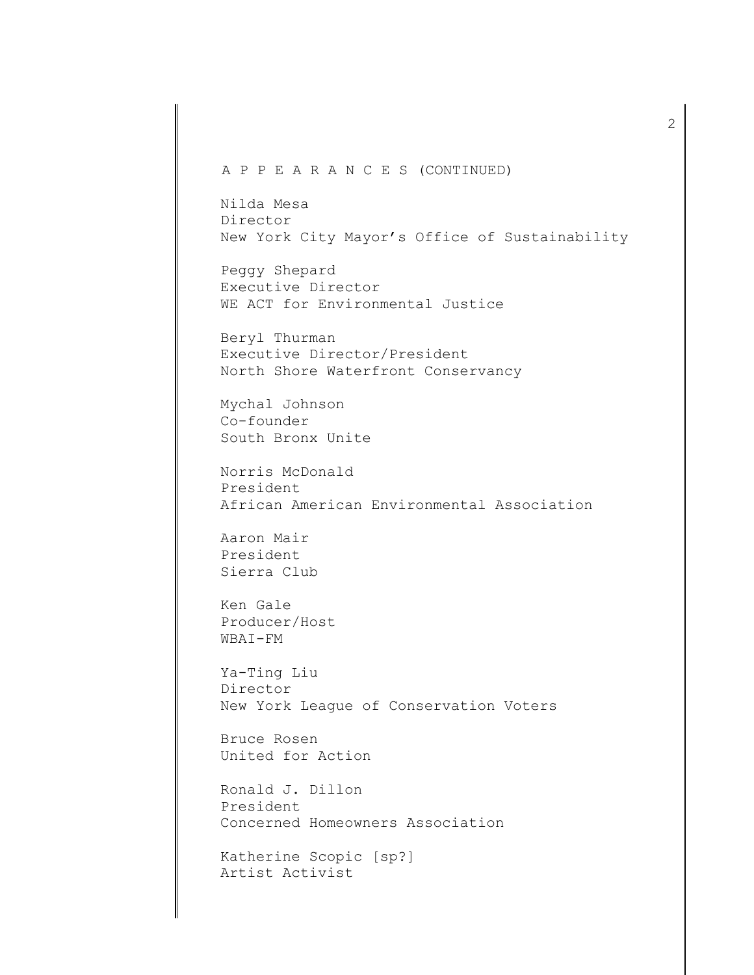## A P P E A R A N C E S (CONTINUED)

Nilda Mesa Director New York City Mayor's Office of Sustainability

Peggy Shepard Executive Director WE ACT for Environmental Justice

Beryl Thurman Executive Director/President North Shore Waterfront Conservancy

Mychal Johnson Co-founder South Bronx Unite

Norris McDonald President African American Environmental Association

Aaron Mair President Sierra Club

Ken Gale Producer/Host WBAI-FM

Ya-Ting Liu Director New York League of Conservation Voters

Bruce Rosen United for Action

Ronald J. Dillon President Concerned Homeowners Association

Katherine Scopic [sp?] Artist Activist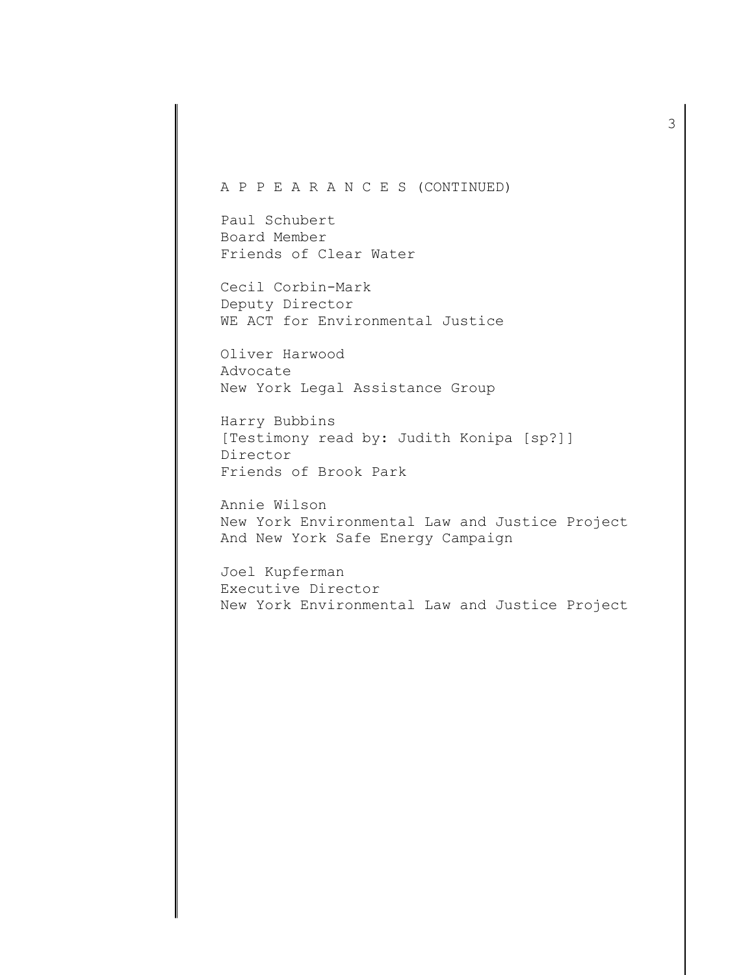## A P P E A R A N C E S (CONTINUED)

Paul Schubert Board Member Friends of Clear Water

Cecil Corbin-Mark Deputy Director WE ACT for Environmental Justice

Oliver Harwood Advocate New York Legal Assistance Group

Harry Bubbins [Testimony read by: Judith Konipa [sp?]] Director Friends of Brook Park

Annie Wilson New York Environmental Law and Justice Project And New York Safe Energy Campaign

Joel Kupferman Executive Director New York Environmental Law and Justice Project 3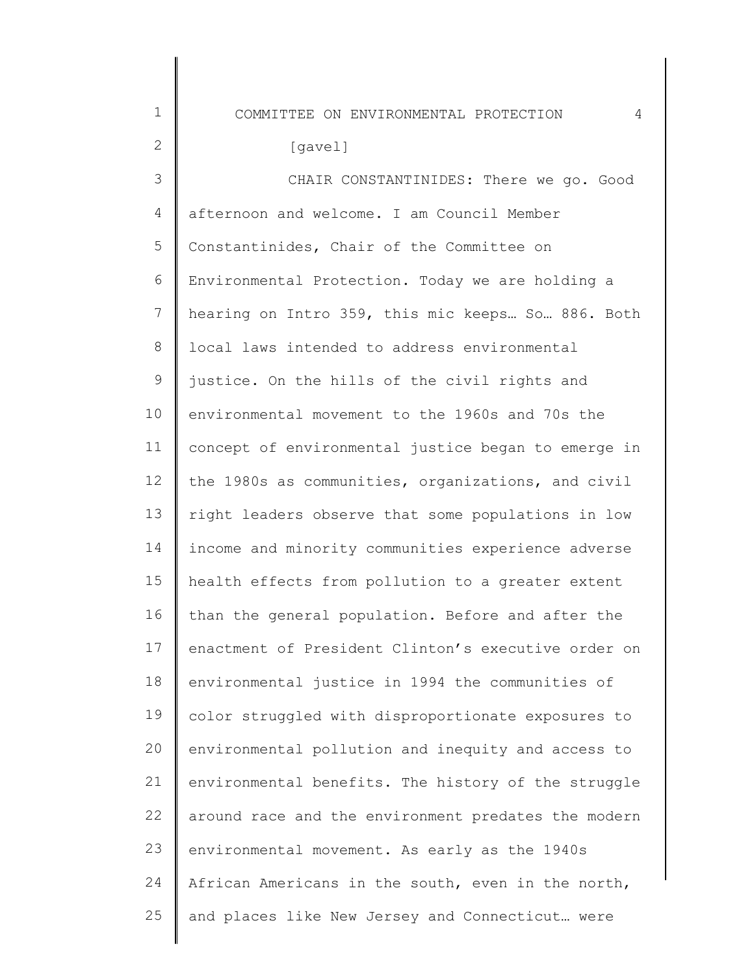COMMITTEE ON ENVIRONMENTAL PROTECTION 4

## [gavel]

1

2

3 4 5 6 7 8 9 10 11 12 13 14 15 16 17 18 19  $20$ 21 22 23 24 25 CHAIR CONSTANTINIDES: There we go. Good afternoon and welcome. I am Council Member Constantinides, Chair of the Committee on Environmental Protection. Today we are holding a hearing on Intro 359, this mic keeps… So… 886. Both local laws intended to address environmental justice. On the hills of the civil rights and environmental movement to the 1960s and 70s the concept of environmental justice began to emerge in the 1980s as communities, organizations, and civil right leaders observe that some populations in low income and minority communities experience adverse health effects from pollution to a greater extent than the general population. Before and after the enactment of President Clinton's executive order on environmental justice in 1994 the communities of color struggled with disproportionate exposures to environmental pollution and inequity and access to environmental benefits. The history of the struggle around race and the environment predates the modern environmental movement. As early as the 1940s African Americans in the south, even in the north, and places like New Jersey and Connecticut… were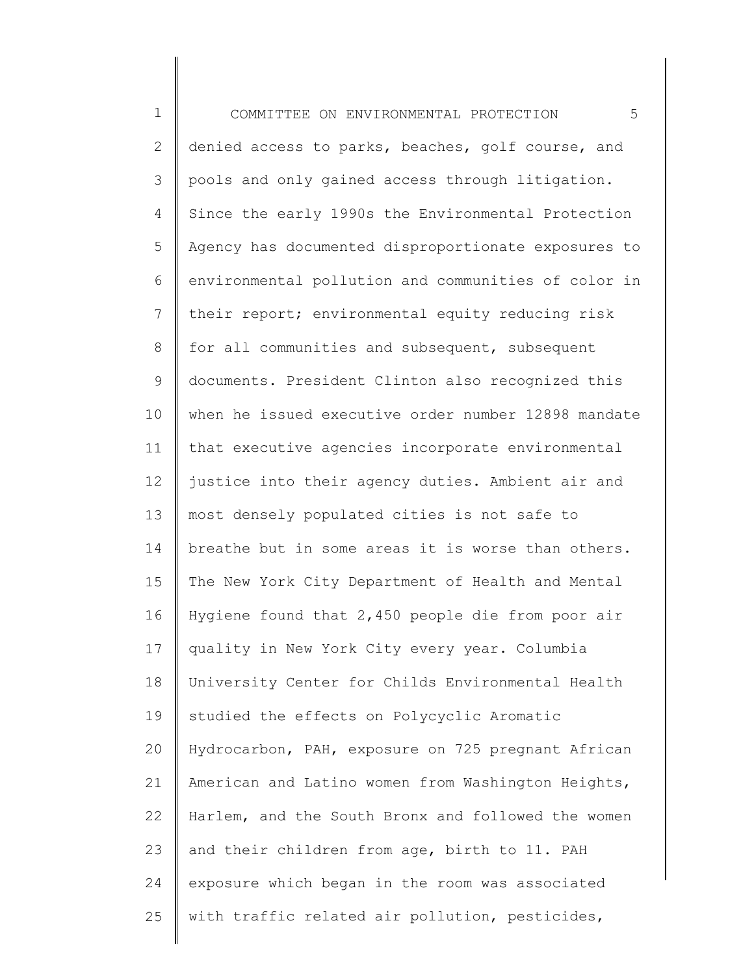| $\mathbf 1$    | 5<br>COMMITTEE ON ENVIRONMENTAL PROTECTION          |
|----------------|-----------------------------------------------------|
| $\overline{2}$ | denied access to parks, beaches, golf course, and   |
| 3              | pools and only gained access through litigation.    |
| 4              | Since the early 1990s the Environmental Protection  |
| 5              | Agency has documented disproportionate exposures to |
| 6              | environmental pollution and communities of color in |
| $7\phantom{.}$ | their report; environmental equity reducing risk    |
| $\,8\,$        | for all communities and subsequent, subsequent      |
| $\mathsf 9$    | documents. President Clinton also recognized this   |
| 10             | when he issued executive order number 12898 mandate |
| 11             | that executive agencies incorporate environmental   |
| 12             | justice into their agency duties. Ambient air and   |
| 13             | most densely populated cities is not safe to        |
| 14             | breathe but in some areas it is worse than others.  |
| 15             | The New York City Department of Health and Mental   |
| 16             | Hygiene found that 2,450 people die from poor air   |
| 17             | quality in New York City every year. Columbia       |
| 18             | University Center for Childs Environmental Health   |
| 19             | studied the effects on Polycyclic Aromatic          |
| 20             | Hydrocarbon, PAH, exposure on 725 pregnant African  |
| 21             | American and Latino women from Washington Heights,  |
| 22             | Harlem, and the South Bronx and followed the women  |
| 23             | and their children from age, birth to 11. PAH       |
| 24             | exposure which began in the room was associated     |
| 25             | with traffic related air pollution, pesticides,     |
|                |                                                     |

∥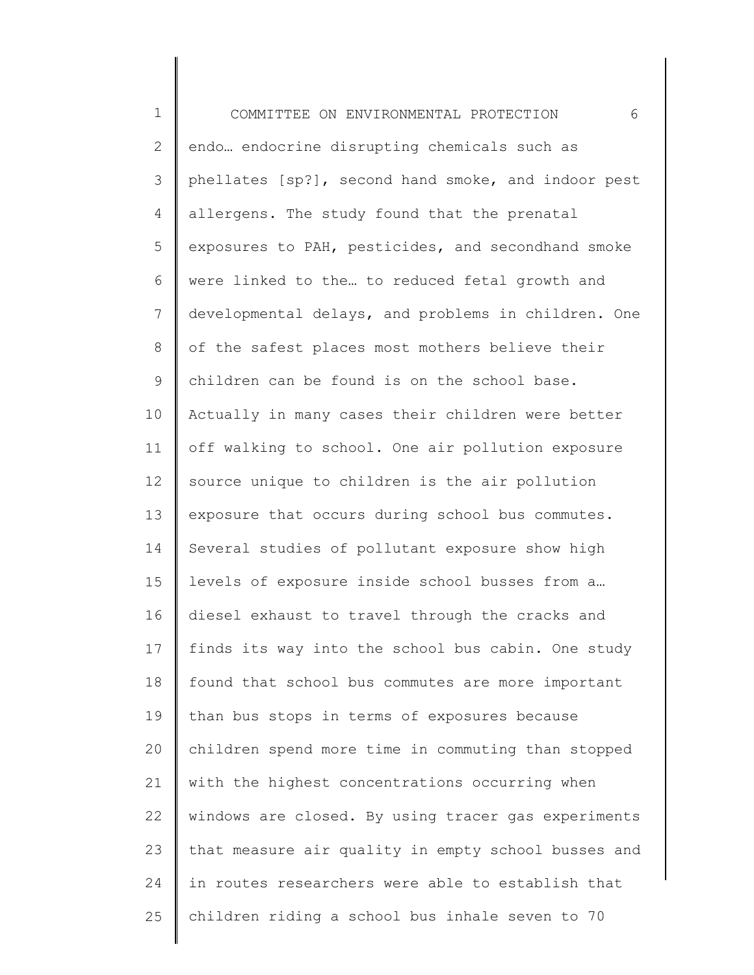1 2 3 4 5 6 7 8 9 10 11 12 13 14 15 16 17 18 19 20 21 22 23 24 25 COMMITTEE ON ENVIRONMENTAL PROTECTION 6 endo… endocrine disrupting chemicals such as phellates [sp?], second hand smoke, and indoor pest allergens. The study found that the prenatal exposures to PAH, pesticides, and secondhand smoke were linked to the… to reduced fetal growth and developmental delays, and problems in children. One of the safest places most mothers believe their children can be found is on the school base. Actually in many cases their children were better off walking to school. One air pollution exposure source unique to children is the air pollution exposure that occurs during school bus commutes. Several studies of pollutant exposure show high levels of exposure inside school busses from a… diesel exhaust to travel through the cracks and finds its way into the school bus cabin. One study found that school bus commutes are more important than bus stops in terms of exposures because children spend more time in commuting than stopped with the highest concentrations occurring when windows are closed. By using tracer gas experiments that measure air quality in empty school busses and in routes researchers were able to establish that children riding a school bus inhale seven to 70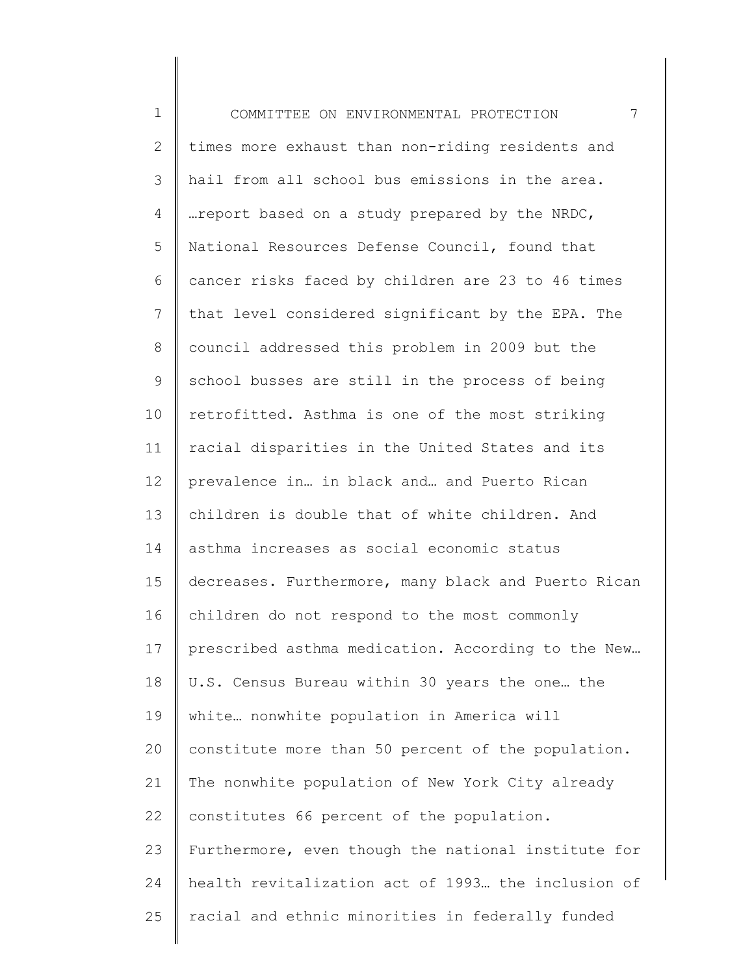1 2 3 4 5 6 7 8 9 10 11 12 13 14 15 16 17 18 19 20 21 22 23 24 25 COMMITTEE ON ENVIRONMENTAL PROTECTION 7 times more exhaust than non-riding residents and hail from all school bus emissions in the area. …report based on a study prepared by the NRDC, National Resources Defense Council, found that cancer risks faced by children are 23 to 46 times that level considered significant by the EPA. The council addressed this problem in 2009 but the school busses are still in the process of being retrofitted. Asthma is one of the most striking racial disparities in the United States and its prevalence in… in black and… and Puerto Rican children is double that of white children. And asthma increases as social economic status decreases. Furthermore, many black and Puerto Rican children do not respond to the most commonly prescribed asthma medication. According to the New… U.S. Census Bureau within 30 years the one… the white… nonwhite population in America will constitute more than 50 percent of the population. The nonwhite population of New York City already constitutes 66 percent of the population. Furthermore, even though the national institute for health revitalization act of 1993… the inclusion of racial and ethnic minorities in federally funded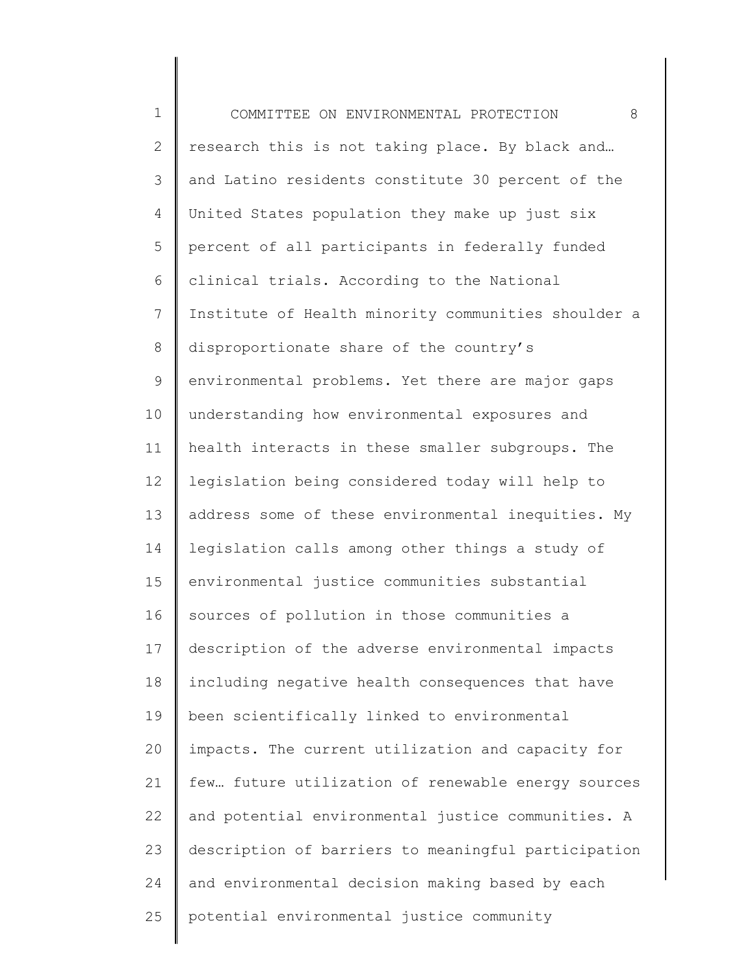| $\mathbf 1$  | 8<br>COMMITTEE ON ENVIRONMENTAL PROTECTION          |
|--------------|-----------------------------------------------------|
| $\mathbf{2}$ | research this is not taking place. By black and     |
| 3            | and Latino residents constitute 30 percent of the   |
| 4            | United States population they make up just six      |
| 5            | percent of all participants in federally funded     |
| 6            | clinical trials. According to the National          |
| 7            | Institute of Health minority communities shoulder a |
| $8\,$        | disproportionate share of the country's             |
| 9            | environmental problems. Yet there are major gaps    |
| 10           | understanding how environmental exposures and       |
| 11           | health interacts in these smaller subgroups. The    |
| 12           | legislation being considered today will help to     |
| 13           | address some of these environmental inequities. My  |
| 14           | legislation calls among other things a study of     |
| 15           | environmental justice communities substantial       |
| 16           | sources of pollution in those communities a         |
| 17           | description of the adverse environmental impacts    |
| 18           | including negative health consequences that have    |
| 19           | been scientifically linked to environmental         |
| 20           | impacts. The current utilization and capacity for   |
| 21           | few future utilization of renewable energy sources  |
| 22           | and potential environmental justice communities. A  |
| 23           | description of barriers to meaningful participation |
| 24           | and environmental decision making based by each     |
| 25           | potential environmental justice community           |
|              |                                                     |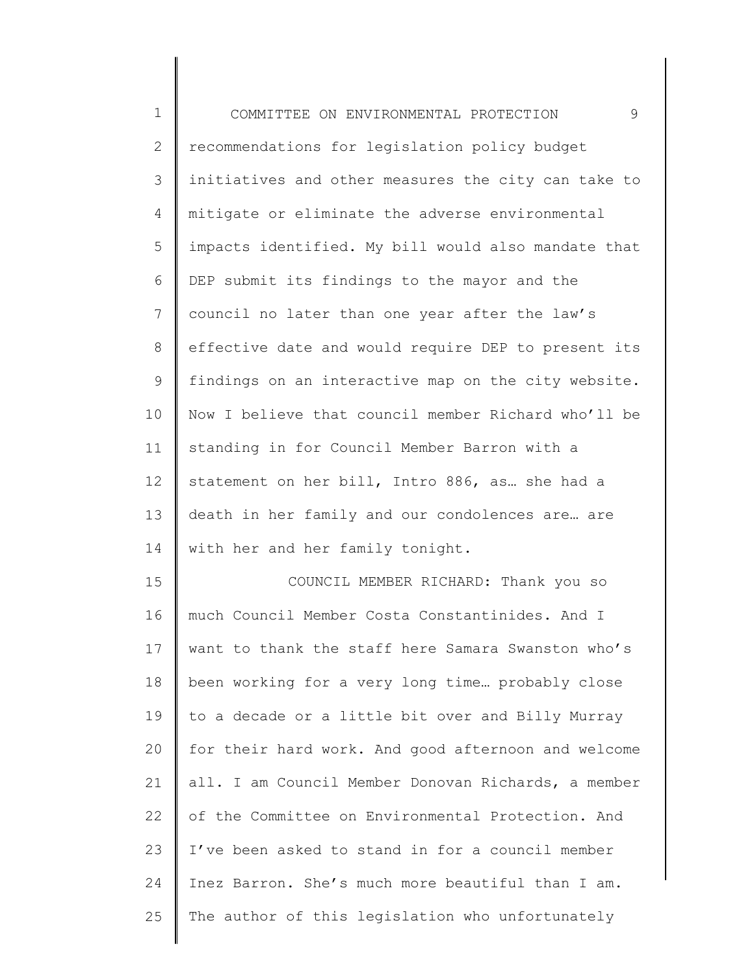| $\mathbf 1$  | 9<br>COMMITTEE ON ENVIRONMENTAL PROTECTION          |
|--------------|-----------------------------------------------------|
| $\mathbf{2}$ | recommendations for legislation policy budget       |
| 3            | initiatives and other measures the city can take to |
| 4            | mitigate or eliminate the adverse environmental     |
| 5            | impacts identified. My bill would also mandate that |
| 6            | DEP submit its findings to the mayor and the        |
| 7            | council no later than one year after the law's      |
| $8\,$        | effective date and would require DEP to present its |
| 9            | findings on an interactive map on the city website. |
| 10           | Now I believe that council member Richard who'll be |
| 11           | standing in for Council Member Barron with a        |
| 12           | statement on her bill, Intro 886, as she had a      |
| 13           | death in her family and our condolences are are     |
| 14           | with her and her family tonight.                    |
| 15           | COUNCIL MEMBER RICHARD: Thank you so                |
| 16           | much Council Member Costa Constantinides. And I     |
| 17           | want to thank the staff here Samara Swanston who's  |
| 18           | been working for a very long time probably close    |
| 19           | to a decade or a little bit over and Billy Murray   |
| 20           | for their hard work. And good afternoon and welcome |
| 21           | all. I am Council Member Donovan Richards, a member |
| 22           | of the Committee on Environmental Protection. And   |
| 23           | I've been asked to stand in for a council member    |
| 24           | Inez Barron. She's much more beautiful than I am.   |
| 25           | The author of this legislation who unfortunately    |
|              |                                                     |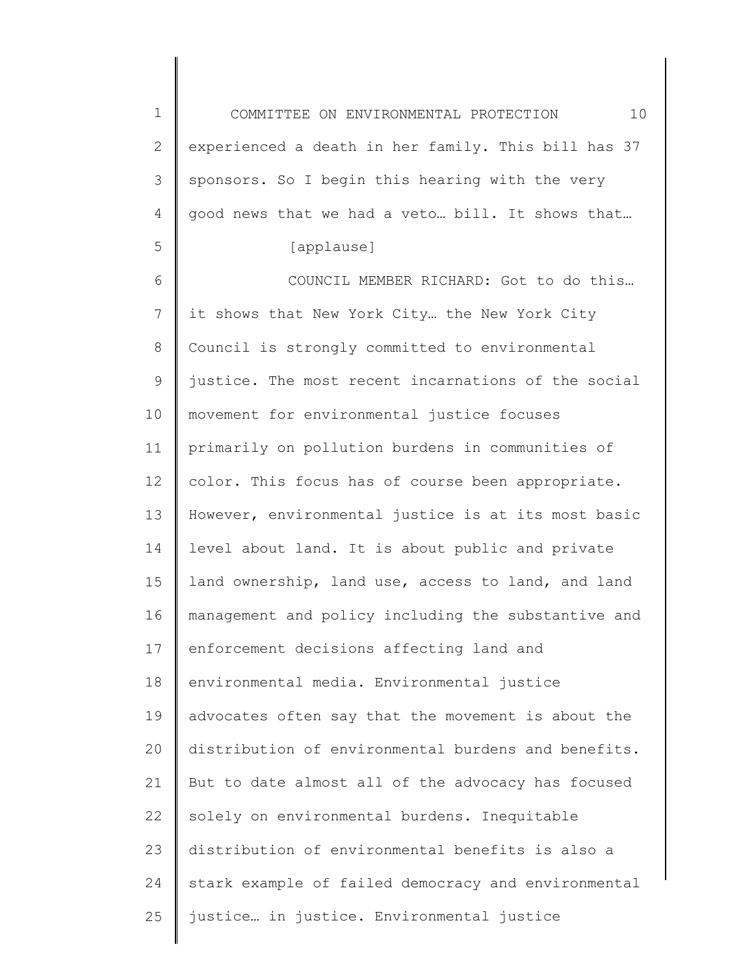1 2 3 4 5 6 7 8 9 10 COMMITTEE ON ENVIRONMENTAL PROTECTION 10 experienced a death in her family. This bill has 37 sponsors. So I begin this hearing with the very good news that we had a veto… bill. It shows that… [applause] COUNCIL MEMBER RICHARD: Got to do this… it shows that New York City… the New York City Council is strongly committed to environmental justice. The most recent incarnations of the social movement for environmental justice focuses

11 12 13 14 15 16 17 18 19 20 21 22 23 24 25 primarily on pollution burdens in communities of color. This focus has of course been appropriate. However, environmental justice is at its most basic level about land. It is about public and private land ownership, land use, access to land, and land management and policy including the substantive and enforcement decisions affecting land and environmental media. Environmental justice advocates often say that the movement is about the distribution of environmental burdens and benefits. But to date almost all of the advocacy has focused solely on environmental burdens. Inequitable distribution of environmental benefits is also a stark example of failed democracy and environmental justice… in justice. Environmental justice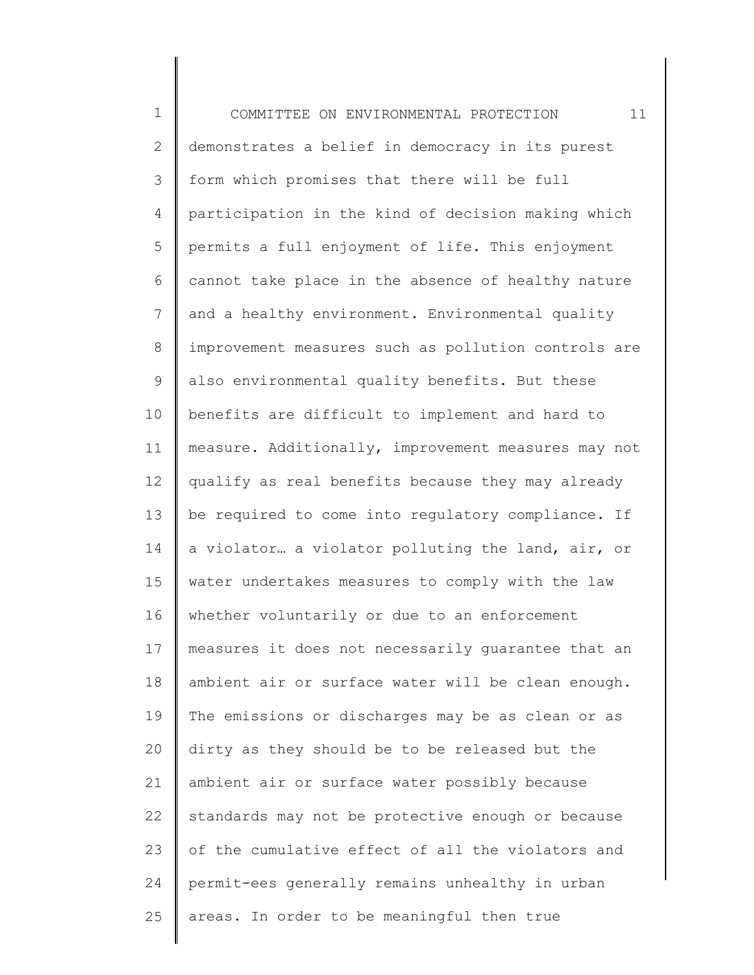1 2 3 4 5 6 7 8 9 10 11 12 13 14 15 16 17 18 19 20 21 22 23 24 25 COMMITTEE ON ENVIRONMENTAL PROTECTION 11 demonstrates a belief in democracy in its purest form which promises that there will be full participation in the kind of decision making which permits a full enjoyment of life. This enjoyment cannot take place in the absence of healthy nature and a healthy environment. Environmental quality improvement measures such as pollution controls are also environmental quality benefits. But these benefits are difficult to implement and hard to measure. Additionally, improvement measures may not qualify as real benefits because they may already be required to come into regulatory compliance. If a violator… a violator polluting the land, air, or water undertakes measures to comply with the law whether voluntarily or due to an enforcement measures it does not necessarily guarantee that an ambient air or surface water will be clean enough. The emissions or discharges may be as clean or as dirty as they should be to be released but the ambient air or surface water possibly because standards may not be protective enough or because of the cumulative effect of all the violators and permit-ees generally remains unhealthy in urban areas. In order to be meaningful then true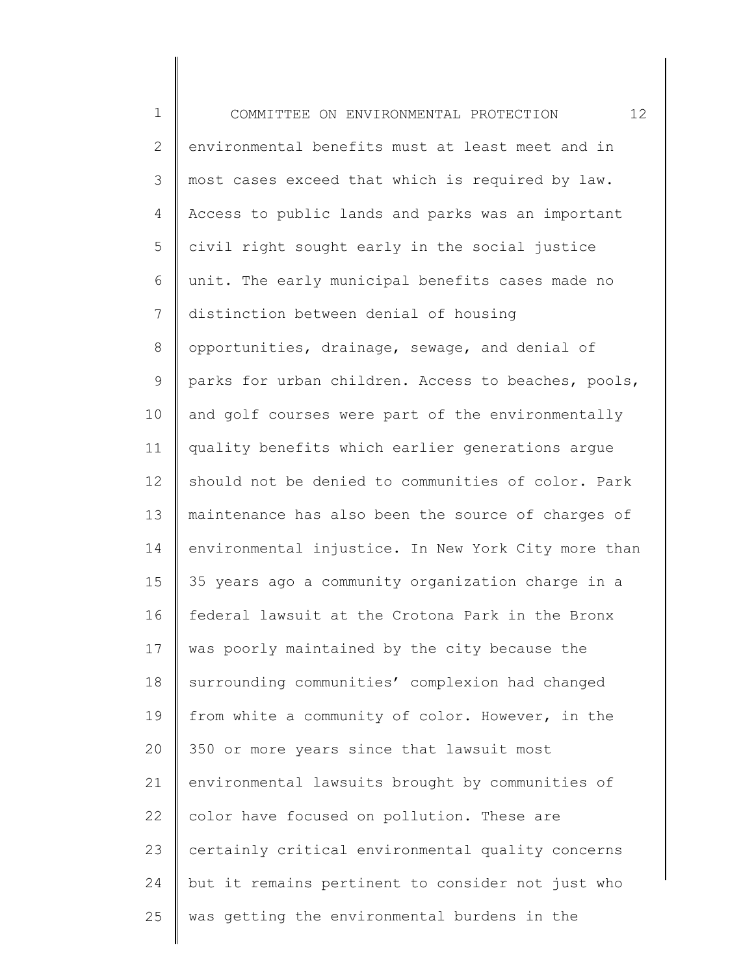| $\mathbf 1$    | 12<br>COMMITTEE ON ENVIRONMENTAL PROTECTION         |
|----------------|-----------------------------------------------------|
| $\mathbf{2}$   | environmental benefits must at least meet and in    |
| 3              | most cases exceed that which is required by law.    |
| 4              | Access to public lands and parks was an important   |
| 5              | civil right sought early in the social justice      |
| 6              | unit. The early municipal benefits cases made no    |
| $\overline{7}$ | distinction between denial of housing               |
| $8\,$          | opportunities, drainage, sewage, and denial of      |
| $\mathsf 9$    | parks for urban children. Access to beaches, pools, |
| 10             | and golf courses were part of the environmentally   |
| 11             | quality benefits which earlier generations argue    |
| 12             | should not be denied to communities of color. Park  |
| 13             | maintenance has also been the source of charges of  |
| 14             | environmental injustice. In New York City more than |
| 15             | 35 years ago a community organization charge in a   |
| 16             | federal lawsuit at the Crotona Park in the Bronx    |
| 17             | was poorly maintained by the city because the       |
| 18             | surrounding communities' complexion had changed     |
| 19             | from white a community of color. However, in the    |
| 20             | 350 or more years since that lawsuit most           |
| 21             | environmental lawsuits brought by communities of    |
| 22             | color have focused on pollution. These are          |
| 23             | certainly critical environmental quality concerns   |
| 24             | but it remains pertinent to consider not just who   |
| 25             | was getting the environmental burdens in the        |
|                |                                                     |

∥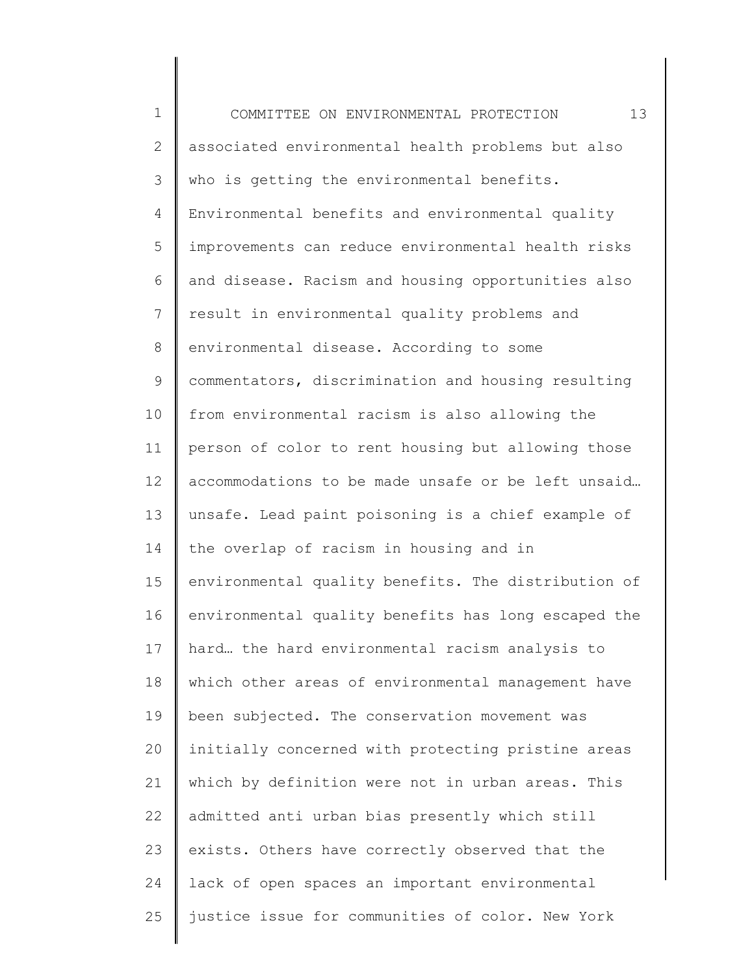| $\mathbf 1$  | 13<br>COMMITTEE ON ENVIRONMENTAL PROTECTION         |
|--------------|-----------------------------------------------------|
| $\mathbf{2}$ | associated environmental health problems but also   |
| 3            | who is getting the environmental benefits.          |
| 4            | Environmental benefits and environmental quality    |
| 5            | improvements can reduce environmental health risks  |
| 6            | and disease. Racism and housing opportunities also  |
| 7            | result in environmental quality problems and        |
| $8\,$        | environmental disease. According to some            |
| 9            | commentators, discrimination and housing resulting  |
| 10           | from environmental racism is also allowing the      |
| 11           | person of color to rent housing but allowing those  |
| 12           | accommodations to be made unsafe or be left unsaid  |
| 13           | unsafe. Lead paint poisoning is a chief example of  |
| 14           | the overlap of racism in housing and in             |
| 15           | environmental quality benefits. The distribution of |
| 16           | environmental quality benefits has long escaped the |
| 17           | hard the hard environmental racism analysis to      |
| 18           | which other areas of environmental management have  |
| 19           | been subjected. The conservation movement was       |
| 20           | initially concerned with protecting pristine areas  |
| 21           | which by definition were not in urban areas. This   |
| 22           | admitted anti urban bias presently which still      |
| 23           | exists. Others have correctly observed that the     |
| 24           | lack of open spaces an important environmental      |
| 25           | justice issue for communities of color. New York    |
|              |                                                     |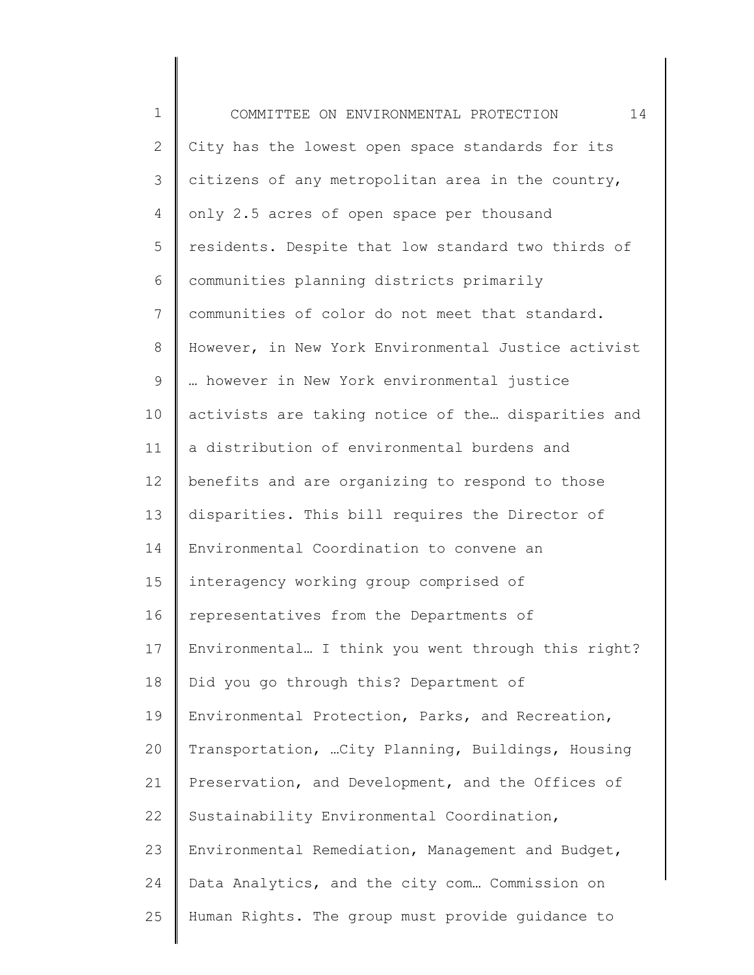| $\mathbf 1$    | 14<br>COMMITTEE ON ENVIRONMENTAL PROTECTION         |
|----------------|-----------------------------------------------------|
| $\overline{2}$ | City has the lowest open space standards for its    |
| 3              | citizens of any metropolitan area in the country,   |
| 4              | only 2.5 acres of open space per thousand           |
| 5              | residents. Despite that low standard two thirds of  |
| 6              | communities planning districts primarily            |
| $7\phantom{.}$ | communities of color do not meet that standard.     |
| $8\,$          | However, in New York Environmental Justice activist |
| $\mathsf 9$    | however in New York environmental justice           |
| 10             | activists are taking notice of the disparities and  |
| 11             | a distribution of environmental burdens and         |
| 12             | benefits and are organizing to respond to those     |
| 13             | disparities. This bill requires the Director of     |
| 14             | Environmental Coordination to convene an            |
| 15             | interagency working group comprised of              |
| 16             | representatives from the Departments of             |
| 17             | Environmental I think you went through this right?  |
| 18             | Did you go through this? Department of              |
| 19             | Environmental Protection, Parks, and Recreation,    |
| 20             | Transportation,  City Planning, Buildings, Housing  |
| 21             | Preservation, and Development, and the Offices of   |
| 22             | Sustainability Environmental Coordination,          |
| 23             | Environmental Remediation, Management and Budget,   |
| 24             | Data Analytics, and the city com Commission on      |
| 25             | Human Rights. The group must provide guidance to    |
|                |                                                     |

∥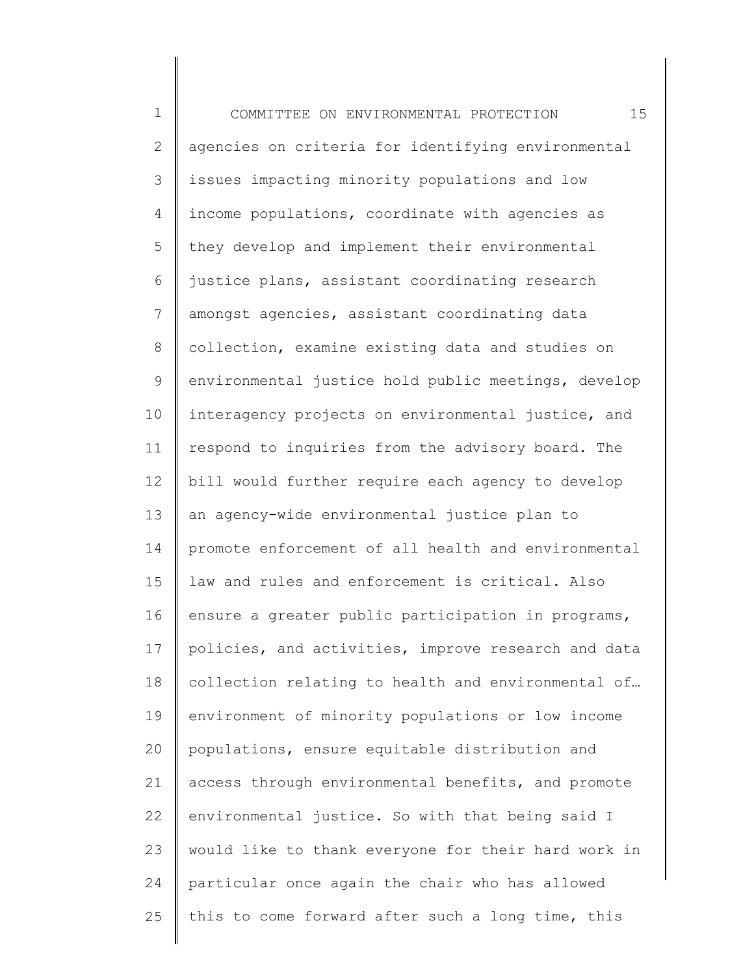1 2 3 4 5 6 7 8 9 10 11 12 13 14 15 16 17 18 19 20 21 22 23 24 25 COMMITTEE ON ENVIRONMENTAL PROTECTION 15 agencies on criteria for identifying environmental issues impacting minority populations and low income populations, coordinate with agencies as they develop and implement their environmental justice plans, assistant coordinating research amongst agencies, assistant coordinating data collection, examine existing data and studies on environmental justice hold public meetings, develop interagency projects on environmental justice, and respond to inquiries from the advisory board. The bill would further require each agency to develop an agency-wide environmental justice plan to promote enforcement of all health and environmental law and rules and enforcement is critical. Also ensure a greater public participation in programs, policies, and activities, improve research and data collection relating to health and environmental of… environment of minority populations or low income populations, ensure equitable distribution and access through environmental benefits, and promote environmental justice. So with that being said I would like to thank everyone for their hard work in particular once again the chair who has allowed this to come forward after such a long time, this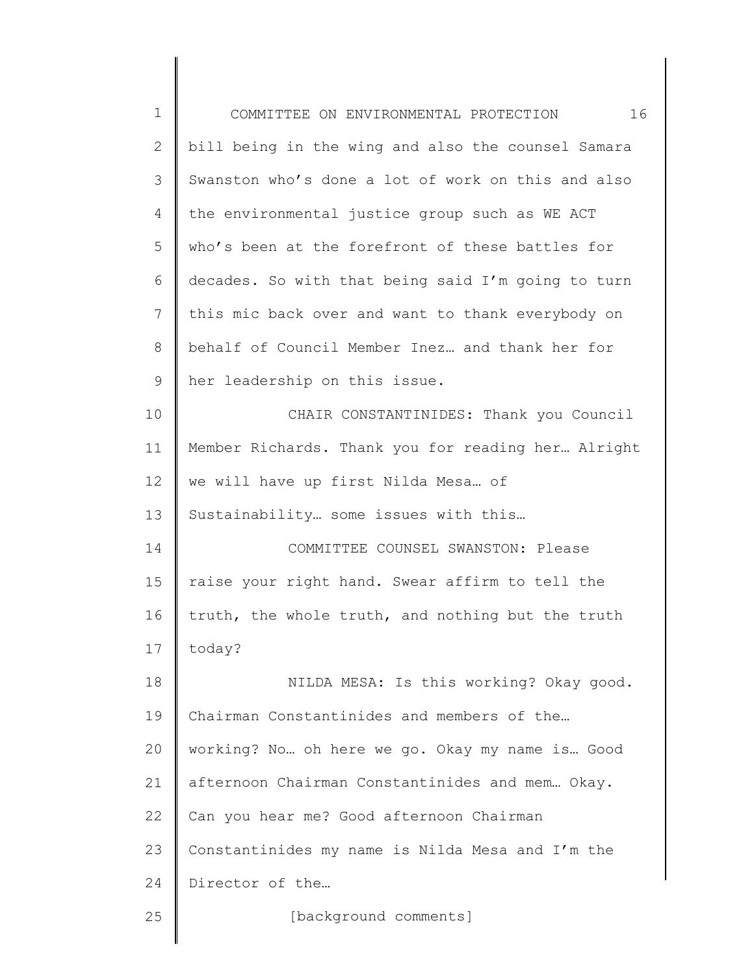| $\mathbf 1$    | 16<br>COMMITTEE ON ENVIRONMENTAL PROTECTION        |
|----------------|----------------------------------------------------|
| $\overline{2}$ | bill being in the wing and also the counsel Samara |
| 3              | Swanston who's done a lot of work on this and also |
| 4              | the environmental justice group such as WE ACT     |
| 5              | who's been at the forefront of these battles for   |
| 6              | decades. So with that being said I'm going to turn |
| $7\phantom{.}$ | this mic back over and want to thank everybody on  |
| $8\,$          | behalf of Council Member Inez and thank her for    |
| $\mathsf 9$    | her leadership on this issue.                      |
| 10             | CHAIR CONSTANTINIDES: Thank you Council            |
| 11             | Member Richards. Thank you for reading her Alright |
| 12             | we will have up first Nilda Mesa of                |
| 13             | Sustainability some issues with this               |
| 14             | COMMITTEE COUNSEL SWANSTON: Please                 |
| 15             | raise your right hand. Swear affirm to tell the    |
| 16             | truth, the whole truth, and nothing but the truth  |
| 17             | today?                                             |
| 18             | NILDA MESA: Is this working? Okay good.            |
| 19             | Chairman Constantinides and members of the         |
| 20             | working? No oh here we go. Okay my name is Good    |
| 21             | afternoon Chairman Constantinides and mem Okay.    |
| 22             | Can you hear me? Good afternoon Chairman           |
| 23             | Constantinides my name is Nilda Mesa and I'm the   |
| 24             | Director of the                                    |
| 25             | [background comments]                              |
|                |                                                    |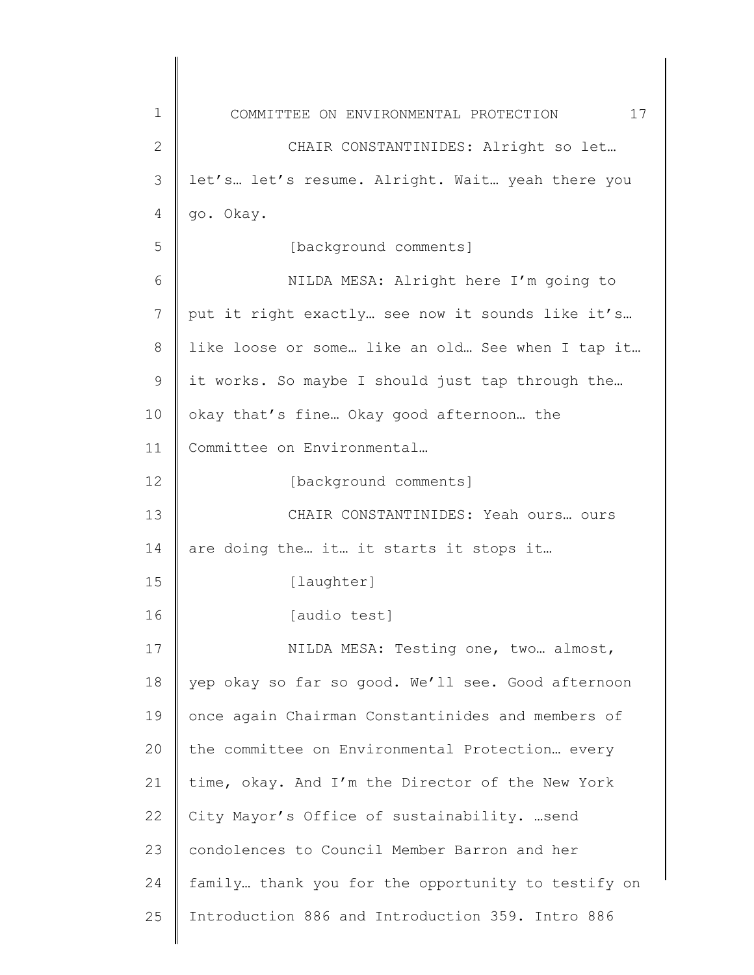| $\mathbf 1$ | 17<br>COMMITTEE ON ENVIRONMENTAL PROTECTION        |
|-------------|----------------------------------------------------|
| 2           | CHAIR CONSTANTINIDES: Alright so let               |
| 3           | let's let's resume. Alright. Wait yeah there you   |
| 4           | go. Okay.                                          |
| 5           | [background comments]                              |
| 6           | NILDA MESA: Alright here I'm going to              |
| 7           | put it right exactly see now it sounds like it's   |
| 8           | like loose or some like an old See when I tap it   |
| 9           | it works. So maybe I should just tap through the   |
| 10          | okay that's fine Okay good afternoon the           |
| 11          | Committee on Environmental                         |
| 12          | [background comments]                              |
| 13          | CHAIR CONSTANTINIDES: Yeah ours ours               |
| 14          | are doing the it it starts it stops it             |
| 15          | [laughter]                                         |
| 16          | [audio test]                                       |
| 17          | NILDA MESA: Testing one, two almost,               |
| 18          | yep okay so far so good. We'll see. Good afternoon |
| 19          | once again Chairman Constantinides and members of  |
| 20          | the committee on Environmental Protection every    |
| 21          | time, okay. And I'm the Director of the New York   |
| 22          | City Mayor's Office of sustainability. send        |
| 23          | condolences to Council Member Barron and her       |
| 24          | family thank you for the opportunity to testify on |
| 25          | Introduction 886 and Introduction 359. Intro 886   |
|             |                                                    |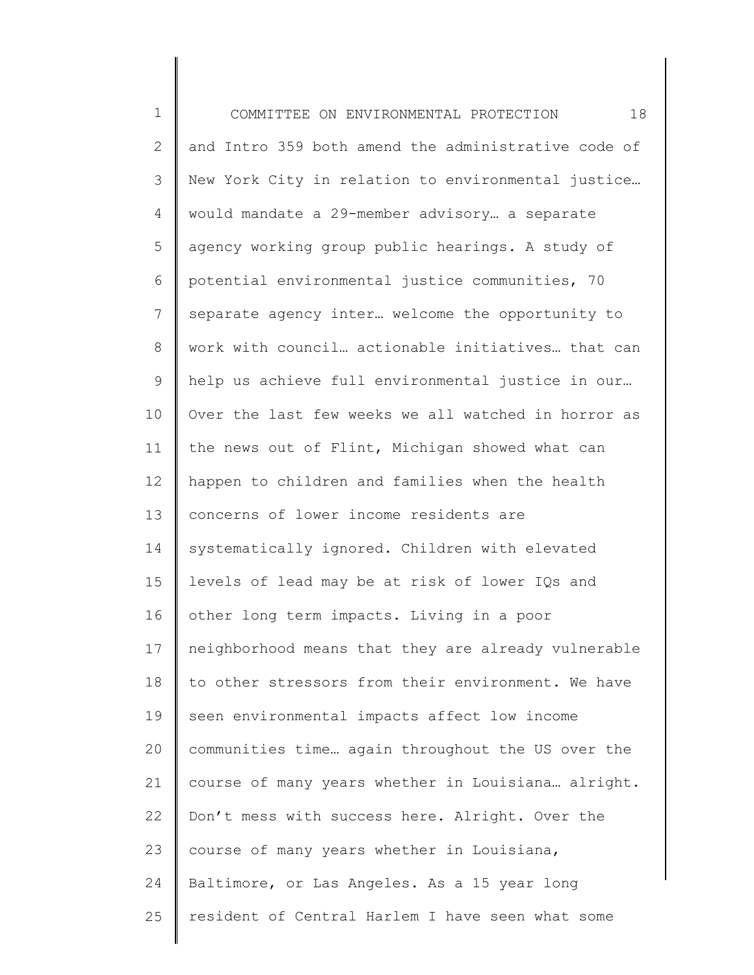1 2 3 4 5 6 7 8 9 10 11 12 13 14 15 16 17 18 19 20 21 22 23 24 25 COMMITTEE ON ENVIRONMENTAL PROTECTION 18 and Intro 359 both amend the administrative code of New York City in relation to environmental justice… would mandate a 29-member advisory… a separate agency working group public hearings. A study of potential environmental justice communities, 70 separate agency inter… welcome the opportunity to work with council… actionable initiatives… that can help us achieve full environmental justice in our… Over the last few weeks we all watched in horror as the news out of Flint, Michigan showed what can happen to children and families when the health concerns of lower income residents are systematically ignored. Children with elevated levels of lead may be at risk of lower IQs and other long term impacts. Living in a poor neighborhood means that they are already vulnerable to other stressors from their environment. We have seen environmental impacts affect low income communities time… again throughout the US over the course of many years whether in Louisiana… alright. Don't mess with success here. Alright. Over the course of many years whether in Louisiana, Baltimore, or Las Angeles. As a 15 year long resident of Central Harlem I have seen what some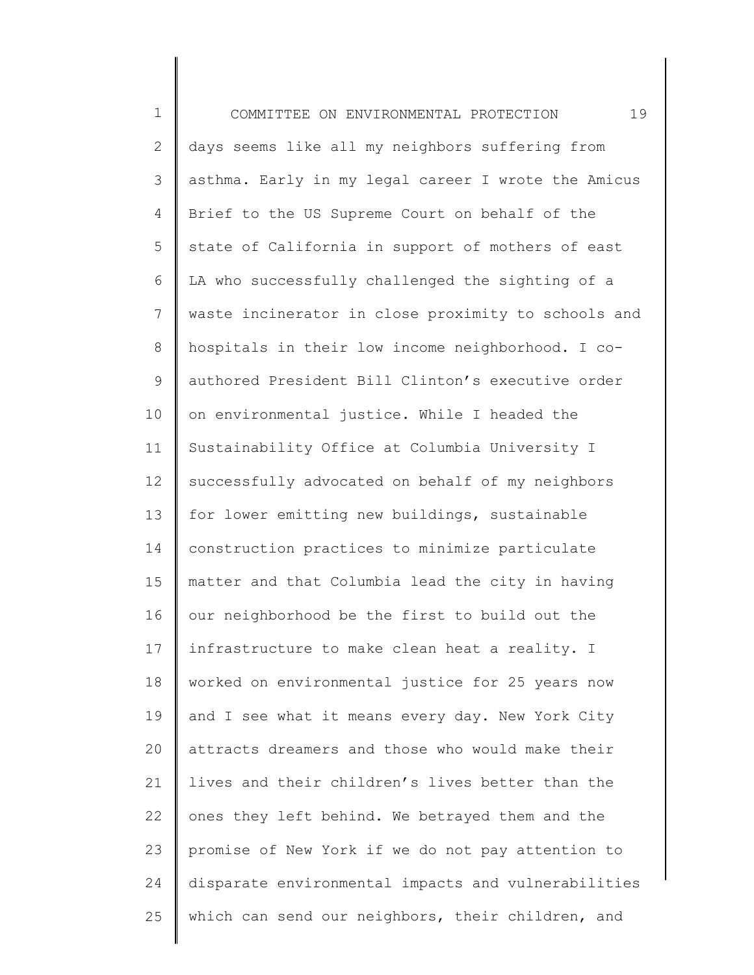1 2 3 4 5 6 7 8 9 10 11 12 13 14 15 16 17 18 19 20 21 22 23 24 25 COMMITTEE ON ENVIRONMENTAL PROTECTION 19 days seems like all my neighbors suffering from asthma. Early in my legal career I wrote the Amicus Brief to the US Supreme Court on behalf of the state of California in support of mothers of east LA who successfully challenged the sighting of a waste incinerator in close proximity to schools and hospitals in their low income neighborhood. I coauthored President Bill Clinton's executive order on environmental justice. While I headed the Sustainability Office at Columbia University I successfully advocated on behalf of my neighbors for lower emitting new buildings, sustainable construction practices to minimize particulate matter and that Columbia lead the city in having our neighborhood be the first to build out the infrastructure to make clean heat a reality. I worked on environmental justice for 25 years now and I see what it means every day. New York City attracts dreamers and those who would make their lives and their children's lives better than the ones they left behind. We betrayed them and the promise of New York if we do not pay attention to disparate environmental impacts and vulnerabilities which can send our neighbors, their children, and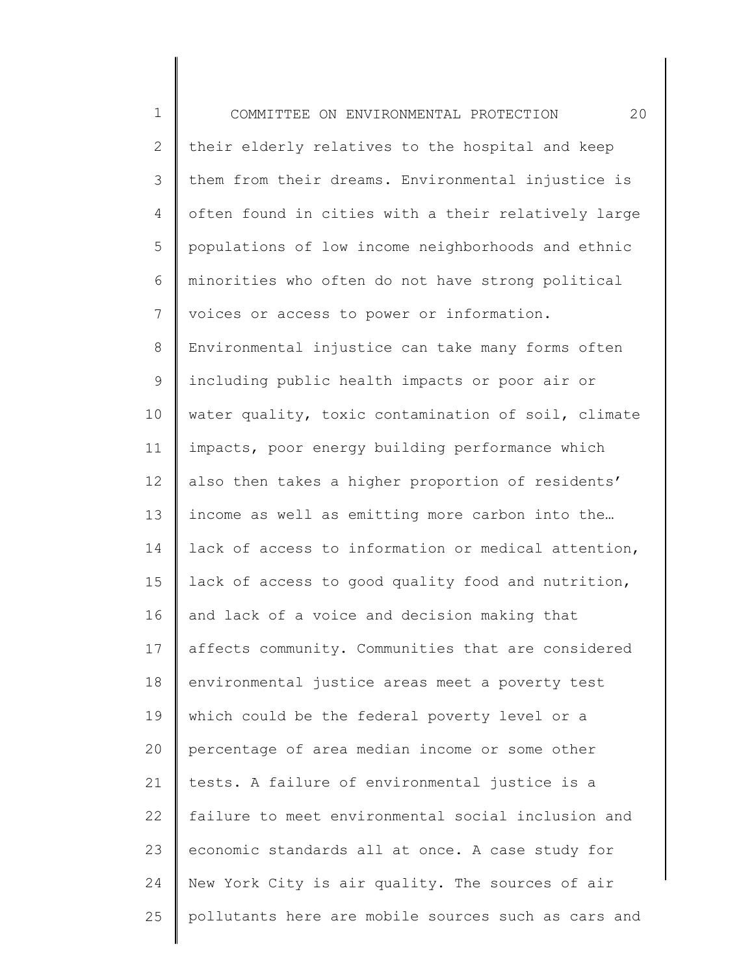1 2 3 4 5 6 7 8 9 10 11 12 13 14 15 16 17 18 19 20 21 22 23 24 25 COMMITTEE ON ENVIRONMENTAL PROTECTION 20 their elderly relatives to the hospital and keep them from their dreams. Environmental injustice is often found in cities with a their relatively large populations of low income neighborhoods and ethnic minorities who often do not have strong political voices or access to power or information. Environmental injustice can take many forms often including public health impacts or poor air or water quality, toxic contamination of soil, climate impacts, poor energy building performance which also then takes a higher proportion of residents' income as well as emitting more carbon into the… lack of access to information or medical attention, lack of access to good quality food and nutrition, and lack of a voice and decision making that affects community. Communities that are considered environmental justice areas meet a poverty test which could be the federal poverty level or a percentage of area median income or some other tests. A failure of environmental justice is a failure to meet environmental social inclusion and economic standards all at once. A case study for New York City is air quality. The sources of air pollutants here are mobile sources such as cars and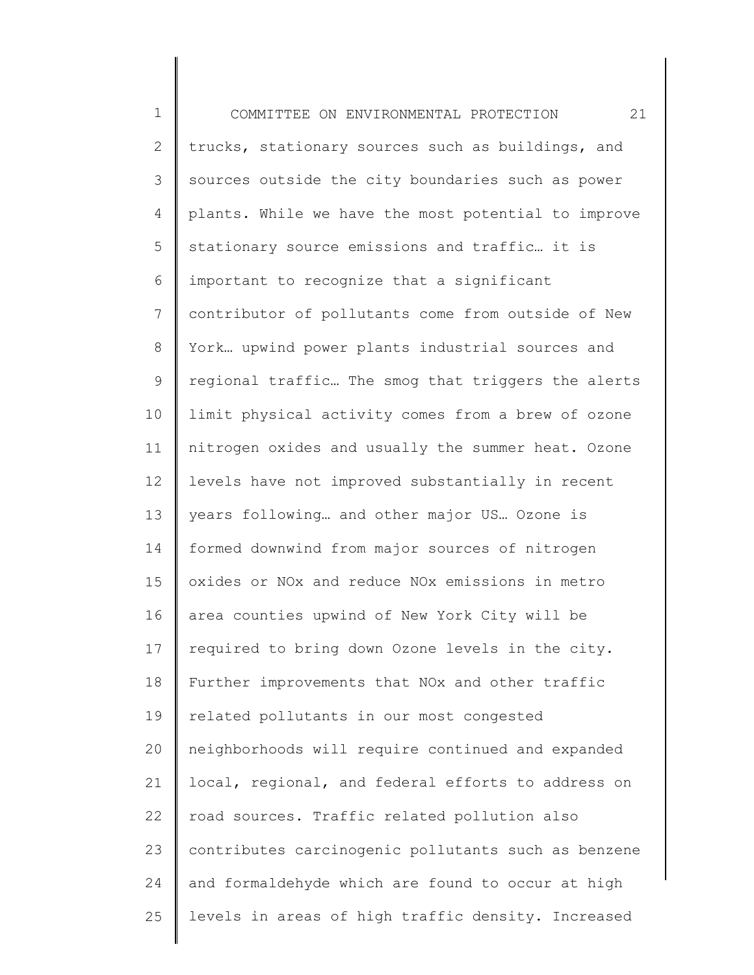1 2 3 4 5 6 7 8 9 10 11 12 13 14 15 16 17 18 19 20 21 22 23 24 25 COMMITTEE ON ENVIRONMENTAL PROTECTION 21 trucks, stationary sources such as buildings, and sources outside the city boundaries such as power plants. While we have the most potential to improve stationary source emissions and traffic… it is important to recognize that a significant contributor of pollutants come from outside of New York… upwind power plants industrial sources and regional traffic… The smog that triggers the alerts limit physical activity comes from a brew of ozone nitrogen oxides and usually the summer heat. Ozone levels have not improved substantially in recent years following… and other major US… Ozone is formed downwind from major sources of nitrogen oxides or NOx and reduce NOx emissions in metro area counties upwind of New York City will be required to bring down Ozone levels in the city. Further improvements that NOx and other traffic related pollutants in our most congested neighborhoods will require continued and expanded local, regional, and federal efforts to address on road sources. Traffic related pollution also contributes carcinogenic pollutants such as benzene and formaldehyde which are found to occur at high levels in areas of high traffic density. Increased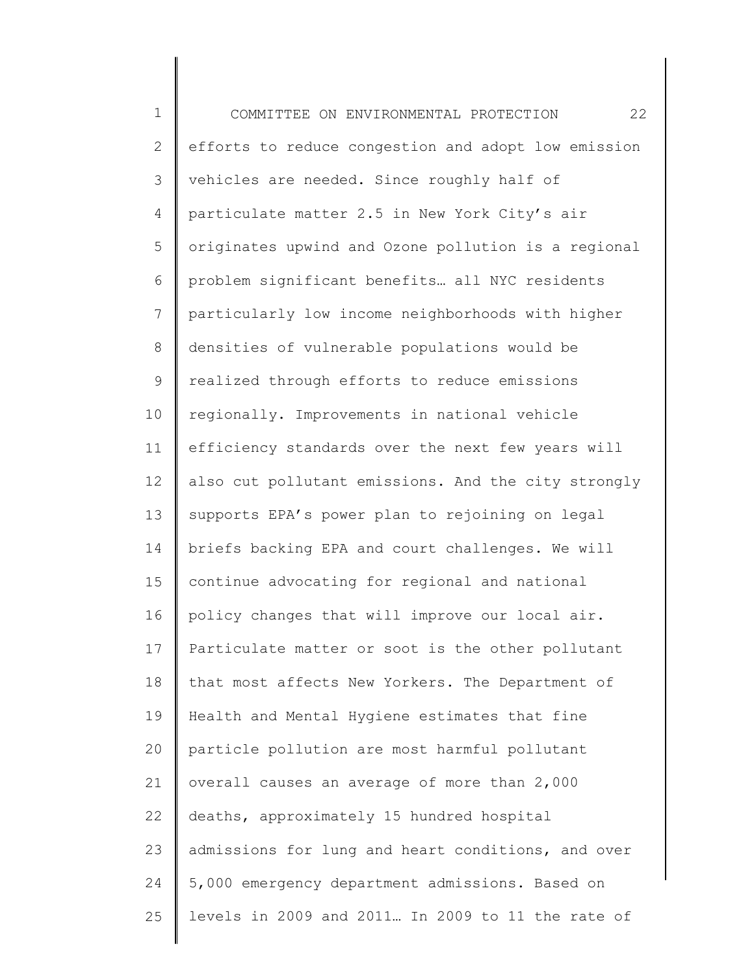1 2 3 4 5 6 7 8 9 10 11 12 13 14 15 16 17 18 19 20 21 22 23 24 25 COMMITTEE ON ENVIRONMENTAL PROTECTION 22 efforts to reduce congestion and adopt low emission vehicles are needed. Since roughly half of particulate matter 2.5 in New York City's air originates upwind and Ozone pollution is a regional problem significant benefits… all NYC residents particularly low income neighborhoods with higher densities of vulnerable populations would be realized through efforts to reduce emissions regionally. Improvements in national vehicle efficiency standards over the next few years will also cut pollutant emissions. And the city strongly supports EPA's power plan to rejoining on legal briefs backing EPA and court challenges. We will continue advocating for regional and national policy changes that will improve our local air. Particulate matter or soot is the other pollutant that most affects New Yorkers. The Department of Health and Mental Hygiene estimates that fine particle pollution are most harmful pollutant overall causes an average of more than 2,000 deaths, approximately 15 hundred hospital admissions for lung and heart conditions, and over 5,000 emergency department admissions. Based on levels in 2009 and 2011… In 2009 to 11 the rate of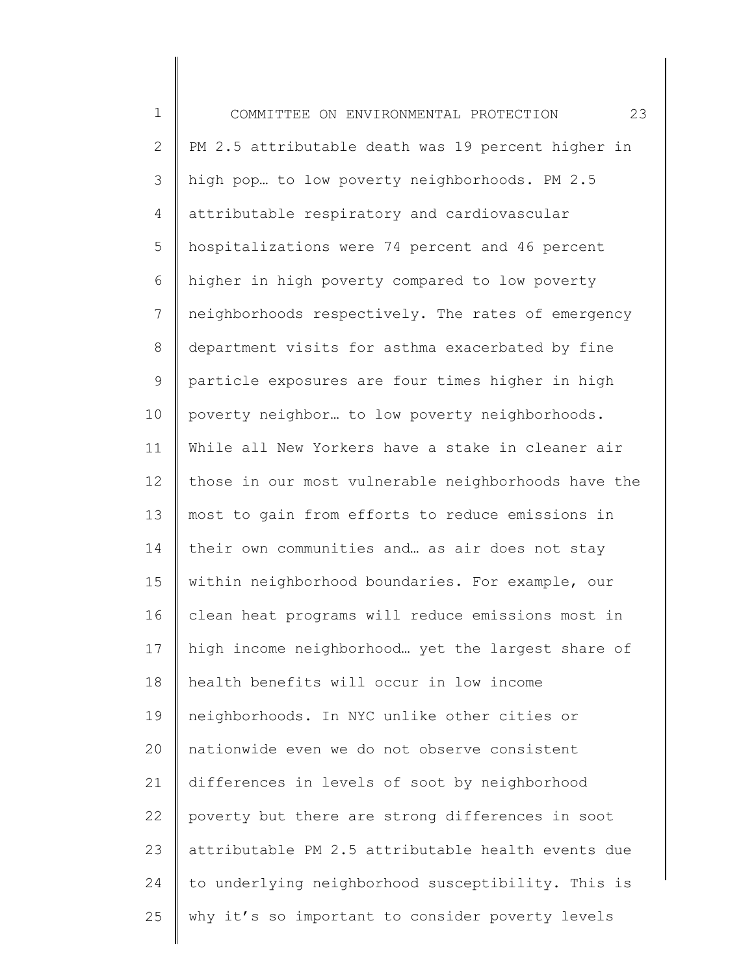1 2 3 4 5 6 7 8 9 10 11 12 13 14 15 16 17 18 19 20 21 22 23 24 25 COMMITTEE ON ENVIRONMENTAL PROTECTION 23 PM 2.5 attributable death was 19 percent higher in high pop… to low poverty neighborhoods. PM 2.5 attributable respiratory and cardiovascular hospitalizations were 74 percent and 46 percent higher in high poverty compared to low poverty neighborhoods respectively. The rates of emergency department visits for asthma exacerbated by fine particle exposures are four times higher in high poverty neighbor… to low poverty neighborhoods. While all New Yorkers have a stake in cleaner air those in our most vulnerable neighborhoods have the most to gain from efforts to reduce emissions in their own communities and… as air does not stay within neighborhood boundaries. For example, our clean heat programs will reduce emissions most in high income neighborhood… yet the largest share of health benefits will occur in low income neighborhoods. In NYC unlike other cities or nationwide even we do not observe consistent differences in levels of soot by neighborhood poverty but there are strong differences in soot attributable PM 2.5 attributable health events due to underlying neighborhood susceptibility. This is why it's so important to consider poverty levels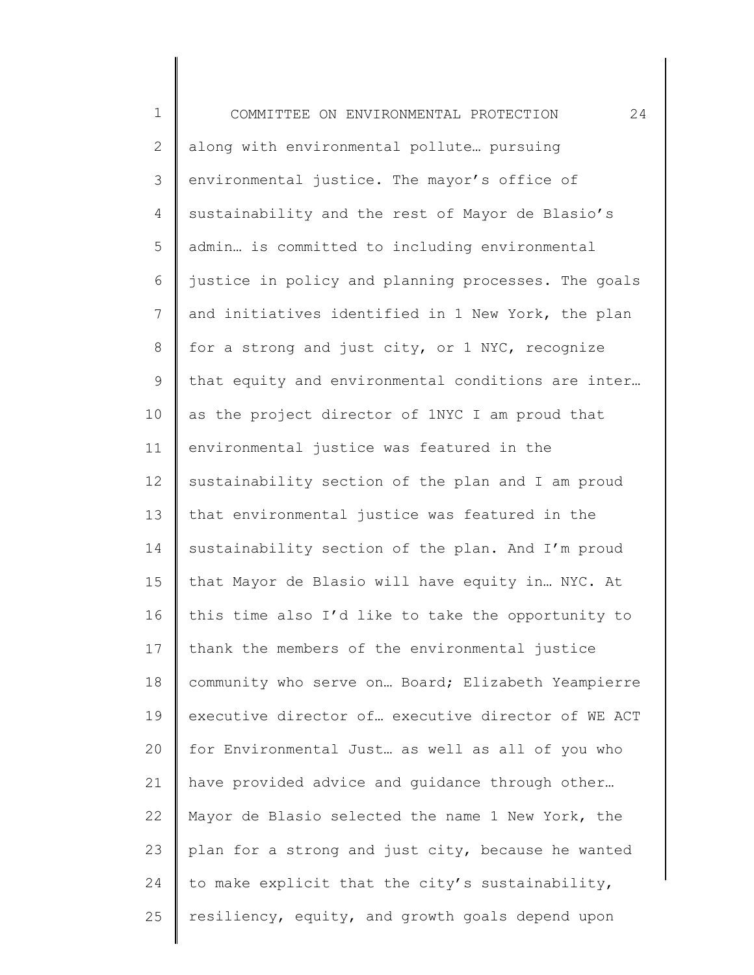| $\mathbf 1$  | 24<br>COMMITTEE ON ENVIRONMENTAL PROTECTION         |
|--------------|-----------------------------------------------------|
| $\mathbf{2}$ | along with environmental pollute pursuing           |
| 3            | environmental justice. The mayor's office of        |
| 4            | sustainability and the rest of Mayor de Blasio's    |
| 5            | admin is committed to including environmental       |
| 6            | justice in policy and planning processes. The goals |
| 7            | and initiatives identified in 1 New York, the plan  |
| $\,8\,$      | for a strong and just city, or 1 NYC, recognize     |
| $\mathsf 9$  | that equity and environmental conditions are inter  |
| 10           | as the project director of 1NYC I am proud that     |
| 11           | environmental justice was featured in the           |
| 12           | sustainability section of the plan and I am proud   |
| 13           | that environmental justice was featured in the      |
| 14           | sustainability section of the plan. And I'm proud   |
| 15           | that Mayor de Blasio will have equity in NYC. At    |
| 16           | this time also I'd like to take the opportunity to  |
| 17           | thank the members of the environmental justice      |
| 18           | community who serve on Board; Elizabeth Yeampierre  |
| 19           | executive director of executive director of WE ACT  |
| 20           | for Environmental Just as well as all of you who    |
| 21           | have provided advice and guidance through other     |
| 22           | Mayor de Blasio selected the name 1 New York, the   |
| 23           | plan for a strong and just city, because he wanted  |
| 24           | to make explicit that the city's sustainability,    |
| 25           | resiliency, equity, and growth goals depend upon    |
|              |                                                     |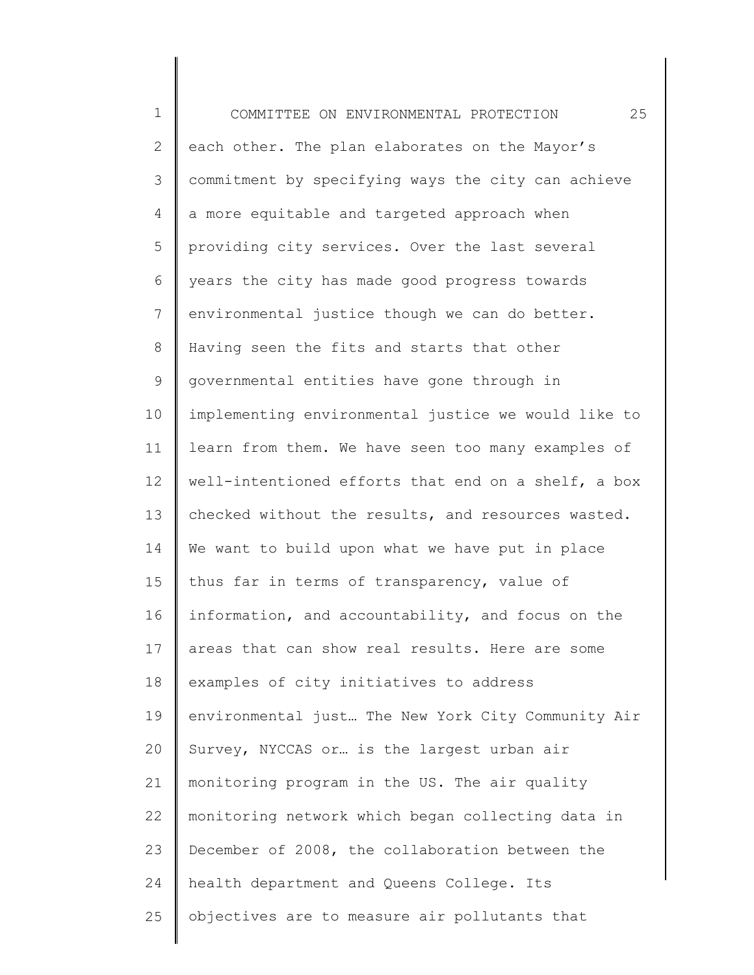1 2 3 4 5 6 7 8 9 10 11 12 13 14 15 16 17 18 19 20 21 22 23 24 25 COMMITTEE ON ENVIRONMENTAL PROTECTION 25 each other. The plan elaborates on the Mayor's commitment by specifying ways the city can achieve a more equitable and targeted approach when providing city services. Over the last several years the city has made good progress towards environmental justice though we can do better. Having seen the fits and starts that other governmental entities have gone through in implementing environmental justice we would like to learn from them. We have seen too many examples of well-intentioned efforts that end on a shelf, a box checked without the results, and resources wasted. We want to build upon what we have put in place thus far in terms of transparency, value of information, and accountability, and focus on the areas that can show real results. Here are some examples of city initiatives to address environmental just… The New York City Community Air Survey, NYCCAS or… is the largest urban air monitoring program in the US. The air quality monitoring network which began collecting data in December of 2008, the collaboration between the health department and Queens College. Its objectives are to measure air pollutants that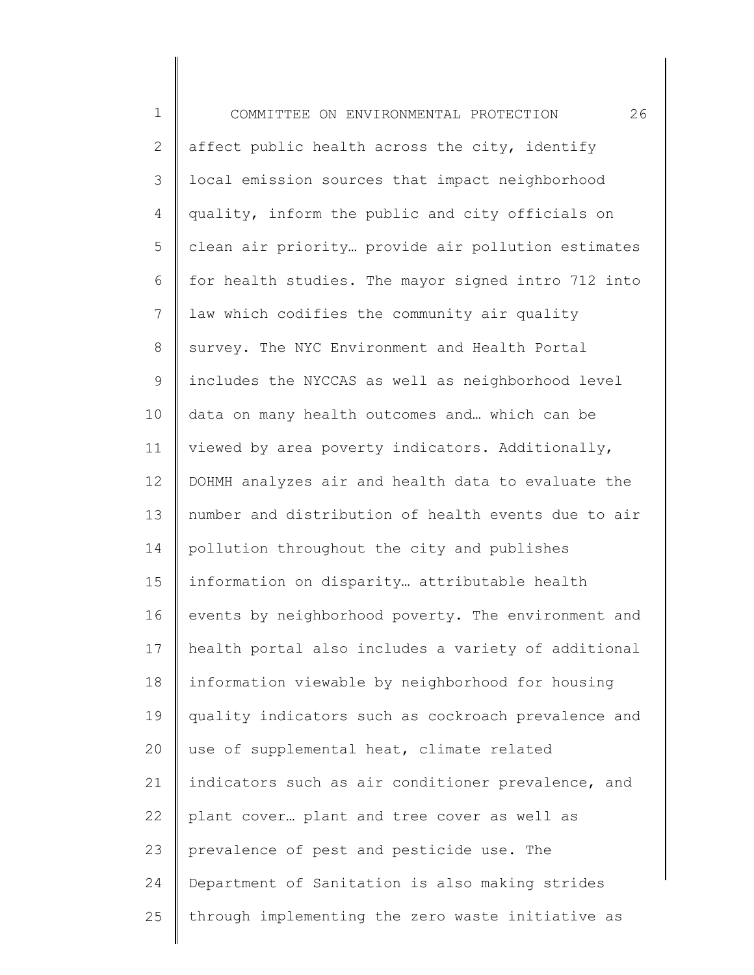| $\mathbf 1$    | 26<br>COMMITTEE ON ENVIRONMENTAL PROTECTION         |
|----------------|-----------------------------------------------------|
| $\mathbf{2}$   | affect public health across the city, identify      |
| 3              | local emission sources that impact neighborhood     |
| $\overline{4}$ | quality, inform the public and city officials on    |
| 5              | clean air priority provide air pollution estimates  |
| 6              | for health studies. The mayor signed intro 712 into |
| $7\phantom{.}$ | law which codifies the community air quality        |
| $\,8\,$        | survey. The NYC Environment and Health Portal       |
| $\mathsf 9$    | includes the NYCCAS as well as neighborhood level   |
| 10             | data on many health outcomes and which can be       |
| 11             | viewed by area poverty indicators. Additionally,    |
| 12             | DOHMH analyzes air and health data to evaluate the  |
| 13             | number and distribution of health events due to air |
| 14             | pollution throughout the city and publishes         |
| 15             | information on disparity attributable health        |
| 16             | events by neighborhood poverty. The environment and |
| 17             | health portal also includes a variety of additional |
| 18             | information viewable by neighborhood for housing    |
| 19             | quality indicators such as cockroach prevalence and |
| 20             | use of supplemental heat, climate related           |
| 21             | indicators such as air conditioner prevalence, and  |
| 22             | plant cover plant and tree cover as well as         |
| 23             | prevalence of pest and pesticide use. The           |
| 24             | Department of Sanitation is also making strides     |
| 25             | through implementing the zero waste initiative as   |
|                |                                                     |

∥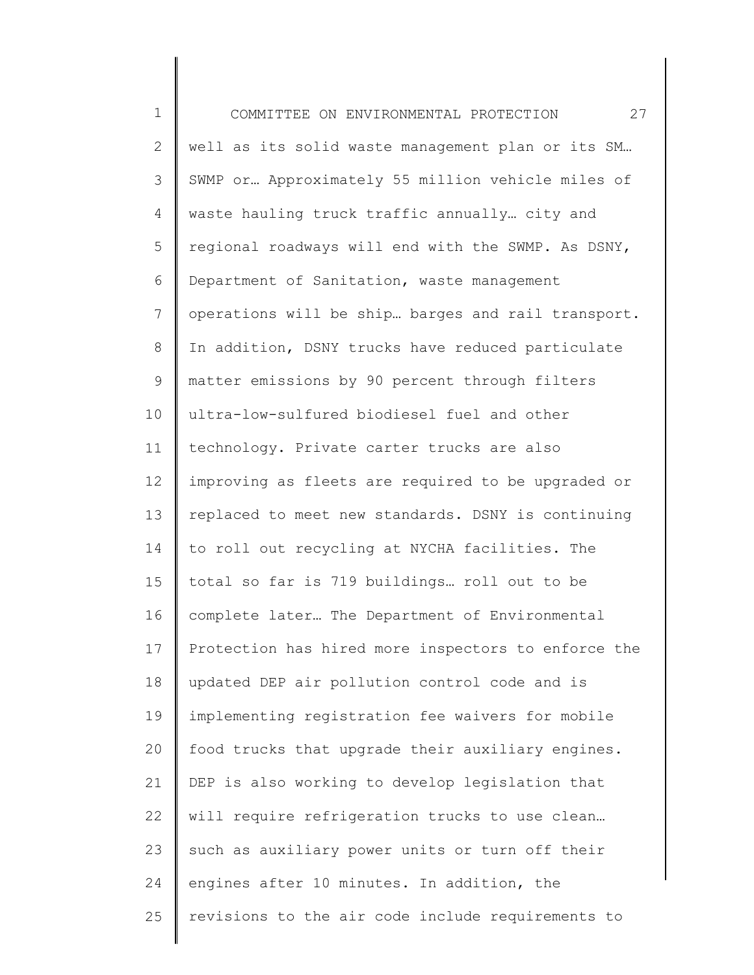| $\mathbf 1$    | 27<br>COMMITTEE ON ENVIRONMENTAL PROTECTION         |
|----------------|-----------------------------------------------------|
| $\mathbf{2}$   | well as its solid waste management plan or its SM   |
| 3              | SWMP or Approximately 55 million vehicle miles of   |
| 4              | waste hauling truck traffic annually city and       |
| 5              | regional roadways will end with the SWMP. As DSNY,  |
| 6              | Department of Sanitation, waste management          |
| $7\phantom{.}$ | operations will be ship barges and rail transport.  |
| $\,8\,$        | In addition, DSNY trucks have reduced particulate   |
| 9              | matter emissions by 90 percent through filters      |
| 10             | ultra-low-sulfured biodiesel fuel and other         |
| 11             | technology. Private carter trucks are also          |
| 12             | improving as fleets are required to be upgraded or  |
| 13             | replaced to meet new standards. DSNY is continuing  |
| 14             | to roll out recycling at NYCHA facilities. The      |
| 15             | total so far is 719 buildings roll out to be        |
| 16             | complete later The Department of Environmental      |
| 17             | Protection has hired more inspectors to enforce the |
| 18             | updated DEP air pollution control code and is       |
| 19             | implementing registration fee waivers for mobile    |
| 20             | food trucks that upgrade their auxiliary engines.   |
| 21             | DEP is also working to develop legislation that     |
| 22             | will require refrigeration trucks to use clean      |
| 23             | such as auxiliary power units or turn off their     |
| 24             | engines after 10 minutes. In addition, the          |
| 25             | revisions to the air code include requirements to   |
|                |                                                     |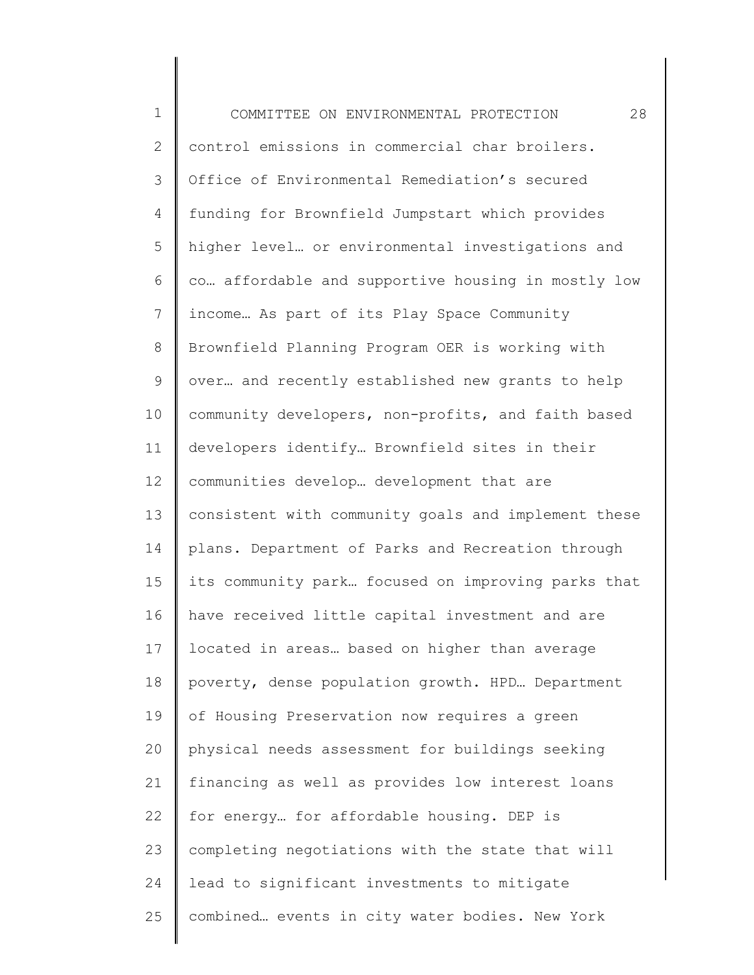| $\mathbf 1$  | 28<br>COMMITTEE ON ENVIRONMENTAL PROTECTION         |
|--------------|-----------------------------------------------------|
| $\mathbf{2}$ | control emissions in commercial char broilers.      |
| 3            | Office of Environmental Remediation's secured       |
| 4            | funding for Brownfield Jumpstart which provides     |
| 5            | higher level or environmental investigations and    |
| 6            | co affordable and supportive housing in mostly low  |
| 7            | income As part of its Play Space Community          |
| $\,8\,$      | Brownfield Planning Program OER is working with     |
| $\mathsf 9$  | over and recently established new grants to help    |
| 10           | community developers, non-profits, and faith based  |
| 11           | developers identify Brownfield sites in their       |
| 12           | communities develop development that are            |
| 13           | consistent with community goals and implement these |
| 14           | plans. Department of Parks and Recreation through   |
| 15           | its community park focused on improving parks that  |
| 16           | have received little capital investment and are     |
| 17           | located in areas based on higher than average       |
| 18           | poverty, dense population growth. HPD Department    |
| 19           | of Housing Preservation now requires a green        |
| 20           | physical needs assessment for buildings seeking     |
| 21           | financing as well as provides low interest loans    |
| 22           | for energy for affordable housing. DEP is           |
| 23           | completing negotiations with the state that will    |
| 24           | lead to significant investments to mitigate         |
| 25           | combined events in city water bodies. New York      |
|              |                                                     |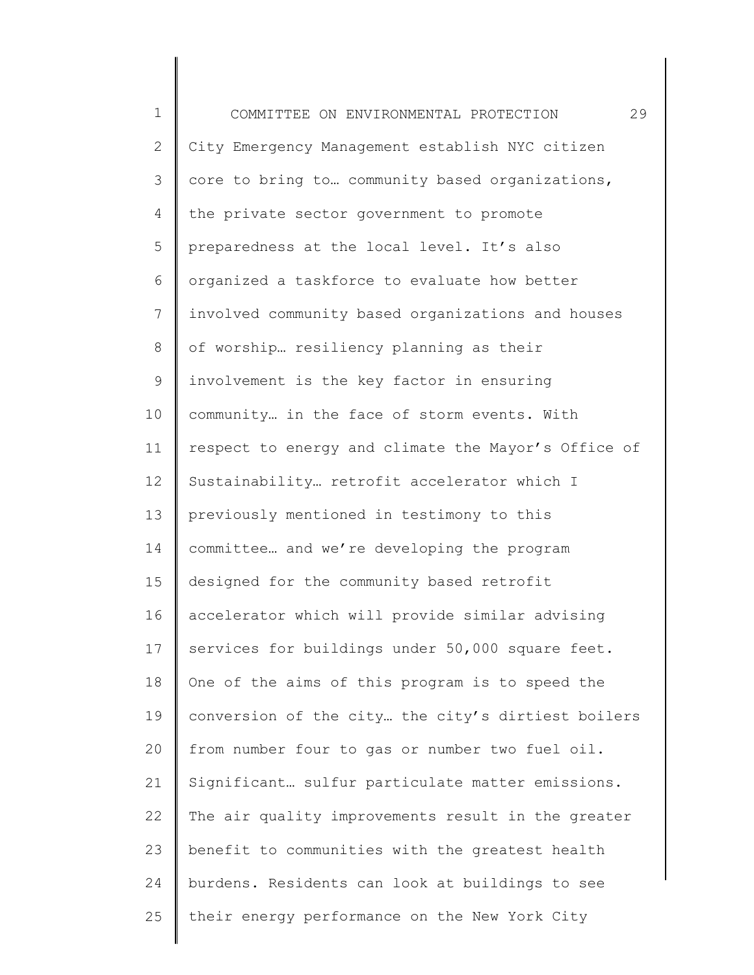| $\mathbf 1$    | 29<br>COMMITTEE ON ENVIRONMENTAL PROTECTION         |
|----------------|-----------------------------------------------------|
| $\mathbf{2}$   | City Emergency Management establish NYC citizen     |
| 3              | core to bring to community based organizations,     |
| 4              | the private sector government to promote            |
| 5              | preparedness at the local level. It's also          |
| 6              | organized a taskforce to evaluate how better        |
| $\overline{7}$ | involved community based organizations and houses   |
| $8\,$          | of worship resiliency planning as their             |
| $\mathsf 9$    | involvement is the key factor in ensuring           |
| 10             | community in the face of storm events. With         |
| 11             | respect to energy and climate the Mayor's Office of |
| 12             | Sustainability retrofit accelerator which I         |
| 13             | previously mentioned in testimony to this           |
| 14             | committee and we're developing the program          |
| 15             | designed for the community based retrofit           |
| 16             | accelerator which will provide similar advising     |
| 17             | services for buildings under 50,000 square feet.    |
| 18             | One of the aims of this program is to speed the     |
| 19             | conversion of the city the city's dirtiest boilers  |
| 20             | from number four to gas or number two fuel oil.     |
| 21             | Significant sulfur particulate matter emissions.    |
| 22             | The air quality improvements result in the greater  |
| 23             | benefit to communities with the greatest health     |
| 24             | burdens. Residents can look at buildings to see     |
| 25             | their energy performance on the New York City       |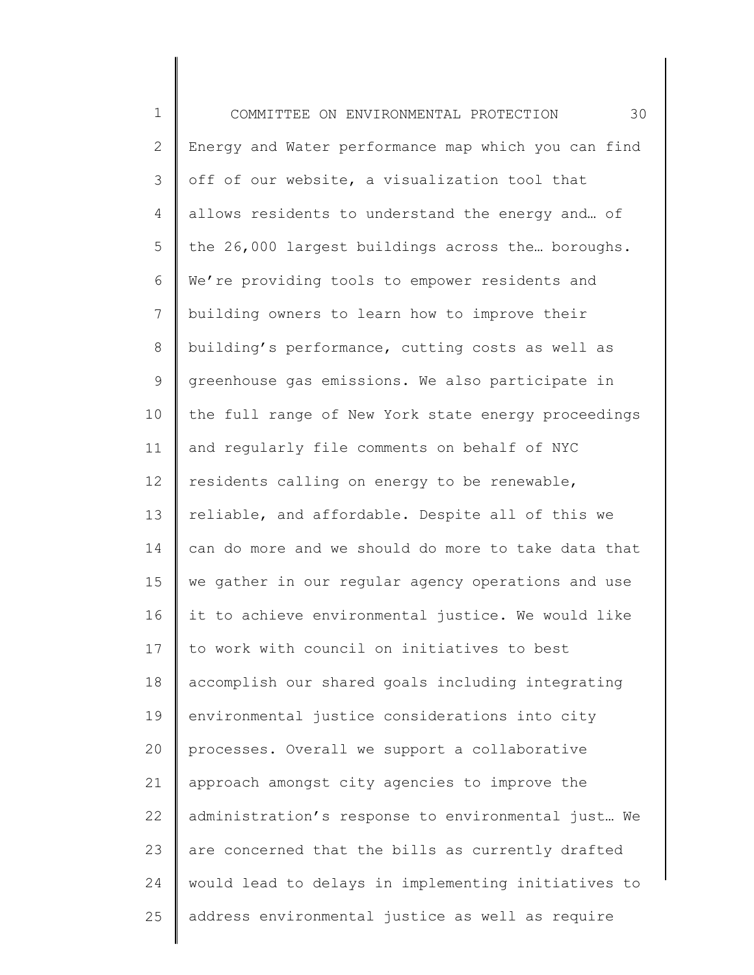| $\mathbf 1$  | 30<br>COMMITTEE ON ENVIRONMENTAL PROTECTION         |
|--------------|-----------------------------------------------------|
| $\mathbf{2}$ | Energy and Water performance map which you can find |
| 3            | off of our website, a visualization tool that       |
| 4            | allows residents to understand the energy and of    |
| 5            | the 26,000 largest buildings across the boroughs.   |
| 6            | We're providing tools to empower residents and      |
| 7            | building owners to learn how to improve their       |
| $8\,$        | building's performance, cutting costs as well as    |
| 9            | greenhouse gas emissions. We also participate in    |
| 10           | the full range of New York state energy proceedings |
| 11           | and reqularly file comments on behalf of NYC        |
| 12           | residents calling on energy to be renewable,        |
| 13           | reliable, and affordable. Despite all of this we    |
| 14           | can do more and we should do more to take data that |
| 15           | we gather in our regular agency operations and use  |
| 16           | it to achieve environmental justice. We would like  |
| 17           | to work with council on initiatives to best         |
| 18           | accomplish our shared goals including integrating   |
| 19           | environmental justice considerations into city      |
| 20           | processes. Overall we support a collaborative       |
| 21           | approach amongst city agencies to improve the       |
| 22           | administration's response to environmental just We  |
| 23           | are concerned that the bills as currently drafted   |
| 24           | would lead to delays in implementing initiatives to |
| 25           | address environmental justice as well as require    |
|              |                                                     |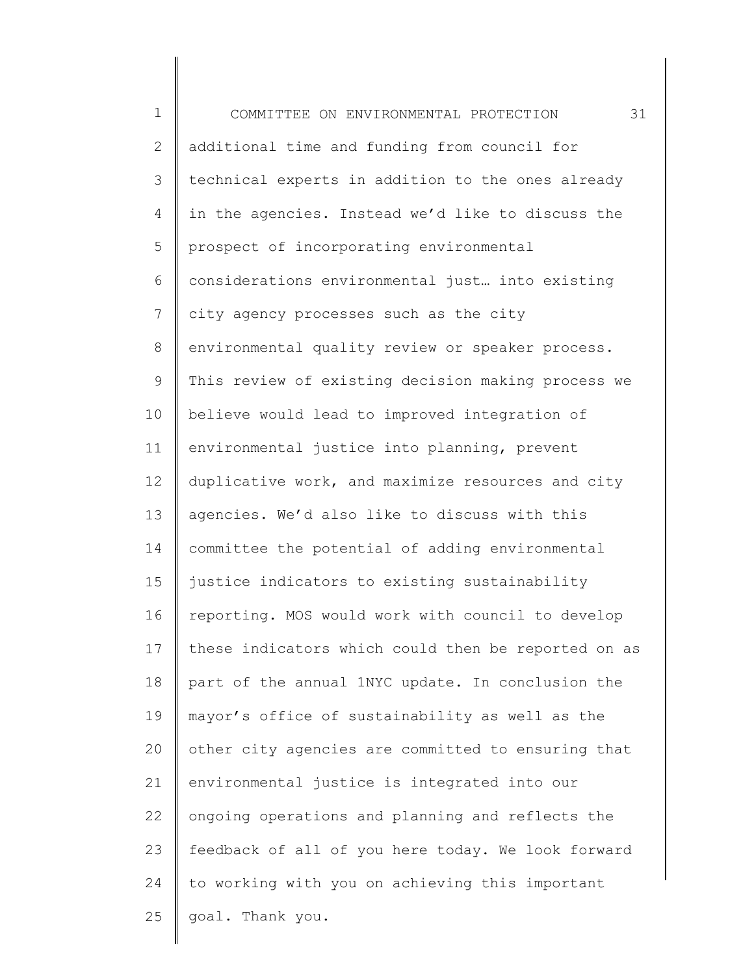1 2 3 4 5 6 7 8 9 10 11 12 13 14 15 16 17 18 19 20 21 22 23 24 25 COMMITTEE ON ENVIRONMENTAL PROTECTION 31 additional time and funding from council for technical experts in addition to the ones already in the agencies. Instead we'd like to discuss the prospect of incorporating environmental considerations environmental just… into existing city agency processes such as the city environmental quality review or speaker process. This review of existing decision making process we believe would lead to improved integration of environmental justice into planning, prevent duplicative work, and maximize resources and city agencies. We'd also like to discuss with this committee the potential of adding environmental justice indicators to existing sustainability reporting. MOS would work with council to develop these indicators which could then be reported on as part of the annual 1NYC update. In conclusion the mayor's office of sustainability as well as the other city agencies are committed to ensuring that environmental justice is integrated into our ongoing operations and planning and reflects the feedback of all of you here today. We look forward to working with you on achieving this important goal. Thank you.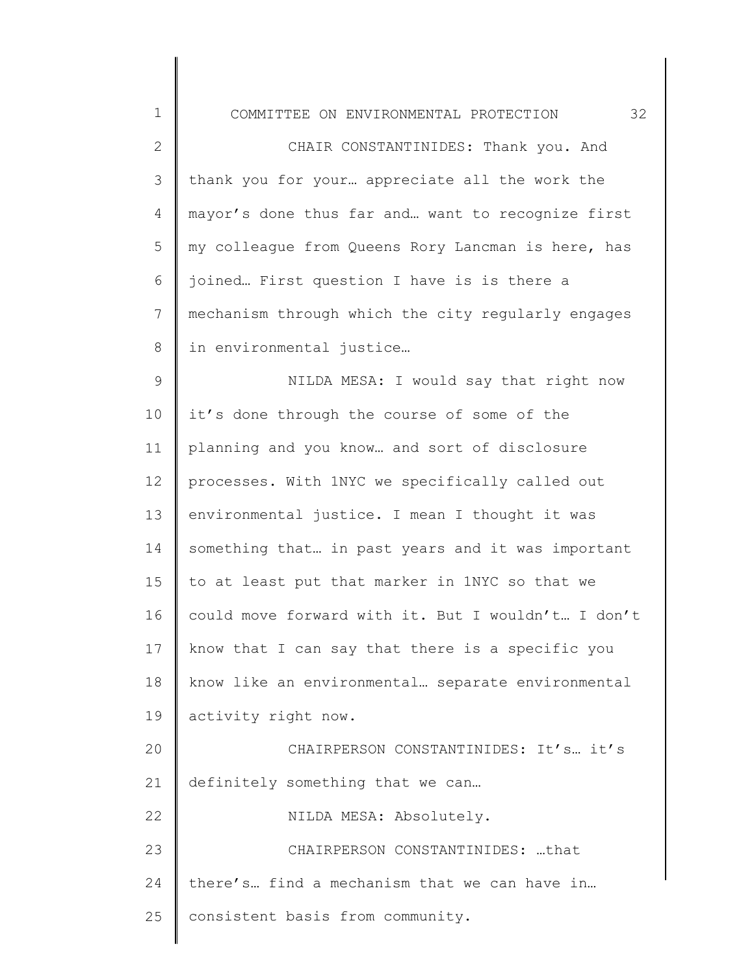|  | COMMITTEE ON ENVIRONMENTAL PROTECTION |  |
|--|---------------------------------------|--|
|  |                                       |  |

1

2 3 4 5 6 7 8 CHAIR CONSTANTINIDES: Thank you. And thank you for your… appreciate all the work the mayor's done thus far and… want to recognize first my colleague from Queens Rory Lancman is here, has joined… First question I have is is there a mechanism through which the city regularly engages in environmental justice…

9 10 11 12 13 14 15 16 17 18 19 20 21 22 23 24 25 NILDA MESA: I would say that right now it's done through the course of some of the planning and you know… and sort of disclosure processes. With 1NYC we specifically called out environmental justice. I mean I thought it was something that… in past years and it was important to at least put that marker in 1NYC so that we could move forward with it. But I wouldn't… I don't know that I can say that there is a specific you know like an environmental… separate environmental activity right now. CHAIRPERSON CONSTANTINIDES: It's… it's definitely something that we can… NILDA MESA: Absolutely. CHAIRPERSON CONSTANTINIDES: …that there's… find a mechanism that we can have in… consistent basis from community.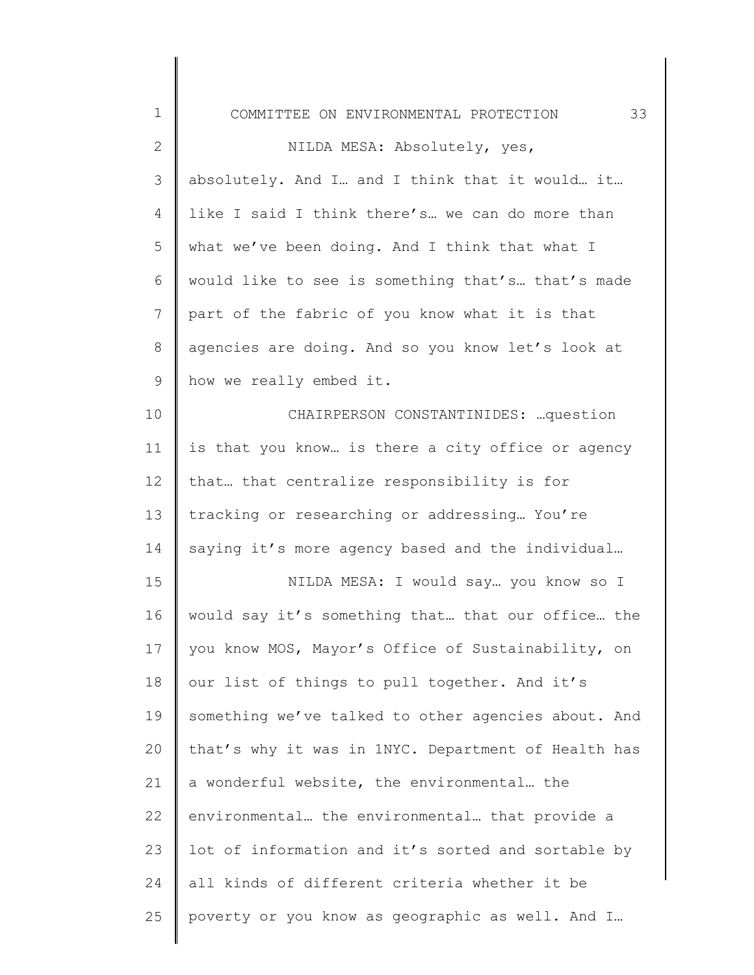| $\mathbf 1$  | 33<br>COMMITTEE ON ENVIRONMENTAL PROTECTION         |
|--------------|-----------------------------------------------------|
| $\mathbf{2}$ | NILDA MESA: Absolutely, yes,                        |
| 3            | absolutely. And I and I think that it would it      |
| 4            | like I said I think there's we can do more than     |
| 5            | what we've been doing. And I think that what I      |
| 6            | would like to see is something that's that's made   |
| 7            | part of the fabric of you know what it is that      |
| $8\,$        | agencies are doing. And so you know let's look at   |
| $\mathsf 9$  | how we really embed it.                             |
| 10           | CHAIRPERSON CONSTANTINIDES:  question               |
| 11           | is that you know is there a city office or agency   |
| 12           | that that centralize responsibility is for          |
| 13           | tracking or researching or addressing You're        |
| 14           | saying it's more agency based and the individual    |
| 15           | NILDA MESA: I would say you know so I               |
| 16           | would say it's something that that our office the   |
| 17           | you know MOS, Mayor's Office of Sustainability, on  |
| 18           | our list of things to pull together. And it's       |
| 19           | something we've talked to other agencies about. And |
| 20           | that's why it was in 1NYC. Department of Health has |
| 21           | a wonderful website, the environmental the          |
| 22           | environmental the environmental that provide a      |
| 23           | lot of information and it's sorted and sortable by  |
| 24           | all kinds of different criteria whether it be       |
| 25           | poverty or you know as geographic as well. And I    |
|              |                                                     |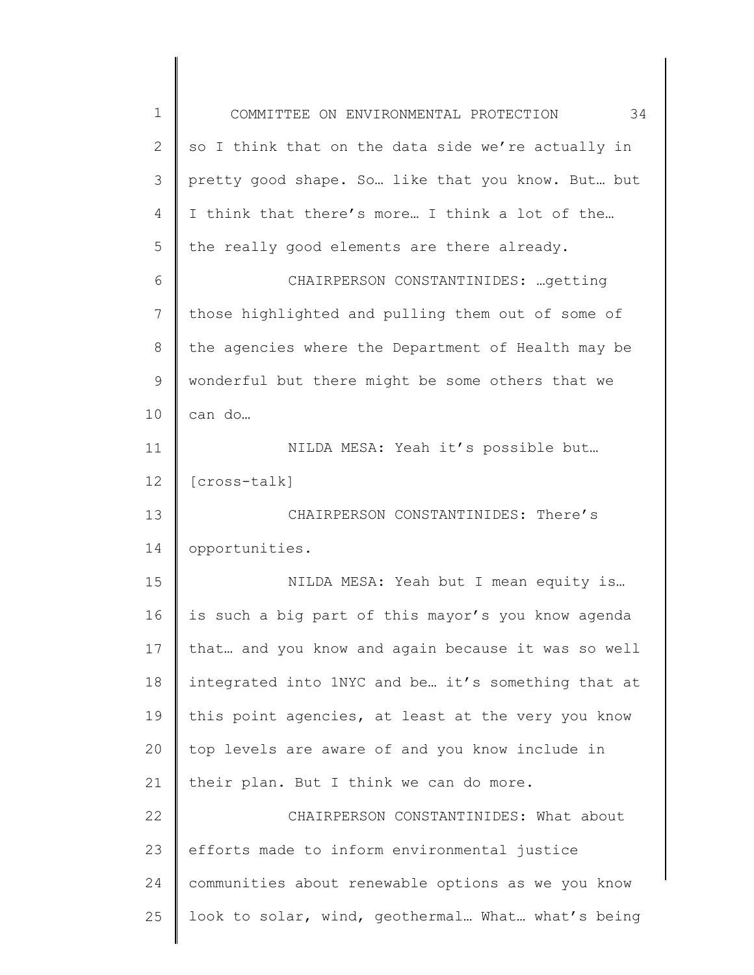| $\mathbf 1$     | 34<br>COMMITTEE ON ENVIRONMENTAL PROTECTION        |
|-----------------|----------------------------------------------------|
| $\overline{2}$  | so I think that on the data side we're actually in |
| 3               | pretty good shape. So like that you know. But but  |
| 4               | I think that there's more I think a lot of the     |
| 5               | the really good elements are there already.        |
| 6               | CHAIRPERSON CONSTANTINIDES:  getting               |
| $7\phantom{.}$  | those highlighted and pulling them out of some of  |
| 8               | the agencies where the Department of Health may be |
| 9               | wonderful but there might be some others that we   |
| 10              | can do                                             |
| 11              | NILDA MESA: Yeah it's possible but                 |
| 12 <sup>°</sup> | [cross-talk]                                       |
| 13              | CHAIRPERSON CONSTANTINIDES: There's                |
| 14              | opportunities.                                     |
| 15              | NILDA MESA: Yeah but I mean equity is              |
| 16              | is such a big part of this mayor's you know agenda |
| 17              | that and you know and again because it was so well |
| 18              | integrated into 1NYC and be it's something that at |
| 19              | this point agencies, at least at the very you know |
| 20              | top levels are aware of and you know include in    |
| 21              | their plan. But I think we can do more.            |
| 22              | CHAIRPERSON CONSTANTINIDES: What about             |
| 23              | efforts made to inform environmental justice       |
| 24              | communities about renewable options as we you know |
| 25              | look to solar, wind, geothermal What what's being  |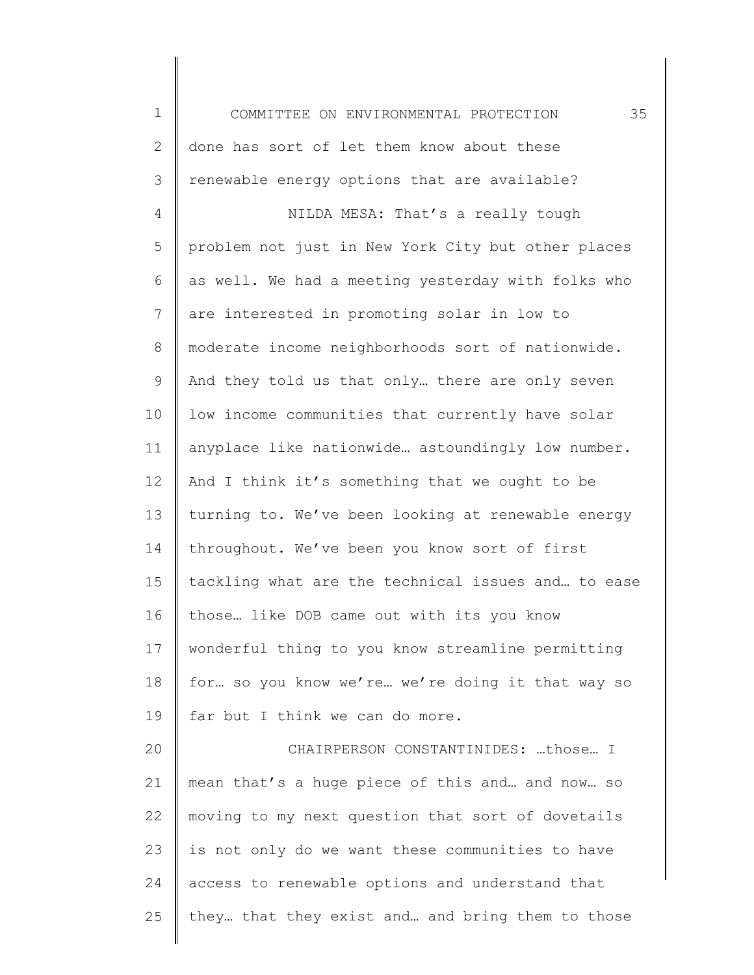1 2 3 4 5 6 7 8 9 10 11 12 13 14 15 16 17 18 19 20 21 22 23 24 25 COMMITTEE ON ENVIRONMENTAL PROTECTION 35 done has sort of let them know about these renewable energy options that are available? NILDA MESA: That's a really tough problem not just in New York City but other places as well. We had a meeting yesterday with folks who are interested in promoting solar in low to moderate income neighborhoods sort of nationwide. And they told us that only… there are only seven low income communities that currently have solar anyplace like nationwide… astoundingly low number. And I think it's something that we ought to be turning to. We've been looking at renewable energy throughout. We've been you know sort of first tackling what are the technical issues and… to ease those… like DOB came out with its you know wonderful thing to you know streamline permitting for… so you know we're… we're doing it that way so far but I think we can do more. CHAIRPERSON CONSTANTINIDES: …those… I mean that's a huge piece of this and… and now… so moving to my next question that sort of dovetails is not only do we want these communities to have access to renewable options and understand that they… that they exist and… and bring them to those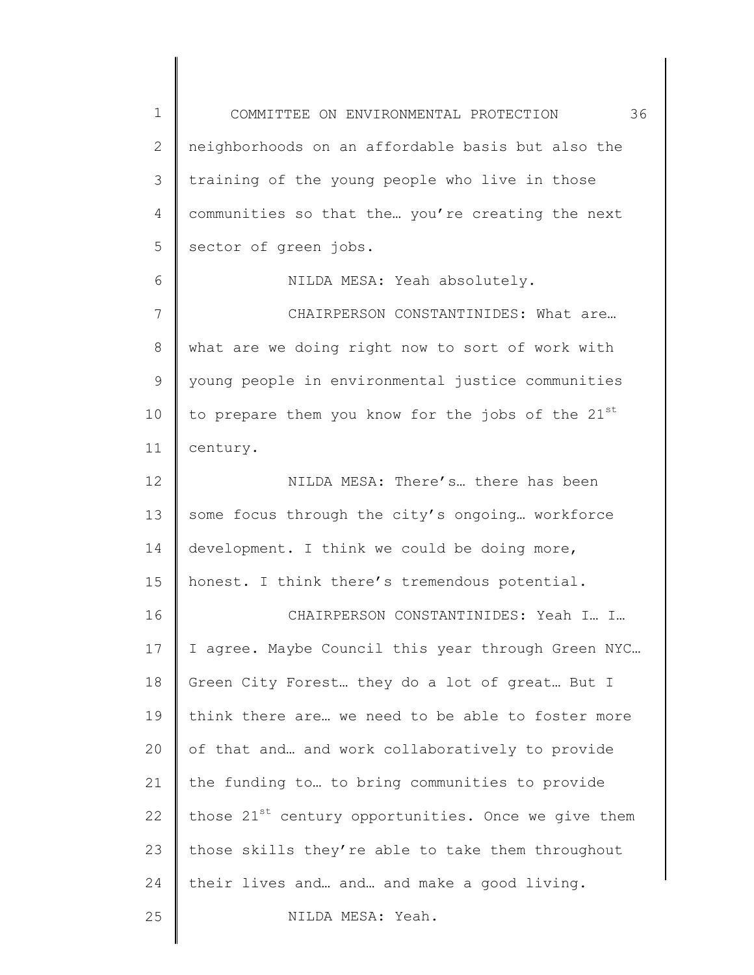1 2 3 4 5 6 7 8 9 10 11 12 13 14 15 16 17 18 19 20 21 22 23 24 25 COMMITTEE ON ENVIRONMENTAL PROTECTION 36 neighborhoods on an affordable basis but also the training of the young people who live in those communities so that the… you're creating the next sector of green jobs. NILDA MESA: Yeah absolutely. CHAIRPERSON CONSTANTINIDES: What are… what are we doing right now to sort of work with young people in environmental justice communities to prepare them you know for the jobs of the  $21^{st}$ century. NILDA MESA: There's… there has been some focus through the city's ongoing… workforce development. I think we could be doing more, honest. I think there's tremendous potential. CHAIRPERSON CONSTANTINIDES: Yeah I… I… I agree. Maybe Council this year through Green NYC… Green City Forest… they do a lot of great… But I think there are… we need to be able to foster more of that and… and work collaboratively to provide the funding to… to bring communities to provide those  $21^{st}$  century opportunities. Once we give them those skills they're able to take them throughout their lives and… and… and make a good living. NILDA MESA: Yeah.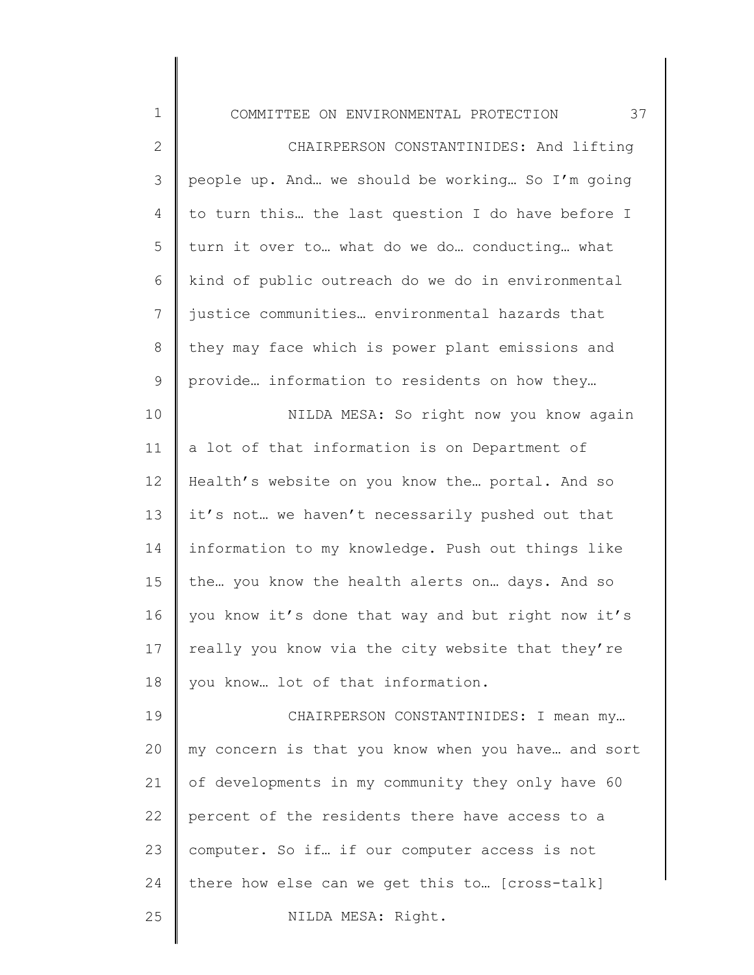COMMITTEE ON ENVIRONMENTAL PROTECTION 37

| $\mathbf{2}$   | CHAIRPERSON CONSTANTINIDES: And lifting            |
|----------------|----------------------------------------------------|
| $\mathfrak{Z}$ | people up. And we should be working So I'm going   |
| 4              | to turn this the last question I do have before I  |
| 5              | turn it over to what do we do conducting what      |
| 6              | kind of public outreach do we do in environmental  |
| 7              | justice communities environmental hazards that     |
| $\,8\,$        | they may face which is power plant emissions and   |
| $\mathsf 9$    | provide information to residents on how they       |
| 10             | NILDA MESA: So right now you know again            |
| 11             | a lot of that information is on Department of      |
| 12             | Health's website on you know the portal. And so    |
| 13             | it's not we haven't necessarily pushed out that    |
| 14             | information to my knowledge. Push out things like  |
| 15             | the you know the health alerts on days. And so     |
| 16             | you know it's done that way and but right now it's |
| 17             | really you know via the city website that they're  |
| 18             | you know lot of that information.                  |
| 19             | CHAIRPERSON CONSTANTINIDES: I mean my              |
| 20             | my concern is that you know when you have and sort |
| 21             | of developments in my community they only have 60  |
| 22             | percent of the residents there have access to a    |
| 23             | computer. So if if our computer access is not      |
| 24             | there how else can we get this to [cross-talk]     |
|                |                                                    |

25

1

NILDA MESA: Right.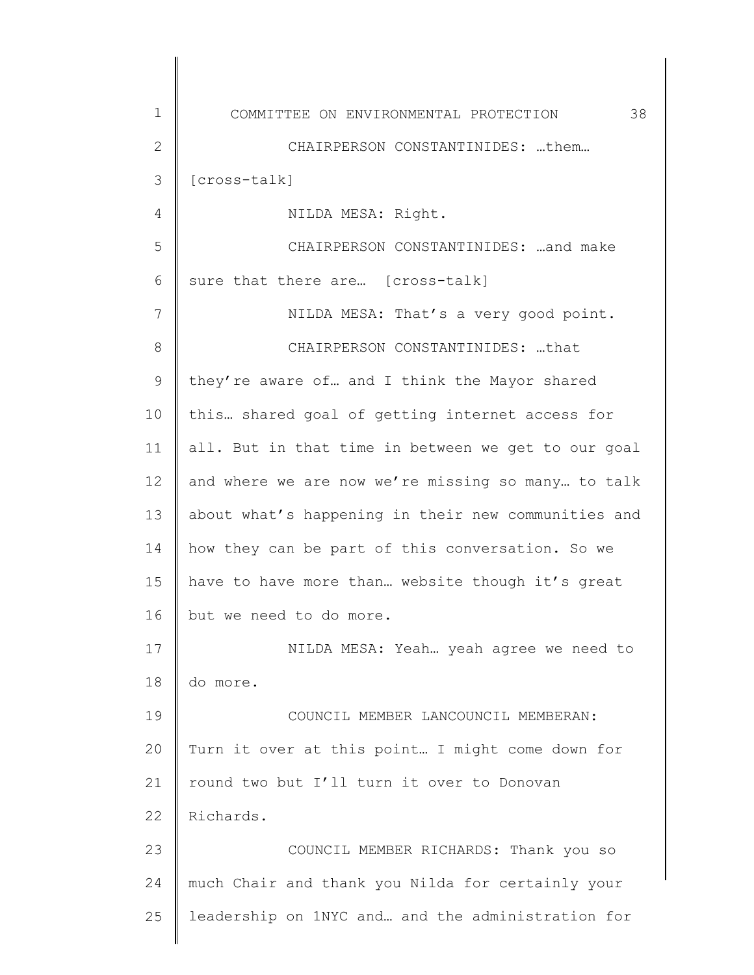1 2 3 4 5 6 7 8 9 10 11 12 13 14 15 16 17 18 19 20 21 22 23 24 25 COMMITTEE ON ENVIRONMENTAL PROTECTION 38 CHAIRPERSON CONSTANTINIDES: …them… [cross-talk] NILDA MESA: Right. CHAIRPERSON CONSTANTINIDES: …and make sure that there are… [cross-talk] NILDA MESA: That's a very good point. CHAIRPERSON CONSTANTINIDES: …that they're aware of… and I think the Mayor shared this… shared goal of getting internet access for all. But in that time in between we get to our goal and where we are now we're missing so many… to talk about what's happening in their new communities and how they can be part of this conversation. So we have to have more than… website though it's great but we need to do more. NILDA MESA: Yeah… yeah agree we need to do more. COUNCIL MEMBER LANCOUNCIL MEMBERAN: Turn it over at this point… I might come down for round two but I'll turn it over to Donovan Richards. COUNCIL MEMBER RICHARDS: Thank you so much Chair and thank you Nilda for certainly your leadership on 1NYC and… and the administration for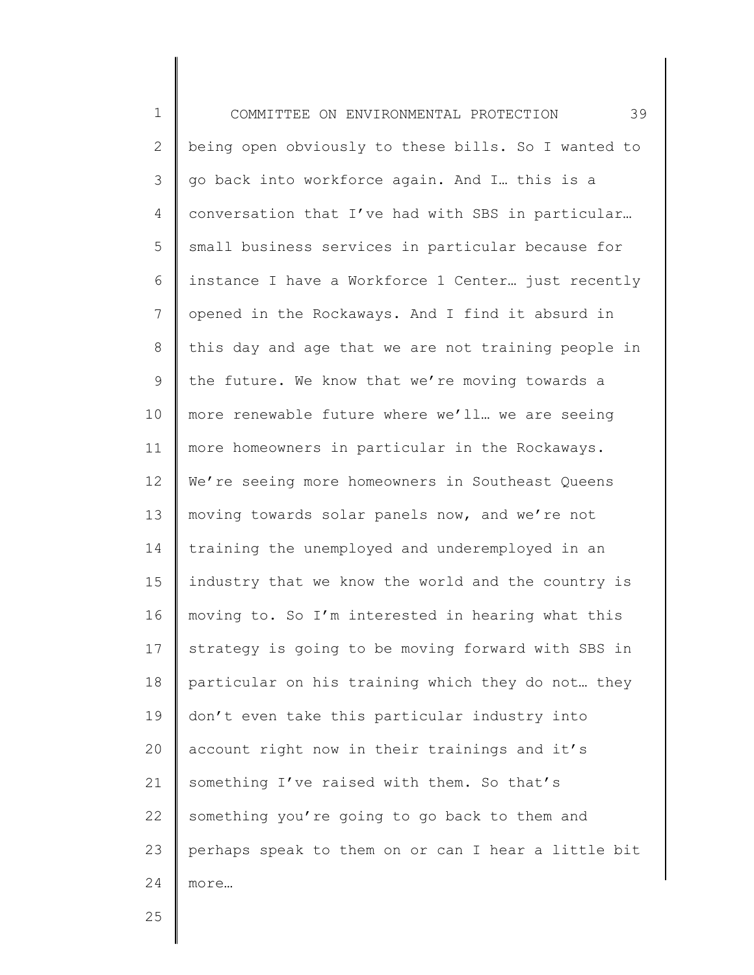1 2 3 4 5 6 7 8 9 10 11 12 13 14 15 16 17 18 19 20 21 22 23 24 COMMITTEE ON ENVIRONMENTAL PROTECTION 39 being open obviously to these bills. So I wanted to go back into workforce again. And I… this is a conversation that I've had with SBS in particular… small business services in particular because for instance I have a Workforce 1 Center… just recently opened in the Rockaways. And I find it absurd in this day and age that we are not training people in the future. We know that we're moving towards a more renewable future where we'll… we are seeing more homeowners in particular in the Rockaways. We're seeing more homeowners in Southeast Queens moving towards solar panels now, and we're not training the unemployed and underemployed in an industry that we know the world and the country is moving to. So I'm interested in hearing what this strategy is going to be moving forward with SBS in particular on his training which they do not… they don't even take this particular industry into account right now in their trainings and it's something I've raised with them. So that's something you're going to go back to them and perhaps speak to them on or can I hear a little bit more…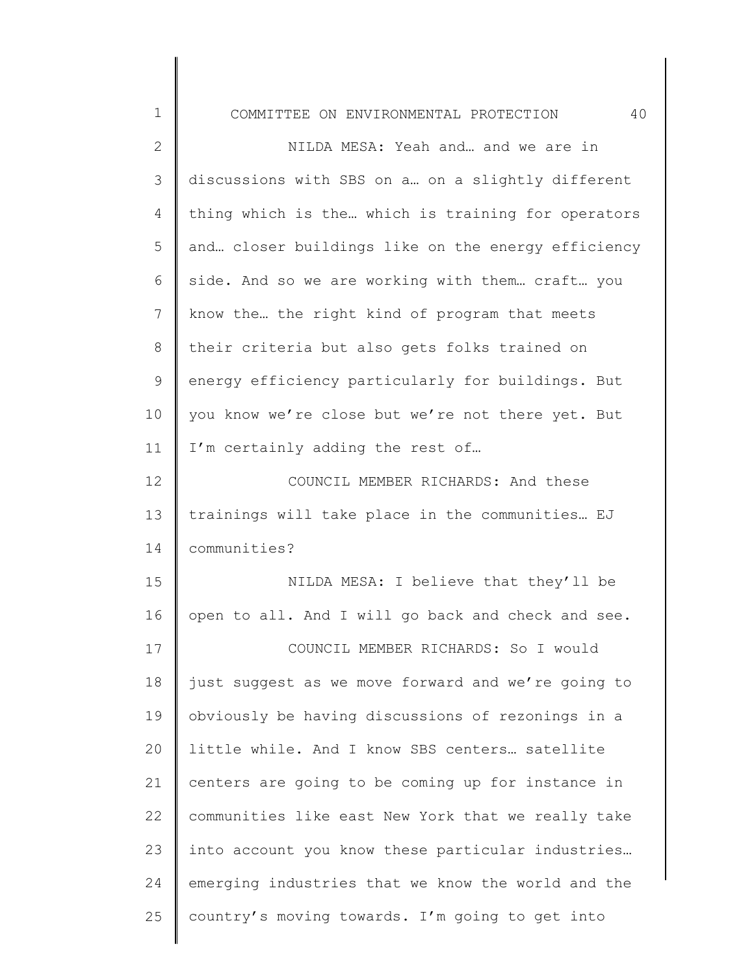| ∩MMTTTFER . |  | ON ENVIRONMENTAL | PRU. |  |
|-------------|--|------------------|------|--|
|-------------|--|------------------|------|--|

1

2 3 4 5 6 7 8 9 10 11 12 13 14 15 16 17 18 19 20 21 22 23 24 25 NILDA MESA: Yeah and… and we are in discussions with SBS on a… on a slightly different thing which is the… which is training for operators and… closer buildings like on the energy efficiency side. And so we are working with them… craft… you know the… the right kind of program that meets their criteria but also gets folks trained on energy efficiency particularly for buildings. But you know we're close but we're not there yet. But I'm certainly adding the rest of… COUNCIL MEMBER RICHARDS: And these trainings will take place in the communities… EJ communities? NILDA MESA: I believe that they'll be open to all. And I will go back and check and see. COUNCIL MEMBER RICHARDS: So I would just suggest as we move forward and we're going to obviously be having discussions of rezonings in a little while. And I know SBS centers… satellite centers are going to be coming up for instance in communities like east New York that we really take into account you know these particular industries… emerging industries that we know the world and the country's moving towards. I'm going to get into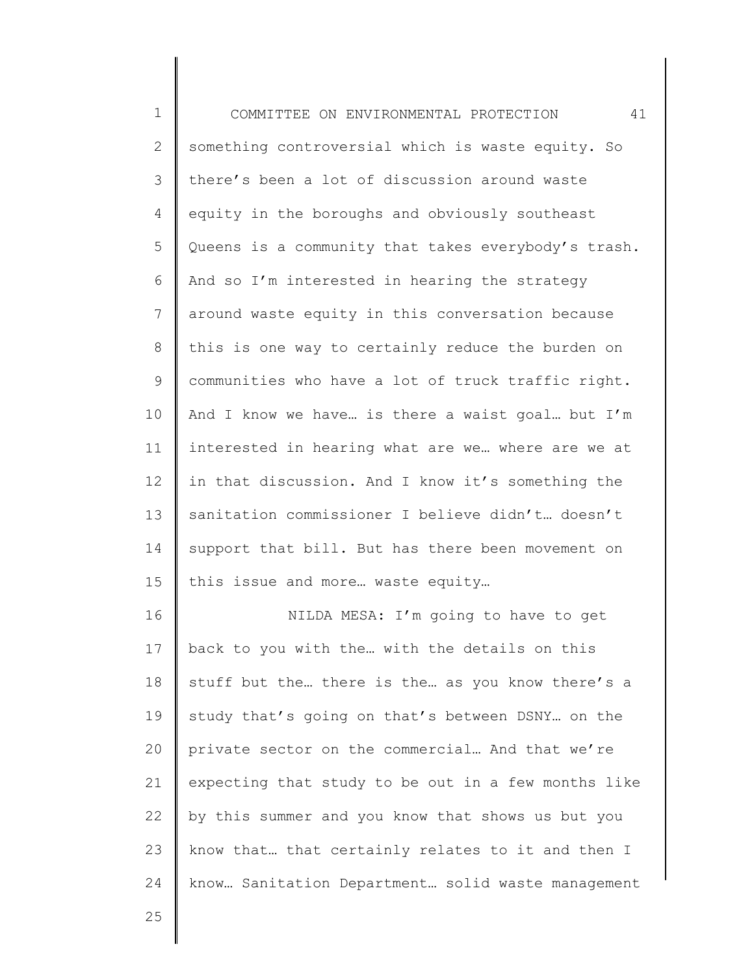| $\mathbf 1$  | 41<br>COMMITTEE ON ENVIRONMENTAL PROTECTION         |
|--------------|-----------------------------------------------------|
| $\mathbf{2}$ | something controversial which is waste equity. So   |
| 3            | there's been a lot of discussion around waste       |
| 4            | equity in the boroughs and obviously southeast      |
| 5            | Queens is a community that takes everybody's trash. |
| 6            | And so I'm interested in hearing the strategy       |
| 7            | around waste equity in this conversation because    |
| 8            | this is one way to certainly reduce the burden on   |
| 9            | communities who have a lot of truck traffic right.  |
| 10           | And I know we have is there a waist goal but I'm    |
| 11           | interested in hearing what are we where are we at   |
| 12           | in that discussion. And I know it's something the   |
| 13           | sanitation commissioner I believe didn't doesn't    |
| 14           | support that bill. But has there been movement on   |
| 15           | this issue and more waste equity                    |
| 16           | NILDA MESA: I'm going to have to get                |
| 17           | back to you with the with the details on this       |
| 18           | stuff but the there is the as you know there's a    |
| 19           | study that's going on that's between DSNY on the    |
| 20           | private sector on the commercial And that we're     |
| 21           | expecting that study to be out in a few months like |
| 22           | by this summer and you know that shows us but you   |
| 23           | know that that certainly relates to it and then I   |
| 24           | know Sanitation Department solid waste management   |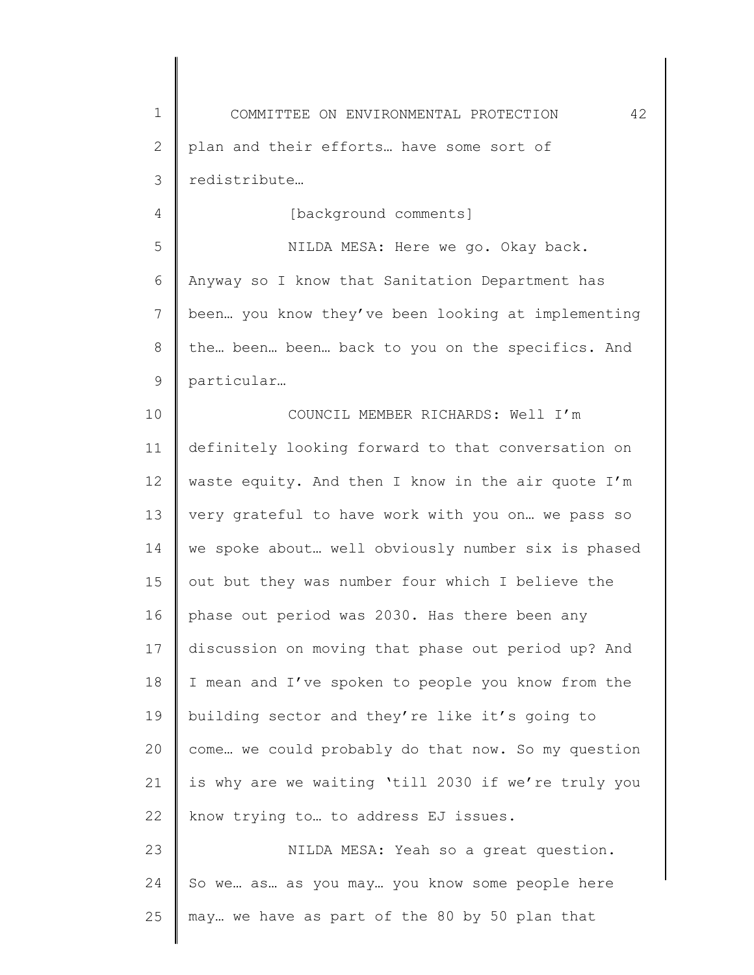1 2 3 COMMITTEE ON ENVIRONMENTAL PROTECTION 42 plan and their efforts… have some sort of redistribute…

[background comments]

4

5 6 7 8 9 NILDA MESA: Here we go. Okay back. Anyway so I know that Sanitation Department has been… you know they've been looking at implementing the… been… been… back to you on the specifics. And particular…

10 11 12 13 14 15 16 17 18 19 20 21 22 COUNCIL MEMBER RICHARDS: Well I'm definitely looking forward to that conversation on waste equity. And then I know in the air quote I'm very grateful to have work with you on… we pass so we spoke about… well obviously number six is phased out but they was number four which I believe the phase out period was 2030. Has there been any discussion on moving that phase out period up? And I mean and I've spoken to people you know from the building sector and they're like it's going to come… we could probably do that now. So my question is why are we waiting 'till 2030 if we're truly you know trying to… to address EJ issues.

23 24 25 NILDA MESA: Yeah so a great question. So we… as… as you may… you know some people here may… we have as part of the 80 by 50 plan that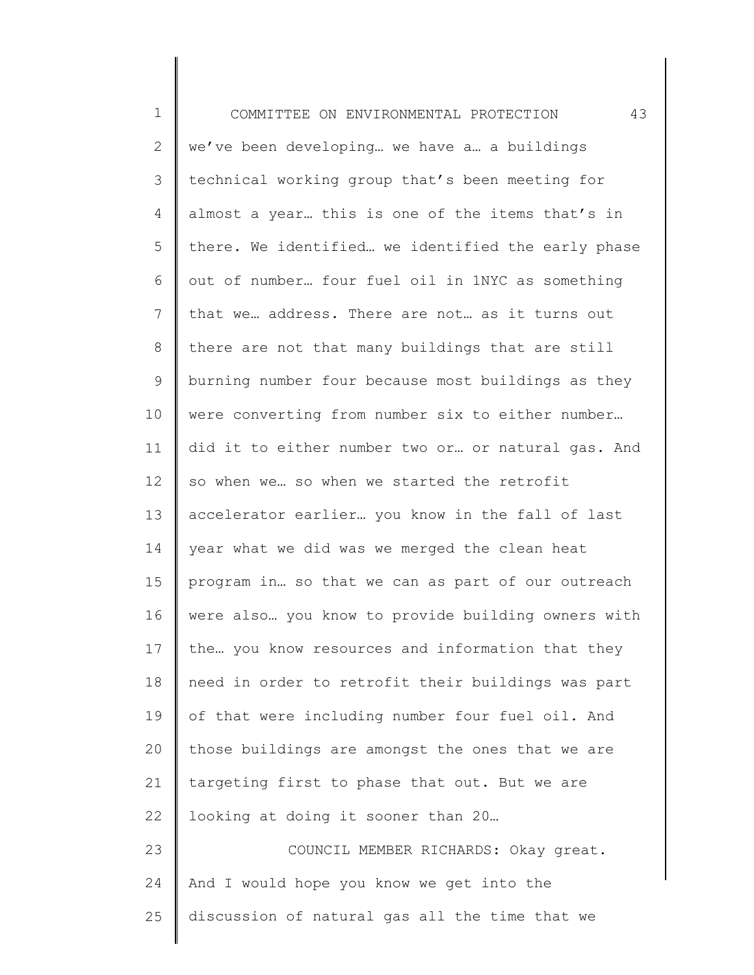| $\mathbf 1$    | 43<br>COMMITTEE ON ENVIRONMENTAL PROTECTION        |
|----------------|----------------------------------------------------|
| $\mathbf{2}$   | we've been developing we have a a buildings        |
| $\mathcal{S}$  | technical working group that's been meeting for    |
| 4              | almost a year this is one of the items that's in   |
| 5              | there. We identified we identified the early phase |
| 6              | out of number four fuel oil in 1NYC as something   |
| $\overline{7}$ | that we address. There are not as it turns out     |
| 8              | there are not that many buildings that are still   |
| 9              | burning number four because most buildings as they |
| 10             | were converting from number six to either number   |
| 11             | did it to either number two or or natural gas. And |
| 12             | so when we so when we started the retrofit         |
| 13             | accelerator earlier you know in the fall of last   |
| 14             | year what we did was we merged the clean heat      |
| 15             | program in so that we can as part of our outreach  |
| 16             | were also you know to provide building owners with |
| 17             | the you know resources and information that they   |
| 18             | need in order to retrofit their buildings was part |
| 19             | of that were including number four fuel oil. And   |
| 20             | those buildings are amongst the ones that we are   |
| 21             | targeting first to phase that out. But we are      |
| 22             | looking at doing it sooner than 20                 |
| 23             | COUNCIL MEMBER RICHARDS: Okay great.               |
| 24             | And I would hope you know we get into the          |
| 25             | discussion of natural gas all the time that we     |
|                |                                                    |

 $\begin{array}{c} \hline \end{array}$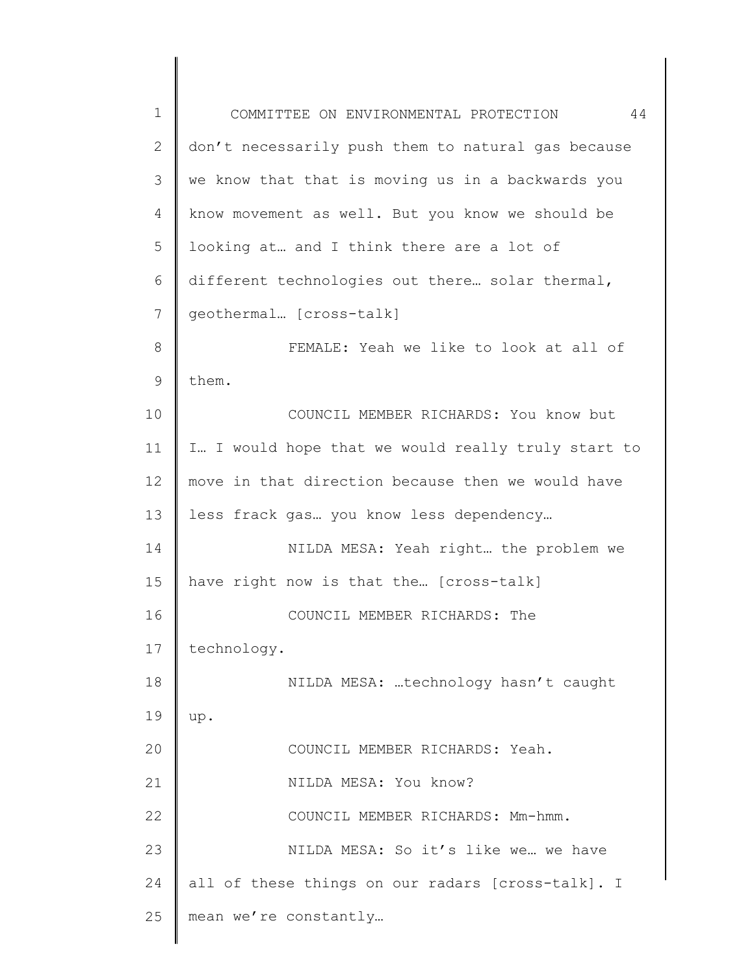| $\mathbf 1$ | 44<br>COMMITTEE ON ENVIRONMENTAL PROTECTION        |
|-------------|----------------------------------------------------|
| 2           | don't necessarily push them to natural gas because |
| 3           | we know that that is moving us in a backwards you  |
| 4           | know movement as well. But you know we should be   |
| 5           | looking at and I think there are a lot of          |
| 6           | different technologies out there solar thermal,    |
| 7           | geothermal [cross-talk]                            |
| 8           | FEMALE: Yeah we like to look at all of             |
| 9           | them.                                              |
| 10          | COUNCIL MEMBER RICHARDS: You know but              |
| 11          | I I would hope that we would really truly start to |
| 12          | move in that direction because then we would have  |
| 13          | less frack gas you know less dependency            |
| 14          | NILDA MESA: Yeah right the problem we              |
| 15          | have right now is that the [cross-talk]            |
| 16          | COUNCIL MEMBER RICHARDS: The                       |
| 17          | technology.                                        |
| 18          | NILDA MESA: technology hasn't caught               |
| 19          | up.                                                |
| 20          | COUNCIL MEMBER RICHARDS: Yeah.                     |
| 21          | NILDA MESA: You know?                              |
| 22          | COUNCIL MEMBER RICHARDS: Mm-hmm.                   |
| 23          | NILDA MESA: So it's like we we have                |
| 24          | all of these things on our radars [cross-talk]. I  |
| 25          | mean we're constantly                              |
|             |                                                    |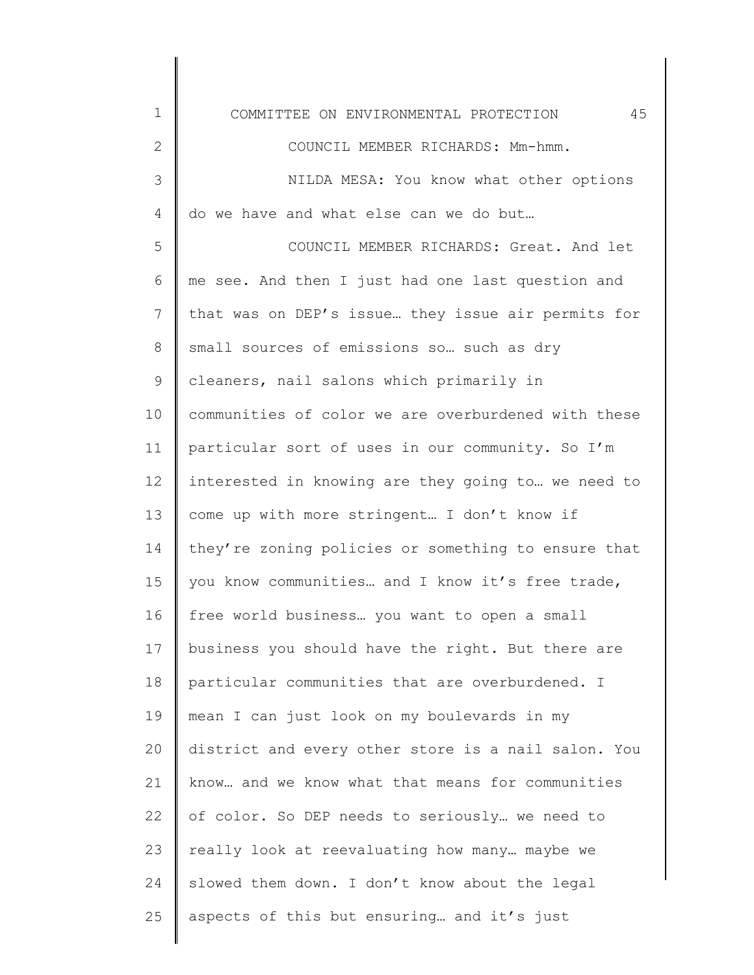| $\mathbf 1$    | 45<br>COMMITTEE ON ENVIRONMENTAL PROTECTION         |
|----------------|-----------------------------------------------------|
| $\mathbf{2}$   | COUNCIL MEMBER RICHARDS: Mm-hmm.                    |
| 3              | NILDA MESA: You know what other options             |
| $\overline{4}$ | do we have and what else can we do but              |
| 5              | COUNCIL MEMBER RICHARDS: Great. And let             |
| 6              | me see. And then I just had one last question and   |
| 7              | that was on DEP's issue they issue air permits for  |
| 8              | small sources of emissions so such as dry           |
| $\mathsf 9$    | cleaners, nail salons which primarily in            |
| 10             | communities of color we are overburdened with these |
| 11             | particular sort of uses in our community. So I'm    |
| 12             | interested in knowing are they going to we need to  |
| 13             | come up with more stringent I don't know if         |
| 14             | they're zoning policies or something to ensure that |
| 15             | you know communities and I know it's free trade,    |
| 16             | free world business you want to open a small        |
| 17             | business you should have the right. But there are   |
| 18             | particular communities that are overburdened. I     |
| 19             | mean I can just look on my boulevards in my         |
| 20             | district and every other store is a nail salon. You |
| 21             | know and we know what that means for communities    |
| 22             | of color. So DEP needs to seriously we need to      |
| 23             | really look at reevaluating how many maybe we       |
| 24             | slowed them down. I don't know about the legal      |
| 25             | aspects of this but ensuring and it's just          |
|                |                                                     |

║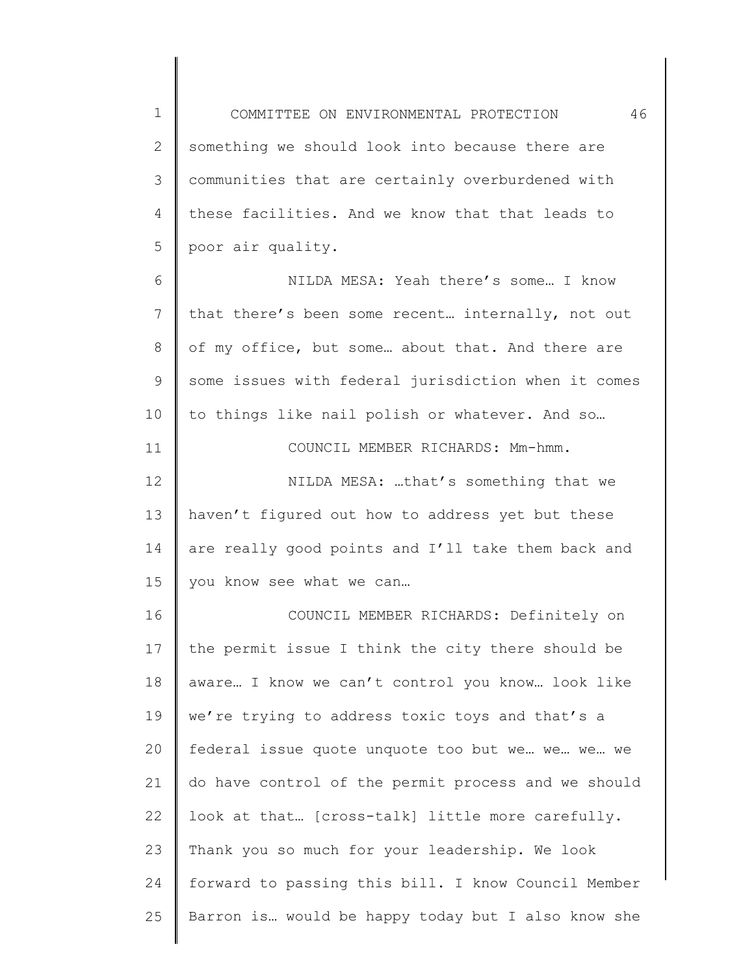1 2 3 4 5 COMMITTEE ON ENVIRONMENTAL PROTECTION 46 something we should look into because there are communities that are certainly overburdened with these facilities. And we know that that leads to poor air quality.

6 7 8 9 10 11 12 13 14 15 16 17 18 19 20 21 22 23 24 25 NILDA MESA: Yeah there's some… I know that there's been some recent… internally, not out of my office, but some… about that. And there are some issues with federal jurisdiction when it comes to things like nail polish or whatever. And so… COUNCIL MEMBER RICHARDS: Mm-hmm. NILDA MESA: …that's something that we haven't figured out how to address yet but these are really good points and I'll take them back and you know see what we can… COUNCIL MEMBER RICHARDS: Definitely on the permit issue I think the city there should be aware… I know we can't control you know… look like we're trying to address toxic toys and that's a federal issue quote unquote too but we… we… we… we do have control of the permit process and we should look at that… [cross-talk] little more carefully. Thank you so much for your leadership. We look forward to passing this bill. I know Council Member Barron is… would be happy today but I also know she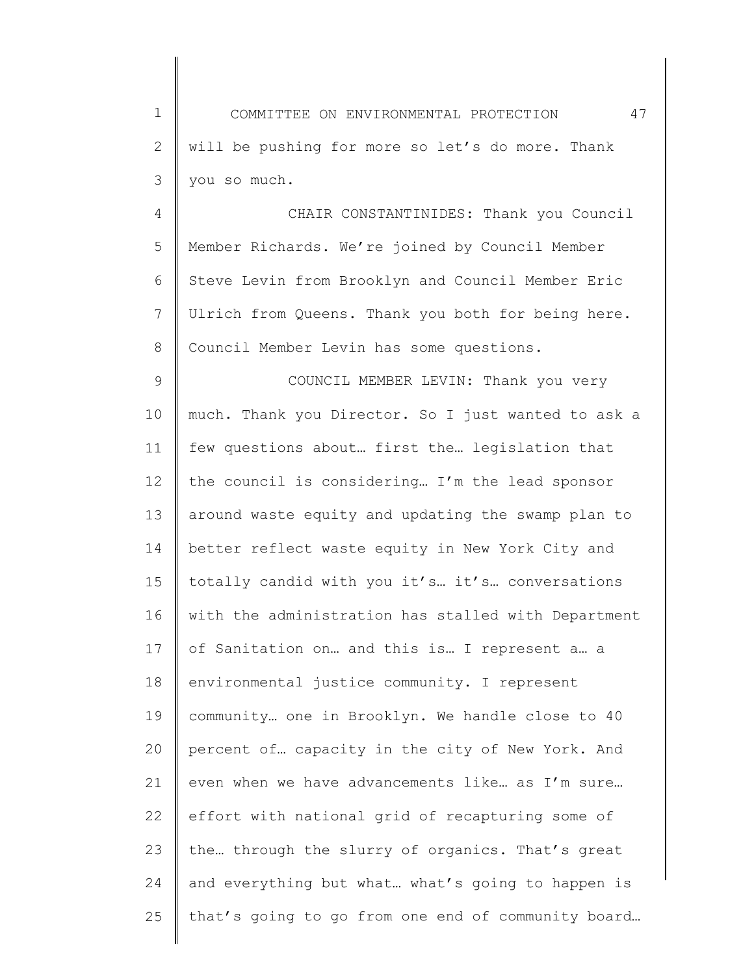1 2 3 COMMITTEE ON ENVIRONMENTAL PROTECTION 47 will be pushing for more so let's do more. Thank you so much.

4 5 6 7 8 CHAIR CONSTANTINIDES: Thank you Council Member Richards. We're joined by Council Member Steve Levin from Brooklyn and Council Member Eric Ulrich from Queens. Thank you both for being here. Council Member Levin has some questions.

9 10 11 12 13 14 15 16 17 18 19 20 21 22 23 24 25 COUNCIL MEMBER LEVIN: Thank you very much. Thank you Director. So I just wanted to ask a few questions about… first the… legislation that the council is considering… I'm the lead sponsor around waste equity and updating the swamp plan to better reflect waste equity in New York City and totally candid with you it's… it's… conversations with the administration has stalled with Department of Sanitation on… and this is… I represent a… a environmental justice community. I represent community… one in Brooklyn. We handle close to 40 percent of… capacity in the city of New York. And even when we have advancements like… as I'm sure… effort with national grid of recapturing some of the… through the slurry of organics. That's great and everything but what… what's going to happen is that's going to go from one end of community board…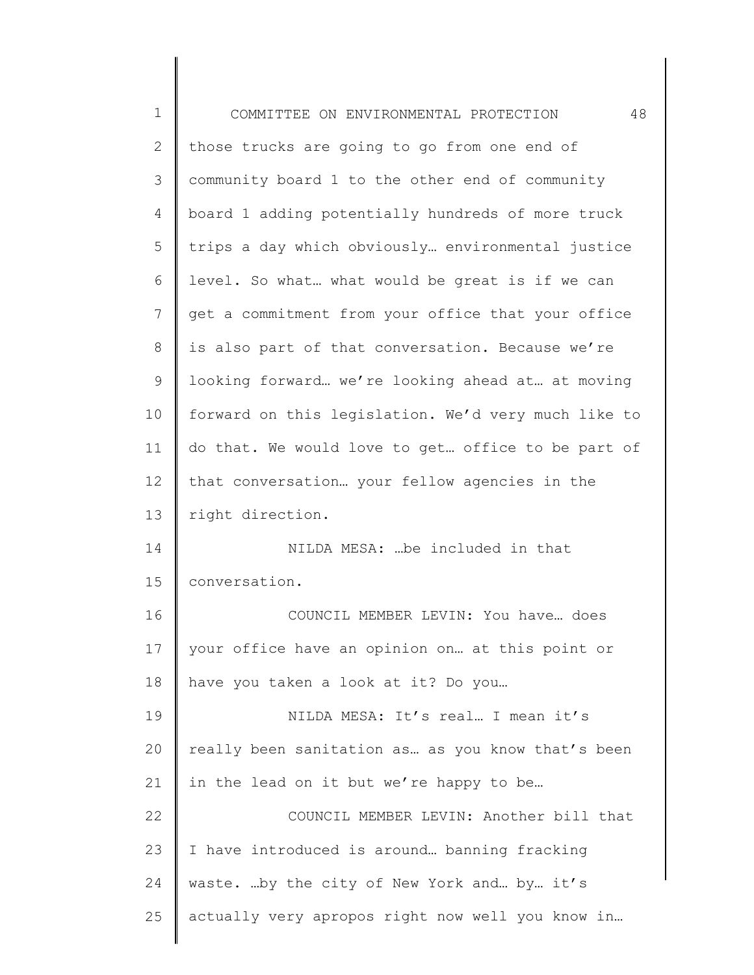| $\mathbf 1$ | 48<br>COMMITTEE ON ENVIRONMENTAL PROTECTION         |
|-------------|-----------------------------------------------------|
| 2           | those trucks are going to go from one end of        |
| 3           | community board 1 to the other end of community     |
| 4           | board 1 adding potentially hundreds of more truck   |
| 5           | trips a day which obviously environmental justice   |
| 6           | level. So what what would be great is if we can     |
| 7           | get a commitment from your office that your office  |
| 8           | is also part of that conversation. Because we're    |
| 9           | looking forward we're looking ahead at at moving    |
| 10          | forward on this legislation. We'd very much like to |
| 11          | do that. We would love to get office to be part of  |
| 12          | that conversation your fellow agencies in the       |
| 13          | right direction.                                    |
| 14          | NILDA MESA:  be included in that                    |
| 15          | conversation.                                       |
| 16          | COUNCIL MEMBER LEVIN: You have does                 |
| 17          | your office have an opinion on at this point or     |
| 18          | have you taken a look at it? Do you                 |
| 19          | NILDA MESA: It's real I mean it's                   |
| 20          | really been sanitation as as you know that's been   |
| 21          | in the lead on it but we're happy to be             |
| 22          | COUNCIL MEMBER LEVIN: Another bill that             |
| 23          | I have introduced is around banning fracking        |
| 24          | waste. by the city of New York and by it's          |
| 25          | actually very apropos right now well you know in    |
|             |                                                     |

 $\begin{array}{c} \hline \end{array}$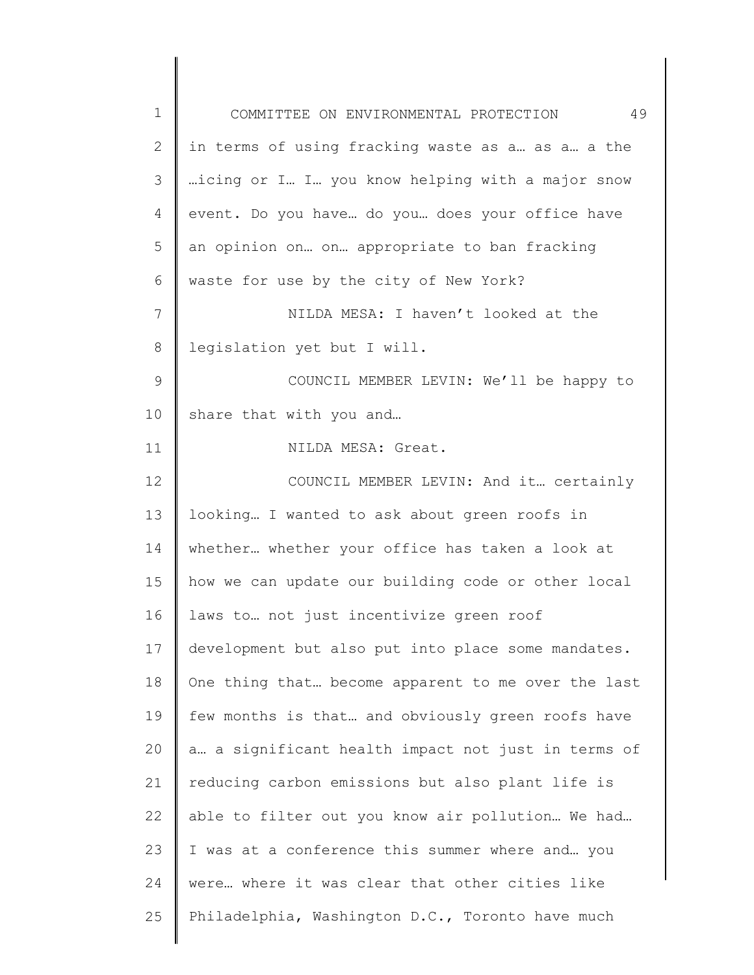| $\mathbf 1$  | 49<br>COMMITTEE ON ENVIRONMENTAL PROTECTION        |
|--------------|----------------------------------------------------|
| $\mathbf{2}$ | in terms of using fracking waste as a as a a the   |
| 3            | icing or I I you know helping with a major snow    |
| 4            | event. Do you have do you does your office have    |
| 5            | an opinion on on appropriate to ban fracking       |
| 6            | waste for use by the city of New York?             |
| 7            | NILDA MESA: I haven't looked at the                |
| $8\,$        | legislation yet but I will.                        |
| $\mathsf 9$  | COUNCIL MEMBER LEVIN: We'll be happy to            |
| 10           | share that with you and                            |
| 11           | NILDA MESA: Great.                                 |
| 12           | COUNCIL MEMBER LEVIN: And it certainly             |
| 13           | looking I wanted to ask about green roofs in       |
| 14           | whether whether your office has taken a look at    |
| 15           | how we can update our building code or other local |
| 16           | laws to not just incentivize green roof            |
| 17           | development but also put into place some mandates. |
| 18           | One thing that become apparent to me over the last |
| 19           | few months is that and obviously green roofs have  |
| 20           | a a significant health impact not just in terms of |
| 21           | reducing carbon emissions but also plant life is   |
| 22           | able to filter out you know air pollution We had   |
| 23           | I was at a conference this summer where and you    |
| 24           | were where it was clear that other cities like     |
| 25           | Philadelphia, Washington D.C., Toronto have much   |
|              |                                                    |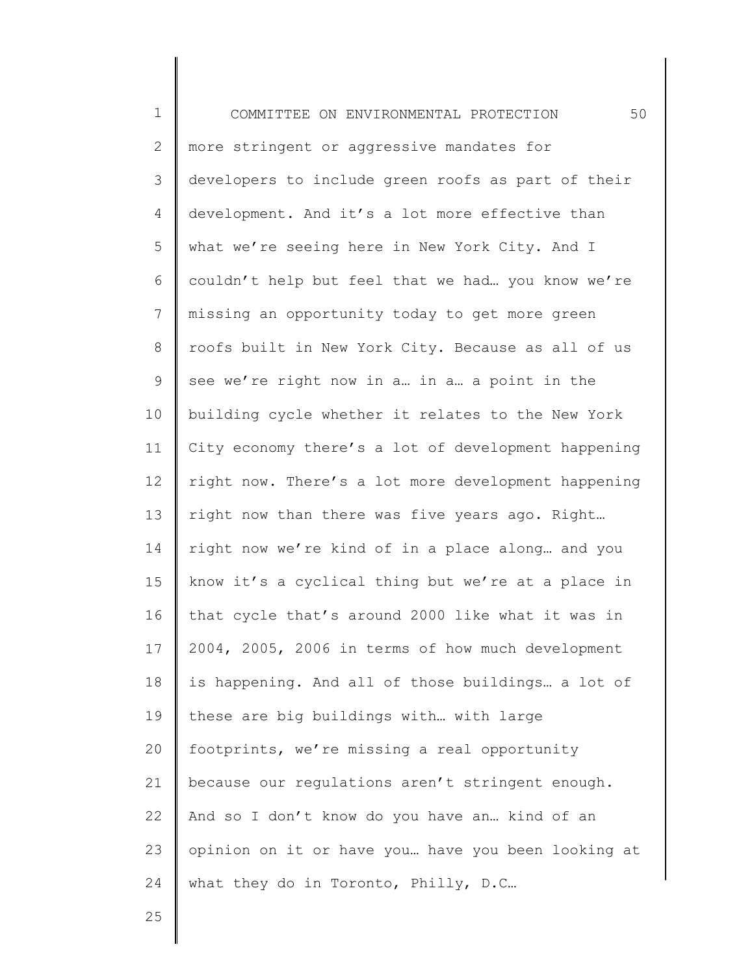1 2 3 4 5 6 7 8 9 10 11 12 13 14 15 16 17 18 19 20 21 22 23 24 COMMITTEE ON ENVIRONMENTAL PROTECTION 50 more stringent or aggressive mandates for developers to include green roofs as part of their development. And it's a lot more effective than what we're seeing here in New York City. And I couldn't help but feel that we had… you know we're missing an opportunity today to get more green roofs built in New York City. Because as all of us see we're right now in a… in a… a point in the building cycle whether it relates to the New York City economy there's a lot of development happening right now. There's a lot more development happening right now than there was five years ago. Right… right now we're kind of in a place along… and you know it's a cyclical thing but we're at a place in that cycle that's around 2000 like what it was in 2004, 2005, 2006 in terms of how much development is happening. And all of those buildings… a lot of these are big buildings with… with large footprints, we're missing a real opportunity because our regulations aren't stringent enough. And so I don't know do you have an… kind of an opinion on it or have you… have you been looking at what they do in Toronto, Philly, D.C...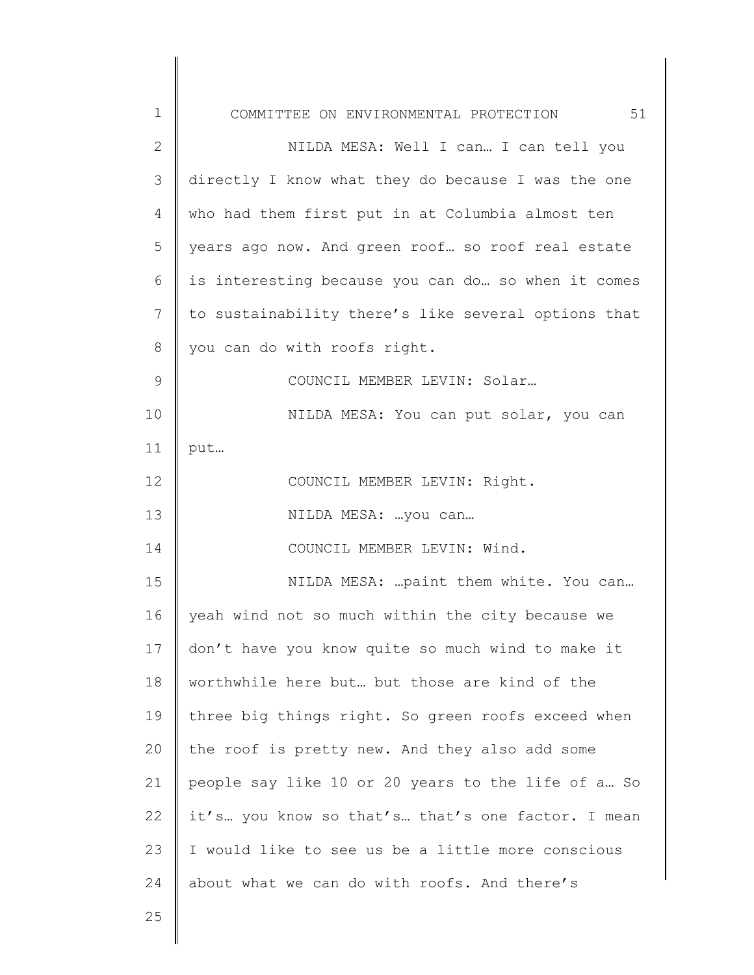| 1            | COMMITTEE ON ENVIRONMENTAL PROTECTION 51            |
|--------------|-----------------------------------------------------|
| $\mathbf{2}$ | NILDA MESA: Well I can I can tell you               |
| 3            | directly I know what they do because I was the one  |
| 4            | who had them first put in at Columbia almost ten    |
| 5            | years ago now. And green roof so roof real estate   |
| 6            | is interesting because you can do so when it comes  |
| 7            | to sustainability there's like several options that |
| 8            | you can do with roofs right.                        |
| 9            | COUNCIL MEMBER LEVIN: Solar                         |
| 10           | NILDA MESA: You can put solar, you can              |
| 11           | put                                                 |
| 12           | COUNCIL MEMBER LEVIN: Right.                        |
| 13           | NILDA MESA:  you can                                |
| 14           | COUNCIL MEMBER LEVIN: Wind.                         |
| 15           | NILDA MESA:  paint them white. You can              |
| 16           | yeah wind not so much within the city because we    |
| 17           | don't have you know quite so much wind to make it   |
| 18           | worthwhile here but but those are kind of the       |
| 19           | three big things right. So green roofs exceed when  |
| 20           | the roof is pretty new. And they also add some      |
| 21           | people say like 10 or 20 years to the life of a So  |
| 22           | it's you know so that's that's one factor. I mean   |
| 23           | I would like to see us be a little more conscious   |
| 24           | about what we can do with roofs. And there's        |
| 25           |                                                     |
|              |                                                     |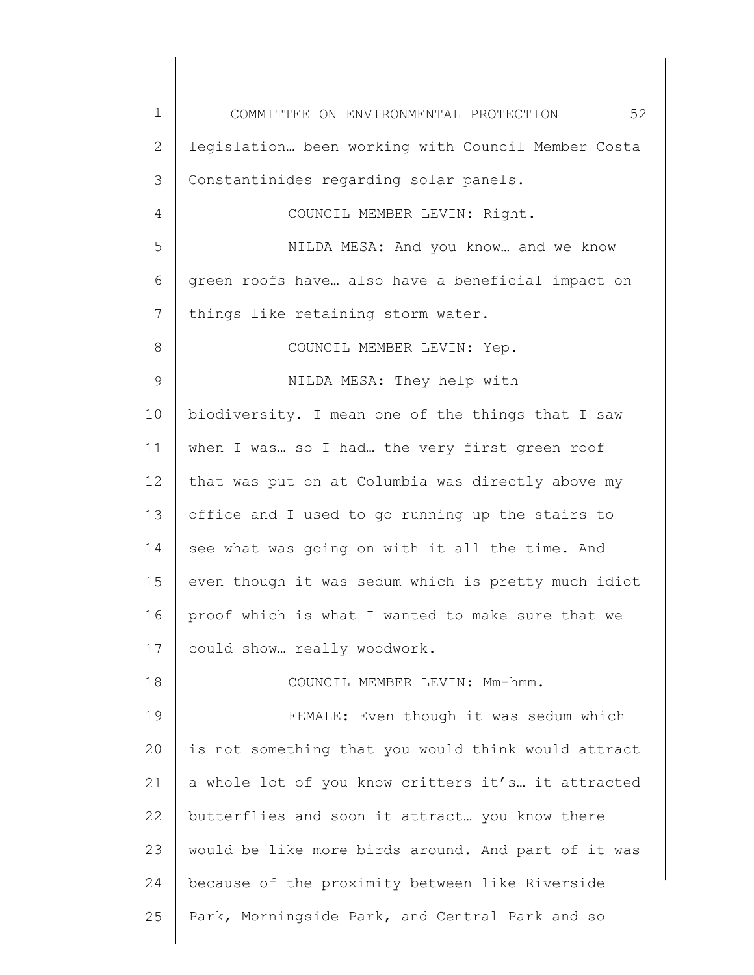1 2 3 4 5 6 7 8 9 10 11 12 13 14 15 16 17 18 19 20 21 22 23 24 25 COMMITTEE ON ENVIRONMENTAL PROTECTION 52 legislation… been working with Council Member Costa Constantinides regarding solar panels. COUNCIL MEMBER LEVIN: Right. NILDA MESA: And you know… and we know green roofs have… also have a beneficial impact on things like retaining storm water. COUNCIL MEMBER LEVIN: Yep. NILDA MESA: They help with biodiversity. I mean one of the things that I saw when I was… so I had… the very first green roof that was put on at Columbia was directly above my office and I used to go running up the stairs to see what was going on with it all the time. And even though it was sedum which is pretty much idiot proof which is what I wanted to make sure that we could show… really woodwork. COUNCIL MEMBER LEVIN: Mm-hmm. FEMALE: Even though it was sedum which is not something that you would think would attract a whole lot of you know critters it's… it attracted butterflies and soon it attract… you know there would be like more birds around. And part of it was because of the proximity between like Riverside Park, Morningside Park, and Central Park and so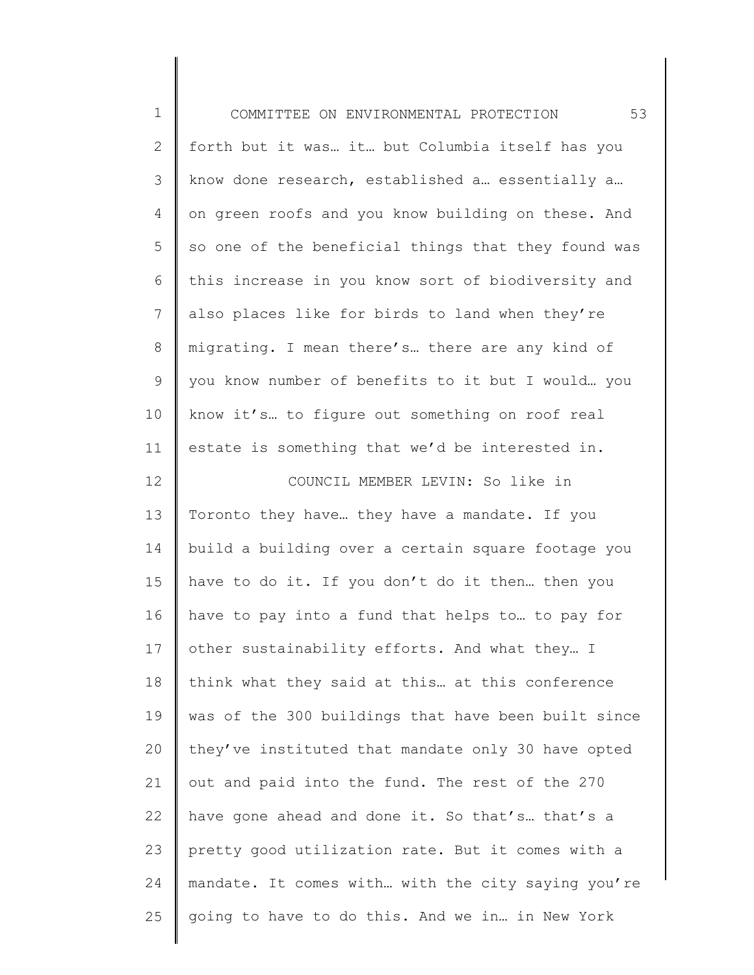| $\mathbf 1$    | 53<br>COMMITTEE ON ENVIRONMENTAL PROTECTION         |
|----------------|-----------------------------------------------------|
| $\mathbf{2}$   | forth but it was it but Columbia itself has you     |
| 3              | know done research, established a essentially a     |
| $\overline{4}$ | on green roofs and you know building on these. And  |
| 5              | so one of the beneficial things that they found was |
| 6              | this increase in you know sort of biodiversity and  |
| 7              | also places like for birds to land when they're     |
| 8              | migrating. I mean there's there are any kind of     |
| 9              | you know number of benefits to it but I would you   |
| 10             | know it's to figure out something on roof real      |
| 11             | estate is something that we'd be interested in.     |
| 12             | COUNCIL MEMBER LEVIN: So like in                    |
| 13             | Toronto they have they have a mandate. If you       |
| 14             | build a building over a certain square footage you  |
| 15             | have to do it. If you don't do it then then you     |
| 16             | have to pay into a fund that helps to to pay for    |
| 17             | other sustainability efforts. And what they I       |
| 18             | think what they said at this at this conference     |
| 19             | was of the 300 buildings that have been built since |
| 20             | they've instituted that mandate only 30 have opted  |
| 21             | out and paid into the fund. The rest of the 270     |
| 22             | have gone ahead and done it. So that's that's a     |
| 23             | pretty good utilization rate. But it comes with a   |
| 24             | mandate. It comes with with the city saying you're  |
| 25             | going to have to do this. And we in in New York     |
|                |                                                     |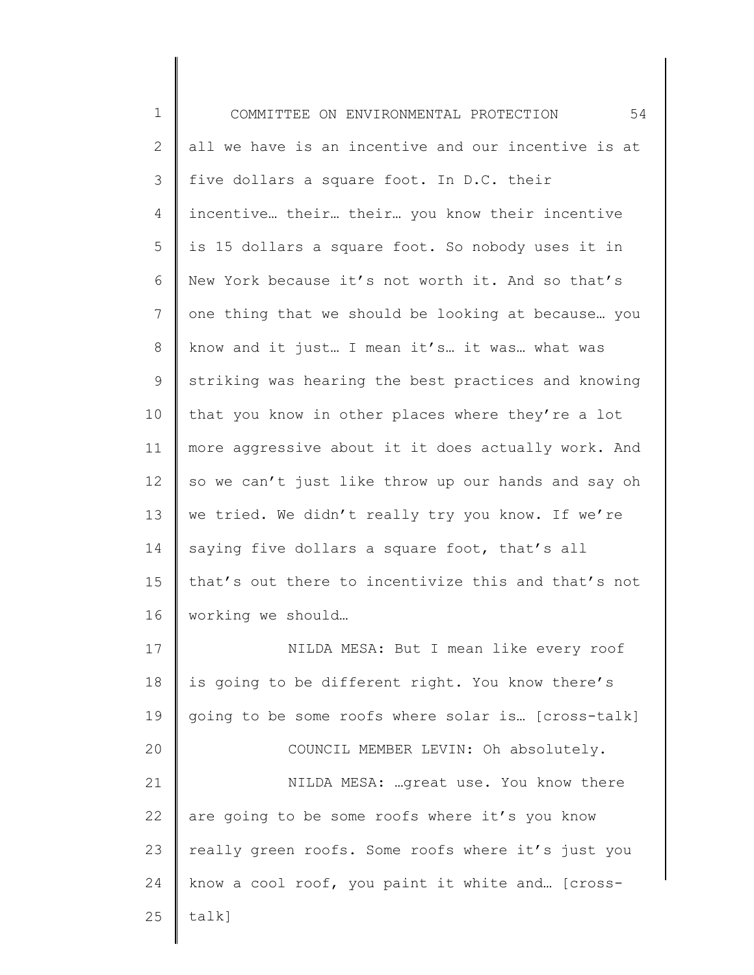| $\mathbf 1$    | 54<br>COMMITTEE ON ENVIRONMENTAL PROTECTION         |
|----------------|-----------------------------------------------------|
| $\mathbf{2}$   | all we have is an incentive and our incentive is at |
| 3              | five dollars a square foot. In D.C. their           |
| 4              | incentive their their you know their incentive      |
| 5              | is 15 dollars a square foot. So nobody uses it in   |
| 6              | New York because it's not worth it. And so that's   |
| $\overline{7}$ | one thing that we should be looking at because you  |
| $8\,$          | know and it just I mean it's it was what was        |
| $\mathsf 9$    | striking was hearing the best practices and knowing |
| 10             | that you know in other places where they're a lot   |
| 11             | more aggressive about it it does actually work. And |
| 12             | so we can't just like throw up our hands and say oh |
| 13             | we tried. We didn't really try you know. If we're   |
| 14             | saying five dollars a square foot, that's all       |
| 15             | that's out there to incentivize this and that's not |
| 16             | working we should                                   |
| 17             | NILDA MESA: But I mean like every roof              |
| 18             | is going to be different right. You know there's    |
| 19             | going to be some roofs where solar is [cross-talk]  |
| 20             | COUNCIL MEMBER LEVIN: Oh absolutely.                |
| 21             | NILDA MESA: great use. You know there               |
| 22             | are going to be some roofs where it's you know      |
| 23             | really green roofs. Some roofs where it's just you  |
| 24             | know a cool roof, you paint it white and [cross-    |
| 25             | $talk$ ]                                            |
|                |                                                     |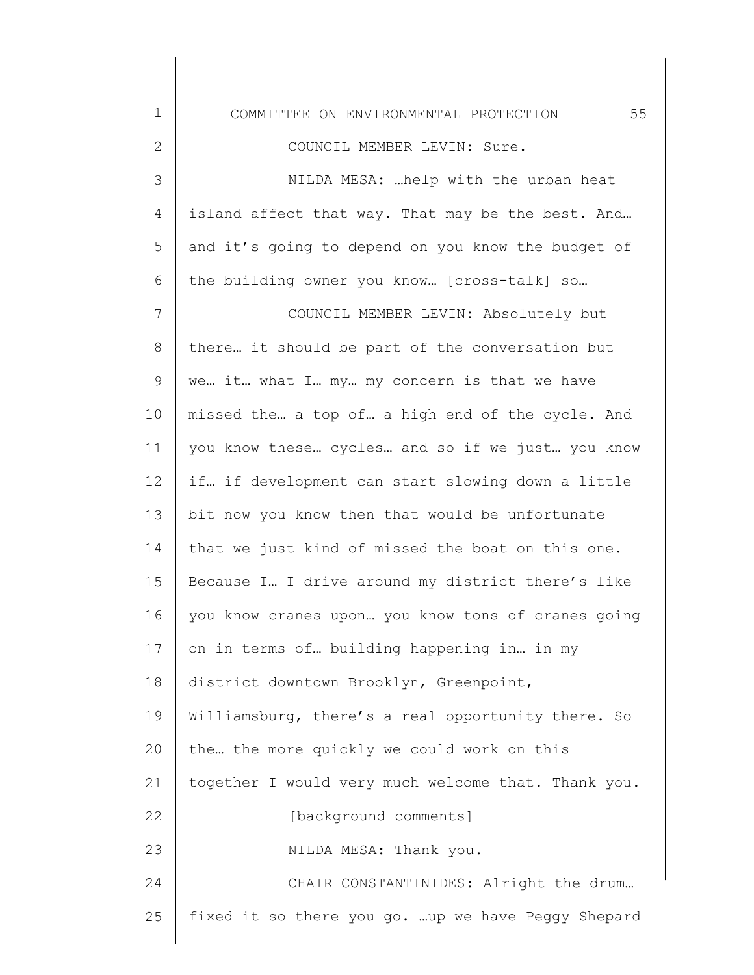1 2 3 4 5 6 7 8 9 10 11 12 13 14 15 16 17 18 19 20 21 22 23 24 COMMITTEE ON ENVIRONMENTAL PROTECTION 55 COUNCIL MEMBER LEVIN: Sure. NILDA MESA: …help with the urban heat island affect that way. That may be the best. And… and it's going to depend on you know the budget of the building owner you know… [cross-talk] so… COUNCIL MEMBER LEVIN: Absolutely but there… it should be part of the conversation but we… it… what I… my… my concern is that we have missed the… a top of… a high end of the cycle. And you know these… cycles… and so if we just… you know if… if development can start slowing down a little bit now you know then that would be unfortunate that we just kind of missed the boat on this one. Because I… I drive around my district there's like you know cranes upon… you know tons of cranes going on in terms of… building happening in… in my district downtown Brooklyn, Greenpoint, Williamsburg, there's a real opportunity there. So the… the more quickly we could work on this together I would very much welcome that. Thank you. [background comments] NILDA MESA: Thank you. CHAIR CONSTANTINIDES: Alright the drum…

fixed it so there you go. …up we have Peggy Shepard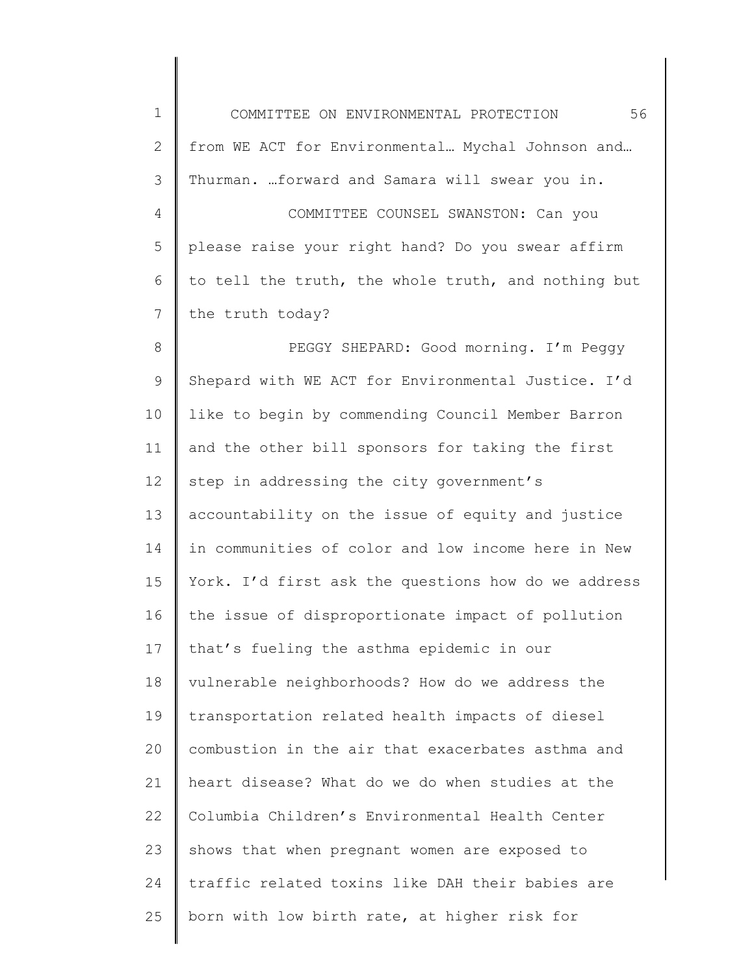| $\mathbf 1$    | 56<br>COMMITTEE ON ENVIRONMENTAL PROTECTION         |
|----------------|-----------------------------------------------------|
| $\mathbf{2}$   | from WE ACT for Environmental Mychal Johnson and    |
| 3              | Thurman. forward and Samara will swear you in.      |
| 4              | COMMITTEE COUNSEL SWANSTON: Can you                 |
| 5              | please raise your right hand? Do you swear affirm   |
| 6              | to tell the truth, the whole truth, and nothing but |
| $\overline{7}$ | the truth today?                                    |
| $8\,$          | PEGGY SHEPARD: Good morning. I'm Peggy              |
| $\mathsf 9$    | Shepard with WE ACT for Environmental Justice. I'd  |
| 10             | like to begin by commending Council Member Barron   |
| 11             | and the other bill sponsors for taking the first    |
| 12             | step in addressing the city government's            |
| 13             | accountability on the issue of equity and justice   |
| 14             | in communities of color and low income here in New  |
| 15             | York. I'd first ask the questions how do we address |
| 16             | the issue of disproportionate impact of pollution   |
| 17             | that's fueling the asthma epidemic in our           |
| 18             | vulnerable neighborhoods? How do we address the     |
| 19             | transportation related health impacts of diesel     |
| 20             | combustion in the air that exacerbates asthma and   |
| 21             | heart disease? What do we do when studies at the    |
| 22             | Columbia Children's Environmental Health Center     |
| 23             | shows that when pregnant women are exposed to       |
| 24             | traffic related toxins like DAH their babies are    |
| 25             | born with low birth rate, at higher risk for        |
|                |                                                     |

 $\begin{array}{c} \hline \end{array}$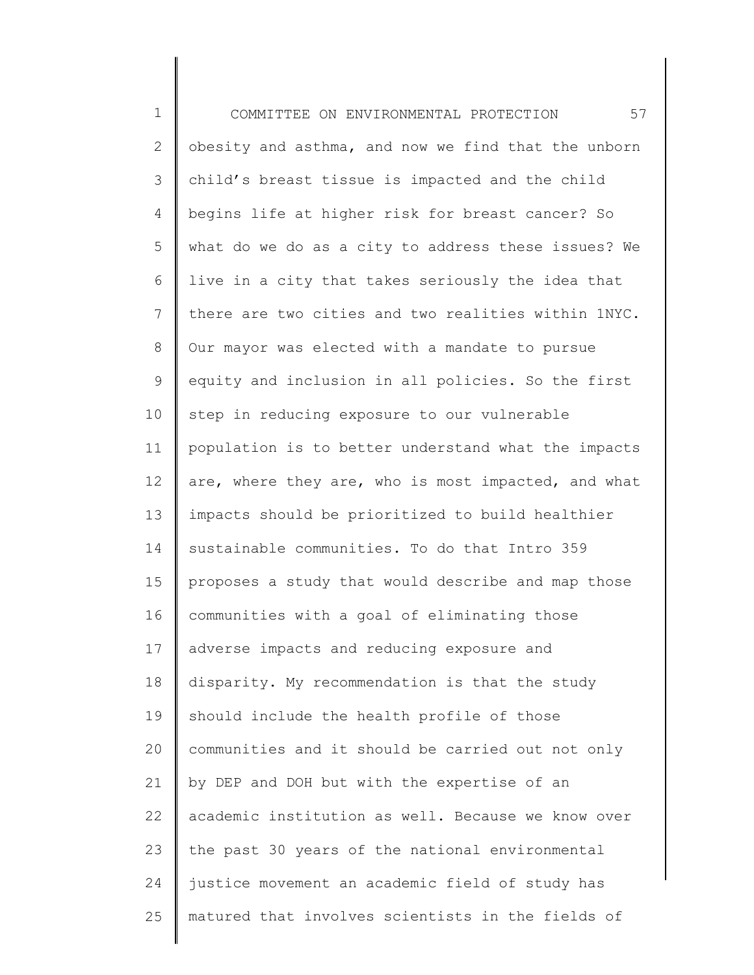1 2 3 4 5 6 7 8 9 10 11 12 13 14 15 16 17 18 19 20 21 22 23 24 25 COMMITTEE ON ENVIRONMENTAL PROTECTION 57 obesity and asthma, and now we find that the unborn child's breast tissue is impacted and the child begins life at higher risk for breast cancer? So what do we do as a city to address these issues? We live in a city that takes seriously the idea that there are two cities and two realities within 1NYC. Our mayor was elected with a mandate to pursue equity and inclusion in all policies. So the first step in reducing exposure to our vulnerable population is to better understand what the impacts are, where they are, who is most impacted, and what impacts should be prioritized to build healthier sustainable communities. To do that Intro 359 proposes a study that would describe and map those communities with a goal of eliminating those adverse impacts and reducing exposure and disparity. My recommendation is that the study should include the health profile of those communities and it should be carried out not only by DEP and DOH but with the expertise of an academic institution as well. Because we know over the past 30 years of the national environmental justice movement an academic field of study has matured that involves scientists in the fields of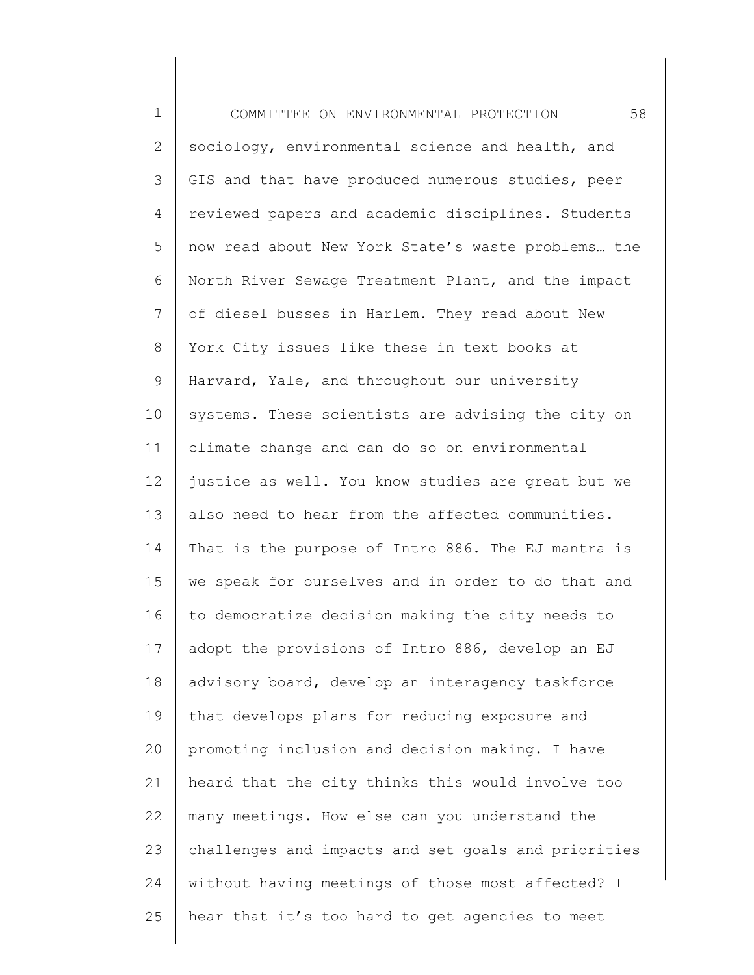1 2 3 4 5 6 7 8 9 10 11 12 13 14 15 16 17 18 19 20 21 22 23 24 25 COMMITTEE ON ENVIRONMENTAL PROTECTION 58 sociology, environmental science and health, and GIS and that have produced numerous studies, peer reviewed papers and academic disciplines. Students now read about New York State's waste problems… the North River Sewage Treatment Plant, and the impact of diesel busses in Harlem. They read about New York City issues like these in text books at Harvard, Yale, and throughout our university systems. These scientists are advising the city on climate change and can do so on environmental justice as well. You know studies are great but we also need to hear from the affected communities. That is the purpose of Intro 886. The EJ mantra is we speak for ourselves and in order to do that and to democratize decision making the city needs to adopt the provisions of Intro 886, develop an EJ advisory board, develop an interagency taskforce that develops plans for reducing exposure and promoting inclusion and decision making. I have heard that the city thinks this would involve too many meetings. How else can you understand the challenges and impacts and set goals and priorities without having meetings of those most affected? I hear that it's too hard to get agencies to meet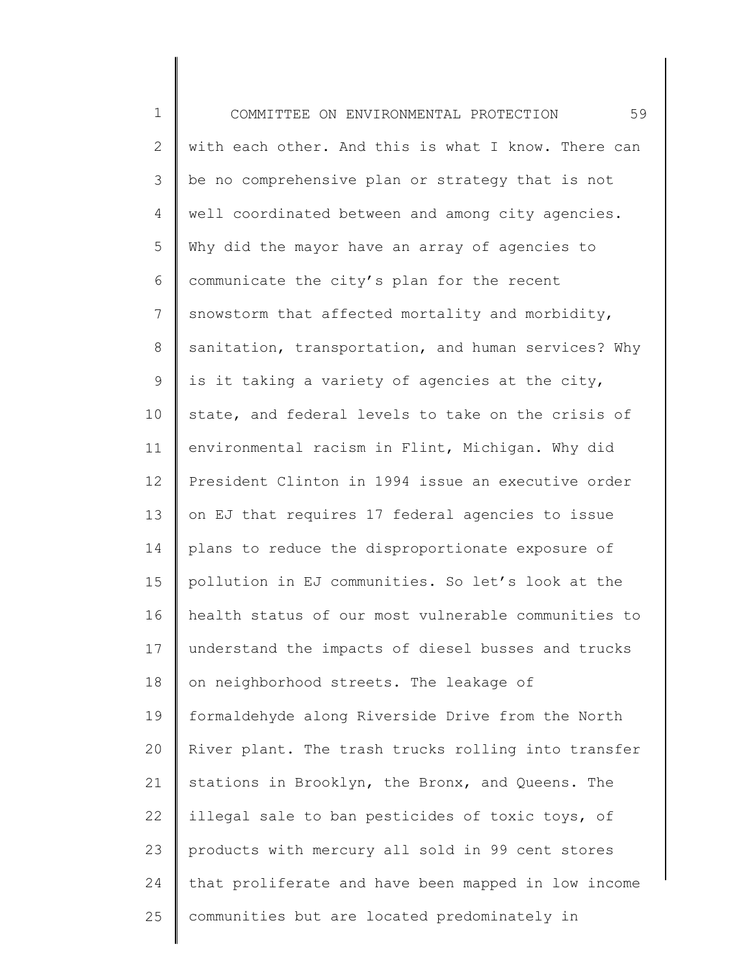1 2 3 4 5 6 7 8 9 10 11 12 13 14 15 16 17 18 19 20 21 22 23 24 25 COMMITTEE ON ENVIRONMENTAL PROTECTION 59 with each other. And this is what I know. There can be no comprehensive plan or strategy that is not well coordinated between and among city agencies. Why did the mayor have an array of agencies to communicate the city's plan for the recent snowstorm that affected mortality and morbidity, sanitation, transportation, and human services? Why is it taking a variety of agencies at the city, state, and federal levels to take on the crisis of environmental racism in Flint, Michigan. Why did President Clinton in 1994 issue an executive order on EJ that requires 17 federal agencies to issue plans to reduce the disproportionate exposure of pollution in EJ communities. So let's look at the health status of our most vulnerable communities to understand the impacts of diesel busses and trucks on neighborhood streets. The leakage of formaldehyde along Riverside Drive from the North River plant. The trash trucks rolling into transfer stations in Brooklyn, the Bronx, and Queens. The illegal sale to ban pesticides of toxic toys, of products with mercury all sold in 99 cent stores that proliferate and have been mapped in low income communities but are located predominately in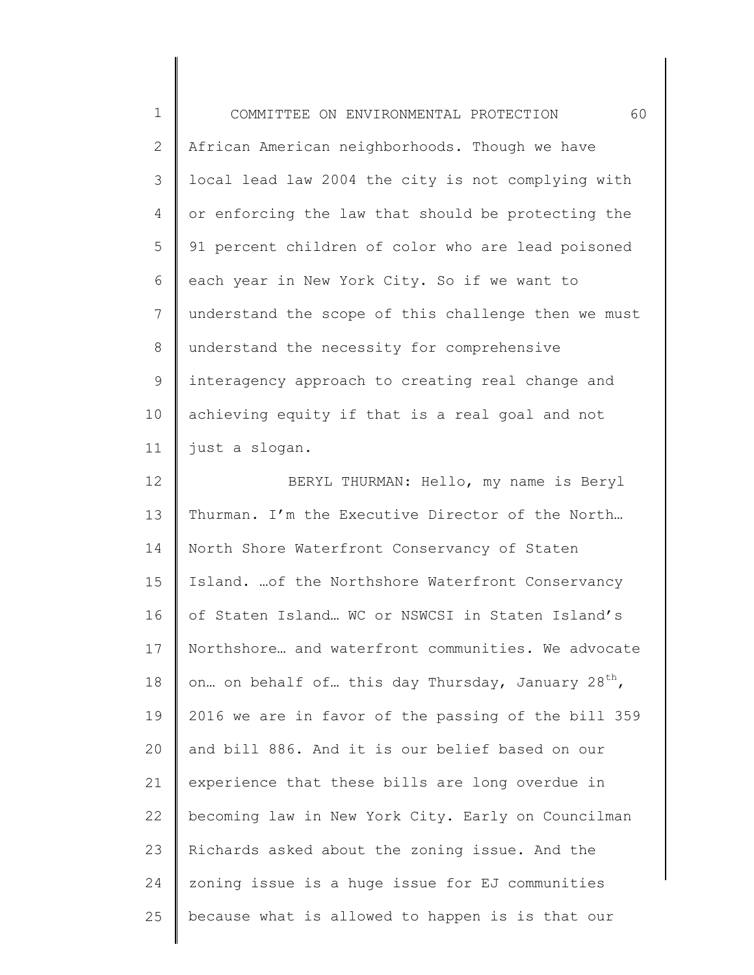| $\mathbf 1$  | 60<br>COMMITTEE ON ENVIRONMENTAL PROTECTION                   |
|--------------|---------------------------------------------------------------|
| $\mathbf{2}$ | African American neighborhoods. Though we have                |
| 3            | local lead law 2004 the city is not complying with            |
| 4            | or enforcing the law that should be protecting the            |
| 5            | 91 percent children of color who are lead poisoned            |
| 6            | each year in New York City. So if we want to                  |
| 7            | understand the scope of this challenge then we must           |
| 8            | understand the necessity for comprehensive                    |
| 9            | interagency approach to creating real change and              |
| 10           | achieving equity if that is a real goal and not               |
| 11           | just a slogan.                                                |
| 12           | BERYL THURMAN: Hello, my name is Beryl                        |
| 13           | Thurman. I'm the Executive Director of the North              |
| 14           | North Shore Waterfront Conservancy of Staten                  |
| 15           | Island.  of the Northshore Waterfront Conservancy             |
| 16           | of Staten Island WC or NSWCSI in Staten Island's              |
| 17           | Northshore and waterfront communities. We advocate            |
| 18           | on on behalf of this day Thursday, January 28 <sup>th</sup> , |
| 19           | 2016 we are in favor of the passing of the bill 359           |
| 20           | and bill 886. And it is our belief based on our               |
| 21           | experience that these bills are long overdue in               |
| 22           | becoming law in New York City. Early on Councilman            |
| 23           | Richards asked about the zoning issue. And the                |
| 24           | zoning issue is a huge issue for EJ communities               |
| 25           | because what is allowed to happen is is that our              |
|              |                                                               |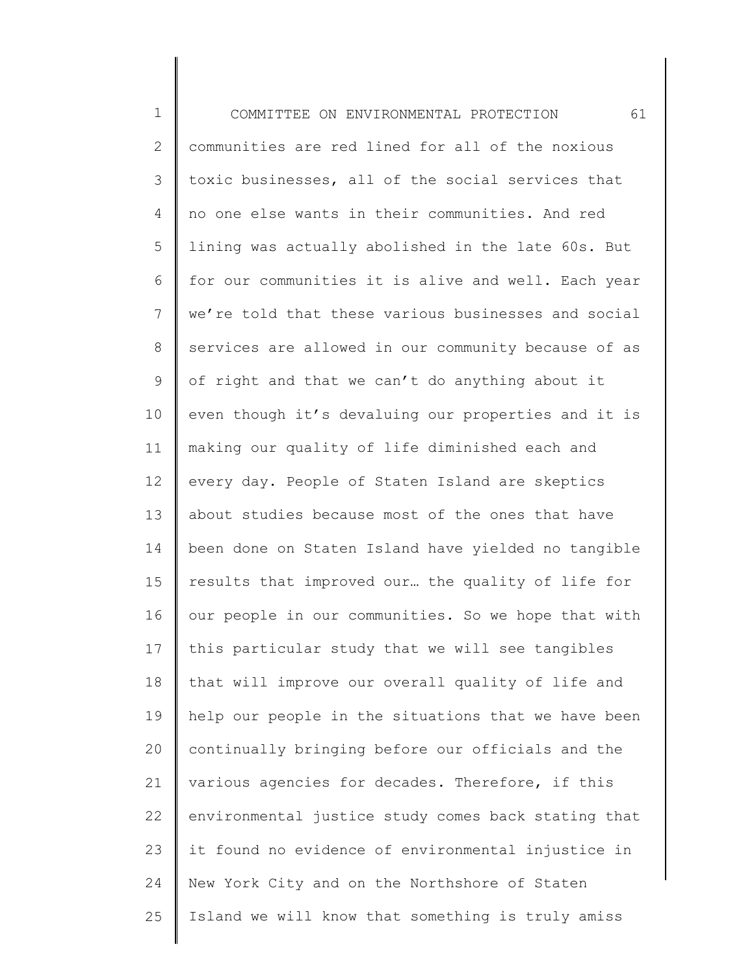| $1\,$          | 61<br>COMMITTEE ON ENVIRONMENTAL PROTECTION         |
|----------------|-----------------------------------------------------|
| $\mathbf{2}$   | communities are red lined for all of the noxious    |
| $\mathcal{S}$  | toxic businesses, all of the social services that   |
| 4              | no one else wants in their communities. And red     |
| 5              | lining was actually abolished in the late 60s. But  |
| 6              | for our communities it is alive and well. Each year |
| $\overline{7}$ | we're told that these various businesses and social |
| $8\,$          | services are allowed in our community because of as |
| $\mathsf 9$    | of right and that we can't do anything about it     |
| 10             | even though it's devaluing our properties and it is |
| 11             | making our quality of life diminished each and      |
| 12             | every day. People of Staten Island are skeptics     |
| 13             | about studies because most of the ones that have    |
| 14             | been done on Staten Island have yielded no tangible |
| 15             | results that improved our the quality of life for   |
| 16             | our people in our communities. So we hope that with |
| 17             | this particular study that we will see tangibles    |
| 18             | that will improve our overall quality of life and   |
| 19             | help our people in the situations that we have been |
| 20             | continually bringing before our officials and the   |
| 21             | various agencies for decades. Therefore, if this    |
| 22             | environmental justice study comes back stating that |
| 23             | it found no evidence of environmental injustice in  |
| 24             | New York City and on the Northshore of Staten       |
| 25             | Island we will know that something is truly amiss   |

∥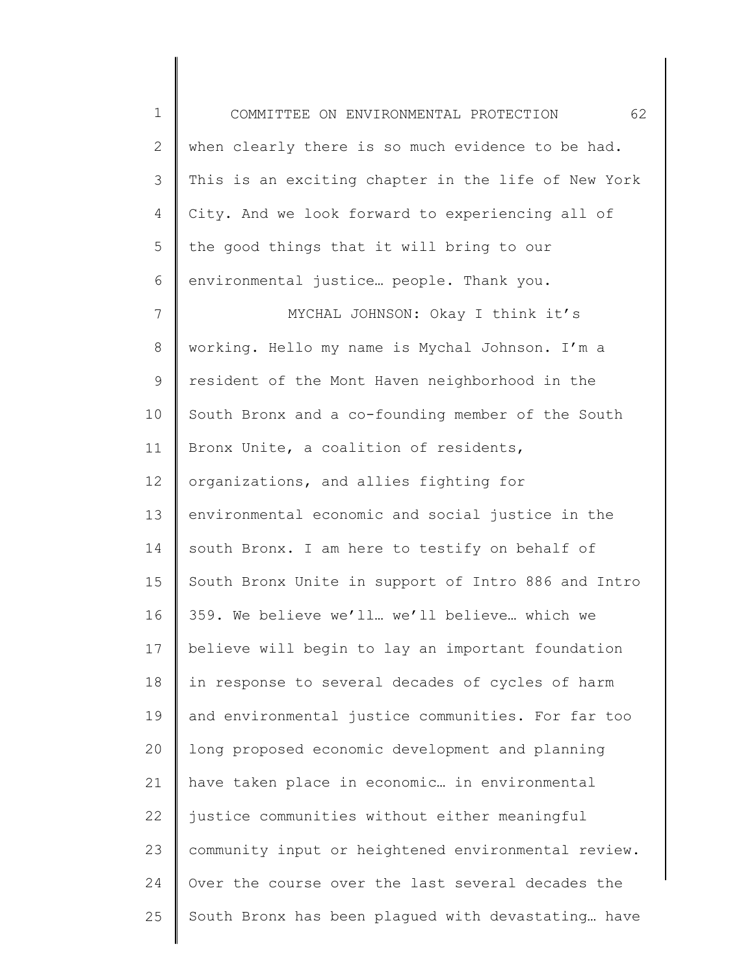1 2 3 4 5 6 7 8 9 10 11 12 13 14 15 16 17 18 19 20 21 22 23 24 COMMITTEE ON ENVIRONMENTAL PROTECTION 62 when clearly there is so much evidence to be had. This is an exciting chapter in the life of New York City. And we look forward to experiencing all of the good things that it will bring to our environmental justice… people. Thank you. MYCHAL JOHNSON: Okay I think it's working. Hello my name is Mychal Johnson. I'm a resident of the Mont Haven neighborhood in the South Bronx and a co-founding member of the South Bronx Unite, a coalition of residents, organizations, and allies fighting for environmental economic and social justice in the south Bronx. I am here to testify on behalf of South Bronx Unite in support of Intro 886 and Intro 359. We believe we'll… we'll believe… which we believe will begin to lay an important foundation in response to several decades of cycles of harm and environmental justice communities. For far too long proposed economic development and planning have taken place in economic… in environmental justice communities without either meaningful community input or heightened environmental review. Over the course over the last several decades the

South Bronx has been plagued with devastating… have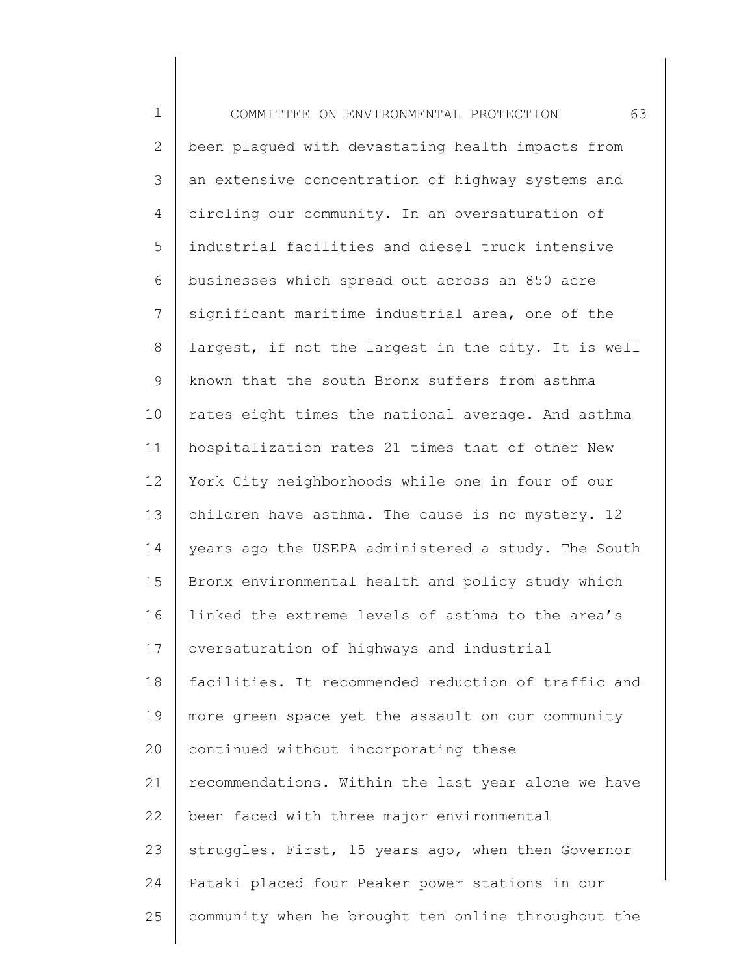1 2 3 4 5 6 7 8 9 10 11 12 13 14 15 16 17 18 19 20 21 22 23 24 25 COMMITTEE ON ENVIRONMENTAL PROTECTION 63 been plagued with devastating health impacts from an extensive concentration of highway systems and circling our community. In an oversaturation of industrial facilities and diesel truck intensive businesses which spread out across an 850 acre significant maritime industrial area, one of the largest, if not the largest in the city. It is well known that the south Bronx suffers from asthma rates eight times the national average. And asthma hospitalization rates 21 times that of other New York City neighborhoods while one in four of our children have asthma. The cause is no mystery. 12 years ago the USEPA administered a study. The South Bronx environmental health and policy study which linked the extreme levels of asthma to the area's oversaturation of highways and industrial facilities. It recommended reduction of traffic and more green space yet the assault on our community continued without incorporating these recommendations. Within the last year alone we have been faced with three major environmental struggles. First, 15 years ago, when then Governor Pataki placed four Peaker power stations in our community when he brought ten online throughout the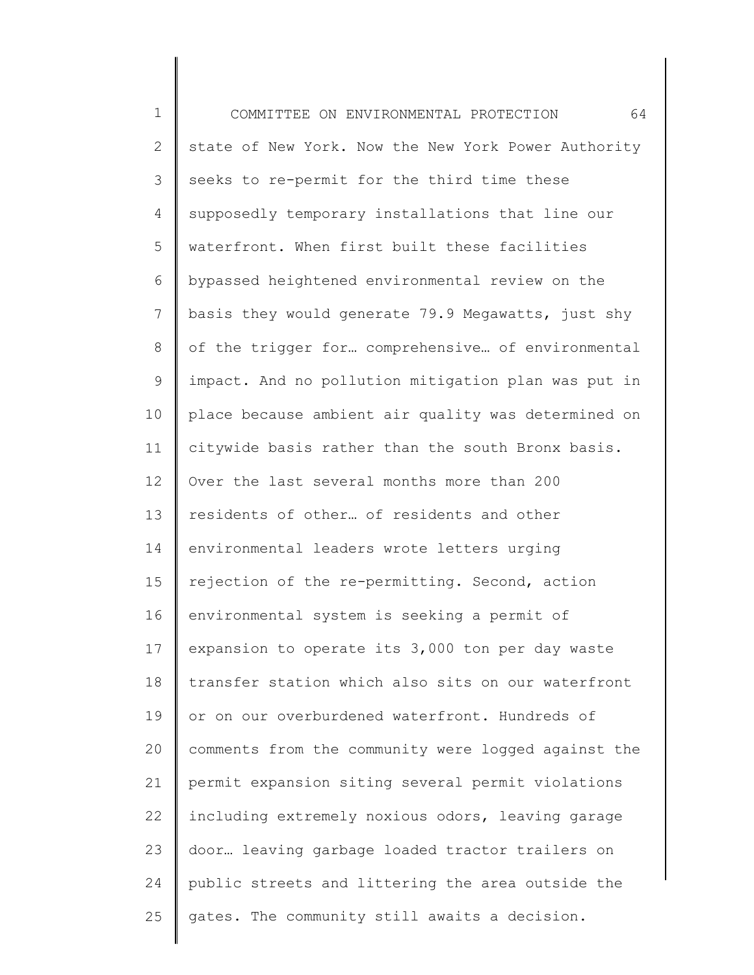1 2 3 4 5 6 7 8 9 10 11 12 13 14 15 16 17 18 19 20 21 22 23 24 25 COMMITTEE ON ENVIRONMENTAL PROTECTION 64 state of New York. Now the New York Power Authority seeks to re-permit for the third time these supposedly temporary installations that line our waterfront. When first built these facilities bypassed heightened environmental review on the basis they would generate 79.9 Megawatts, just shy of the trigger for… comprehensive… of environmental impact. And no pollution mitigation plan was put in place because ambient air quality was determined on citywide basis rather than the south Bronx basis. Over the last several months more than 200 residents of other… of residents and other environmental leaders wrote letters urging rejection of the re-permitting. Second, action environmental system is seeking a permit of expansion to operate its 3,000 ton per day waste transfer station which also sits on our waterfront or on our overburdened waterfront. Hundreds of comments from the community were logged against the permit expansion siting several permit violations including extremely noxious odors, leaving garage door… leaving garbage loaded tractor trailers on public streets and littering the area outside the gates. The community still awaits a decision.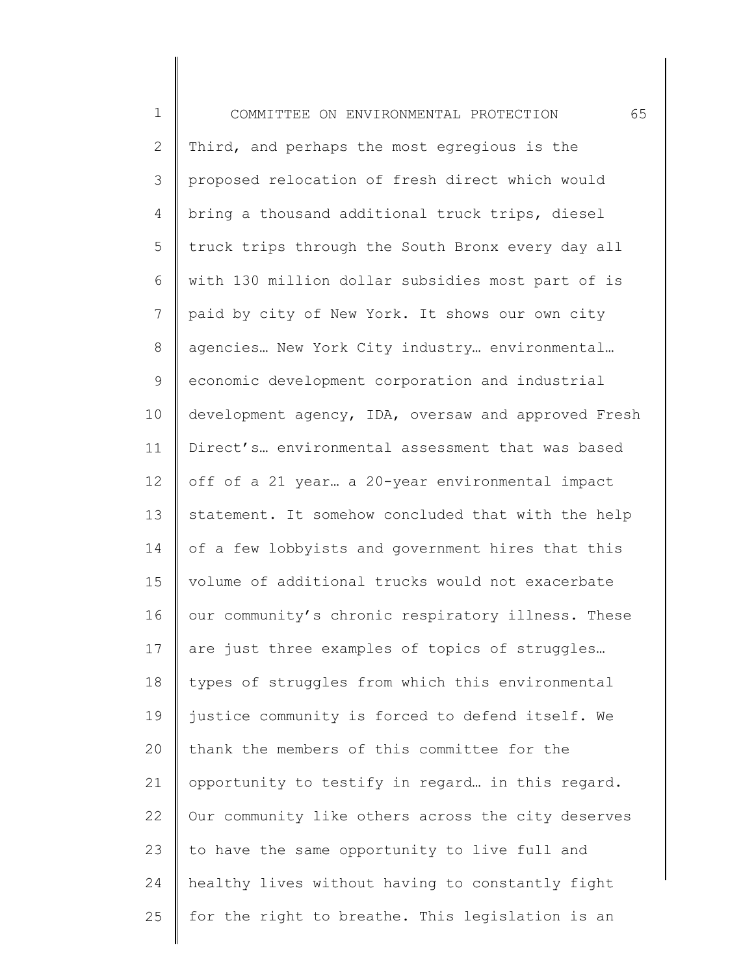| $\mathbf 1$  | 65<br>COMMITTEE ON ENVIRONMENTAL PROTECTION         |
|--------------|-----------------------------------------------------|
| $\mathbf{2}$ | Third, and perhaps the most egregious is the        |
| 3            | proposed relocation of fresh direct which would     |
| 4            | bring a thousand additional truck trips, diesel     |
| 5            | truck trips through the South Bronx every day all   |
| 6            | with 130 million dollar subsidies most part of is   |
| 7            | paid by city of New York. It shows our own city     |
| $\,8\,$      | agencies New York City industry environmental       |
| $\mathsf 9$  | economic development corporation and industrial     |
| 10           | development agency, IDA, oversaw and approved Fresh |
| 11           | Direct's environmental assessment that was based    |
| 12           | off of a 21 year a 20-year environmental impact     |
| 13           | statement. It somehow concluded that with the help  |
| 14           | of a few lobbyists and government hires that this   |
| 15           | volume of additional trucks would not exacerbate    |
| 16           | our community's chronic respiratory illness. These  |
| 17           | are just three examples of topics of struggles      |
| 18           | types of struggles from which this environmental    |
| 19           | justice community is forced to defend itself. We    |
| 20           | thank the members of this committee for the         |
| 21           | opportunity to testify in regard in this regard.    |
| 22           | Our community like others across the city deserves  |
| 23           | to have the same opportunity to live full and       |
| 24           | healthy lives without having to constantly fight    |
| 25           | for the right to breathe. This legislation is an    |
|              |                                                     |

∥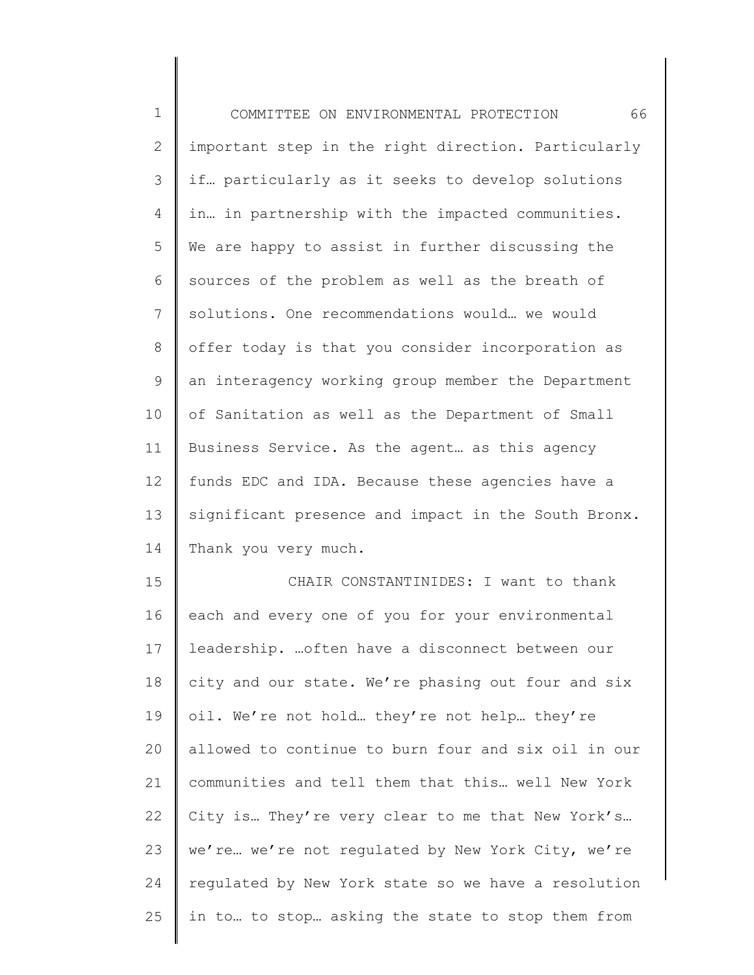| $\mathbf 1$    | 66<br>COMMITTEE ON ENVIRONMENTAL PROTECTION         |
|----------------|-----------------------------------------------------|
| $\mathbf{2}$   | important step in the right direction. Particularly |
| 3              | if particularly as it seeks to develop solutions    |
| 4              | in in partnership with the impacted communities.    |
| 5              | We are happy to assist in further discussing the    |
| 6              | sources of the problem as well as the breath of     |
| $7\phantom{.}$ | solutions. One recommendations would we would       |
| $\,8\,$        | offer today is that you consider incorporation as   |
| $\mathsf 9$    | an interagency working group member the Department  |
| 10             | of Sanitation as well as the Department of Small    |
| 11             | Business Service. As the agent as this agency       |
| 12             | funds EDC and IDA. Because these agencies have a    |
| 13             | significant presence and impact in the South Bronx. |
| 14             | Thank you very much.                                |
| 15             | CHAIR CONSTANTINIDES: I want to thank               |
| 16             | each and every one of you for your environmental    |
| 17             | leadership.  often have a disconnect between our    |
| 18             | city and our state. We're phasing out four and six  |
| 19             | oil. We're not hold they're not help they're        |
| 20             | allowed to continue to burn four and six oil in our |
| 21             | communities and tell them that this well New York   |
| 22             | City is They're very clear to me that New York's    |
| 23             | we're  we're not regulated by New York City, we're  |

regulated by New York state so we have a resolution

in to… to stop… asking the state to stop them from

24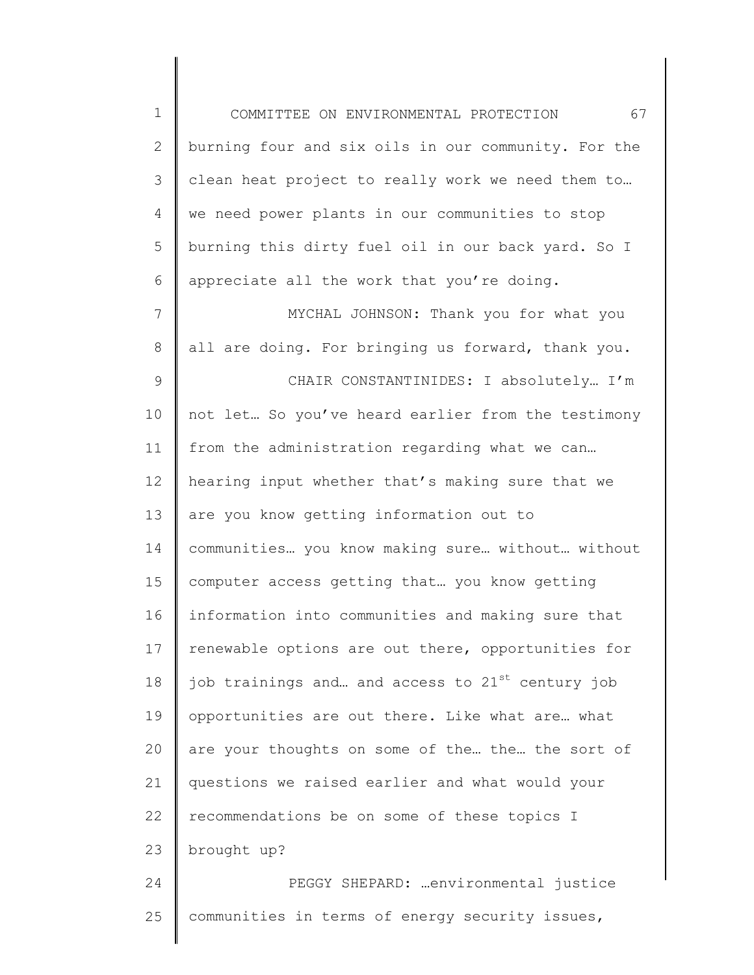1 2 3 4 5 6 COMMITTEE ON ENVIRONMENTAL PROTECTION 67 burning four and six oils in our community. For the clean heat project to really work we need them to… we need power plants in our communities to stop burning this dirty fuel oil in our back yard. So I appreciate all the work that you're doing.

7 8 9 10 11 12 13 14 15 16 17 18 19 20 21 22 23 MYCHAL JOHNSON: Thank you for what you all are doing. For bringing us forward, thank you. CHAIR CONSTANTINIDES: I absolutely… I'm not let… So you've heard earlier from the testimony from the administration regarding what we can… hearing input whether that's making sure that we are you know getting information out to communities… you know making sure… without… without computer access getting that… you know getting information into communities and making sure that renewable options are out there, opportunities for job trainings and... and access to  $21^{st}$  century job opportunities are out there. Like what are… what are your thoughts on some of the… the… the sort of questions we raised earlier and what would your recommendations be on some of these topics I brought up?

25 communities in terms of energy security issues,

PEGGY SHEPARD: …environmental justice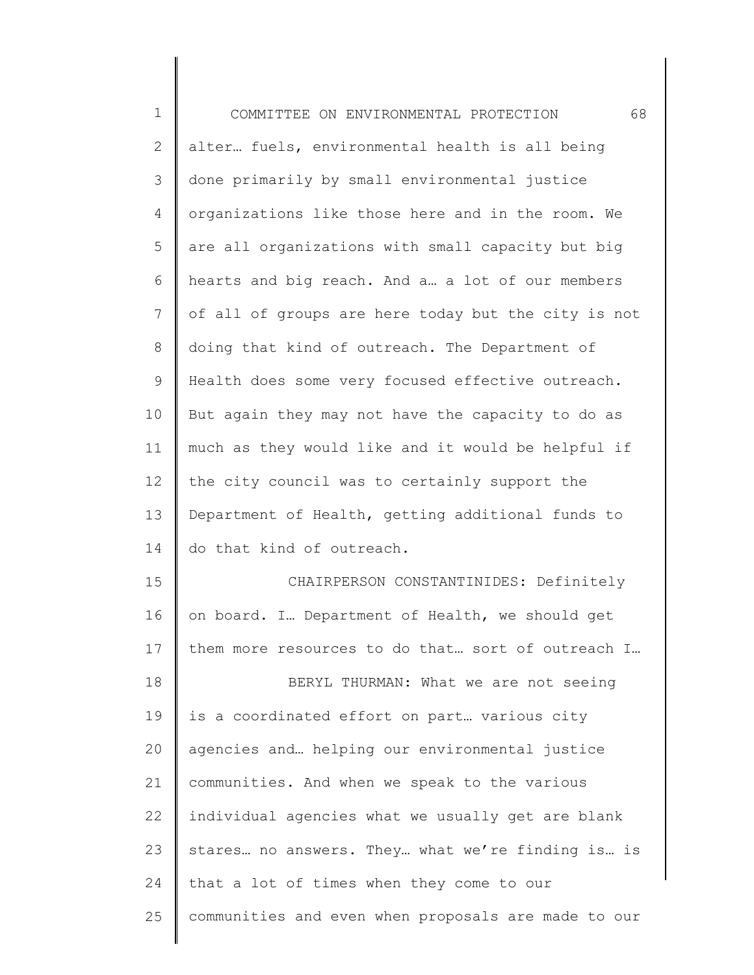| $\mathbf 1$    | 68<br>COMMITTEE ON ENVIRONMENTAL PROTECTION         |
|----------------|-----------------------------------------------------|
| $\mathbf{2}$   | alter fuels, environmental health is all being      |
| 3              | done primarily by small environmental justice       |
| $\overline{4}$ | organizations like those here and in the room. We   |
| 5              | are all organizations with small capacity but big   |
| 6              | hearts and big reach. And a a lot of our members    |
| 7              | of all of groups are here today but the city is not |
| 8              | doing that kind of outreach. The Department of      |
| 9              | Health does some very focused effective outreach.   |
| 10             | But again they may not have the capacity to do as   |
| 11             | much as they would like and it would be helpful if  |
| 12             | the city council was to certainly support the       |
| 13             | Department of Health, getting additional funds to   |
| 14             | do that kind of outreach.                           |
| 15             | CHAIRPERSON CONSTANTINIDES: Definitely              |
| 16             | on board. I Department of Health, we should get     |
| 17             | them more resources to do that sort of outreach I   |
| 18             | BERYL THURMAN: What we are not seeing               |
| 19             | is a coordinated effort on part various city        |
| 20             | agencies and helping our environmental justice      |
| 21             | communities. And when we speak to the various       |
| 22             | individual agencies what we usually get are blank   |
| 23             | stares no answers. They what we're finding is is    |
| 24             | that a lot of times when they come to our           |
| 25             | communities and even when proposals are made to our |
|                |                                                     |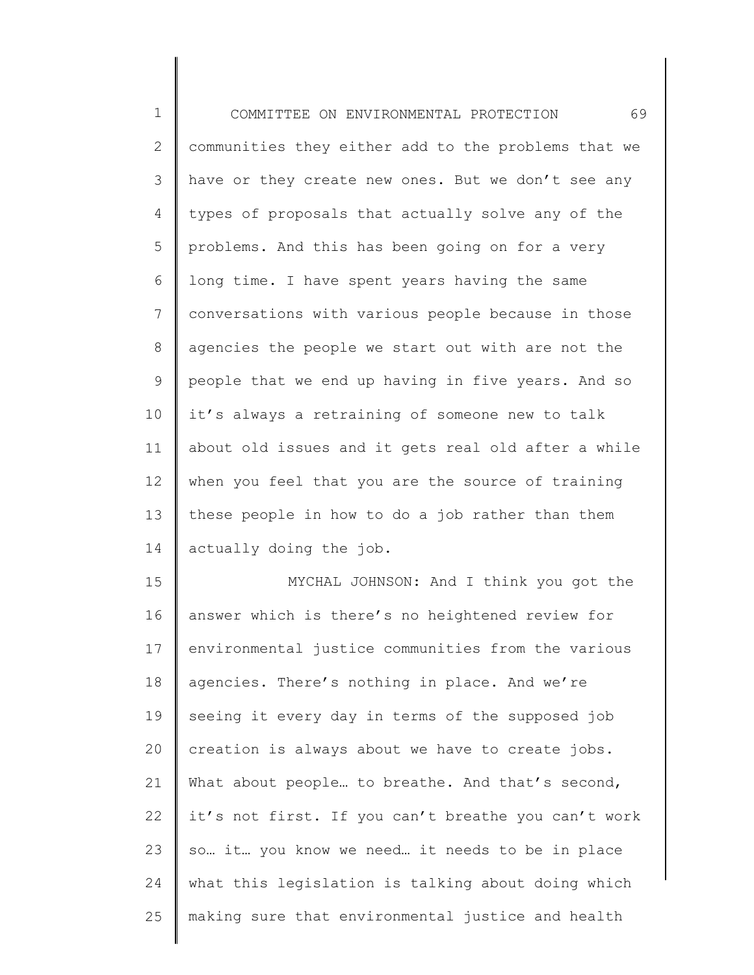1 2 3 4 5 6 7 8 9 10 11 12 13 14 15 16 17 18 19 20 21 22 23 24 COMMITTEE ON ENVIRONMENTAL PROTECTION 69 communities they either add to the problems that we have or they create new ones. But we don't see any types of proposals that actually solve any of the problems. And this has been going on for a very long time. I have spent years having the same conversations with various people because in those agencies the people we start out with are not the people that we end up having in five years. And so it's always a retraining of someone new to talk about old issues and it gets real old after a while when you feel that you are the source of training these people in how to do a job rather than them actually doing the job. MYCHAL JOHNSON: And I think you got the answer which is there's no heightened review for environmental justice communities from the various agencies. There's nothing in place. And we're seeing it every day in terms of the supposed job creation is always about we have to create jobs. What about people... to breathe. And that's second, it's not first. If you can't breathe you can't work so… it… you know we need… it needs to be in place what this legislation is talking about doing which

making sure that environmental justice and health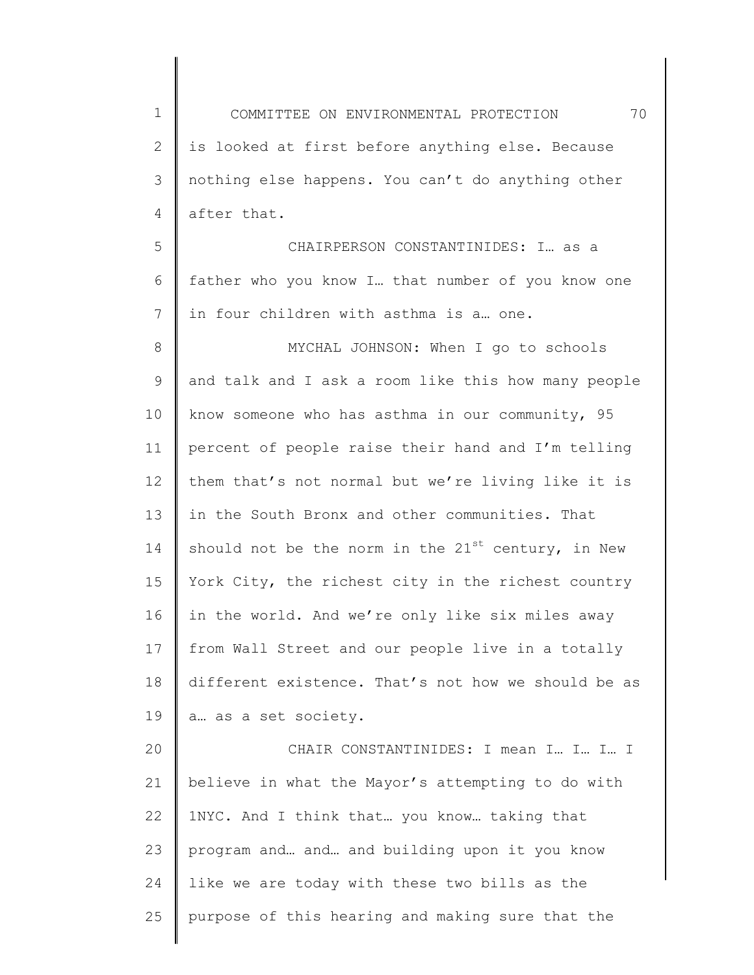1 2 3 4 5 6 7 8 9 10 11 12 13 14 15 16 17 18 19 20 21 22 23 24 25 COMMITTEE ON ENVIRONMENTAL PROTECTION 70 is looked at first before anything else. Because nothing else happens. You can't do anything other after that. CHAIRPERSON CONSTANTINIDES: I… as a father who you know I… that number of you know one in four children with asthma is a… one. MYCHAL JOHNSON: When I go to schools and talk and I ask a room like this how many people know someone who has asthma in our community, 95 percent of people raise their hand and I'm telling them that's not normal but we're living like it is in the South Bronx and other communities. That should not be the norm in the  $21^{st}$  century, in New York City, the richest city in the richest country in the world. And we're only like six miles away from Wall Street and our people live in a totally different existence. That's not how we should be as a… as a set society. CHAIR CONSTANTINIDES: I mean I… I… I… I believe in what the Mayor's attempting to do with 1NYC. And I think that… you know… taking that program and… and… and building upon it you know like we are today with these two bills as the purpose of this hearing and making sure that the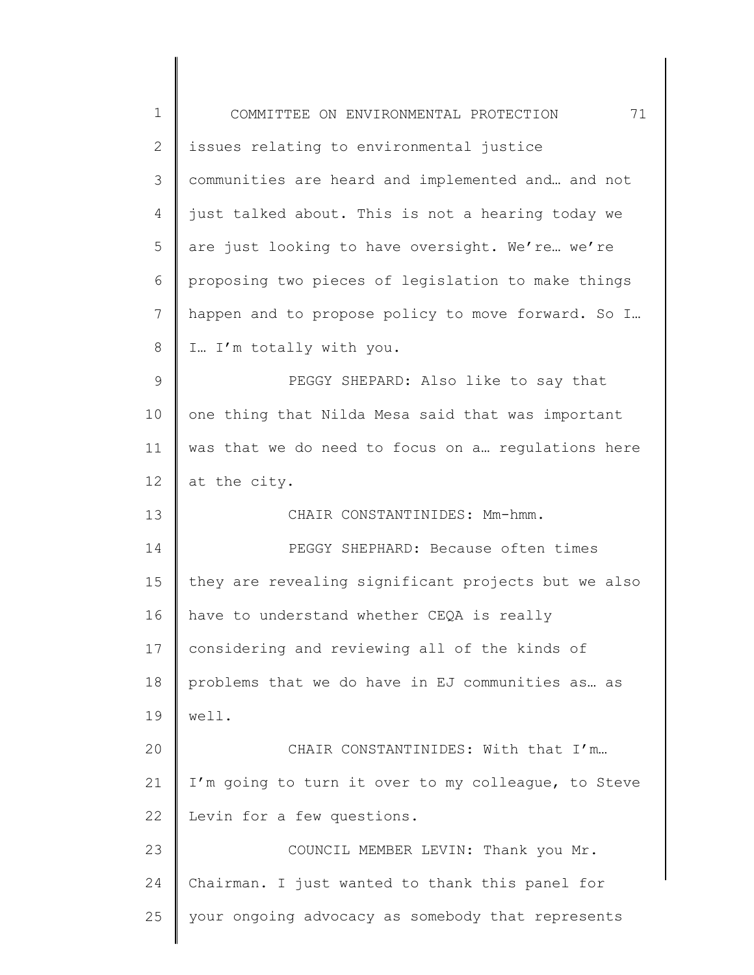| $\mathbf 1$ | 71<br>COMMITTEE ON ENVIRONMENTAL PROTECTION         |
|-------------|-----------------------------------------------------|
| 2           | issues relating to environmental justice            |
| 3           | communities are heard and implemented and and not   |
| 4           | just talked about. This is not a hearing today we   |
| 5           | are just looking to have oversight. We're we're     |
| 6           | proposing two pieces of legislation to make things  |
| 7           | happen and to propose policy to move forward. So I  |
| 8           | I I'm totally with you.                             |
| 9           | PEGGY SHEPARD: Also like to say that                |
| 10          | one thing that Nilda Mesa said that was important   |
| 11          | was that we do need to focus on a regulations here  |
| 12          | at the city.                                        |
| 13          | CHAIR CONSTANTINIDES: Mm-hmm.                       |
| 14          | PEGGY SHEPHARD: Because often times                 |
| 15          | they are revealing significant projects but we also |
| 16          | have to understand whether CEQA is really           |
| 17          | considering and reviewing all of the kinds of       |
| 18          | problems that we do have in EJ communities as as    |
| 19          | well.                                               |
| 20          | CHAIR CONSTANTINIDES: With that I'm                 |
| 21          | I'm going to turn it over to my colleague, to Steve |
| 22          | Levin for a few questions.                          |
| 23          | COUNCIL MEMBER LEVIN: Thank you Mr.                 |
| 24          | Chairman. I just wanted to thank this panel for     |
| 25          | your ongoing advocacy as somebody that represents   |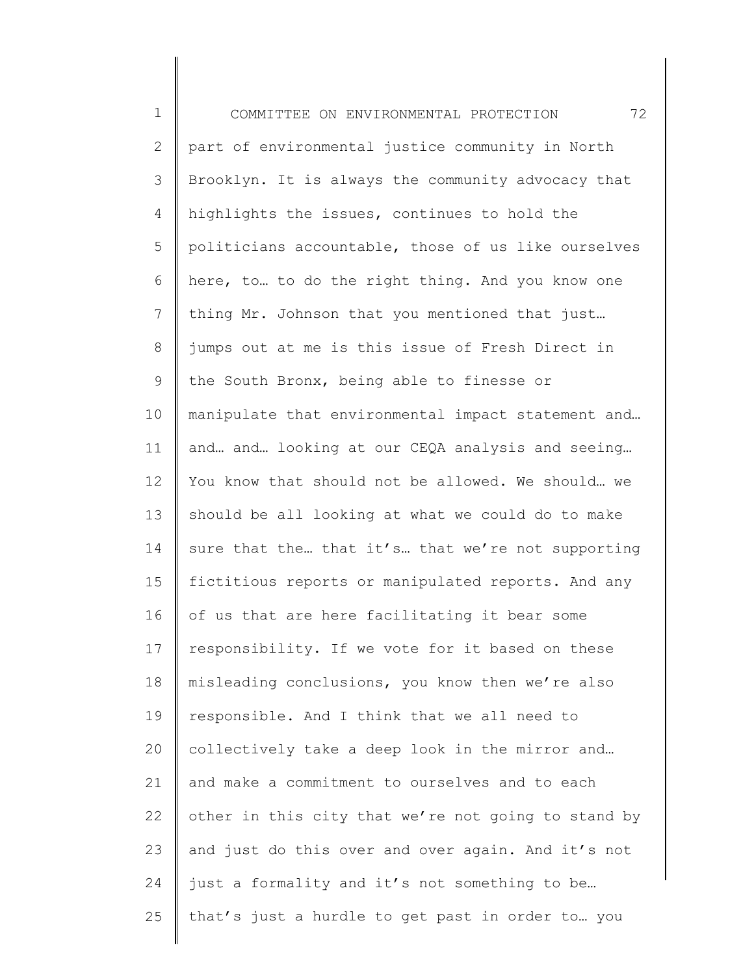| $\mathbf 1$    | 72<br>COMMITTEE ON ENVIRONMENTAL PROTECTION         |
|----------------|-----------------------------------------------------|
| $\mathbf{2}$   | part of environmental justice community in North    |
| $\mathcal{S}$  | Brooklyn. It is always the community advocacy that  |
| 4              | highlights the issues, continues to hold the        |
| 5              | politicians accountable, those of us like ourselves |
| 6              | here, to to do the right thing. And you know one    |
| $\overline{7}$ | thing Mr. Johnson that you mentioned that just      |
| $\,8\,$        | jumps out at me is this issue of Fresh Direct in    |
| $\mathsf 9$    | the South Bronx, being able to finesse or           |
| 10             | manipulate that environmental impact statement and  |
| 11             | and and looking at our CEQA analysis and seeing     |
| 12             | You know that should not be allowed. We should we   |
| 13             | should be all looking at what we could do to make   |
| 14             | sure that the that it's that we're not supporting   |
| 15             | fictitious reports or manipulated reports. And any  |
| 16             | of us that are here facilitating it bear some       |
| 17             | responsibility. If we vote for it based on these    |
| 18             | misleading conclusions, you know then we're also    |
| 19             | responsible. And I think that we all need to        |
| 20             | collectively take a deep look in the mirror and     |
| 21             | and make a commitment to ourselves and to each      |
| 22             | other in this city that we're not going to stand by |
| 23             | and just do this over and over again. And it's not  |
| 24             | just a formality and it's not something to be       |
| 25             | that's just a hurdle to get past in order to  you   |
|                |                                                     |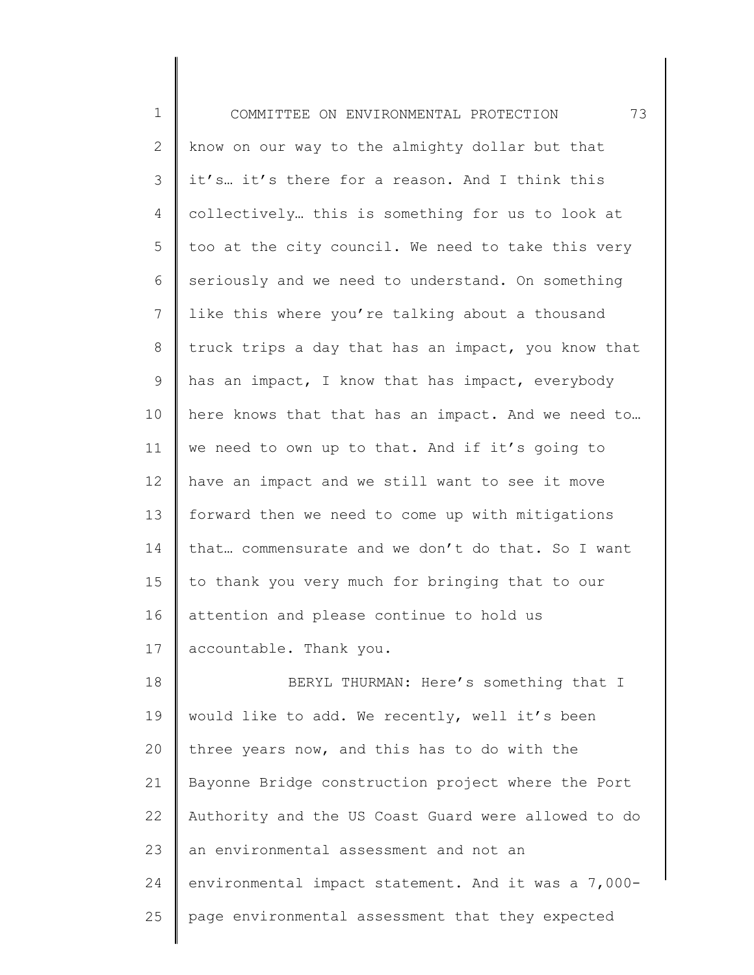| $\mathbf{1}$ | 73<br>COMMITTEE ON ENVIRONMENTAL PROTECTION         |
|--------------|-----------------------------------------------------|
| $\mathbf{2}$ | know on our way to the almighty dollar but that     |
| 3            | it's it's there for a reason. And I think this      |
| 4            | collectively this is something for us to look at    |
| 5            | too at the city council. We need to take this very  |
| 6            | seriously and we need to understand. On something   |
| 7            | like this where you're talking about a thousand     |
| 8            | truck trips a day that has an impact, you know that |
| 9            | has an impact, I know that has impact, everybody    |
| 10           | here knows that that has an impact. And we need to  |
| 11           | we need to own up to that. And if it's going to     |
| 12           | have an impact and we still want to see it move     |
| 13           | forward then we need to come up with mitigations    |
| 14           | that commensurate and we don't do that. So I want   |
| 15           | to thank you very much for bringing that to our     |
| 16           | attention and please continue to hold us            |
| 17           | accountable. Thank you.                             |
| 18           | BERYL THURMAN: Here's something that I              |
| 19           | would like to add. We recently, well it's been      |
| 20           | three years now, and this has to do with the        |
| 21           | Bayonne Bridge construction project where the Port  |
| 22           | Authority and the US Coast Guard were allowed to do |
| 23           | an environmental assessment and not an              |
| 24           | environmental impact statement. And it was a 7,000- |
| 25           | page environmental assessment that they expected    |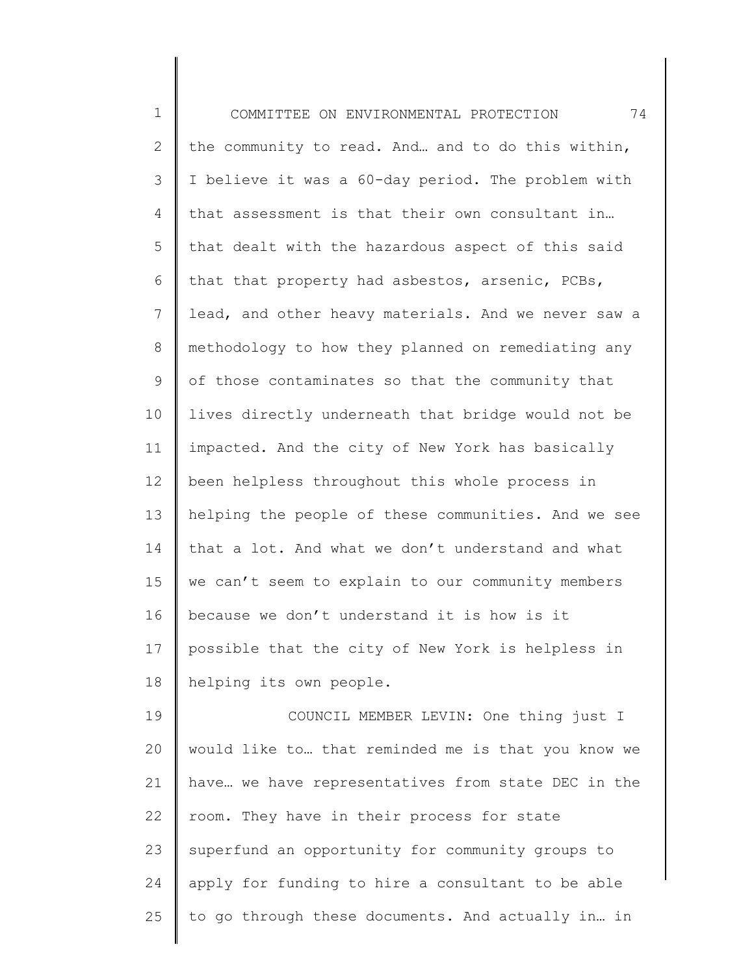| $\mathbf 1$    | 74<br>COMMITTEE ON ENVIRONMENTAL PROTECTION         |
|----------------|-----------------------------------------------------|
| $\mathbf{2}$   | the community to read. And and to do this within,   |
| 3              | I believe it was a 60-day period. The problem with  |
| 4              | that assessment is that their own consultant in     |
| 5              | that dealt with the hazardous aspect of this said   |
| 6              | that that property had asbestos, arsenic, PCBs,     |
| $\overline{7}$ | lead, and other heavy materials. And we never saw a |
| $\,8\,$        | methodology to how they planned on remediating any  |
| $\mathsf 9$    | of those contaminates so that the community that    |
| 10             | lives directly underneath that bridge would not be  |
| 11             | impacted. And the city of New York has basically    |
| 12             | been helpless throughout this whole process in      |
| 13             | helping the people of these communities. And we see |
| 14             | that a lot. And what we don't understand and what   |
| 15             | we can't seem to explain to our community members   |
| 16             | because we don't understand it is how is it         |
| 17             | possible that the city of New York is helpless in   |
| 18             | helping its own people.                             |
| 19             | COUNCIL MEMBER LEVIN: One thing just I              |
| 20             | would like to that reminded me is that you know we  |
| 21             | have we have representatives from state DEC in the  |
| 22             | room. They have in their process for state          |
| 23             | superfund an opportunity for community groups to    |
| 24             | apply for funding to hire a consultant to be able   |
| 25             | to go through these documents. And actually in in   |
|                |                                                     |

∥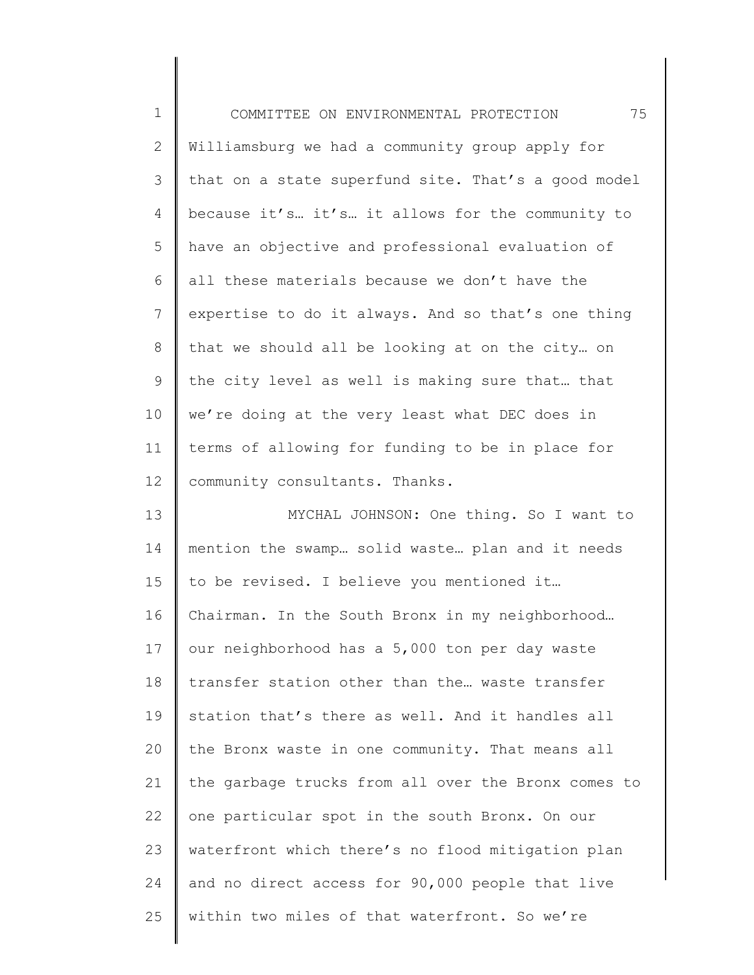| $\mathbf 1$    | 75<br>COMMITTEE ON ENVIRONMENTAL PROTECTION         |
|----------------|-----------------------------------------------------|
| $\mathbf{2}$   | Williamsburg we had a community group apply for     |
| $\mathcal{S}$  | that on a state superfund site. That's a good model |
| 4              | because it's it's it allows for the community to    |
| 5              | have an objective and professional evaluation of    |
| 6              | all these materials because we don't have the       |
| $\overline{7}$ | expertise to do it always. And so that's one thing  |
| $\,8\,$        | that we should all be looking at on the city on     |
| $\mathsf 9$    | the city level as well is making sure that that     |
| 10             | we're doing at the very least what DEC does in      |
| 11             | terms of allowing for funding to be in place for    |
| 12             | community consultants. Thanks.                      |
| 13             | MYCHAL JOHNSON: One thing. So I want to             |
| 14             | mention the swamp solid waste plan and it needs     |
| 15             | to be revised. I believe you mentioned it           |
| 16             | Chairman. In the South Bronx in my neighborhood     |
| 17             | our neighborhood has a 5,000 ton per day waste      |
| 18             | transfer station other than the waste transfer      |
| 19             | station that's there as well. And it handles all    |
| 20             | the Bronx waste in one community. That means all    |
| 21             | the garbage trucks from all over the Bronx comes to |
| 22             | one particular spot in the south Bronx. On our      |
| 23             | waterfront which there's no flood mitigation plan   |
| 24             | and no direct access for 90,000 people that live    |
| 25             | within two miles of that waterfront. So we're       |
|                |                                                     |

∥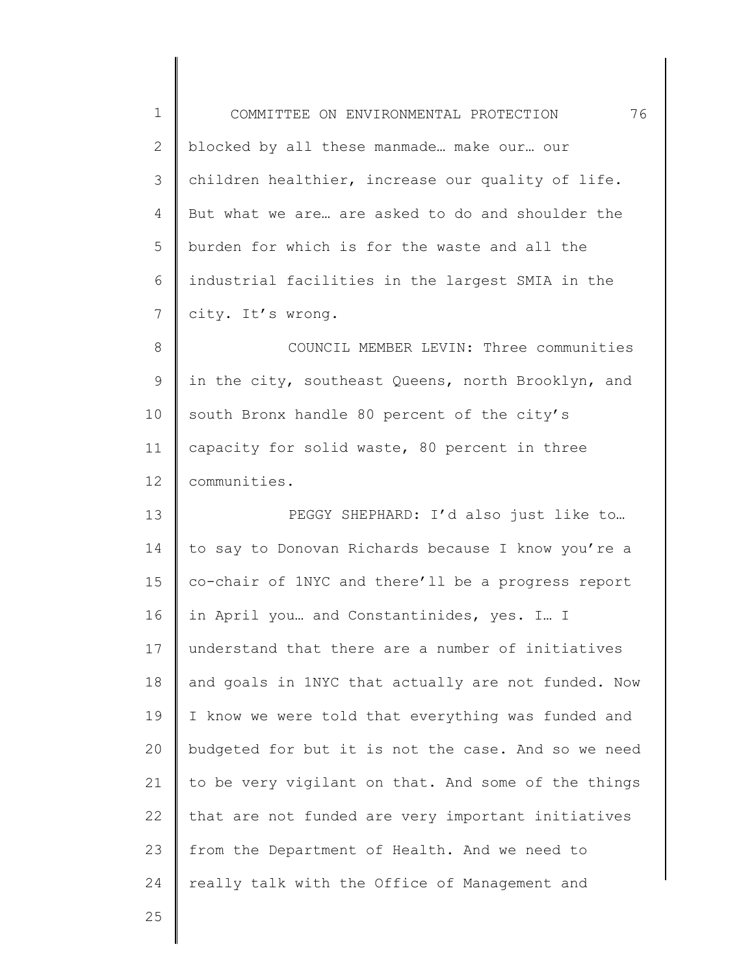| $\mathbf 1$  | 76<br>COMMITTEE ON ENVIRONMENTAL PROTECTION         |
|--------------|-----------------------------------------------------|
| $\mathbf{2}$ | blocked by all these manmade make our our           |
| 3            | children healthier, increase our quality of life.   |
| 4            | But what we are are asked to do and shoulder the    |
| 5            | burden for which is for the waste and all the       |
| 6            | industrial facilities in the largest SMIA in the    |
| 7            | city. It's wrong.                                   |
| 8            | COUNCIL MEMBER LEVIN: Three communities             |
| $\mathsf 9$  | in the city, southeast Queens, north Brooklyn, and  |
| 10           | south Bronx handle 80 percent of the city's         |
| 11           | capacity for solid waste, 80 percent in three       |
| 12           | communities.                                        |
| 13           | PEGGY SHEPHARD: I'd also just like to               |
| 14           | to say to Donovan Richards because I know you're a  |
| 15           | co-chair of 1NYC and there'll be a progress report  |
| 16           | in April you and Constantinides, yes. I I           |
| 17           | understand that there are a number of initiatives   |
| 18           | and goals in 1NYC that actually are not funded. Now |
| 19           | I know we were told that everything was funded and  |
| 20           | budgeted for but it is not the case. And so we need |
| 21           | to be very vigilant on that. And some of the things |
| 22           | that are not funded are very important initiatives  |
| 23           | from the Department of Health. And we need to       |
| 24           | really talk with the Office of Management and       |
| 25           |                                                     |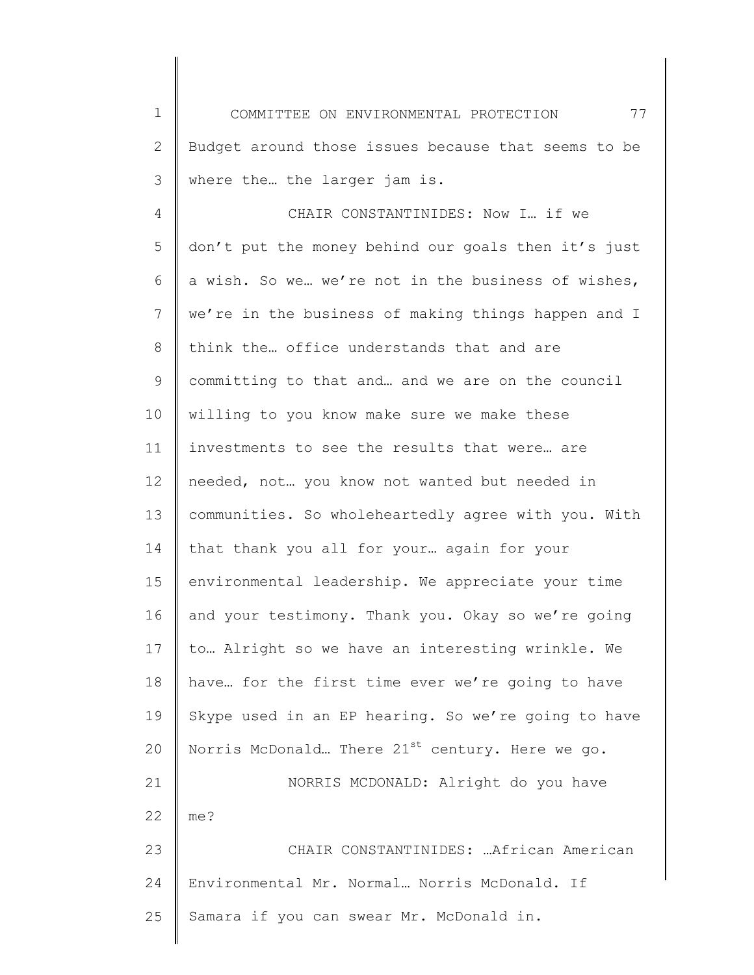1 2 3 COMMITTEE ON ENVIRONMENTAL PROTECTION 77 Budget around those issues because that seems to be where the… the larger jam is.

4 5 6 7 8 9 10 11 12 13 14 15 16 17 18 19 20 21 22 23 24 CHAIR CONSTANTINIDES: Now I… if we don't put the money behind our goals then it's just a wish. So we… we're not in the business of wishes, we're in the business of making things happen and I think the… office understands that and are committing to that and… and we are on the council willing to you know make sure we make these investments to see the results that were… are needed, not… you know not wanted but needed in communities. So wholeheartedly agree with you. With that thank you all for your… again for your environmental leadership. We appreciate your time and your testimony. Thank you. Okay so we're going to… Alright so we have an interesting wrinkle. We have… for the first time ever we're going to have Skype used in an EP hearing. So we're going to have Norris McDonald... There  $21^{st}$  century. Here we go. NORRIS MCDONALD: Alright do you have me? CHAIR CONSTANTINIDES: …African American Environmental Mr. Normal… Norris McDonald. If Samara if you can swear Mr. McDonald in.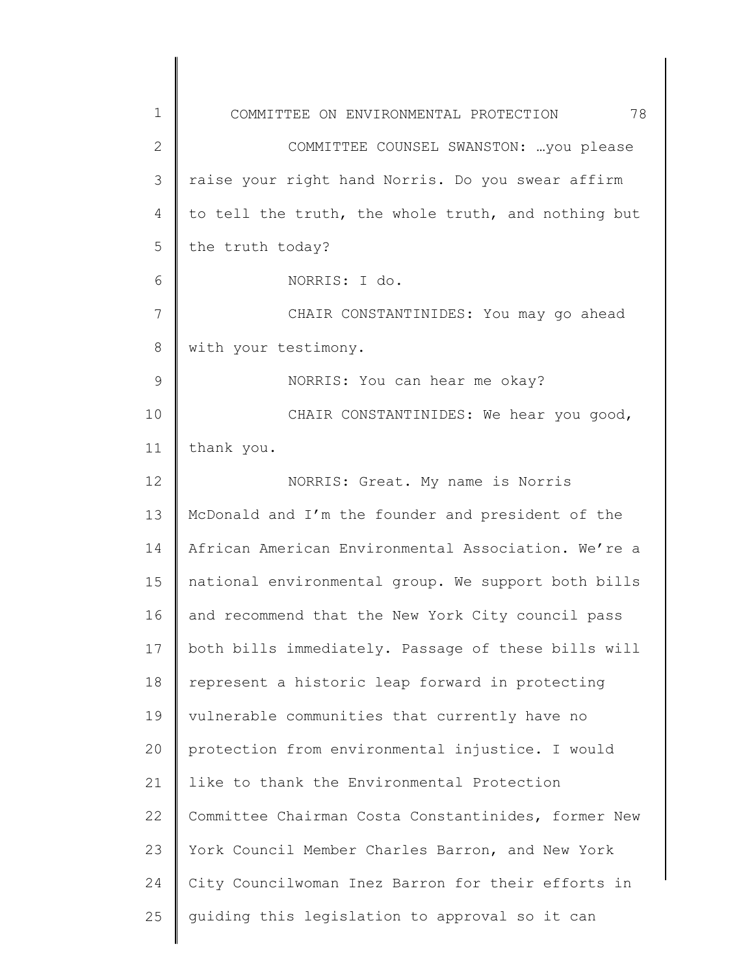| 1             | 78<br>COMMITTEE ON ENVIRONMENTAL PROTECTION         |
|---------------|-----------------------------------------------------|
| $\mathbf{2}$  | COMMITTEE COUNSEL SWANSTON:  you please             |
| 3             | raise your right hand Norris. Do you swear affirm   |
| 4             | to tell the truth, the whole truth, and nothing but |
| 5             | the truth today?                                    |
| 6             | NORRIS: I do.                                       |
| 7             | CHAIR CONSTANTINIDES: You may go ahead              |
| 8             | with your testimony.                                |
| $\mathcal{G}$ | NORRIS: You can hear me okay?                       |
| 10            | CHAIR CONSTANTINIDES: We hear you good,             |
| 11            | thank you.                                          |
| 12            | NORRIS: Great. My name is Norris                    |
| 13            | McDonald and I'm the founder and president of the   |
| 14            | African American Environmental Association. We're a |
| 15            | national environmental group. We support both bills |
| 16            | and recommend that the New York City council pass   |
| 17            | both bills immediately. Passage of these bills will |
| 18            | represent a historic leap forward in protecting     |
| 19            | vulnerable communities that currently have no       |
| 20            | protection from environmental injustice. I would    |
| 21            | like to thank the Environmental Protection          |
| 22            | Committee Chairman Costa Constantinides, former New |
| 23            | York Council Member Charles Barron, and New York    |
| 24            | City Councilwoman Inez Barron for their efforts in  |
| 25            | guiding this legislation to approval so it can      |
|               |                                                     |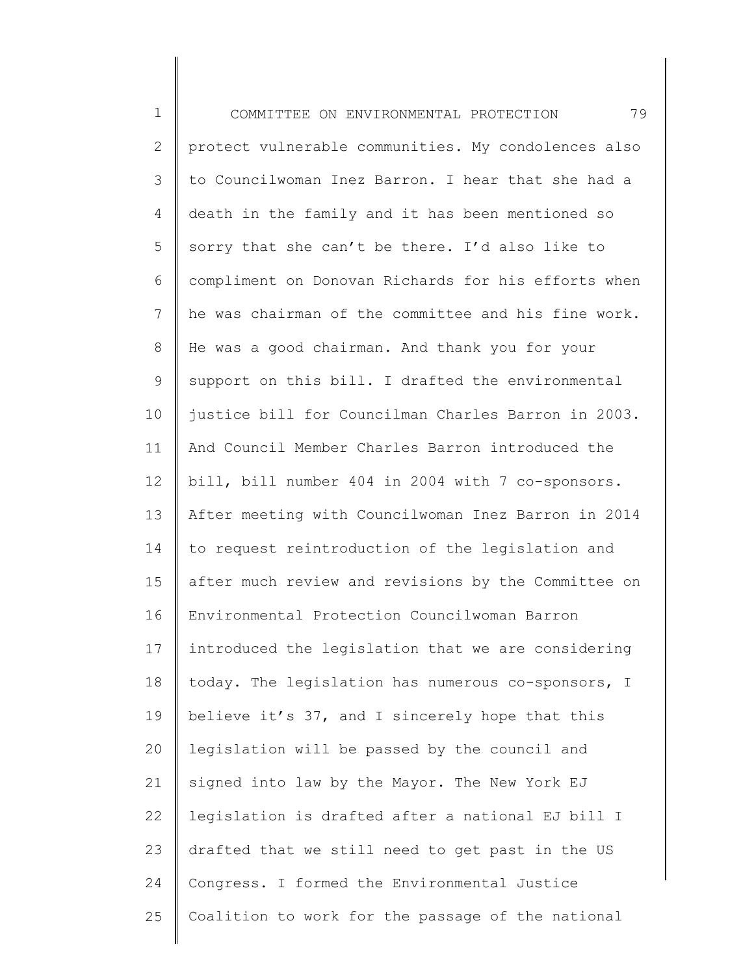| $\mathbf 1$    | 79<br>COMMITTEE ON ENVIRONMENTAL PROTECTION         |
|----------------|-----------------------------------------------------|
| $\mathbf{2}$   | protect vulnerable communities. My condolences also |
| 3              | to Councilwoman Inez Barron. I hear that she had a  |
| 4              | death in the family and it has been mentioned so    |
| 5              | sorry that she can't be there. I'd also like to     |
| 6              | compliment on Donovan Richards for his efforts when |
| $7\phantom{.}$ | he was chairman of the committee and his fine work. |
| $8\,$          | He was a good chairman. And thank you for your      |
| 9              | support on this bill. I drafted the environmental   |
| 10             | justice bill for Councilman Charles Barron in 2003. |
| 11             | And Council Member Charles Barron introduced the    |
| 12             | bill, bill number 404 in 2004 with 7 co-sponsors.   |
| 13             | After meeting with Councilwoman Inez Barron in 2014 |
| 14             | to request reintroduction of the legislation and    |
| 15             | after much review and revisions by the Committee on |
| 16             | Environmental Protection Councilwoman Barron        |
| 17             | introduced the legislation that we are considering  |
| 18             | today. The legislation has numerous co-sponsors, I  |
| 19             | believe it's 37, and I sincerely hope that this     |
| 20             | legislation will be passed by the council and       |
| 21             | signed into law by the Mayor. The New York EJ       |
| 22             | legislation is drafted after a national EJ bill I   |
| 23             | drafted that we still need to get past in the US    |
| 24             | Congress. I formed the Environmental Justice        |
| 25             | Coalition to work for the passage of the national   |
|                |                                                     |

║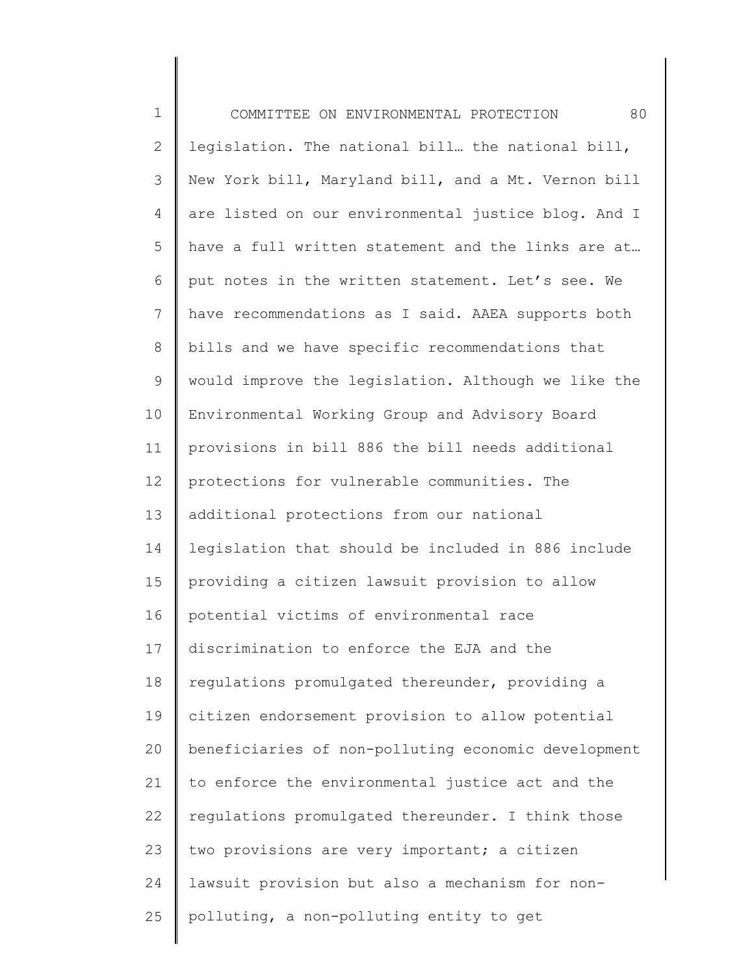| $\mathbf 1$   | 80<br>COMMITTEE ON ENVIRONMENTAL PROTECTION         |
|---------------|-----------------------------------------------------|
| $\mathbf{2}$  | legislation. The national bill. the national bill,  |
| $\mathcal{S}$ | New York bill, Maryland bill, and a Mt. Vernon bill |
| 4             | are listed on our environmental justice blog. And I |
| 5             | have a full written statement and the links are at  |
| 6             | put notes in the written statement. Let's see. We   |
| 7             | have recommendations as I said. AAEA supports both  |
| 8             | bills and we have specific recommendations that     |
| 9             | would improve the legislation. Although we like the |
| 10            | Environmental Working Group and Advisory Board      |
| 11            | provisions in bill 886 the bill needs additional    |
| 12            | protections for vulnerable communities. The         |
| 13            | additional protections from our national            |
| 14            | legislation that should be included in 886 include  |
| 15            | providing a citizen lawsuit provision to allow      |
| 16            | potential victims of environmental race             |
| 17            | discrimination to enforce the EJA and the           |
| 18            | regulations promulgated thereunder, providing a     |
| 19            | citizen endorsement provision to allow potential    |
| 20            | beneficiaries of non-polluting economic development |
| 21            | to enforce the environmental justice act and the    |
| 22            | regulations promulgated thereunder. I think those   |
| 23            | two provisions are very important; a citizen        |
| 24            | lawsuit provision but also a mechanism for non-     |
| 25            | polluting, a non-polluting entity to get            |
|               |                                                     |

║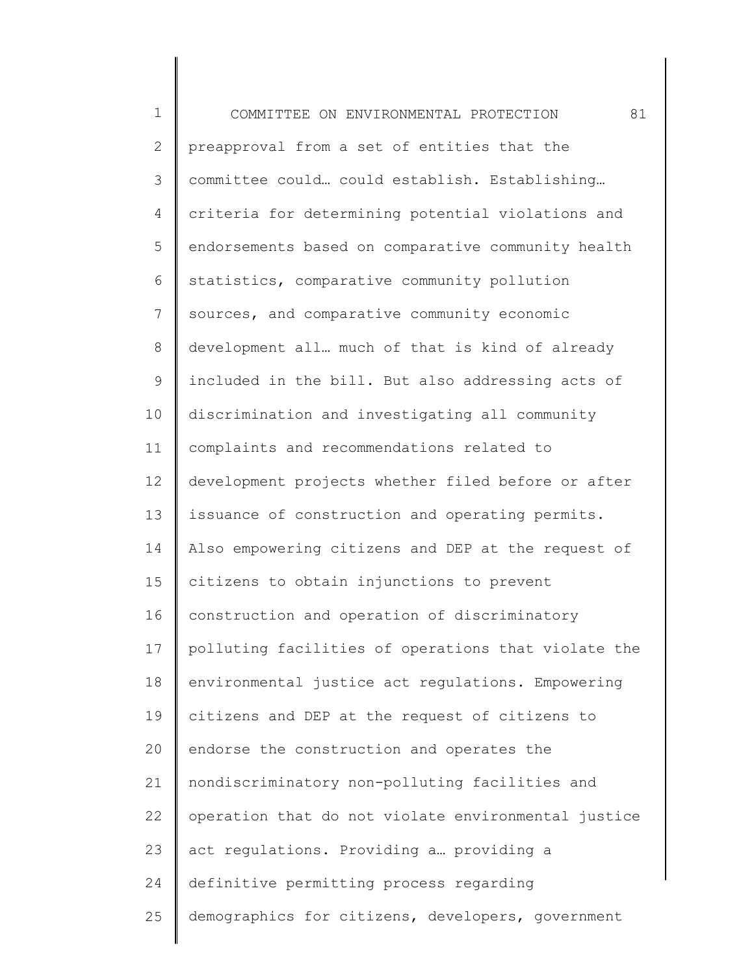| $\mathbf 1$  | 81<br>COMMITTEE ON ENVIRONMENTAL PROTECTION         |
|--------------|-----------------------------------------------------|
| $\mathbf{2}$ | preapproval from a set of entities that the         |
| 3            | committee could could establish. Establishing       |
| 4            | criteria for determining potential violations and   |
| 5            | endorsements based on comparative community health  |
| 6            | statistics, comparative community pollution         |
| 7            | sources, and comparative community economic         |
| 8            | development all much of that is kind of already     |
| 9            | included in the bill. But also addressing acts of   |
| 10           | discrimination and investigating all community      |
| 11           | complaints and recommendations related to           |
| 12           | development projects whether filed before or after  |
| 13           | issuance of construction and operating permits.     |
| 14           | Also empowering citizens and DEP at the request of  |
| 15           | citizens to obtain injunctions to prevent           |
| 16           | construction and operation of discriminatory        |
| 17           | polluting facilities of operations that violate the |
| 18           | environmental justice act regulations. Empowering   |
| 19           | citizens and DEP at the request of citizens to      |
| 20           | endorse the construction and operates the           |
| 21           | nondiscriminatory non-polluting facilities and      |
| 22           | operation that do not violate environmental justice |
| 23           | act regulations. Providing a providing a            |
| 24           | definitive permitting process regarding             |
| 25           | demographics for citizens, developers, government   |
|              |                                                     |

∥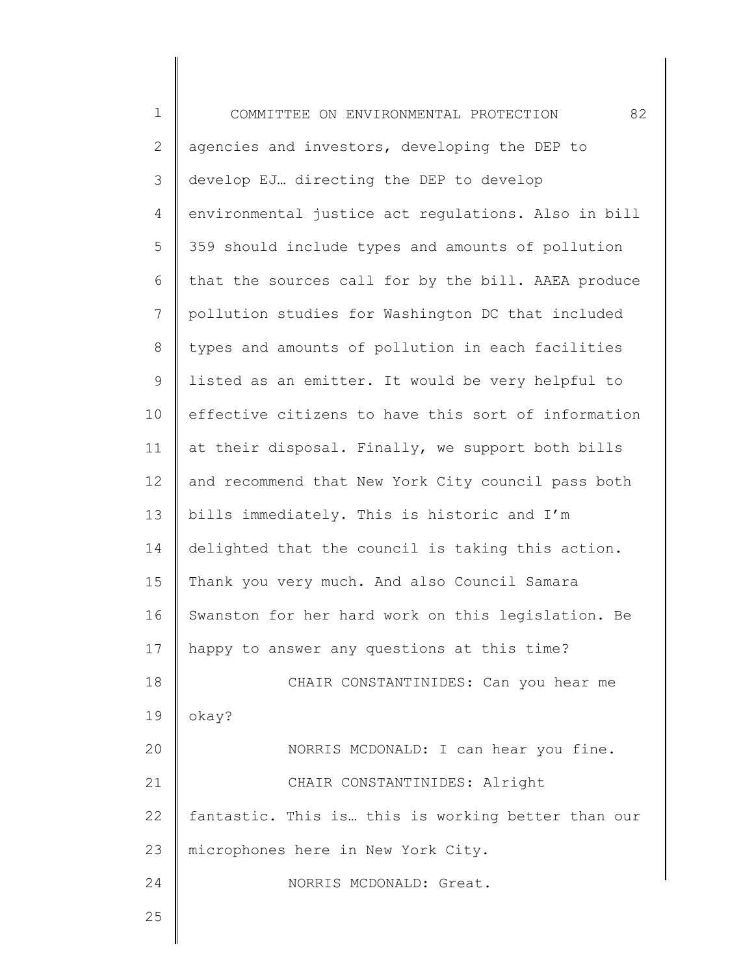| $\mathbf 1$    | 82<br>COMMITTEE ON ENVIRONMENTAL PROTECTION         |
|----------------|-----------------------------------------------------|
| $\mathbf{2}$   | agencies and investors, developing the DEP to       |
| $\mathcal{S}$  | develop EJ directing the DEP to develop             |
| 4              | environmental justice act regulations. Also in bill |
| 5              | 359 should include types and amounts of pollution   |
| 6              | that the sources call for by the bill. AAEA produce |
| $\overline{7}$ | pollution studies for Washington DC that included   |
| $\,8\,$        | types and amounts of pollution in each facilities   |
| $\mathsf 9$    | listed as an emitter. It would be very helpful to   |
| 10             | effective citizens to have this sort of information |
| 11             | at their disposal. Finally, we support both bills   |
| 12             | and recommend that New York City council pass both  |
| 13             | bills immediately. This is historic and I'm         |
| 14             | delighted that the council is taking this action.   |
| 15             | Thank you very much. And also Council Samara        |
| 16             | Swanston for her hard work on this legislation. Be  |
| 17             | happy to answer any questions at this time?         |
| 18             | CHAIR CONSTANTINIDES: Can you hear me               |
| 19             | okay?                                               |
| 20             | NORRIS MCDONALD: I can hear you fine.               |
| 21             | CHAIR CONSTANTINIDES: Alright                       |
| 22             | fantastic. This is this is working better than our  |
| 23             | microphones here in New York City.                  |
| 24             | NORRIS MCDONALD: Great.                             |
| 25             |                                                     |
|                |                                                     |

∥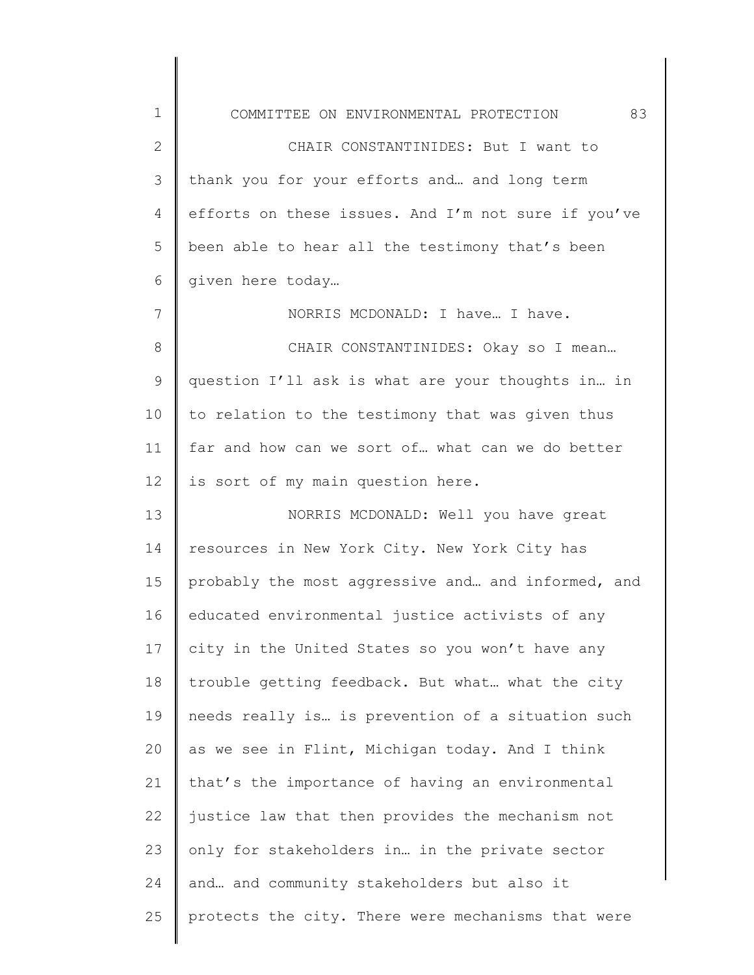1 2 3 4 5 6 7 8 9 10 11 12 13 14 15 16 17 18 19 20 21 22 23 24 25 COMMITTEE ON ENVIRONMENTAL PROTECTION 83 CHAIR CONSTANTINIDES: But I want to thank you for your efforts and… and long term efforts on these issues. And I'm not sure if you've been able to hear all the testimony that's been given here today… NORRIS MCDONALD: I have… I have. CHAIR CONSTANTINIDES: Okay so I mean… question I'll ask is what are your thoughts in… in to relation to the testimony that was given thus far and how can we sort of… what can we do better is sort of my main question here. NORRIS MCDONALD: Well you have great resources in New York City. New York City has probably the most aggressive and… and informed, and educated environmental justice activists of any city in the United States so you won't have any trouble getting feedback. But what… what the city needs really is… is prevention of a situation such as we see in Flint, Michigan today. And I think that's the importance of having an environmental justice law that then provides the mechanism not only for stakeholders in… in the private sector and… and community stakeholders but also it protects the city. There were mechanisms that were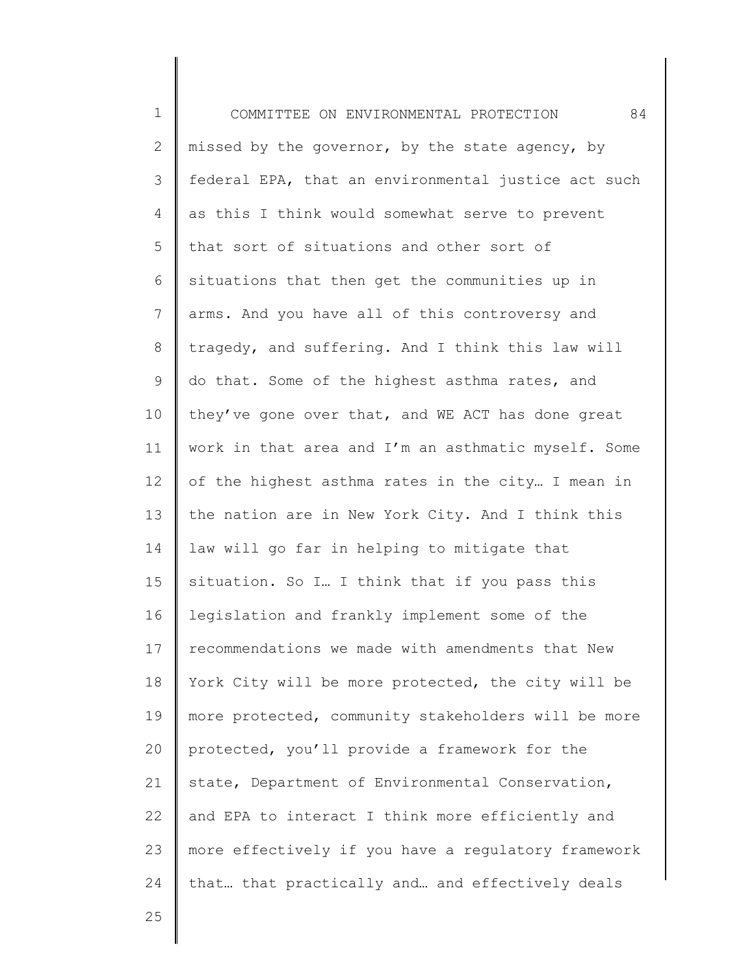1 2 3 4 5 6 7 8 9 10 11 12 13 14 15 16 17 18 19 20 21 22 23 24 COMMITTEE ON ENVIRONMENTAL PROTECTION 84 missed by the governor, by the state agency, by federal EPA, that an environmental justice act such as this I think would somewhat serve to prevent that sort of situations and other sort of situations that then get the communities up in arms. And you have all of this controversy and tragedy, and suffering. And I think this law will do that. Some of the highest asthma rates, and they've gone over that, and WE ACT has done great work in that area and I'm an asthmatic myself. Some of the highest asthma rates in the city… I mean in the nation are in New York City. And I think this law will go far in helping to mitigate that situation. So I… I think that if you pass this legislation and frankly implement some of the recommendations we made with amendments that New York City will be more protected, the city will be more protected, community stakeholders will be more protected, you'll provide a framework for the state, Department of Environmental Conservation, and EPA to interact I think more efficiently and more effectively if you have a regulatory framework that… that practically and… and effectively deals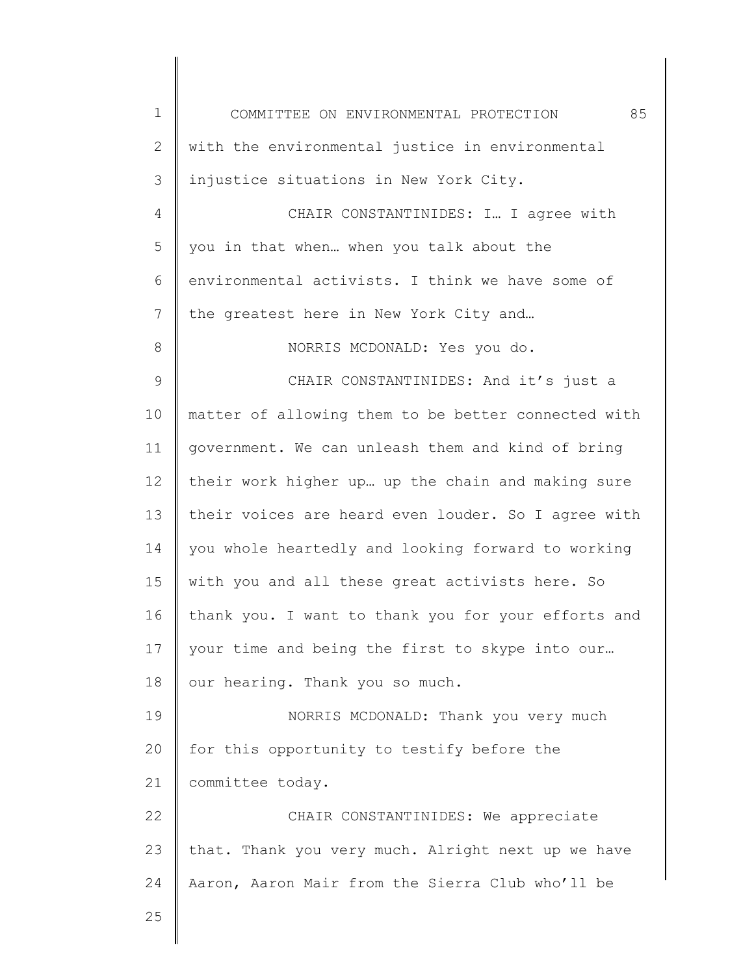| $\mathbf 1$   | 85<br>COMMITTEE ON ENVIRONMENTAL PROTECTION         |
|---------------|-----------------------------------------------------|
| $\mathbf{2}$  | with the environmental justice in environmental     |
| 3             | injustice situations in New York City.              |
| 4             | CHAIR CONSTANTINIDES: I I agree with                |
| 5             | you in that when when you talk about the            |
| 6             | environmental activists. I think we have some of    |
| 7             | the greatest here in New York City and              |
| 8             | NORRIS MCDONALD: Yes you do.                        |
| $\mathcal{G}$ | CHAIR CONSTANTINIDES: And it's just a               |
| 10            | matter of allowing them to be better connected with |
| 11            | government. We can unleash them and kind of bring   |
| 12            | their work higher up up the chain and making sure   |
| 13            | their voices are heard even louder. So I agree with |
| 14            | you whole heartedly and looking forward to working  |
| 15            | with you and all these great activists here. So     |
| 16            | thank you. I want to thank you for your efforts and |
| 17            | your time and being the first to skype into our     |
| 18            | our hearing. Thank you so much.                     |
| 19            | NORRIS MCDONALD: Thank you very much                |
| 20            | for this opportunity to testify before the          |
| 21            | committee today.                                    |
| 22            | CHAIR CONSTANTINIDES: We appreciate                 |
| 23            | that. Thank you very much. Alright next up we have  |
| 24            | Aaron, Aaron Mair from the Sierra Club who'll be    |
| 25            |                                                     |
|               |                                                     |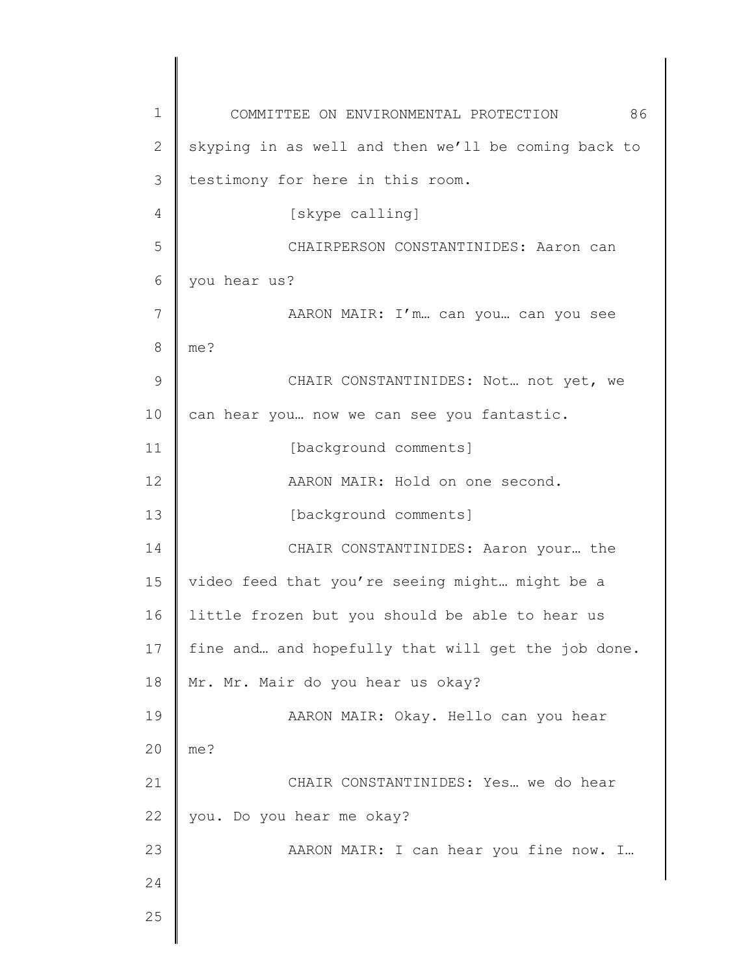1 2 3 4 5 6 7 8 9 10 11 12 13 14 15 16 17 18 19 20 21 22 23 24 25 COMMITTEE ON ENVIRONMENTAL PROTECTION 86 skyping in as well and then we'll be coming back to testimony for here in this room. [skype calling] CHAIRPERSON CONSTANTINIDES: Aaron can you hear us? AARON MAIR: I'm… can you… can you see me? CHAIR CONSTANTINIDES: Not… not yet, we can hear you… now we can see you fantastic. [background comments] AARON MAIR: Hold on one second. [background comments] CHAIR CONSTANTINIDES: Aaron your… the video feed that you're seeing might… might be a little frozen but you should be able to hear us fine and… and hopefully that will get the job done. Mr. Mr. Mair do you hear us okay? AARON MAIR: Okay. Hello can you hear me? CHAIR CONSTANTINIDES: Yes… we do hear you. Do you hear me okay? AARON MAIR: I can hear you fine now. I…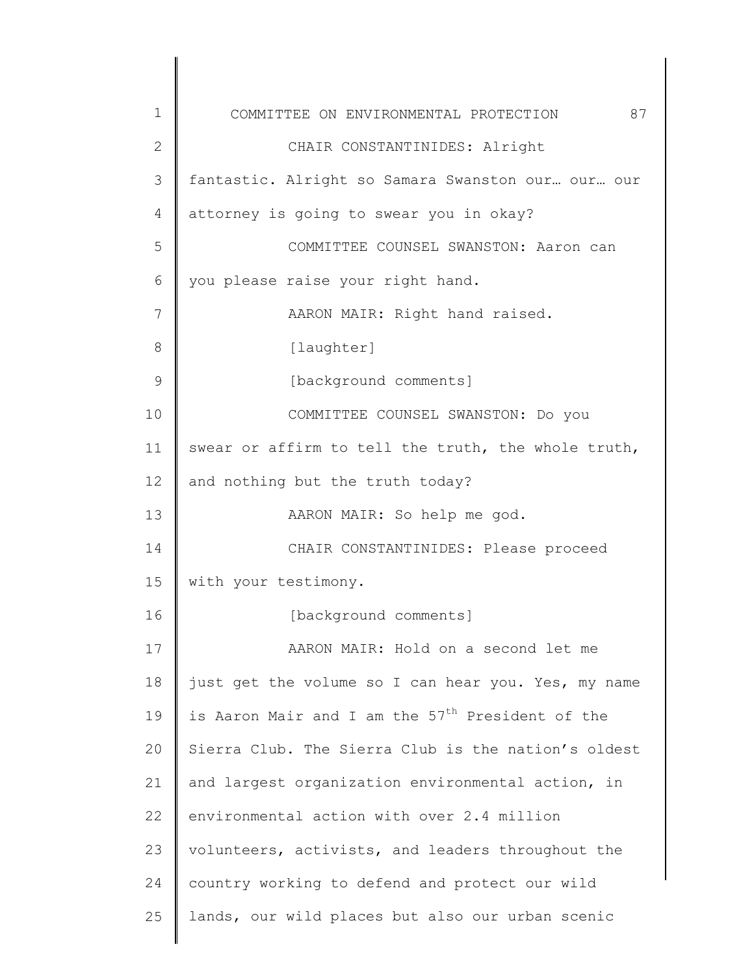1 2 3 4 5 6 7 8 9 10 11 12 13 14 15 16 17 18 19 20 21 22 23 24 25 COMMITTEE ON ENVIRONMENTAL PROTECTION 87 CHAIR CONSTANTINIDES: Alright fantastic. Alright so Samara Swanston our… our… our attorney is going to swear you in okay? COMMITTEE COUNSEL SWANSTON: Aaron can you please raise your right hand. AARON MAIR: Right hand raised. [laughter] [background comments] COMMITTEE COUNSEL SWANSTON: Do you swear or affirm to tell the truth, the whole truth, and nothing but the truth today? AARON MAIR: So help me god. CHAIR CONSTANTINIDES: Please proceed with your testimony. [background comments] AARON MAIR: Hold on a second let me just get the volume so I can hear you. Yes, my name is Aaron Mair and I am the  $57<sup>th</sup>$  President of the Sierra Club. The Sierra Club is the nation's oldest and largest organization environmental action, in environmental action with over 2.4 million volunteers, activists, and leaders throughout the country working to defend and protect our wild lands, our wild places but also our urban scenic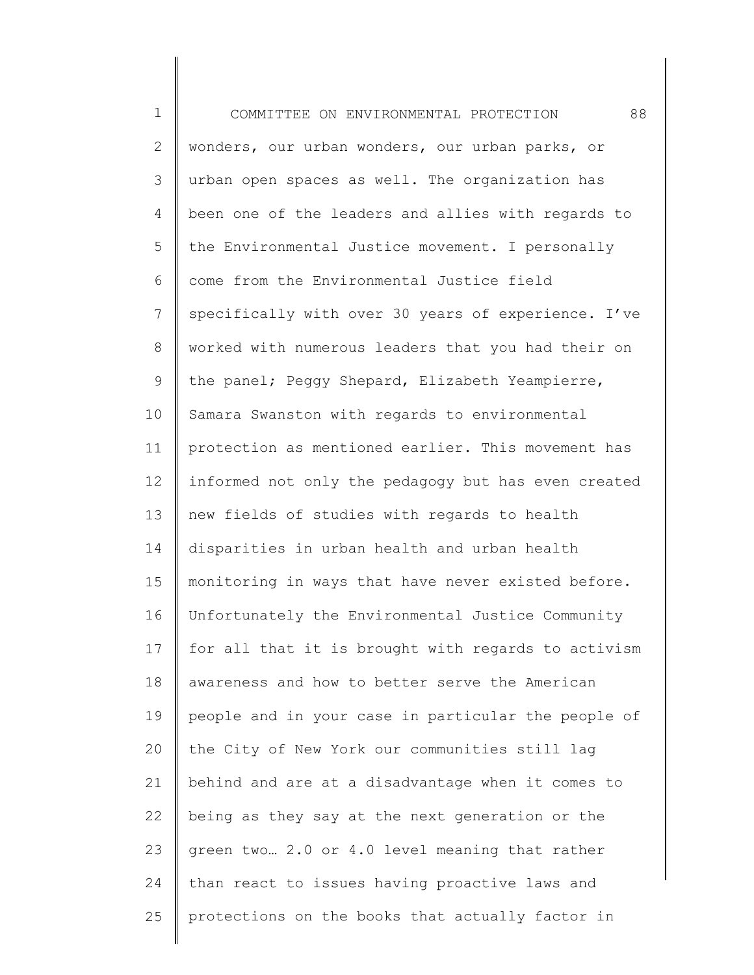1 2 3 4 5 6 7 8 9 10 11 12 13 14 15 16 17 18 19 20 21 22 23 24 25 COMMITTEE ON ENVIRONMENTAL PROTECTION 88 wonders, our urban wonders, our urban parks, or urban open spaces as well. The organization has been one of the leaders and allies with regards to the Environmental Justice movement. I personally come from the Environmental Justice field specifically with over 30 years of experience. I've worked with numerous leaders that you had their on the panel; Peggy Shepard, Elizabeth Yeampierre, Samara Swanston with regards to environmental protection as mentioned earlier. This movement has informed not only the pedagogy but has even created new fields of studies with regards to health disparities in urban health and urban health monitoring in ways that have never existed before. Unfortunately the Environmental Justice Community for all that it is brought with regards to activism awareness and how to better serve the American people and in your case in particular the people of the City of New York our communities still lag behind and are at a disadvantage when it comes to being as they say at the next generation or the green two… 2.0 or 4.0 level meaning that rather than react to issues having proactive laws and protections on the books that actually factor in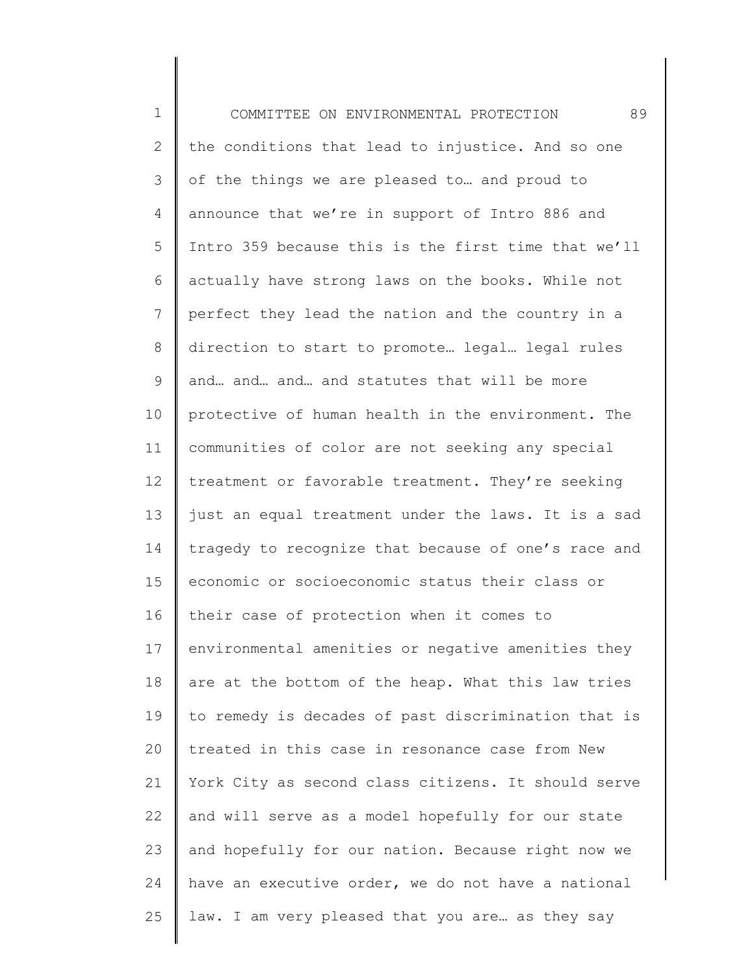1 2 3 4 5 6 7 8 9 10 11 12 13 14 15 16 17 18 19 20 21 22 23 24 25 COMMITTEE ON ENVIRONMENTAL PROTECTION 89 the conditions that lead to injustice. And so one of the things we are pleased to… and proud to announce that we're in support of Intro 886 and Intro 359 because this is the first time that we'll actually have strong laws on the books. While not perfect they lead the nation and the country in a direction to start to promote… legal… legal rules and… and… and… and statutes that will be more protective of human health in the environment. The communities of color are not seeking any special treatment or favorable treatment. They're seeking just an equal treatment under the laws. It is a sad tragedy to recognize that because of one's race and economic or socioeconomic status their class or their case of protection when it comes to environmental amenities or negative amenities they are at the bottom of the heap. What this law tries to remedy is decades of past discrimination that is treated in this case in resonance case from New York City as second class citizens. It should serve and will serve as a model hopefully for our state and hopefully for our nation. Because right now we have an executive order, we do not have a national law. I am very pleased that you are… as they say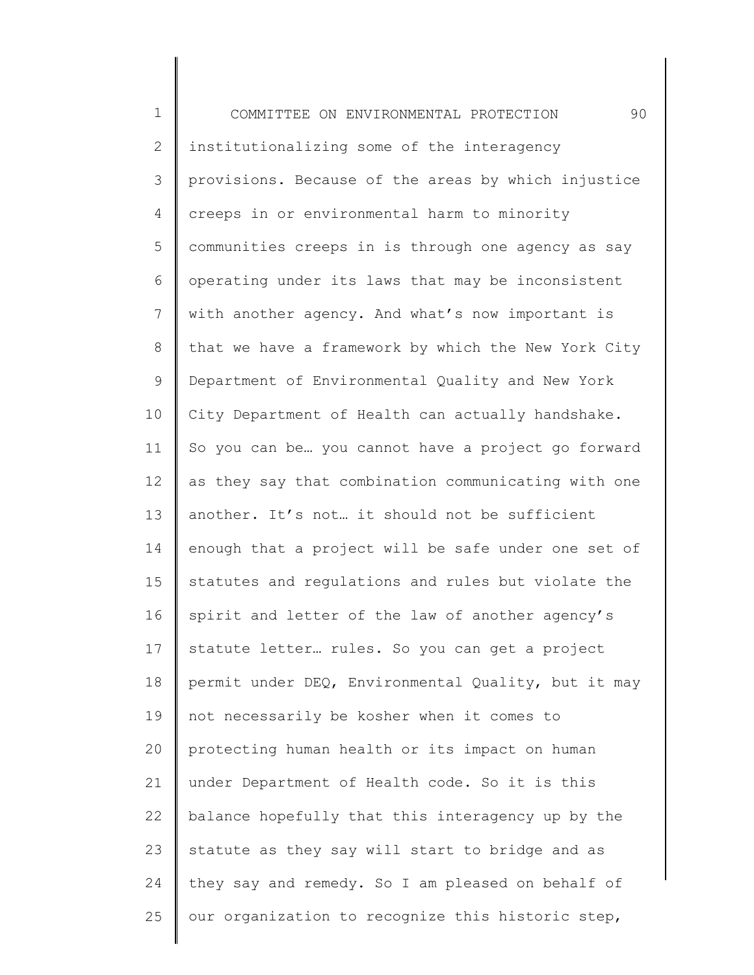1 2 3 4 5 6 7 8 9 10 11 12 13 14 15 16 17 18 19 20 21 22 23 24 25 COMMITTEE ON ENVIRONMENTAL PROTECTION 90 institutionalizing some of the interagency provisions. Because of the areas by which injustice creeps in or environmental harm to minority communities creeps in is through one agency as say operating under its laws that may be inconsistent with another agency. And what's now important is that we have a framework by which the New York City Department of Environmental Quality and New York City Department of Health can actually handshake. So you can be… you cannot have a project go forward as they say that combination communicating with one another. It's not… it should not be sufficient enough that a project will be safe under one set of statutes and regulations and rules but violate the spirit and letter of the law of another agency's statute letter… rules. So you can get a project permit under DEQ, Environmental Quality, but it may not necessarily be kosher when it comes to protecting human health or its impact on human under Department of Health code. So it is this balance hopefully that this interagency up by the statute as they say will start to bridge and as they say and remedy. So I am pleased on behalf of our organization to recognize this historic step,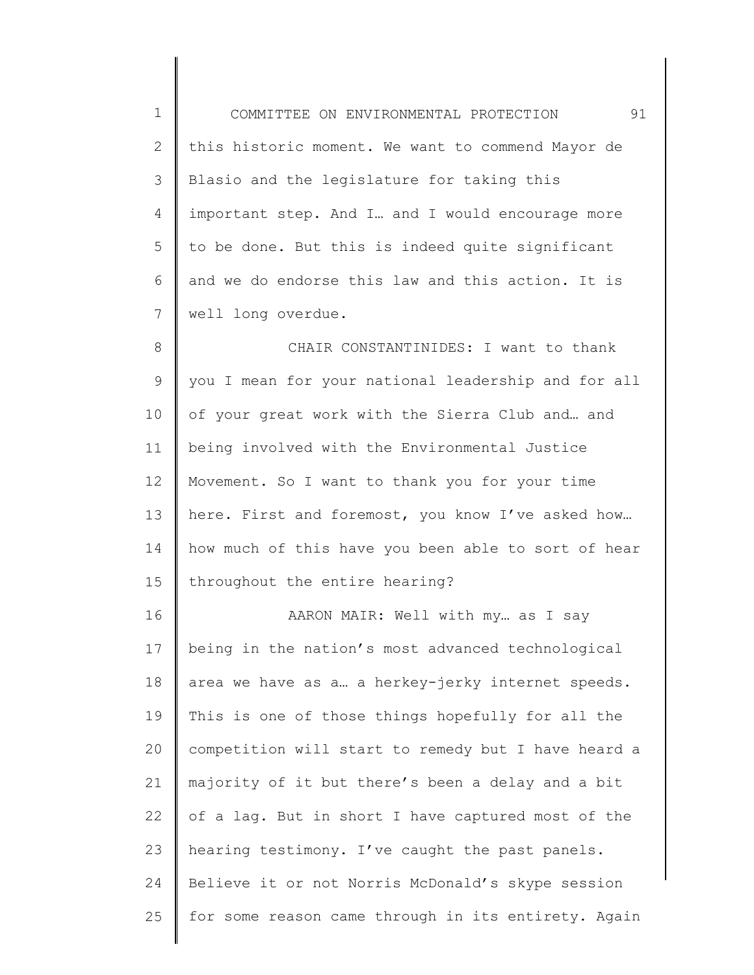| $\mathbf 1$ | 91<br>COMMITTEE ON ENVIRONMENTAL PROTECTION         |
|-------------|-----------------------------------------------------|
| 2           | this historic moment. We want to commend Mayor de   |
| 3           | Blasio and the legislature for taking this          |
| 4           | important step. And I and I would encourage more    |
| 5           | to be done. But this is indeed quite significant    |
| 6           | and we do endorse this law and this action. It is   |
| 7           | well long overdue.                                  |
| 8           | CHAIR CONSTANTINIDES: I want to thank               |
| $\mathsf 9$ | you I mean for your national leadership and for all |
| 10          | of your great work with the Sierra Club and and     |
| 11          | being involved with the Environmental Justice       |
| 12          | Movement. So I want to thank you for your time      |
| 13          | here. First and foremost, you know I've asked how   |
| 14          | how much of this have you been able to sort of hear |
| 15          | throughout the entire hearing?                      |
| 16          | AARON MAIR: Well with my as I say                   |
| 17          | being in the nation's most advanced technological   |
| 18          | area we have as a a herkey-jerky internet speeds.   |
| 19          | This is one of those things hopefully for all the   |
| 20          | competition will start to remedy but I have heard a |
| 21          | majority of it but there's been a delay and a bit   |
| 22          | of a lag. But in short I have captured most of the  |
| 23          | hearing testimony. I've caught the past panels.     |
| 24          | Believe it or not Norris McDonald's skype session   |
| 25          | for some reason came through in its entirety. Again |
|             |                                                     |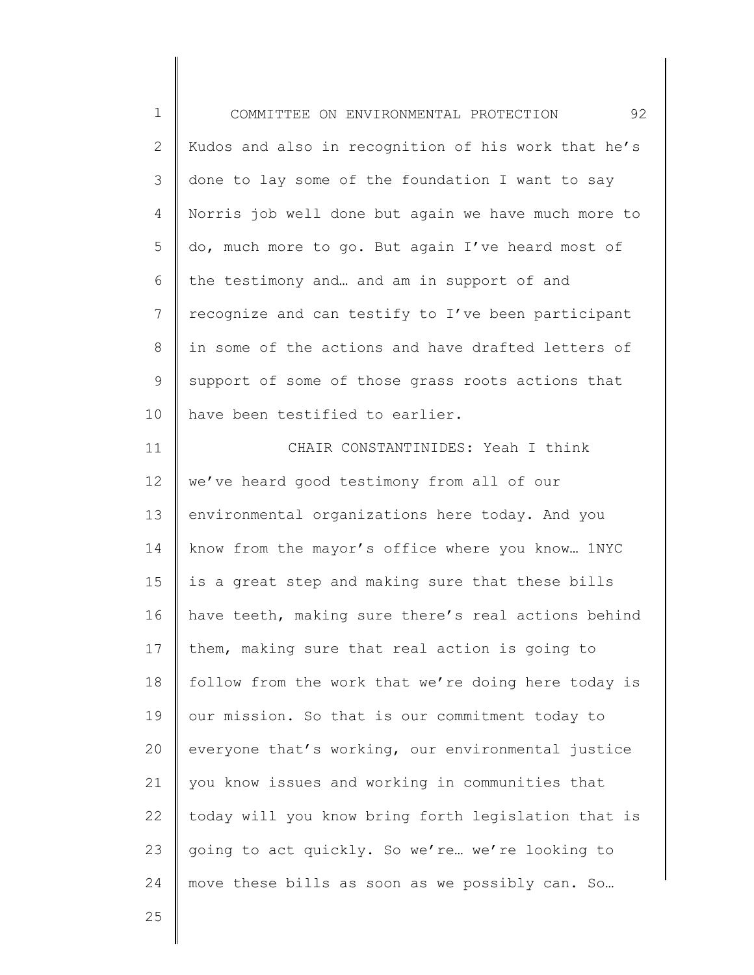1 2 3 4 5 6 7 8 9 10 11 12 13 14 15 16 17 18 19 20 21 22 23 24 COMMITTEE ON ENVIRONMENTAL PROTECTION 92 Kudos and also in recognition of his work that he's done to lay some of the foundation I want to say Norris job well done but again we have much more to do, much more to go. But again I've heard most of the testimony and… and am in support of and recognize and can testify to I've been participant in some of the actions and have drafted letters of support of some of those grass roots actions that have been testified to earlier. CHAIR CONSTANTINIDES: Yeah I think we've heard good testimony from all of our environmental organizations here today. And you know from the mayor's office where you know… 1NYC is a great step and making sure that these bills have teeth, making sure there's real actions behind them, making sure that real action is going to follow from the work that we're doing here today is our mission. So that is our commitment today to everyone that's working, our environmental justice you know issues and working in communities that today will you know bring forth legislation that is going to act quickly. So we're… we're looking to move these bills as soon as we possibly can. So…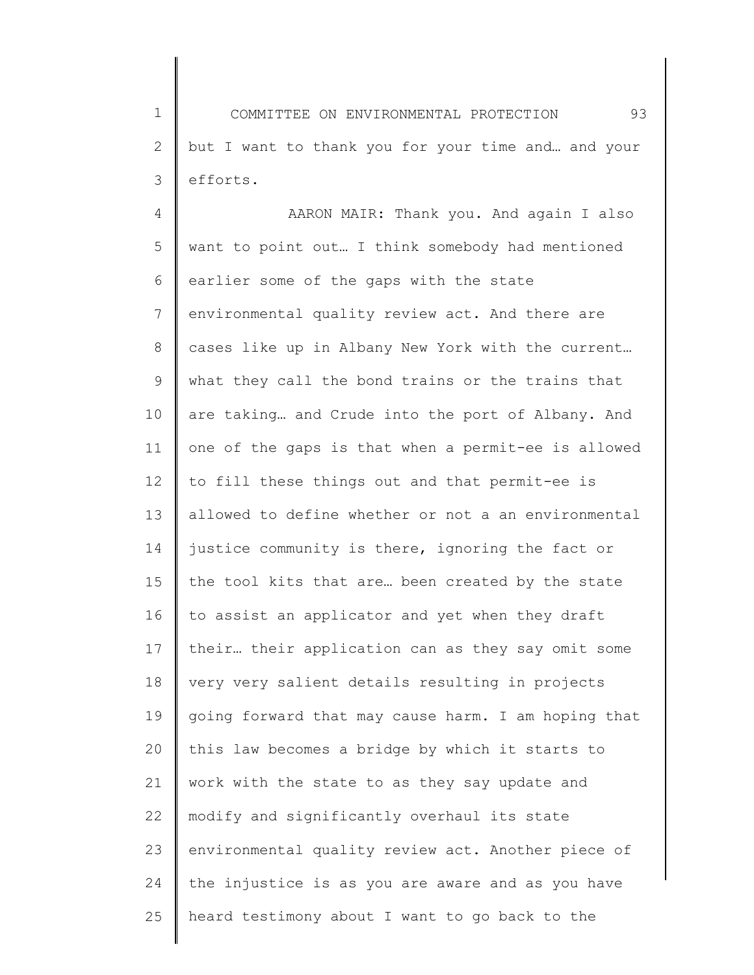1 2 3 COMMITTEE ON ENVIRONMENTAL PROTECTION 93 but I want to thank you for your time and… and your efforts.

4 5 6 7 8 9 10 11 12 13 14 15 16 17 18 19 20 21 22 23 24 25 AARON MAIR: Thank you. And again I also want to point out… I think somebody had mentioned earlier some of the gaps with the state environmental quality review act. And there are cases like up in Albany New York with the current… what they call the bond trains or the trains that are taking… and Crude into the port of Albany. And one of the gaps is that when a permit-ee is allowed to fill these things out and that permit-ee is allowed to define whether or not a an environmental justice community is there, ignoring the fact or the tool kits that are… been created by the state to assist an applicator and yet when they draft their… their application can as they say omit some very very salient details resulting in projects going forward that may cause harm. I am hoping that this law becomes a bridge by which it starts to work with the state to as they say update and modify and significantly overhaul its state environmental quality review act. Another piece of the injustice is as you are aware and as you have heard testimony about I want to go back to the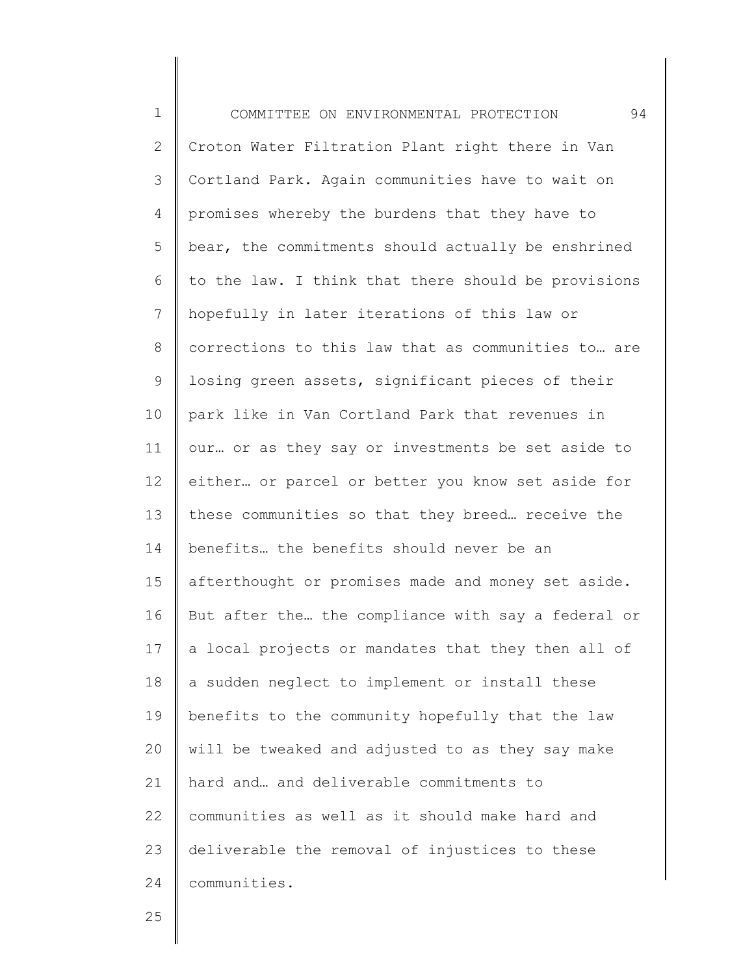1 2 3 4 5 6 7 8 9 10 11 12 13 14 15 16 17 18 19 20 21 22 23 24 COMMITTEE ON ENVIRONMENTAL PROTECTION 94 Croton Water Filtration Plant right there in Van Cortland Park. Again communities have to wait on promises whereby the burdens that they have to bear, the commitments should actually be enshrined to the law. I think that there should be provisions hopefully in later iterations of this law or corrections to this law that as communities to… are losing green assets, significant pieces of their park like in Van Cortland Park that revenues in our… or as they say or investments be set aside to either… or parcel or better you know set aside for these communities so that they breed… receive the benefits… the benefits should never be an afterthought or promises made and money set aside. But after the… the compliance with say a federal or a local projects or mandates that they then all of a sudden neglect to implement or install these benefits to the community hopefully that the law will be tweaked and adjusted to as they say make hard and… and deliverable commitments to communities as well as it should make hard and deliverable the removal of injustices to these communities.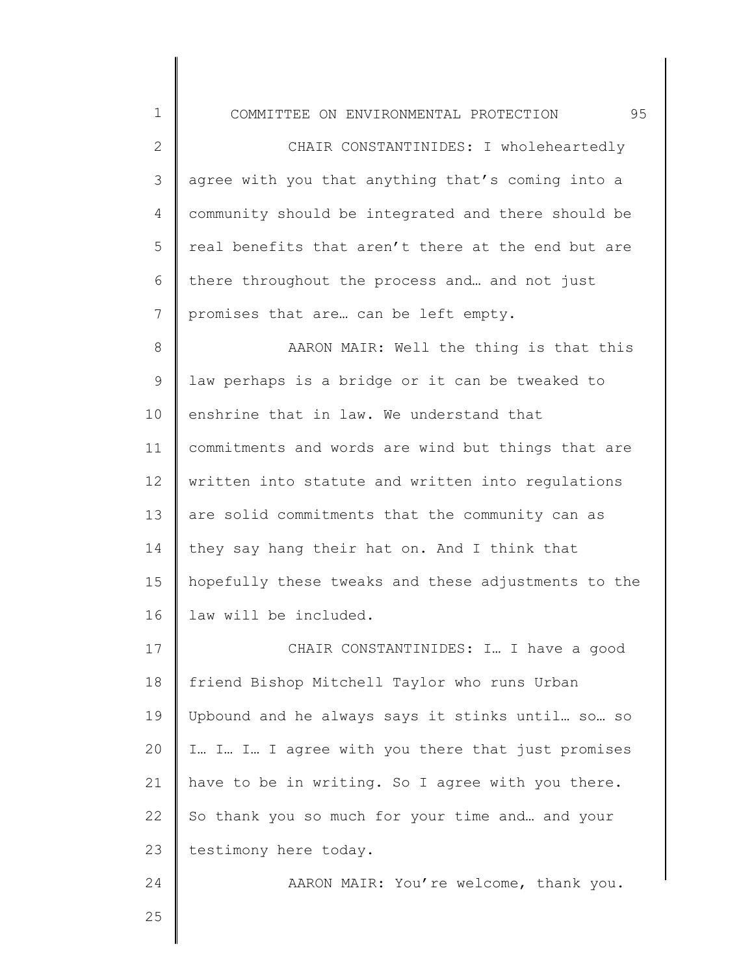COMMITTEE ON ENVIRONMENTAL PROTECTION 95

2 3 4 5 6 7 CHAIR CONSTANTINIDES: I wholeheartedly agree with you that anything that's coming into a community should be integrated and there should be real benefits that aren't there at the end but are there throughout the process and… and not just promises that are… can be left empty.

8 9 10 11 12 13 14 15 16 AARON MAIR: Well the thing is that this law perhaps is a bridge or it can be tweaked to enshrine that in law. We understand that commitments and words are wind but things that are written into statute and written into regulations are solid commitments that the community can as they say hang their hat on. And I think that hopefully these tweaks and these adjustments to the law will be included.

17 18 19 20 21 22 23 CHAIR CONSTANTINIDES: I… I have a good friend Bishop Mitchell Taylor who runs Urban Upbound and he always says it stinks until… so… so I… I… I… I agree with you there that just promises have to be in writing. So I agree with you there. So thank you so much for your time and… and your testimony here today.

AARON MAIR: You're welcome, thank you.

25

24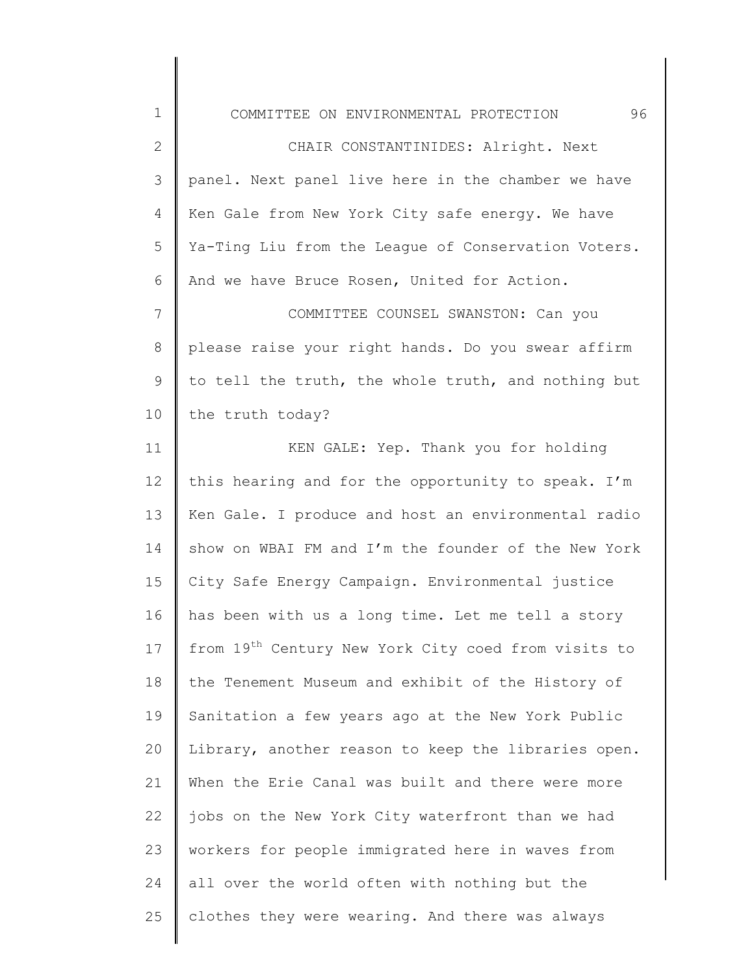| $1\,$          | 96<br>COMMITTEE ON ENVIRONMENTAL PROTECTION                     |
|----------------|-----------------------------------------------------------------|
| $\overline{2}$ | CHAIR CONSTANTINIDES: Alright. Next                             |
| 3              | panel. Next panel live here in the chamber we have              |
| 4              | Ken Gale from New York City safe energy. We have                |
| 5              | Ya-Ting Liu from the League of Conservation Voters.             |
| 6              | And we have Bruce Rosen, United for Action.                     |
| $7\phantom{.}$ | COMMITTEE COUNSEL SWANSTON: Can you                             |
| 8              | please raise your right hands. Do you swear affirm              |
| 9              | to tell the truth, the whole truth, and nothing but             |
| 10             | the truth today?                                                |
| 11             | KEN GALE: Yep. Thank you for holding                            |
| 12             | this hearing and for the opportunity to speak. I'm              |
| 13             | Ken Gale. I produce and host an environmental radio             |
| 14             | show on WBAI FM and I'm the founder of the New York             |
| 15             | City Safe Energy Campaign. Environmental justice                |
| 16             | has been with us a long time. Let me tell a story               |
| 17             | from 19 <sup>th</sup> Century New York City coed from visits to |
| 18             | the Tenement Museum and exhibit of the History of               |
| 19             | Sanitation a few years ago at the New York Public               |
| 20             | Library, another reason to keep the libraries open.             |
| 21             | When the Erie Canal was built and there were more               |
| 22             | jobs on the New York City waterfront than we had                |
| 23             | workers for people immigrated here in waves from                |
| 24             | all over the world often with nothing but the                   |
| 25             | clothes they were wearing. And there was always                 |

║

 $\mathsf{l}$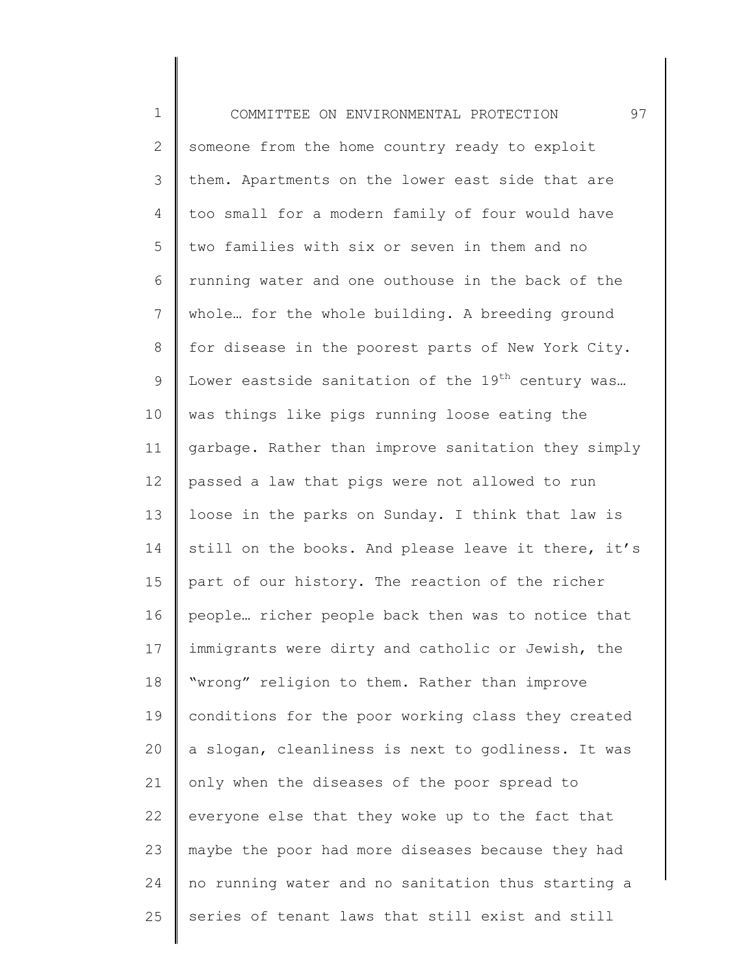| $\mathbf 1$    | 97<br>COMMITTEE ON ENVIRONMENTAL PROTECTION                   |
|----------------|---------------------------------------------------------------|
| $\mathbf{2}$   | someone from the home country ready to exploit                |
| $\mathcal{S}$  | them. Apartments on the lower east side that are              |
| 4              | too small for a modern family of four would have              |
| 5              | two families with six or seven in them and no                 |
| 6              | running water and one outhouse in the back of the             |
| $\overline{7}$ | whole for the whole building. A breeding ground               |
| 8              | for disease in the poorest parts of New York City.            |
| 9              | Lower eastside sanitation of the 19 <sup>th</sup> century was |
| 10             | was things like pigs running loose eating the                 |
| 11             | garbage. Rather than improve sanitation they simply           |
| 12             | passed a law that pigs were not allowed to run                |
| 13             | loose in the parks on Sunday. I think that law is             |
| 14             | still on the books. And please leave it there, it's           |
| 15             | part of our history. The reaction of the richer               |
| 16             | people richer people back then was to notice that             |
| 17             | immigrants were dirty and catholic or Jewish, the             |
| 18             | "wrong" religion to them. Rather than improve                 |
| 19             | conditions for the poor working class they created            |
| 20             | a slogan, cleanliness is next to godliness. It was            |
| 21             | only when the diseases of the poor spread to                  |
| 22             | everyone else that they woke up to the fact that              |
| 23             | maybe the poor had more diseases because they had             |
| 24             | no running water and no sanitation thus starting a            |
| 25             | series of tenant laws that still exist and still              |
|                |                                                               |

║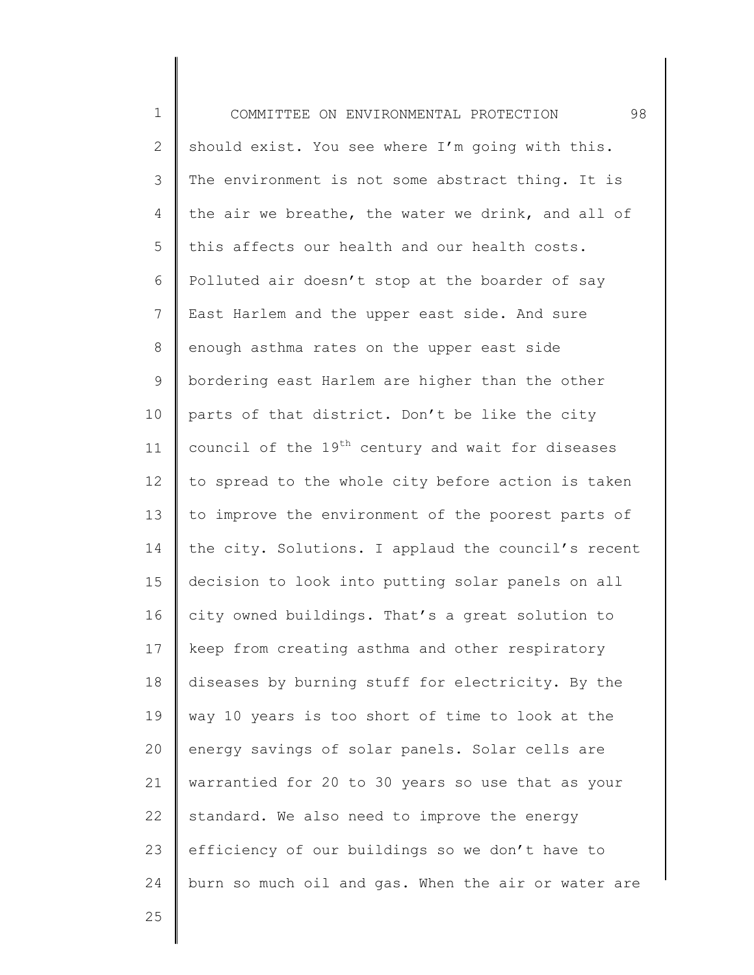| $\mathbf 1$   | 98<br>COMMITTEE ON ENVIRONMENTAL PROTECTION                   |
|---------------|---------------------------------------------------------------|
| $\mathbf{2}$  | should exist. You see where I'm going with this.              |
| $\mathcal{S}$ | The environment is not some abstract thing. It is             |
| 4             | the air we breathe, the water we drink, and all of            |
| 5             | this affects our health and our health costs.                 |
| 6             | Polluted air doesn't stop at the boarder of say               |
| 7             | East Harlem and the upper east side. And sure                 |
| $8\,$         | enough asthma rates on the upper east side                    |
| 9             | bordering east Harlem are higher than the other               |
| 10            | parts of that district. Don't be like the city                |
| 11            | council of the 19 <sup>th</sup> century and wait for diseases |
| 12            | to spread to the whole city before action is taken            |
| 13            | to improve the environment of the poorest parts of            |
| 14            | the city. Solutions. I applaud the council's recent           |
| 15            | decision to look into putting solar panels on all             |
| 16            | city owned buildings. That's a great solution to              |
| 17            | keep from creating asthma and other respiratory               |
| 18            | diseases by burning stuff for electricity. By the             |
| 19            | way 10 years is too short of time to look at the              |
| 20            | energy savings of solar panels. Solar cells are               |
| 21            | warrantied for 20 to 30 years so use that as your             |
| 22            | standard. We also need to improve the energy                  |
| 23            | efficiency of our buildings so we don't have to               |
| 24            | burn so much oil and gas. When the air or water are           |
|               |                                                               |

25

Ι

 $\mathsf I$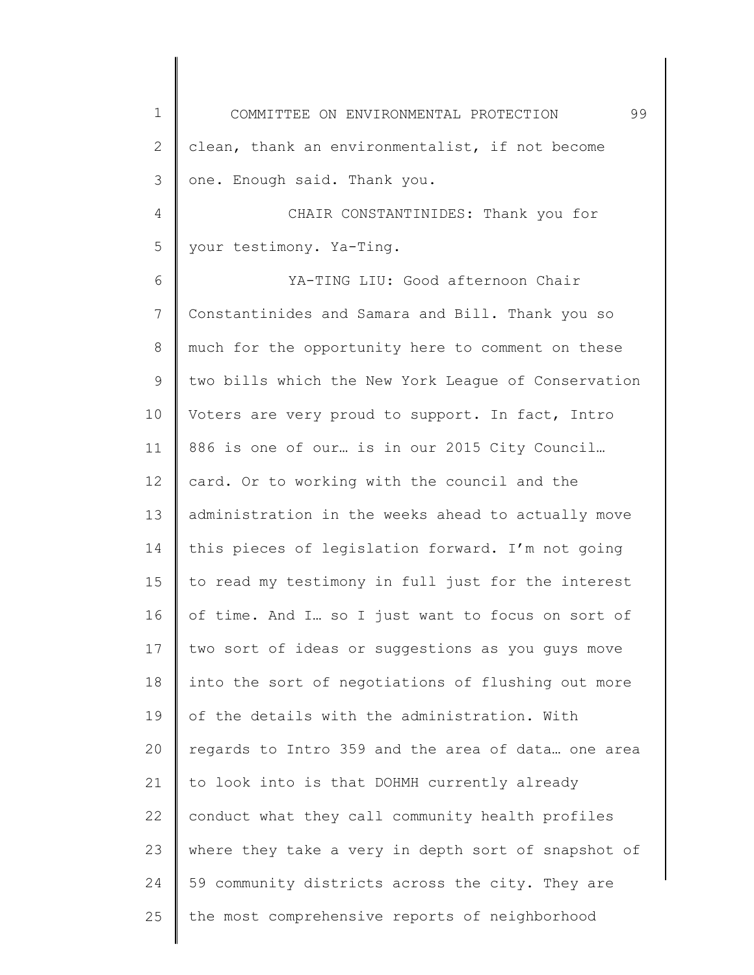1 2 3 4 5 6 7 8 9 10 11 12 13 14 15 16 17 18 19 20 21 22 23 24 25 COMMITTEE ON ENVIRONMENTAL PROTECTION 99 clean, thank an environmentalist, if not become one. Enough said. Thank you. CHAIR CONSTANTINIDES: Thank you for your testimony. Ya-Ting. YA-TING LIU: Good afternoon Chair Constantinides and Samara and Bill. Thank you so much for the opportunity here to comment on these two bills which the New York League of Conservation Voters are very proud to support. In fact, Intro 886 is one of our… is in our 2015 City Council… card. Or to working with the council and the administration in the weeks ahead to actually move this pieces of legislation forward. I'm not going to read my testimony in full just for the interest of time. And I… so I just want to focus on sort of two sort of ideas or suggestions as you guys move into the sort of negotiations of flushing out more of the details with the administration. With regards to Intro 359 and the area of data… one area to look into is that DOHMH currently already conduct what they call community health profiles where they take a very in depth sort of snapshot of 59 community districts across the city. They are the most comprehensive reports of neighborhood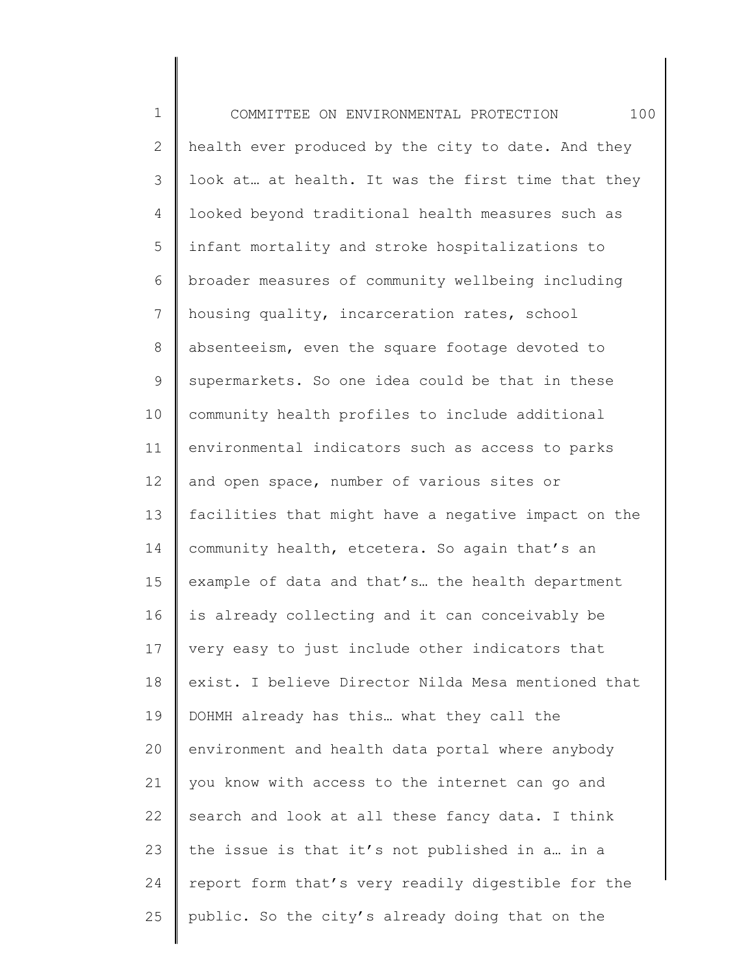1 2 3 4 5 6 7 8 9 10 11 12 13 14 15 16 17 18 19 20 21 22 23 24 25 COMMITTEE ON ENVIRONMENTAL PROTECTION 100 health ever produced by the city to date. And they look at… at health. It was the first time that they looked beyond traditional health measures such as infant mortality and stroke hospitalizations to broader measures of community wellbeing including housing quality, incarceration rates, school absenteeism, even the square footage devoted to supermarkets. So one idea could be that in these community health profiles to include additional environmental indicators such as access to parks and open space, number of various sites or facilities that might have a negative impact on the community health, etcetera. So again that's an example of data and that's… the health department is already collecting and it can conceivably be very easy to just include other indicators that exist. I believe Director Nilda Mesa mentioned that DOHMH already has this… what they call the environment and health data portal where anybody you know with access to the internet can go and search and look at all these fancy data. I think the issue is that it's not published in a… in a report form that's very readily digestible for the public. So the city's already doing that on the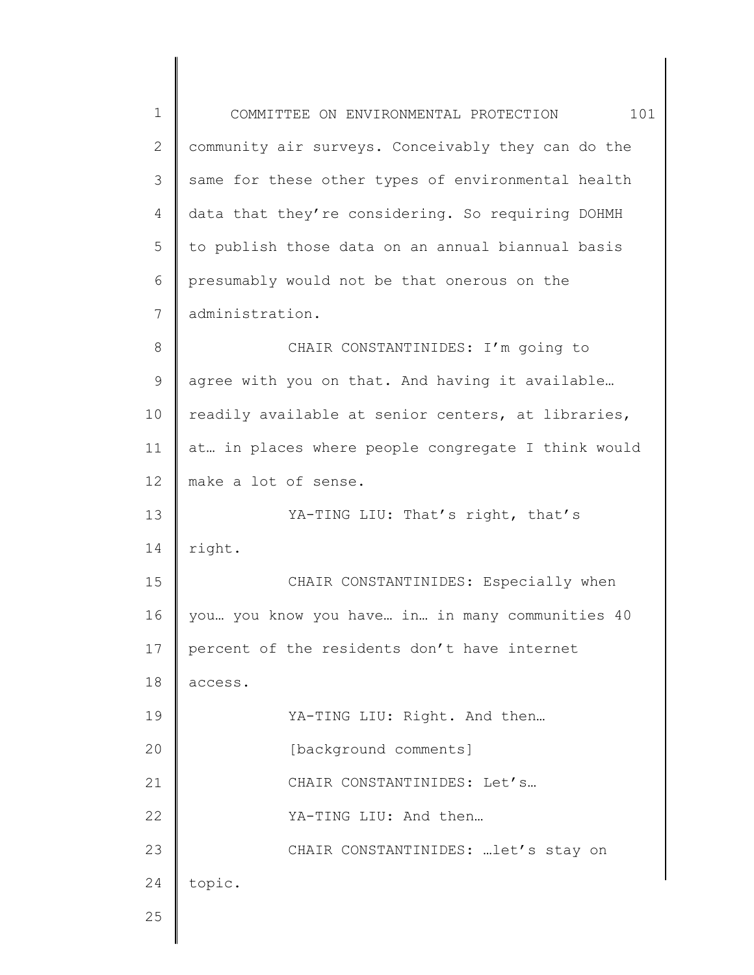| $\mathbf 1$ | 101<br>COMMITTEE ON ENVIRONMENTAL PROTECTION       |
|-------------|----------------------------------------------------|
| 2           | community air surveys. Conceivably they can do the |
| 3           | same for these other types of environmental health |
| 4           | data that they're considering. So requiring DOHMH  |
| 5           | to publish those data on an annual biannual basis  |
| 6           | presumably would not be that onerous on the        |
| 7           | administration.                                    |
| 8           | CHAIR CONSTANTINIDES: I'm going to                 |
| $\mathsf 9$ | agree with you on that. And having it available    |
| 10          | readily available at senior centers, at libraries, |
| 11          | at in places where people congregate I think would |
| 12          | make a lot of sense.                               |
| 13          | YA-TING LIU: That's right, that's                  |
| 14          | right.                                             |
| 15          | CHAIR CONSTANTINIDES: Especially when              |
| 16          | you you know you have in in many communities 40    |
| 17          | percent of the residents don't have internet       |
| 18          | access.                                            |
| 19          | YA-TING LIU: Right. And then                       |
| 20          | [background comments]                              |
| 21          | CHAIR CONSTANTINIDES: Let's                        |
| 22          | YA-TING LIU: And then                              |
| 23          | CHAIR CONSTANTINIDES:  let's stay on               |
| 24          | topic.                                             |
| 25          |                                                    |
|             |                                                    |

 $\mathsf I$ ∥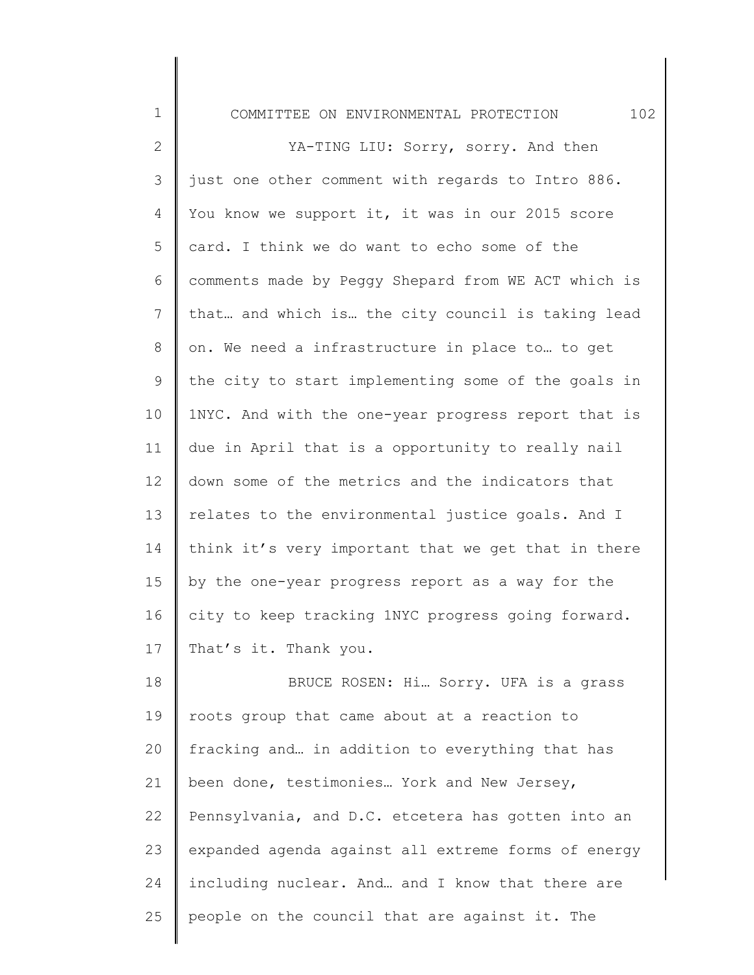|  | .OMMT' | ON | ENVIRONMENTAL | LON<br>כדי |  |
|--|--------|----|---------------|------------|--|
|--|--------|----|---------------|------------|--|

1

2 3 4 5 6 7 8 9 10 11 12 13 14 15 16 17 YA-TING LIU: Sorry, sorry. And then just one other comment with regards to Intro 886. You know we support it, it was in our 2015 score card. I think we do want to echo some of the comments made by Peggy Shepard from WE ACT which is that… and which is… the city council is taking lead on. We need a infrastructure in place to… to get the city to start implementing some of the goals in 1NYC. And with the one-year progress report that is due in April that is a opportunity to really nail down some of the metrics and the indicators that relates to the environmental justice goals. And I think it's very important that we get that in there by the one-year progress report as a way for the city to keep tracking 1NYC progress going forward. That's it. Thank you.

18 19 20 21 22 23 24 25 BRUCE ROSEN: Hi… Sorry. UFA is a grass roots group that came about at a reaction to fracking and… in addition to everything that has been done, testimonies… York and New Jersey, Pennsylvania, and D.C. etcetera has gotten into an expanded agenda against all extreme forms of energy including nuclear. And… and I know that there are people on the council that are against it. The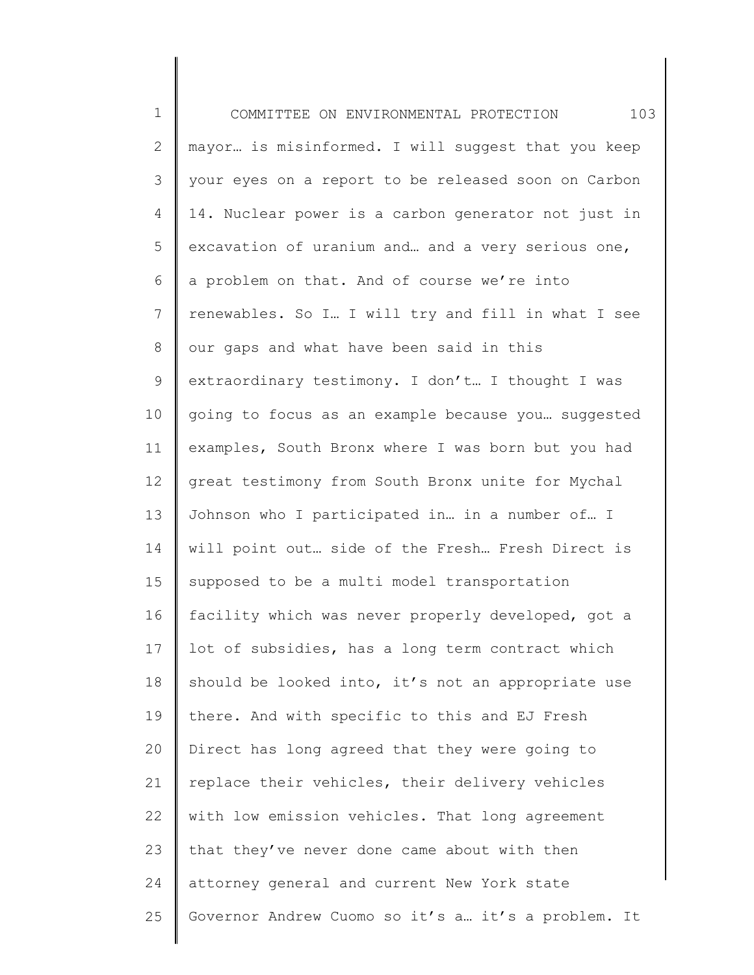| $\mathbf 1$    | 103<br>COMMITTEE ON ENVIRONMENTAL PROTECTION        |
|----------------|-----------------------------------------------------|
| $\overline{2}$ | mayor is misinformed. I will suggest that you keep  |
| 3              | your eyes on a report to be released soon on Carbon |
| 4              | 14. Nuclear power is a carbon generator not just in |
| 5              | excavation of uranium and and a very serious one,   |
| 6              | a problem on that. And of course we're into         |
| 7              | renewables. So I. I will try and fill in what I see |
| 8              | our gaps and what have been said in this            |
| 9              | extraordinary testimony. I don't I thought I was    |
| 10             | going to focus as an example because you suggested  |
| 11             | examples, South Bronx where I was born but you had  |
| 12             | great testimony from South Bronx unite for Mychal   |
| 13             | Johnson who I participated in in a number of I      |
| 14             | will point out side of the Fresh Fresh Direct is    |
| 15             | supposed to be a multi model transportation         |
| 16             | facility which was never properly developed, got a  |
| 17             | lot of subsidies, has a long term contract which    |
| 18             | should be looked into, it's not an appropriate use  |
| 19             | there. And with specific to this and EJ Fresh       |
| 20             | Direct has long agreed that they were going to      |
| 21             | replace their vehicles, their delivery vehicles     |
| 22             | with low emission vehicles. That long agreement     |
| 23             | that they've never done came about with then        |
| 24             | attorney general and current New York state         |
| 25             | Governor Andrew Cuomo so it's a it's a problem. It  |
|                |                                                     |

║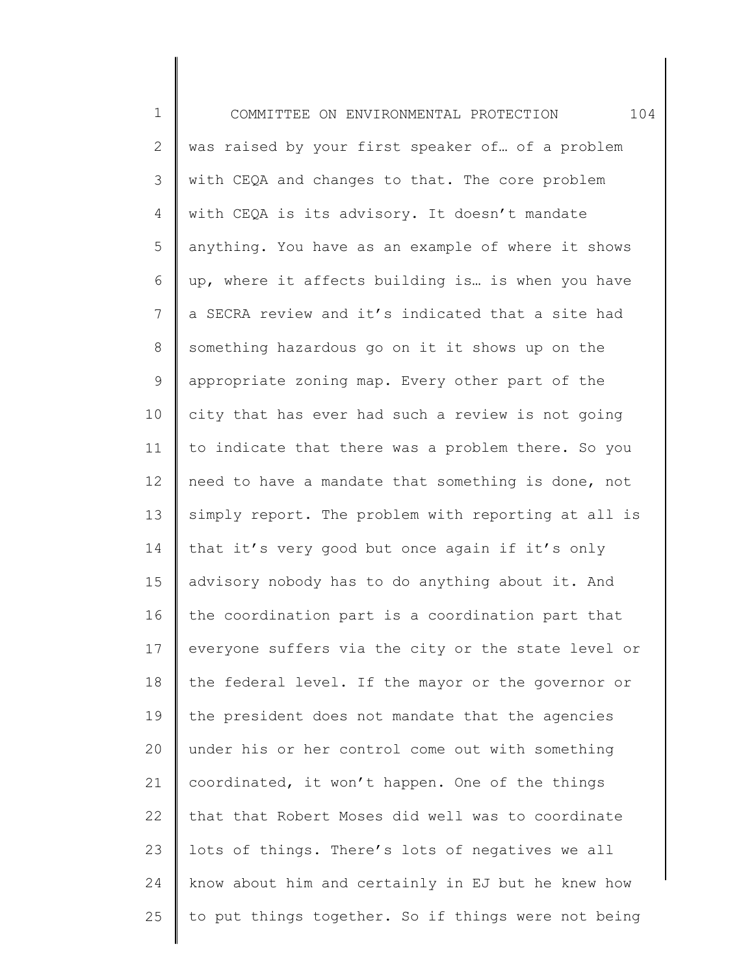1 2 3 4 5 6 7 8 9 10 11 12 13 14 15 16 17 18 19 20 21 22 23 24 25 COMMITTEE ON ENVIRONMENTAL PROTECTION 104 was raised by your first speaker of… of a problem with CEQA and changes to that. The core problem with CEQA is its advisory. It doesn't mandate anything. You have as an example of where it shows up, where it affects building is… is when you have a SECRA review and it's indicated that a site had something hazardous go on it it shows up on the appropriate zoning map. Every other part of the city that has ever had such a review is not going to indicate that there was a problem there. So you need to have a mandate that something is done, not simply report. The problem with reporting at all is that it's very good but once again if it's only advisory nobody has to do anything about it. And the coordination part is a coordination part that everyone suffers via the city or the state level or the federal level. If the mayor or the governor or the president does not mandate that the agencies under his or her control come out with something coordinated, it won't happen. One of the things that that Robert Moses did well was to coordinate lots of things. There's lots of negatives we all know about him and certainly in EJ but he knew how to put things together. So if things were not being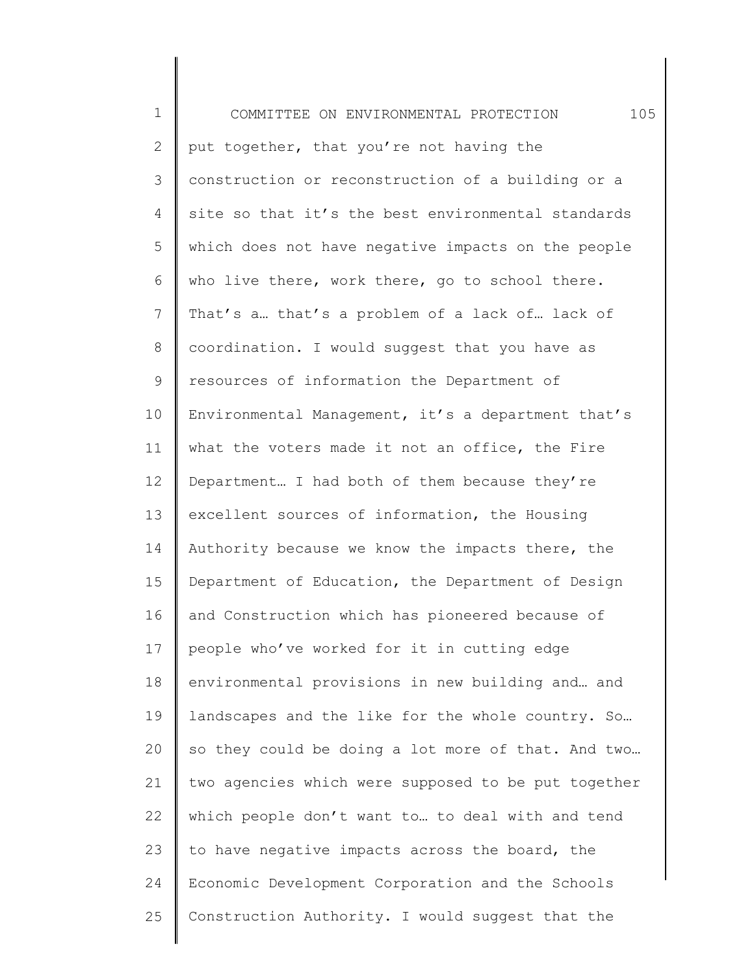| $\mathbf 1$    | 105<br>COMMITTEE ON ENVIRONMENTAL PROTECTION        |
|----------------|-----------------------------------------------------|
| $\mathbf{2}$   | put together, that you're not having the            |
| 3              | construction or reconstruction of a building or a   |
| 4              | site so that it's the best environmental standards  |
| 5              | which does not have negative impacts on the people  |
| 6              | who live there, work there, go to school there.     |
| $\overline{7}$ | That's a that's a problem of a lack of lack of      |
| 8              | coordination. I would suggest that you have as      |
| 9              | resources of information the Department of          |
| 10             | Environmental Management, it's a department that's  |
| 11             | what the voters made it not an office, the Fire     |
| 12             | Department I had both of them because they're       |
| 13             | excellent sources of information, the Housing       |
| 14             | Authority because we know the impacts there, the    |
| 15             | Department of Education, the Department of Design   |
| 16             | and Construction which has pioneered because of     |
| 17             | people who've worked for it in cutting edge         |
| 18             | environmental provisions in new building and and    |
| 19             | landscapes and the like for the whole country. So   |
| 20             | so they could be doing a lot more of that. And two  |
| 21             | two agencies which were supposed to be put together |
| 22             | which people don't want to to deal with and tend    |
| 23             | to have negative impacts across the board, the      |
| 24             | Economic Development Corporation and the Schools    |
| 25             | Construction Authority. I would suggest that the    |
|                |                                                     |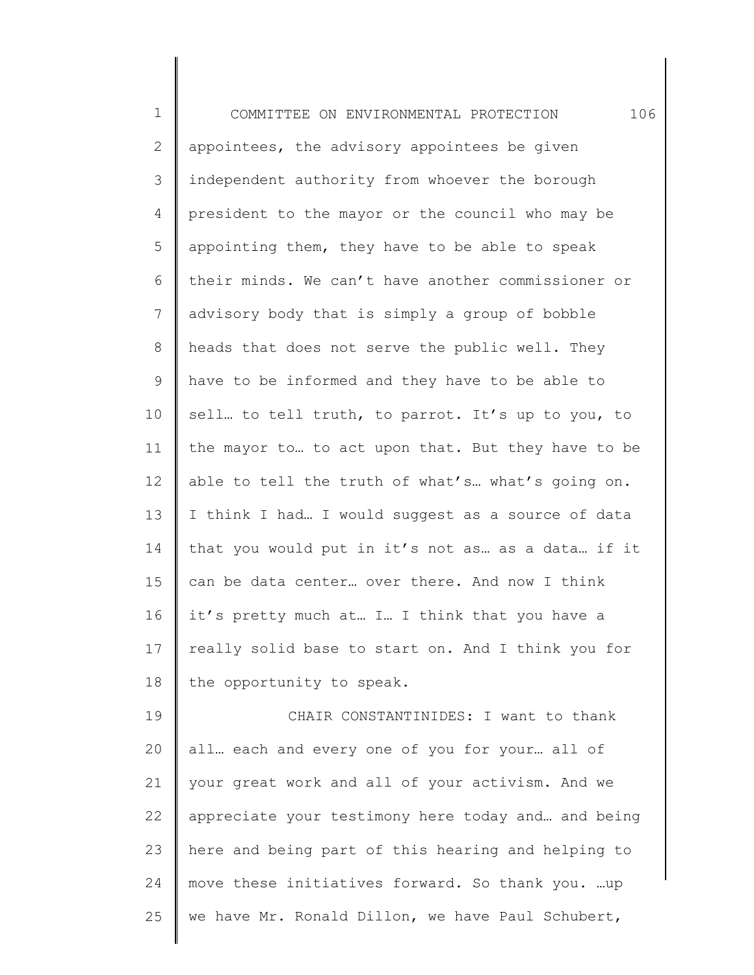1 2 3 4 5 6 7 8 9 10 11 12 13 14 15 16 17 18 19 20 21 22 23 24 COMMITTEE ON ENVIRONMENTAL PROTECTION 106 appointees, the advisory appointees be given independent authority from whoever the borough president to the mayor or the council who may be appointing them, they have to be able to speak their minds. We can't have another commissioner or advisory body that is simply a group of bobble heads that does not serve the public well. They have to be informed and they have to be able to sell... to tell truth, to parrot. It's up to you, to the mayor to… to act upon that. But they have to be able to tell the truth of what's… what's going on. I think I had… I would suggest as a source of data that you would put in it's not as… as a data… if it can be data center… over there. And now I think it's pretty much at… I… I think that you have a really solid base to start on. And I think you for the opportunity to speak. CHAIR CONSTANTINIDES: I want to thank all… each and every one of you for your… all of your great work and all of your activism. And we appreciate your testimony here today and… and being here and being part of this hearing and helping to move these initiatives forward. So thank you. …up

we have Mr. Ronald Dillon, we have Paul Schubert,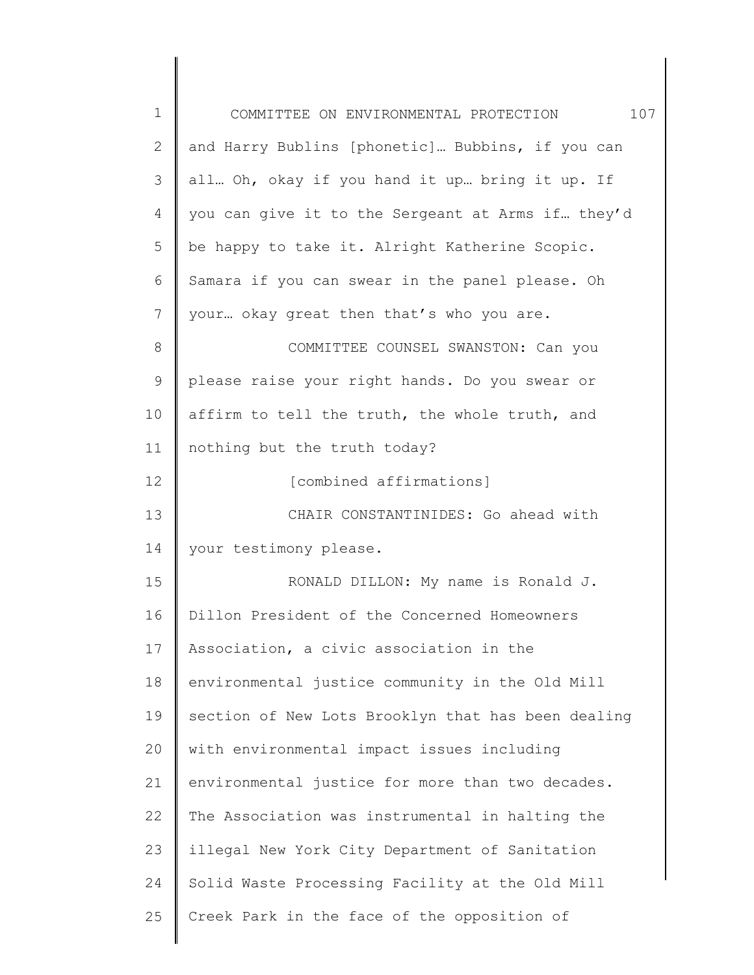| $\mathbf 1$    | 107<br>COMMITTEE ON ENVIRONMENTAL PROTECTION       |
|----------------|----------------------------------------------------|
| $\overline{2}$ | and Harry Bublins [phonetic] Bubbins, if you can   |
| 3              | all Oh, okay if you hand it up bring it up. If     |
| 4              | you can give it to the Sergeant at Arms if they'd  |
| 5              | be happy to take it. Alright Katherine Scopic.     |
| 6              | Samara if you can swear in the panel please. Oh    |
| 7              | your okay great then that's who you are.           |
| 8              | COMMITTEE COUNSEL SWANSTON: Can you                |
| $\mathsf 9$    | please raise your right hands. Do you swear or     |
| 10             | affirm to tell the truth, the whole truth, and     |
| 11             | nothing but the truth today?                       |
| 12             | [combined affirmations]                            |
| 13             | CHAIR CONSTANTINIDES: Go ahead with                |
| 14             | your testimony please.                             |
| 15             | RONALD DILLON: My name is Ronald J.                |
| 16             | Dillon President of the Concerned Homeowners       |
| 17             | Association, a civic association in the            |
| 18             | environmental justice community in the Old Mill    |
| 19             | section of New Lots Brooklyn that has been dealing |
| 20             | with environmental impact issues including         |
| 21             | environmental justice for more than two decades.   |
| 22             | The Association was instrumental in halting the    |
| 23             | illegal New York City Department of Sanitation     |
| 24             | Solid Waste Processing Facility at the Old Mill    |
| 25             | Creek Park in the face of the opposition of        |
|                |                                                    |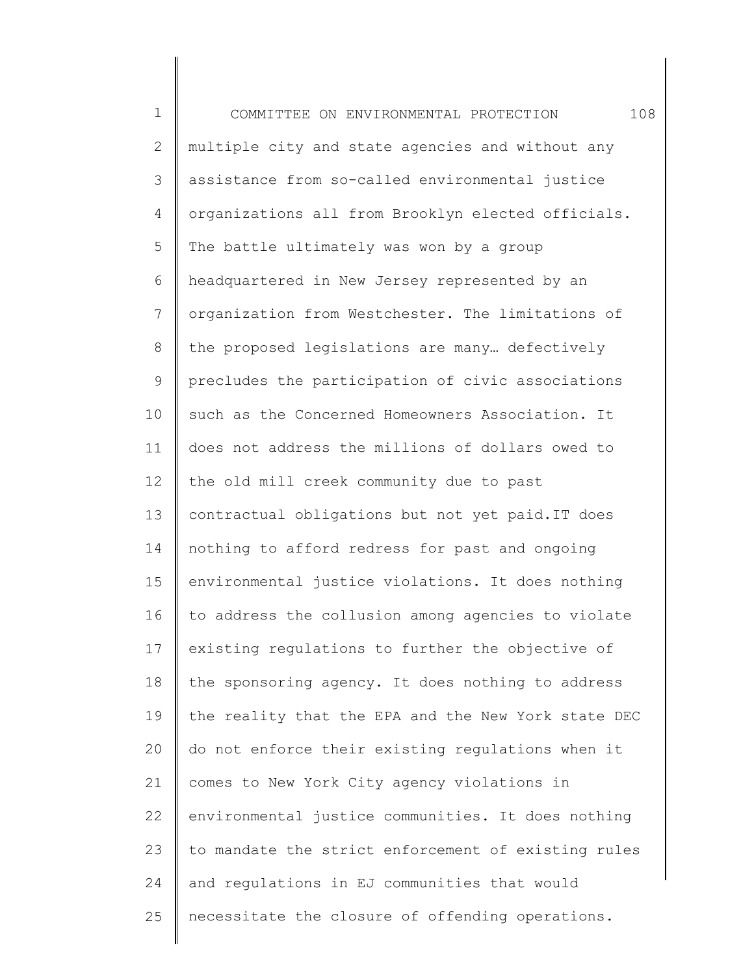1 2 3 4 5 6 7 8 9 10 11 12 13 14 15 16 17 18 19 20 21 22 23 24 25 COMMITTEE ON ENVIRONMENTAL PROTECTION 108 multiple city and state agencies and without any assistance from so-called environmental justice organizations all from Brooklyn elected officials. The battle ultimately was won by a group headquartered in New Jersey represented by an organization from Westchester. The limitations of the proposed legislations are many… defectively precludes the participation of civic associations such as the Concerned Homeowners Association. It does not address the millions of dollars owed to the old mill creek community due to past contractual obligations but not yet paid.IT does nothing to afford redress for past and ongoing environmental justice violations. It does nothing to address the collusion among agencies to violate existing regulations to further the objective of the sponsoring agency. It does nothing to address the reality that the EPA and the New York state DEC do not enforce their existing regulations when it comes to New York City agency violations in environmental justice communities. It does nothing to mandate the strict enforcement of existing rules and regulations in EJ communities that would necessitate the closure of offending operations.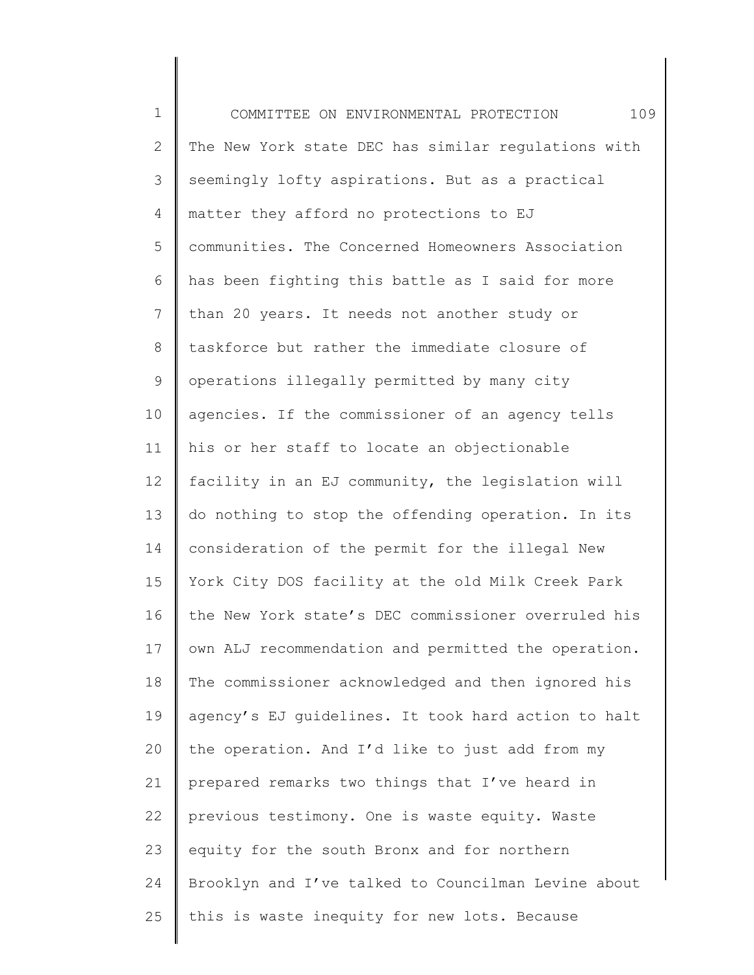1 2 3 4 5 6 7 8 9 10 11 12 13 14 15 16 17 18 19 20 21 22 23 24 25 COMMITTEE ON ENVIRONMENTAL PROTECTION 109 The New York state DEC has similar regulations with seemingly lofty aspirations. But as a practical matter they afford no protections to EJ communities. The Concerned Homeowners Association has been fighting this battle as I said for more than 20 years. It needs not another study or taskforce but rather the immediate closure of operations illegally permitted by many city agencies. If the commissioner of an agency tells his or her staff to locate an objectionable facility in an EJ community, the legislation will do nothing to stop the offending operation. In its consideration of the permit for the illegal New York City DOS facility at the old Milk Creek Park the New York state's DEC commissioner overruled his own ALJ recommendation and permitted the operation. The commissioner acknowledged and then ignored his agency's EJ guidelines. It took hard action to halt the operation. And I'd like to just add from my prepared remarks two things that I've heard in previous testimony. One is waste equity. Waste equity for the south Bronx and for northern Brooklyn and I've talked to Councilman Levine about this is waste inequity for new lots. Because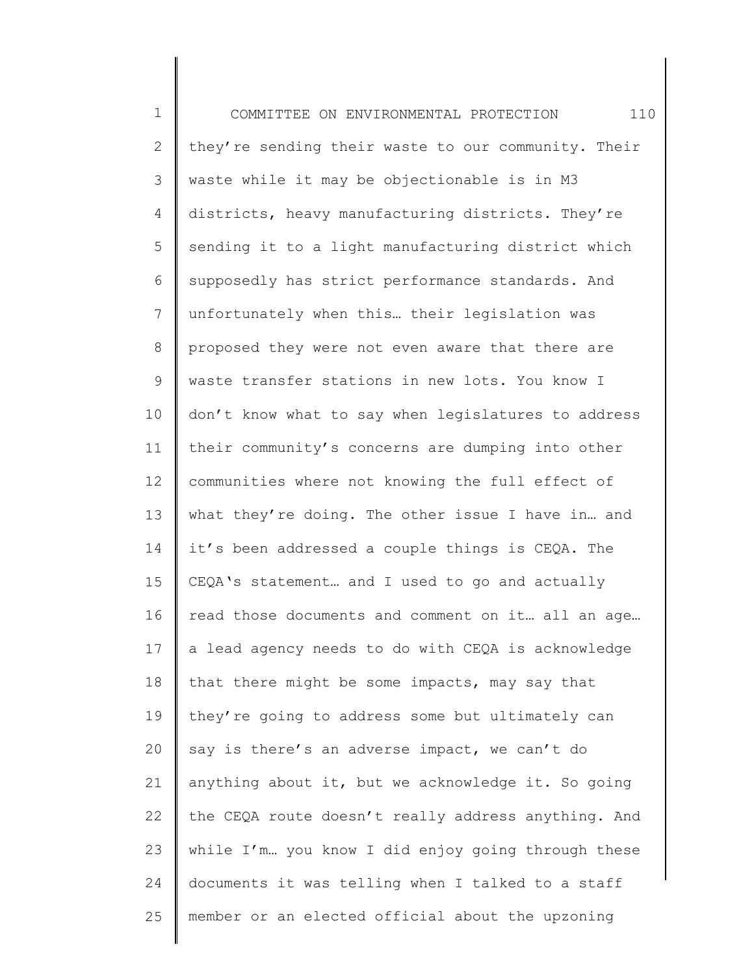1 2 3 4 5 6 7 8 9 10 11 12 13 14 15 16 17 18 19 20 21 22 23 24 25 COMMITTEE ON ENVIRONMENTAL PROTECTION 110 they're sending their waste to our community. Their waste while it may be objectionable is in M3 districts, heavy manufacturing districts. They're sending it to a light manufacturing district which supposedly has strict performance standards. And unfortunately when this… their legislation was proposed they were not even aware that there are waste transfer stations in new lots. You know I don't know what to say when legislatures to address their community's concerns are dumping into other communities where not knowing the full effect of what they're doing. The other issue I have in… and it's been addressed a couple things is CEQA. The CEQA's statement… and I used to go and actually read those documents and comment on it… all an age… a lead agency needs to do with CEQA is acknowledge that there might be some impacts, may say that they're going to address some but ultimately can say is there's an adverse impact, we can't do anything about it, but we acknowledge it. So going the CEQA route doesn't really address anything. And while I'm... you know I did enjoy going through these documents it was telling when I talked to a staff member or an elected official about the upzoning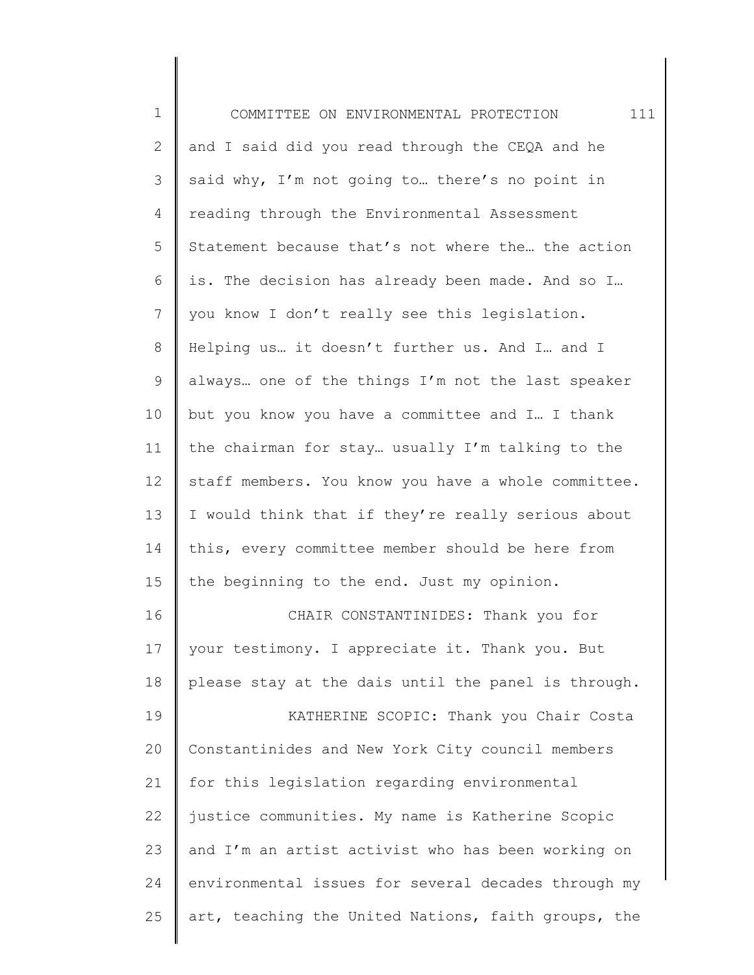| $\mathbf 1$    | 111<br>COMMITTEE ON ENVIRONMENTAL PROTECTION        |
|----------------|-----------------------------------------------------|
| $\overline{2}$ | and I said did you read through the CEQA and he     |
| 3              | said why, I'm not going to there's no point in      |
| 4              | reading through the Environmental Assessment        |
| 5              | Statement because that's not where the the action   |
| 6              | is. The decision has already been made. And so I    |
| 7              | you know I don't really see this legislation.       |
| 8              | Helping us it doesn't further us. And I and I       |
| 9              | always one of the things I'm not the last speaker   |
| 10             | but you know you have a committee and I I thank     |
| 11             | the chairman for stay usually I'm talking to the    |
| 12             | staff members. You know you have a whole committee. |
| 13             | I would think that if they're really serious about  |
| 14             | this, every committee member should be here from    |
| 15             | the beginning to the end. Just my opinion.          |
| 16             | CHAIR CONSTANTINIDES: Thank you for                 |
| 17             | your testimony. I appreciate it. Thank you. But     |
| 18             | please stay at the dais until the panel is through. |
| 19             | KATHERINE SCOPIC: Thank you Chair Costa             |
| 20             | Constantinides and New York City council members    |
| 21             | for this legislation regarding environmental        |
| 22             | justice communities. My name is Katherine Scopic    |
| 23             | and I'm an artist activist who has been working on  |
| 24             | environmental issues for several decades through my |
| 25             | art, teaching the United Nations, faith groups, the |
|                |                                                     |

║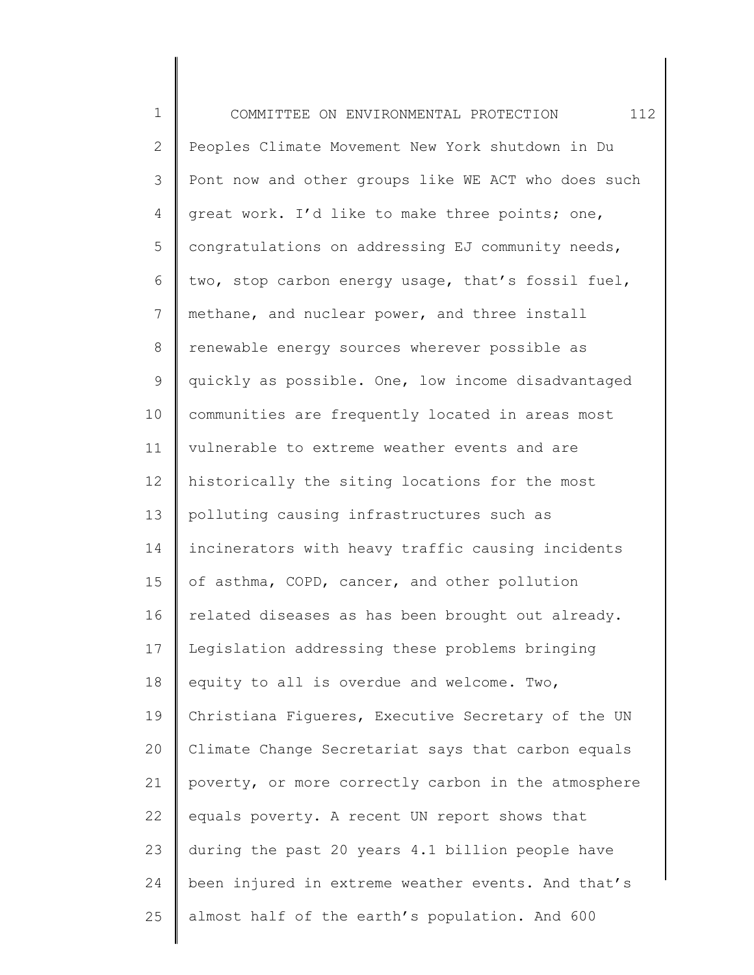1 2 3 4 5 6 7 8 9 10 11 12 13 14 15 16 17 18 19 20 21 22 23 24 25 COMMITTEE ON ENVIRONMENTAL PROTECTION 112 Peoples Climate Movement New York shutdown in Du Pont now and other groups like WE ACT who does such great work. I'd like to make three points; one, congratulations on addressing EJ community needs, two, stop carbon energy usage, that's fossil fuel, methane, and nuclear power, and three install renewable energy sources wherever possible as quickly as possible. One, low income disadvantaged communities are frequently located in areas most vulnerable to extreme weather events and are historically the siting locations for the most polluting causing infrastructures such as incinerators with heavy traffic causing incidents of asthma, COPD, cancer, and other pollution related diseases as has been brought out already. Legislation addressing these problems bringing equity to all is overdue and welcome. Two, Christiana Figueres, Executive Secretary of the UN Climate Change Secretariat says that carbon equals poverty, or more correctly carbon in the atmosphere equals poverty. A recent UN report shows that during the past 20 years 4.1 billion people have been injured in extreme weather events. And that's almost half of the earth's population. And 600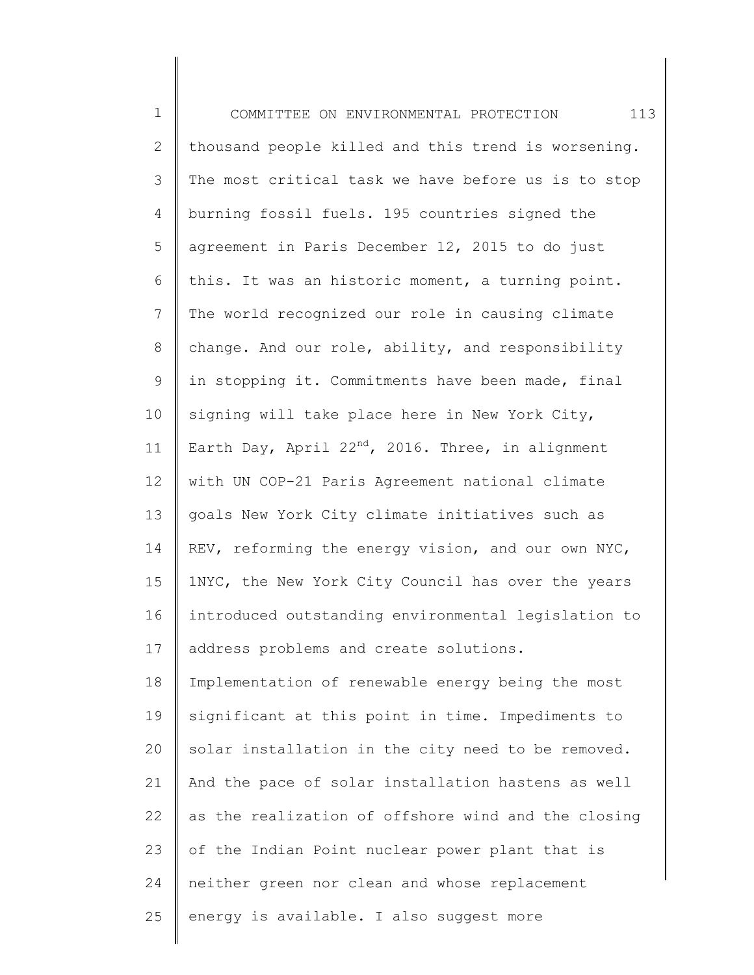1 2 3 4 5 6 7 8 9 10 11 12 13 14 15 16 17 18 19 20 21 22 23 24 25 COMMITTEE ON ENVIRONMENTAL PROTECTION 113 thousand people killed and this trend is worsening. The most critical task we have before us is to stop burning fossil fuels. 195 countries signed the agreement in Paris December 12, 2015 to do just this. It was an historic moment, a turning point. The world recognized our role in causing climate change. And our role, ability, and responsibility in stopping it. Commitments have been made, final signing will take place here in New York City, Earth Day, April  $22^{nd}$ , 2016. Three, in alignment with UN COP-21 Paris Agreement national climate goals New York City climate initiatives such as REV, reforming the energy vision, and our own NYC, 1NYC, the New York City Council has over the years introduced outstanding environmental legislation to address problems and create solutions. Implementation of renewable energy being the most significant at this point in time. Impediments to solar installation in the city need to be removed. And the pace of solar installation hastens as well as the realization of offshore wind and the closing of the Indian Point nuclear power plant that is neither green nor clean and whose replacement energy is available. I also suggest more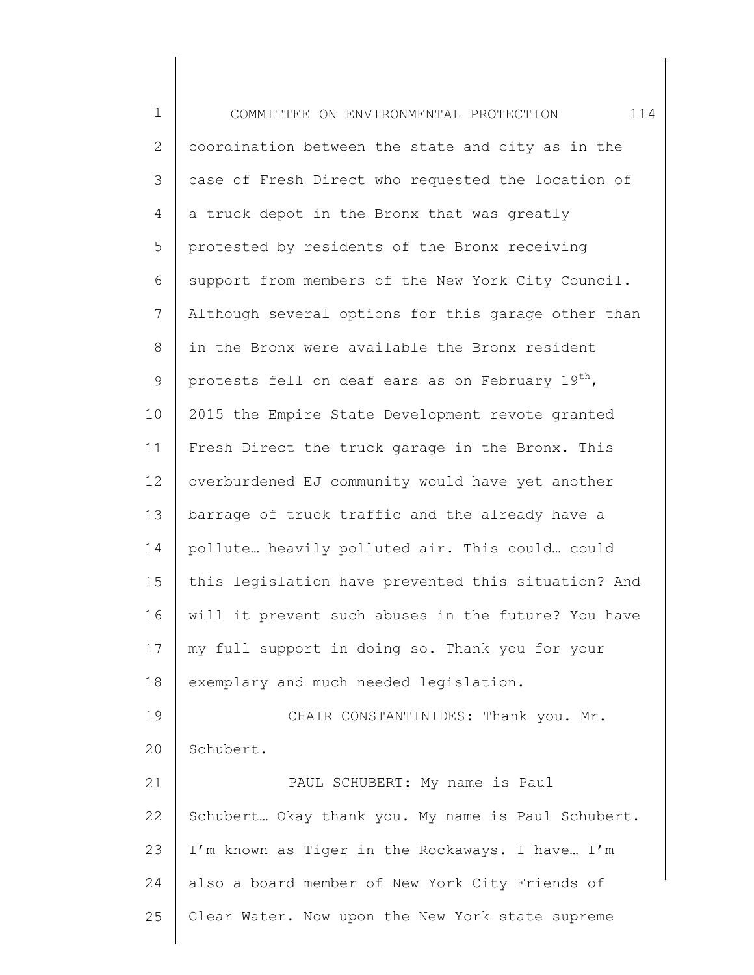1 2 3 4 5 6 7 8 9 10 11 12 13 14 15 16 17 18 19 20 21 22 23 24 25 COMMITTEE ON ENVIRONMENTAL PROTECTION 114 coordination between the state and city as in the case of Fresh Direct who requested the location of a truck depot in the Bronx that was greatly protested by residents of the Bronx receiving support from members of the New York City Council. Although several options for this garage other than in the Bronx were available the Bronx resident protests fell on deaf ears as on February 19<sup>th</sup>, 2015 the Empire State Development revote granted Fresh Direct the truck garage in the Bronx. This overburdened EJ community would have yet another barrage of truck traffic and the already have a pollute… heavily polluted air. This could… could this legislation have prevented this situation? And will it prevent such abuses in the future? You have my full support in doing so. Thank you for your exemplary and much needed legislation. CHAIR CONSTANTINIDES: Thank you. Mr. Schubert. PAUL SCHUBERT: My name is Paul Schubert… Okay thank you. My name is Paul Schubert. I'm known as Tiger in the Rockaways. I have… I'm also a board member of New York City Friends of Clear Water. Now upon the New York state supreme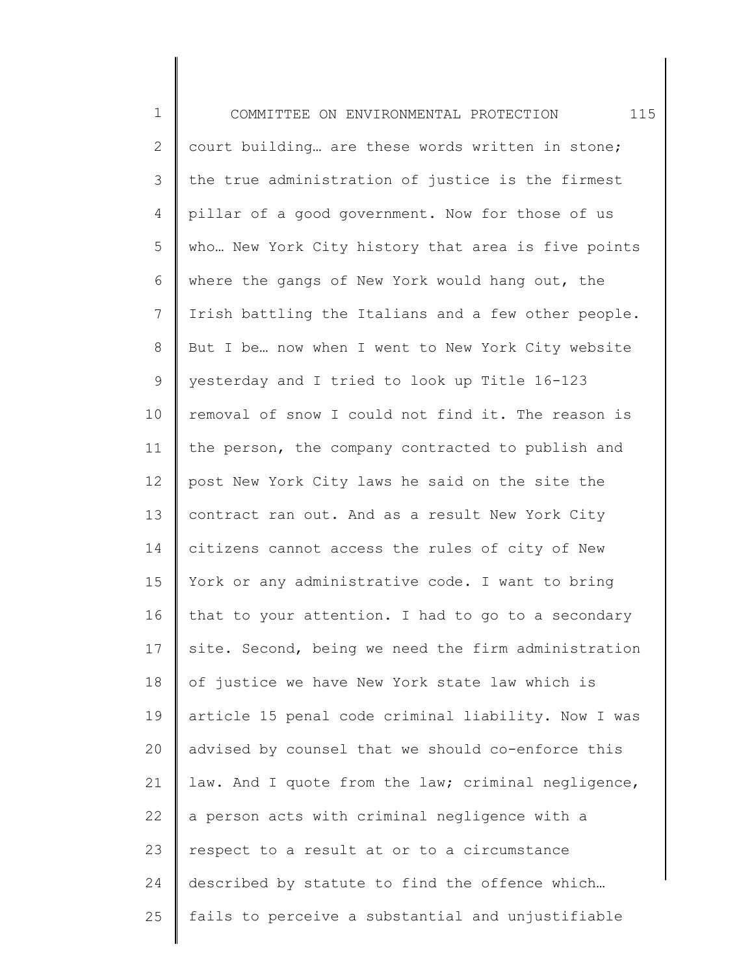1 2 3 4 5 6 7 8 9 10 11 12 13 14 15 16 17 18 19 20 21 22 23 24 25 COMMITTEE ON ENVIRONMENTAL PROTECTION 115 court building… are these words written in stone; the true administration of justice is the firmest pillar of a good government. Now for those of us who… New York City history that area is five points where the gangs of New York would hang out, the Irish battling the Italians and a few other people. But I be… now when I went to New York City website yesterday and I tried to look up Title 16-123 removal of snow I could not find it. The reason is the person, the company contracted to publish and post New York City laws he said on the site the contract ran out. And as a result New York City citizens cannot access the rules of city of New York or any administrative code. I want to bring that to your attention. I had to go to a secondary site. Second, being we need the firm administration of justice we have New York state law which is article 15 penal code criminal liability. Now I was advised by counsel that we should co-enforce this law. And I quote from the law; criminal negligence, a person acts with criminal negligence with a respect to a result at or to a circumstance described by statute to find the offence which… fails to perceive a substantial and unjustifiable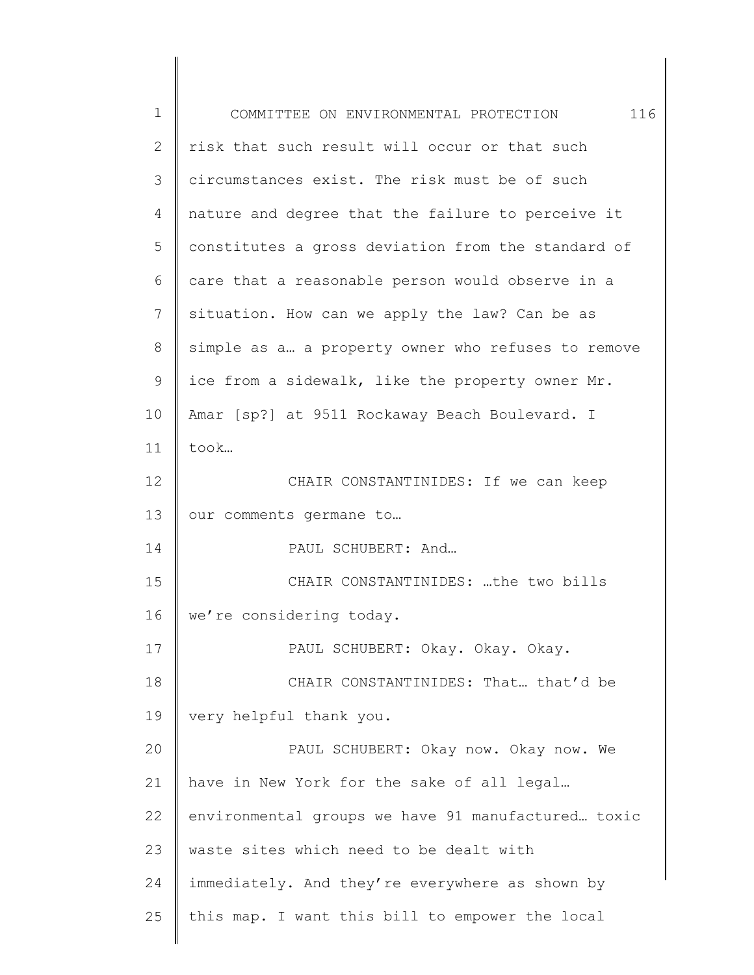| $\mathbf 1$  | 116<br>COMMITTEE ON ENVIRONMENTAL PROTECTION       |
|--------------|----------------------------------------------------|
| $\mathbf{2}$ | risk that such result will occur or that such      |
| 3            | circumstances exist. The risk must be of such      |
| 4            | nature and degree that the failure to perceive it  |
| 5            | constitutes a gross deviation from the standard of |
| 6            | care that a reasonable person would observe in a   |
| 7            | situation. How can we apply the law? Can be as     |
| 8            | simple as a a property owner who refuses to remove |
| 9            | ice from a sidewalk, like the property owner Mr.   |
| 10           | Amar [sp?] at 9511 Rockaway Beach Boulevard. I     |
| 11           | took                                               |
| 12           | CHAIR CONSTANTINIDES: If we can keep               |
| 13           | our comments germane to                            |
| 14           | PAUL SCHUBERT: And                                 |
| 15           | CHAIR CONSTANTINIDES: the two bills                |
| 16           | we're considering today.                           |
| 17           | PAUL SCHUBERT: Okay. Okay. Okay.                   |
| 18           | CHAIR CONSTANTINIDES: That that'd be               |
| 19           | very helpful thank you.                            |
| 20           | PAUL SCHUBERT: Okay now. Okay now. We              |
| 21           | have in New York for the sake of all legal         |
| 22           | environmental groups we have 91 manufactured toxic |
| 23           | waste sites which need to be dealt with            |
| 24           | immediately. And they're everywhere as shown by    |
| 25           | this map. I want this bill to empower the local    |
|              |                                                    |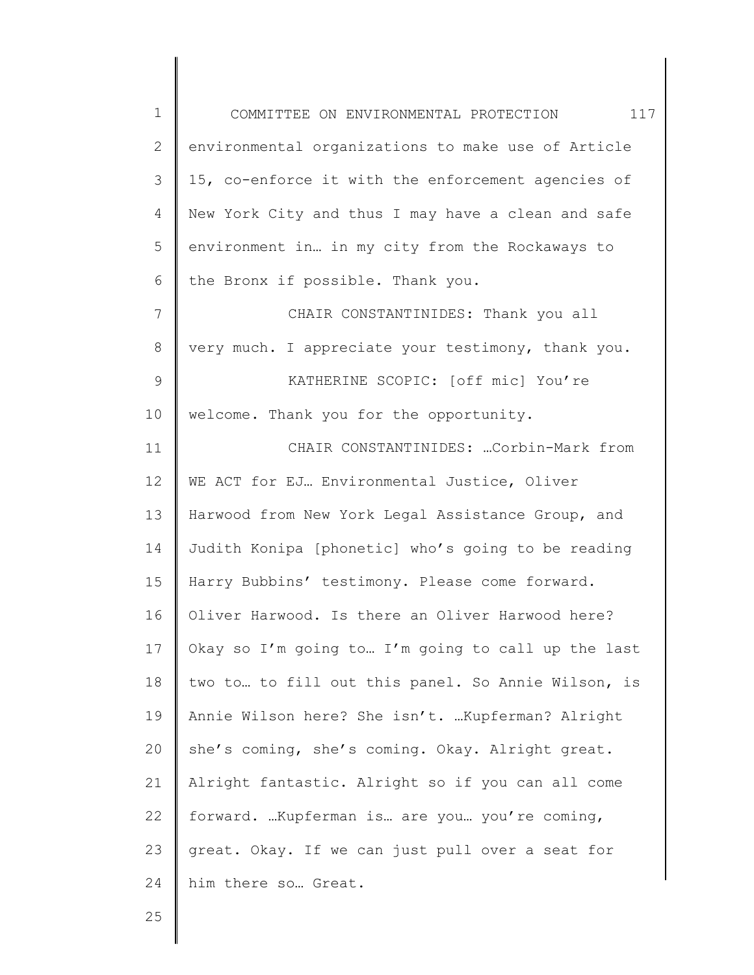1 2 3 4 5 6 7 8 9 10 11 12 13 14 15 16 17 18 19 20 21 22 23 24 COMMITTEE ON ENVIRONMENTAL PROTECTION 117 environmental organizations to make use of Article 15, co-enforce it with the enforcement agencies of New York City and thus I may have a clean and safe environment in… in my city from the Rockaways to the Bronx if possible. Thank you. CHAIR CONSTANTINIDES: Thank you all very much. I appreciate your testimony, thank you. KATHERINE SCOPIC: [off mic] You're welcome. Thank you for the opportunity. CHAIR CONSTANTINIDES: …Corbin-Mark from WE ACT for EJ... Environmental Justice, Oliver Harwood from New York Legal Assistance Group, and Judith Konipa [phonetic] who's going to be reading Harry Bubbins' testimony. Please come forward. Oliver Harwood. Is there an Oliver Harwood here? Okay so I'm going to… I'm going to call up the last two to… to fill out this panel. So Annie Wilson, is Annie Wilson here? She isn't. …Kupferman? Alright she's coming, she's coming. Okay. Alright great. Alright fantastic. Alright so if you can all come forward. …Kupferman is… are you… you're coming, great. Okay. If we can just pull over a seat for him there so… Great.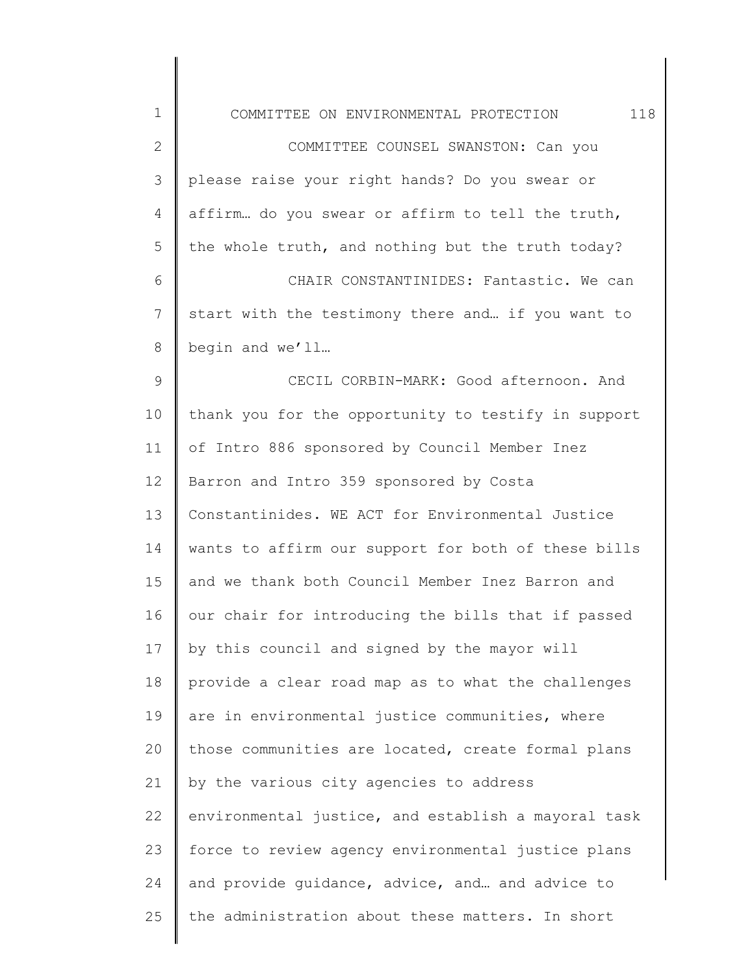| $\mathbf 1$  | 118<br>COMMITTEE ON ENVIRONMENTAL PROTECTION        |
|--------------|-----------------------------------------------------|
| $\mathbf{2}$ | COMMITTEE COUNSEL SWANSTON: Can you                 |
| 3            | please raise your right hands? Do you swear or      |
| 4            | affirm do you swear or affirm to tell the truth,    |
| 5            | the whole truth, and nothing but the truth today?   |
| 6            | CHAIR CONSTANTINIDES: Fantastic. We can             |
| 7            | start with the testimony there and if you want to   |
| $8\,$        | begin and we'll                                     |
| $\mathsf 9$  | CECIL CORBIN-MARK: Good afternoon. And              |
| 10           | thank you for the opportunity to testify in support |
| 11           | of Intro 886 sponsored by Council Member Inez       |
| 12           | Barron and Intro 359 sponsored by Costa             |
| 13           | Constantinides. WE ACT for Environmental Justice    |
| 14           | wants to affirm our support for both of these bills |
| 15           | and we thank both Council Member Inez Barron and    |
| 16           | our chair for introducing the bills that if passed  |
| 17           | by this council and signed by the mayor will        |
| 18           | provide a clear road map as to what the challenges  |
| 19           | are in environmental justice communities, where     |
| 20           | those communities are located, create formal plans  |
| 21           | by the various city agencies to address             |
| 22           | environmental justice, and establish a mayoral task |
| 23           | force to review agency environmental justice plans  |
| 24           | and provide quidance, advice, and and advice to     |
| 25           | the administration about these matters. In short    |
|              |                                                     |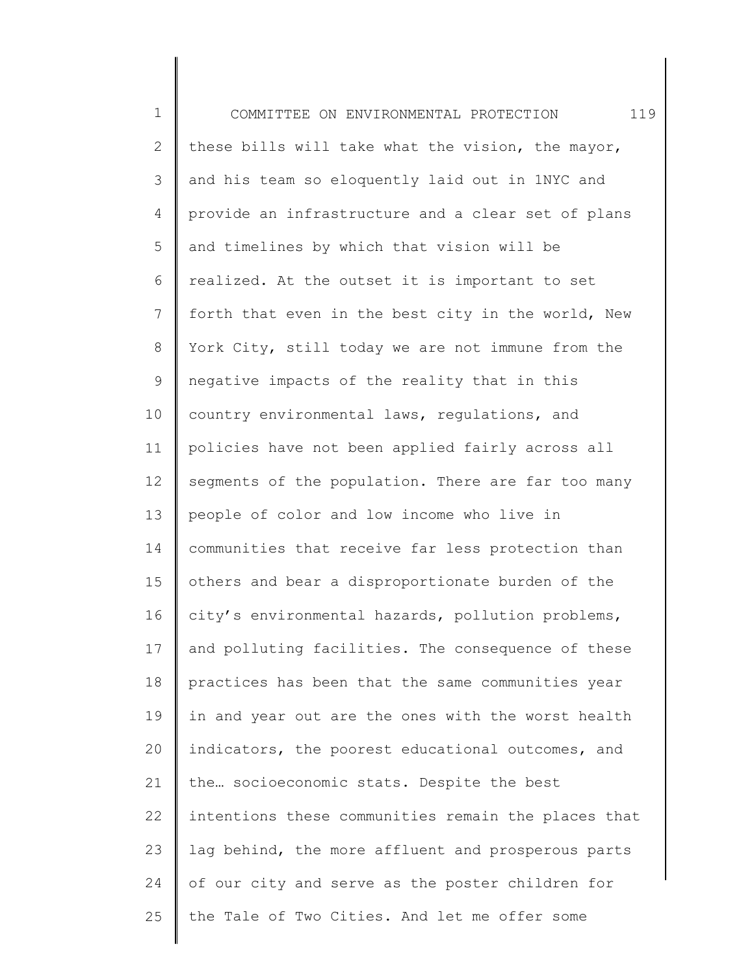1 2 3 4 5 6 7 8 9 10 11 12 13 14 15 16 17 18 19 20 21 22 23 24 25 COMMITTEE ON ENVIRONMENTAL PROTECTION 119 these bills will take what the vision, the mayor, and his team so eloquently laid out in 1NYC and provide an infrastructure and a clear set of plans and timelines by which that vision will be realized. At the outset it is important to set forth that even in the best city in the world, New York City, still today we are not immune from the negative impacts of the reality that in this country environmental laws, regulations, and policies have not been applied fairly across all segments of the population. There are far too many people of color and low income who live in communities that receive far less protection than others and bear a disproportionate burden of the city's environmental hazards, pollution problems, and polluting facilities. The consequence of these practices has been that the same communities year in and year out are the ones with the worst health indicators, the poorest educational outcomes, and the… socioeconomic stats. Despite the best intentions these communities remain the places that lag behind, the more affluent and prosperous parts of our city and serve as the poster children for the Tale of Two Cities. And let me offer some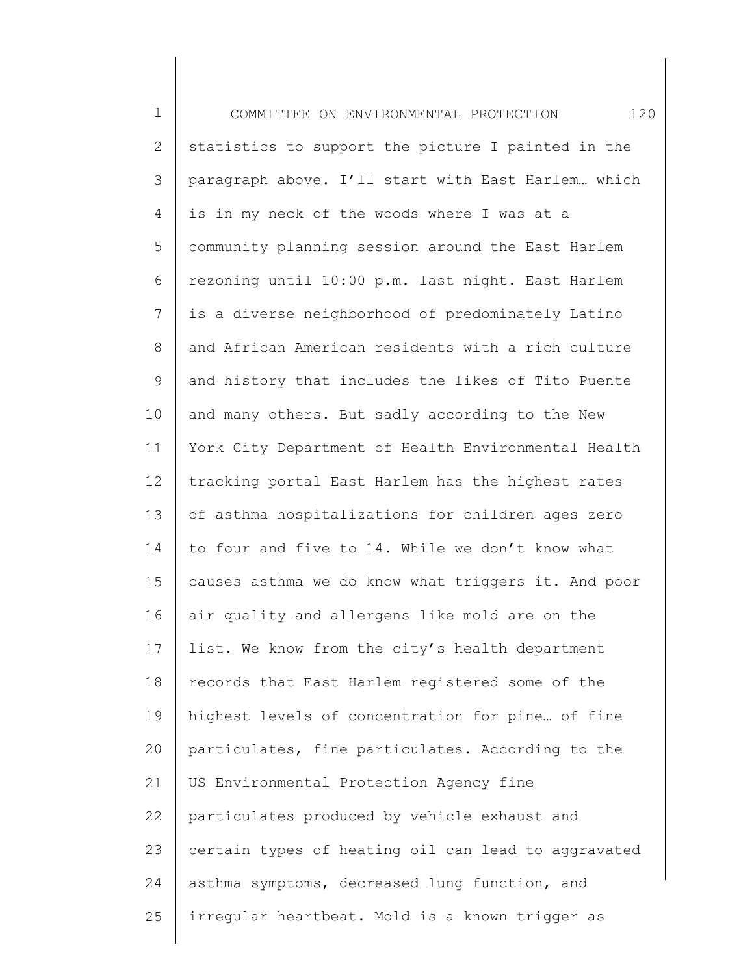| $\mathbf 1$    | 120<br>COMMITTEE ON ENVIRONMENTAL PROTECTION        |
|----------------|-----------------------------------------------------|
| $\overline{2}$ | statistics to support the picture I painted in the  |
| 3              | paragraph above. I'll start with East Harlem which  |
| 4              | is in my neck of the woods where I was at a         |
| 5              | community planning session around the East Harlem   |
| 6              | rezoning until 10:00 p.m. last night. East Harlem   |
| $7\phantom{.}$ | is a diverse neighborhood of predominately Latino   |
| 8              | and African American residents with a rich culture  |
| $\mathsf 9$    | and history that includes the likes of Tito Puente  |
| 10             | and many others. But sadly according to the New     |
| 11             | York City Department of Health Environmental Health |
| 12             | tracking portal East Harlem has the highest rates   |
| 13             | of asthma hospitalizations for children ages zero   |
| 14             | to four and five to 14. While we don't know what    |
| 15             | causes asthma we do know what triggers it. And poor |
| 16             | air quality and allergens like mold are on the      |
| 17             | list. We know from the city's health department     |
| 18             | records that East Harlem registered some of the     |
| 19             | highest levels of concentration for pine of fine    |
| 20             | particulates, fine particulates. According to the   |
| 21             | US Environmental Protection Agency fine             |
| 22             | particulates produced by vehicle exhaust and        |
| 23             | certain types of heating oil can lead to aggravated |
| 24             | asthma symptoms, decreased lung function, and       |
| 25             | irregular heartbeat. Mold is a known trigger as     |
|                |                                                     |

║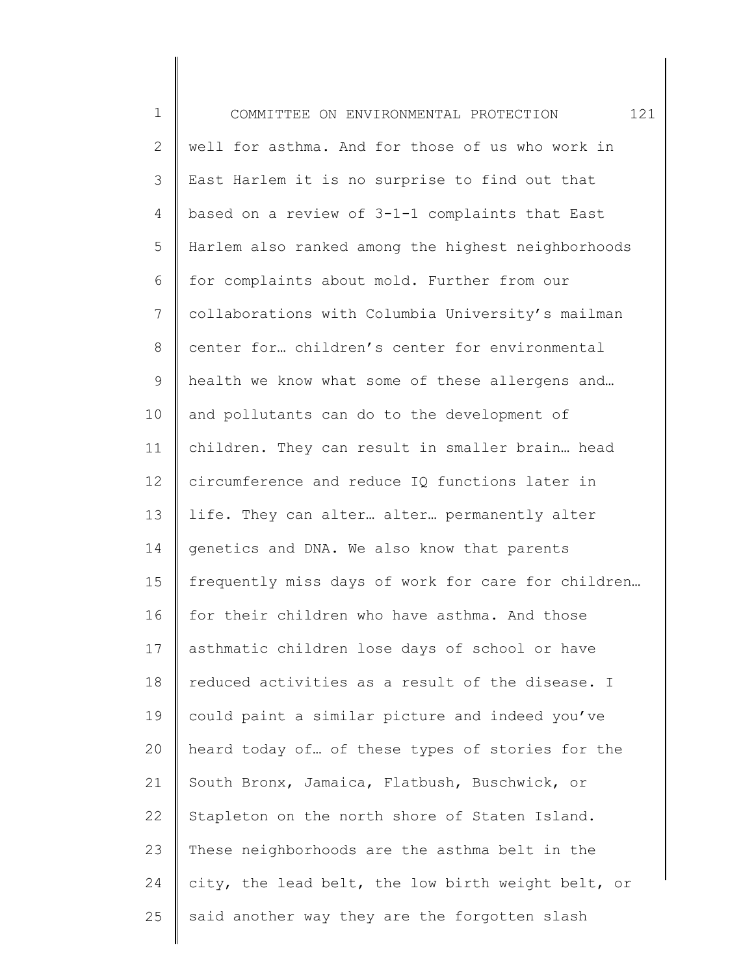| $\mathbf 1$  | 121<br>COMMITTEE ON ENVIRONMENTAL PROTECTION       |
|--------------|----------------------------------------------------|
| $\mathbf{2}$ | well for asthma. And for those of us who work in   |
| 3            | East Harlem it is no surprise to find out that     |
| 4            | based on a review of 3-1-1 complaints that East    |
| 5            | Harlem also ranked among the highest neighborhoods |
| 6            | for complaints about mold. Further from our        |
| 7            | collaborations with Columbia University's mailman  |
| $\,8\,$      | center for children's center for environmental     |
| 9            | health we know what some of these allergens and    |
| 10           | and pollutants can do to the development of        |
| 11           | children. They can result in smaller brain head    |
| 12           | circumference and reduce IQ functions later in     |
| 13           | life. They can alter alter permanently alter       |
| 14           | genetics and DNA. We also know that parents        |
| 15           | frequently miss days of work for care for children |
| 16           | for their children who have asthma. And those      |
| 17           | asthmatic children lose days of school or have     |
| 18           | reduced activities as a result of the disease. I   |
| 19           | could paint a similar picture and indeed you've    |
| 20           | heard today of of these types of stories for the   |
| 21           | South Bronx, Jamaica, Flatbush, Buschwick, or      |
| 22           | Stapleton on the north shore of Staten Island.     |
| 23           | These neighborhoods are the asthma belt in the     |
| 24           | city, the lead belt, the low birth weight belt, or |
| 25           | said another way they are the forgotten slash      |
|              |                                                    |

║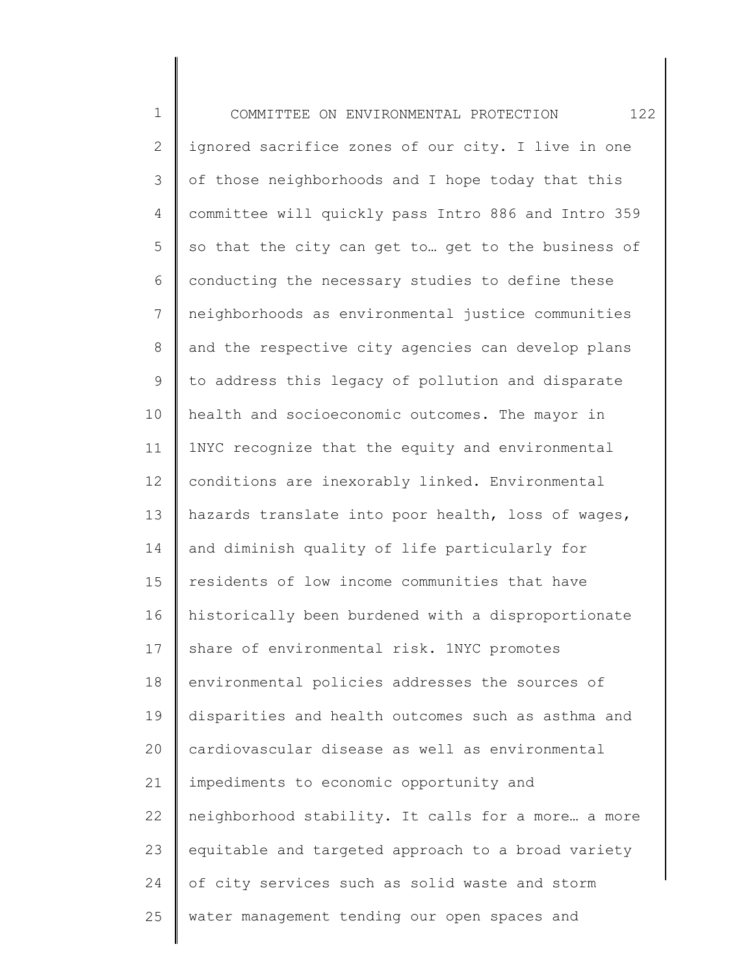1 2 3 4 5 6 7 8 9 10 11 12 13 14 15 16 17 18 19 20 21 22 23 24 25 COMMITTEE ON ENVIRONMENTAL PROTECTION 122 ignored sacrifice zones of our city. I live in one of those neighborhoods and I hope today that this committee will quickly pass Intro 886 and Intro 359 so that the city can get to… get to the business of conducting the necessary studies to define these neighborhoods as environmental justice communities and the respective city agencies can develop plans to address this legacy of pollution and disparate health and socioeconomic outcomes. The mayor in 1NYC recognize that the equity and environmental conditions are inexorably linked. Environmental hazards translate into poor health, loss of wages, and diminish quality of life particularly for residents of low income communities that have historically been burdened with a disproportionate share of environmental risk. 1NYC promotes environmental policies addresses the sources of disparities and health outcomes such as asthma and cardiovascular disease as well as environmental impediments to economic opportunity and neighborhood stability. It calls for a more… a more equitable and targeted approach to a broad variety of city services such as solid waste and storm water management tending our open spaces and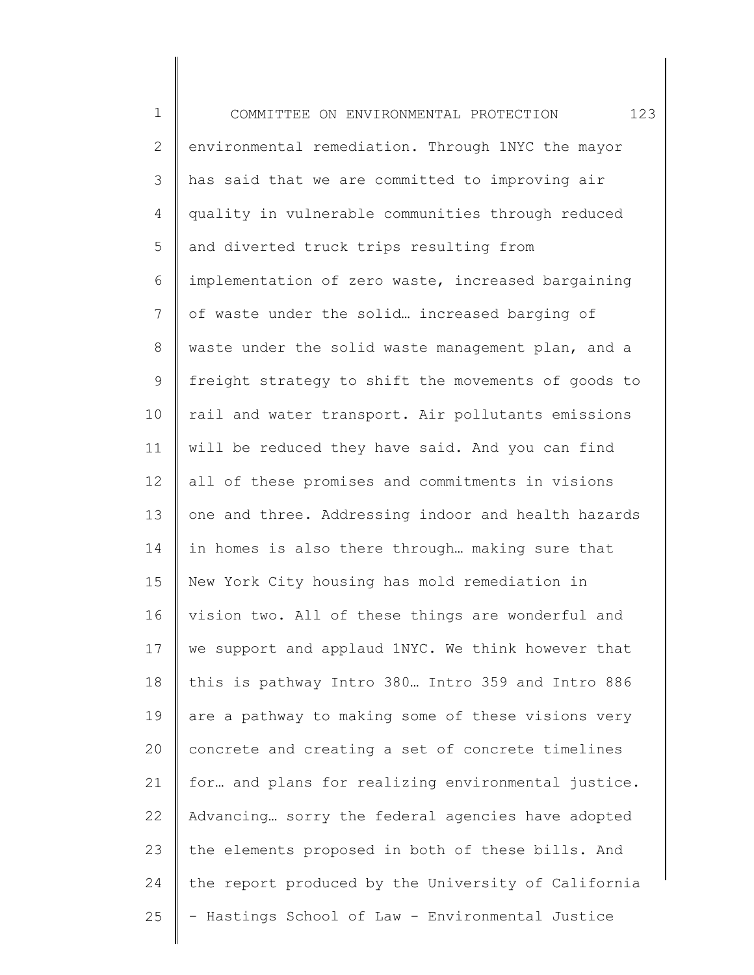1 2 3 4 5 6 7 8 9 10 11 12 13 14 15 16 17 18 19 20 21 22 23 24 25 COMMITTEE ON ENVIRONMENTAL PROTECTION 123 environmental remediation. Through 1NYC the mayor has said that we are committed to improving air quality in vulnerable communities through reduced and diverted truck trips resulting from implementation of zero waste, increased bargaining of waste under the solid… increased barging of waste under the solid waste management plan, and a freight strategy to shift the movements of goods to rail and water transport. Air pollutants emissions will be reduced they have said. And you can find all of these promises and commitments in visions one and three. Addressing indoor and health hazards in homes is also there through… making sure that New York City housing has mold remediation in vision two. All of these things are wonderful and we support and applaud 1NYC. We think however that this is pathway Intro 380… Intro 359 and Intro 886 are a pathway to making some of these visions very concrete and creating a set of concrete timelines for… and plans for realizing environmental justice. Advancing… sorry the federal agencies have adopted the elements proposed in both of these bills. And the report produced by the University of California - Hastings School of Law - Environmental Justice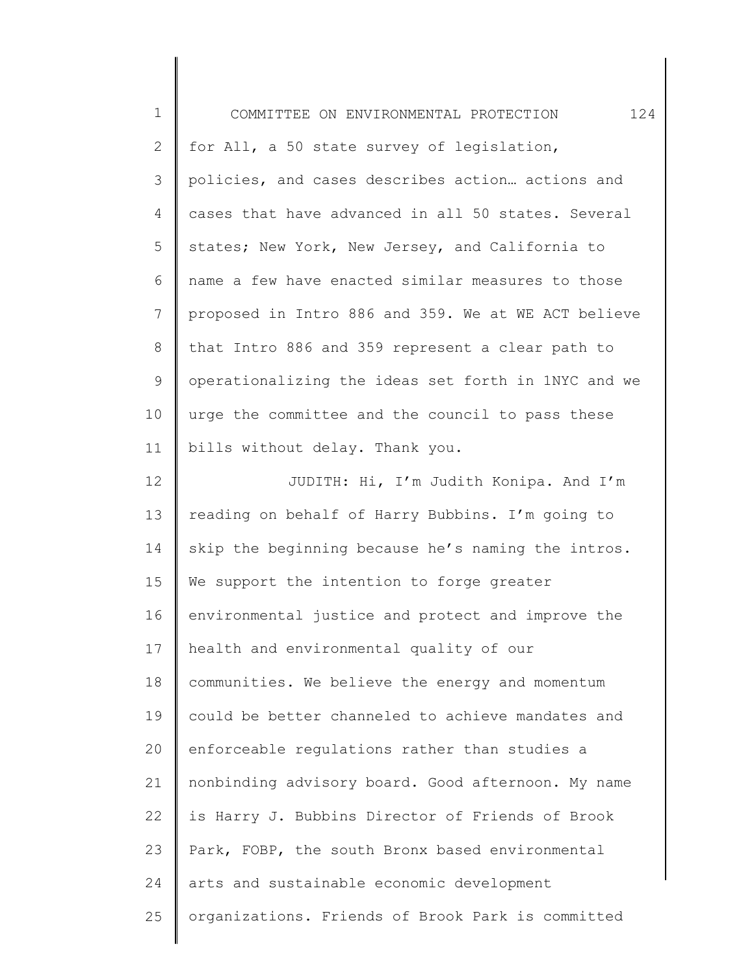| $\mathbf 1$  | 124<br>COMMITTEE ON ENVIRONMENTAL PROTECTION        |
|--------------|-----------------------------------------------------|
| $\mathbf{2}$ | for All, a 50 state survey of legislation,          |
| 3            | policies, and cases describes action actions and    |
| 4            | cases that have advanced in all 50 states. Several  |
| 5            | states; New York, New Jersey, and California to     |
| 6            | name a few have enacted similar measures to those   |
| 7            | proposed in Intro 886 and 359. We at WE ACT believe |
| $8\,$        | that Intro 886 and 359 represent a clear path to    |
| $\mathsf 9$  | operationalizing the ideas set forth in 1NYC and we |
| 10           | urge the committee and the council to pass these    |
| 11           | bills without delay. Thank you.                     |
| 12           | JUDITH: Hi, I'm Judith Konipa. And I'm              |
| 13           | reading on behalf of Harry Bubbins. I'm going to    |
| 14           | skip the beginning because he's naming the intros.  |
| 15           | We support the intention to forge greater           |
| 16           | environmental justice and protect and improve the   |
| 17           | health and environmental quality of our             |
| 18           | communities. We believe the energy and momentum     |
| 19           | could be better channeled to achieve mandates and   |
| 20           | enforceable regulations rather than studies a       |
| 21           | nonbinding advisory board. Good afternoon. My name  |
| 22           | is Harry J. Bubbins Director of Friends of Brook    |
| 23           | Park, FOBP, the south Bronx based environmental     |
| 24           | arts and sustainable economic development           |
| 25           | organizations. Friends of Brook Park is committed   |
|              |                                                     |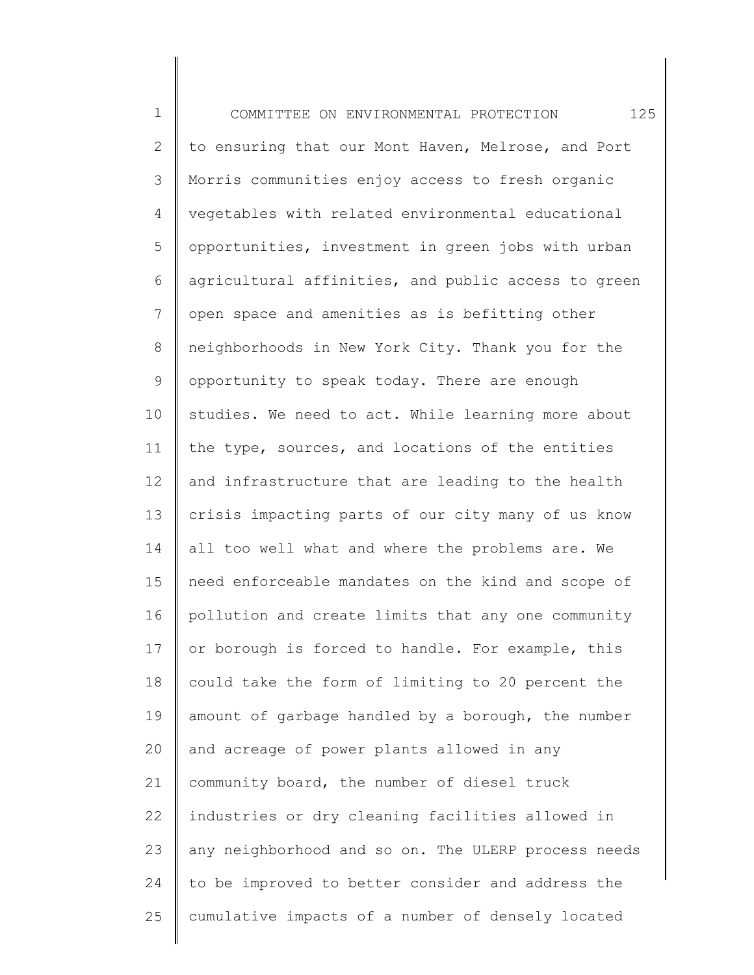1 2 3 4 5 6 7 8 9 10 11 12 13 14 15 16 17 18 19 20 21 22 23 24 25 COMMITTEE ON ENVIRONMENTAL PROTECTION 125 to ensuring that our Mont Haven, Melrose, and Port Morris communities enjoy access to fresh organic vegetables with related environmental educational opportunities, investment in green jobs with urban agricultural affinities, and public access to green open space and amenities as is befitting other neighborhoods in New York City. Thank you for the opportunity to speak today. There are enough studies. We need to act. While learning more about the type, sources, and locations of the entities and infrastructure that are leading to the health crisis impacting parts of our city many of us know all too well what and where the problems are. We need enforceable mandates on the kind and scope of pollution and create limits that any one community or borough is forced to handle. For example, this could take the form of limiting to 20 percent the amount of garbage handled by a borough, the number and acreage of power plants allowed in any community board, the number of diesel truck industries or dry cleaning facilities allowed in any neighborhood and so on. The ULERP process needs to be improved to better consider and address the cumulative impacts of a number of densely located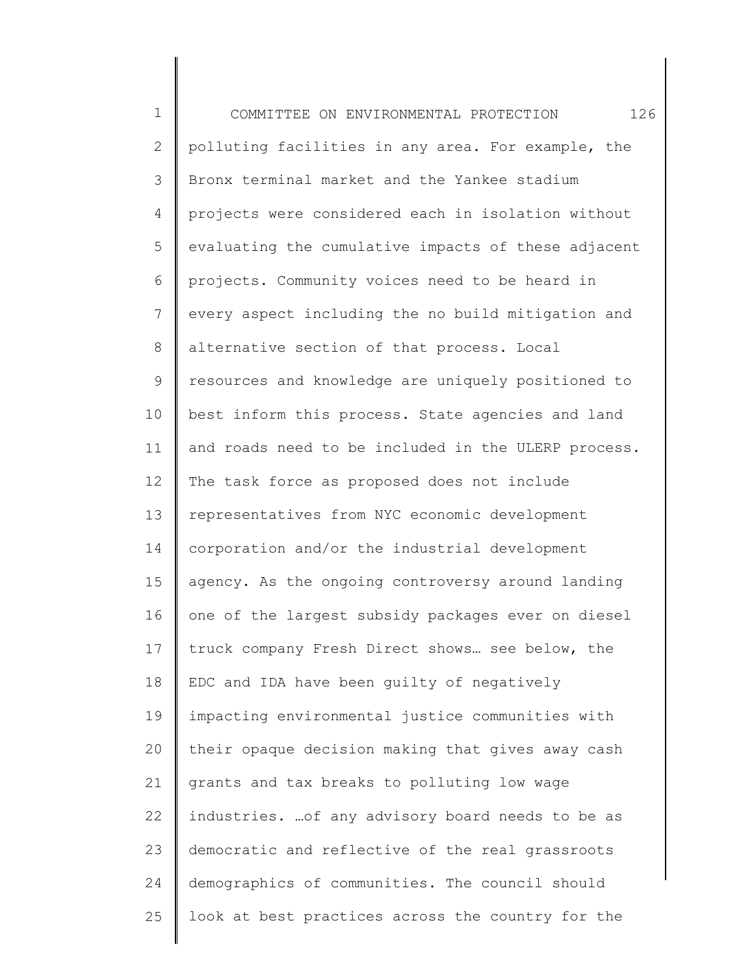1 2 3 4 5 6 7 8 9 10 11 12 13 14 15 16 17 18 19 20 21 22 23 24 25 COMMITTEE ON ENVIRONMENTAL PROTECTION 126 polluting facilities in any area. For example, the Bronx terminal market and the Yankee stadium projects were considered each in isolation without evaluating the cumulative impacts of these adjacent projects. Community voices need to be heard in every aspect including the no build mitigation and alternative section of that process. Local resources and knowledge are uniquely positioned to best inform this process. State agencies and land and roads need to be included in the ULERP process. The task force as proposed does not include representatives from NYC economic development corporation and/or the industrial development agency. As the ongoing controversy around landing one of the largest subsidy packages ever on diesel truck company Fresh Direct shows… see below, the EDC and IDA have been guilty of negatively impacting environmental justice communities with their opaque decision making that gives away cash grants and tax breaks to polluting low wage industries. …of any advisory board needs to be as democratic and reflective of the real grassroots demographics of communities. The council should look at best practices across the country for the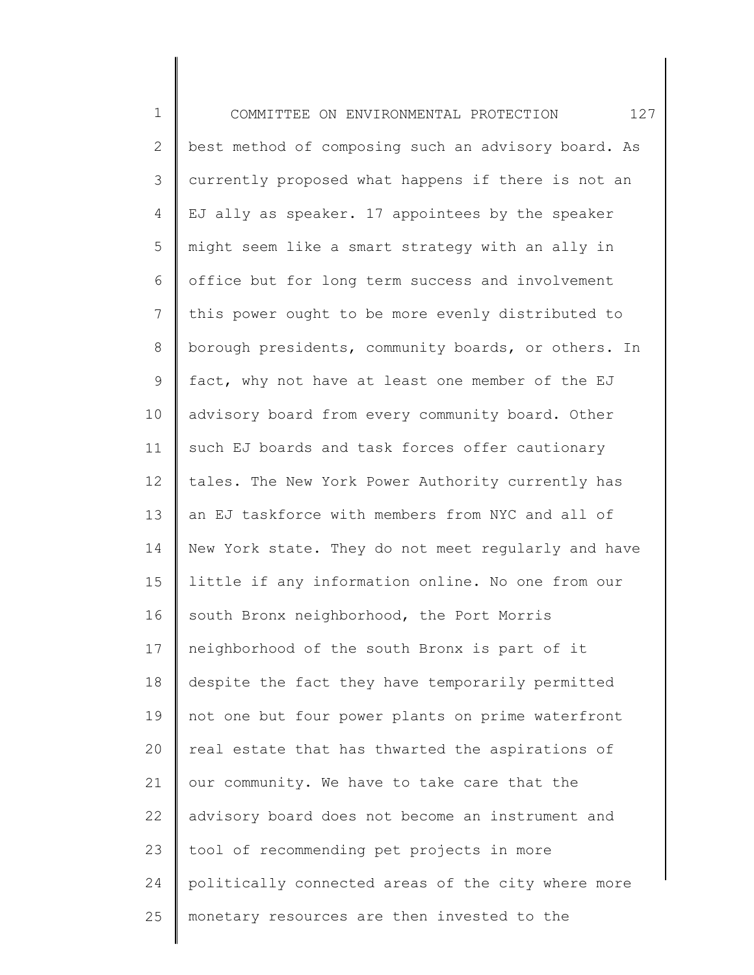| $1\,$          | 127<br>COMMITTEE ON ENVIRONMENTAL PROTECTION        |
|----------------|-----------------------------------------------------|
| $\overline{2}$ | best method of composing such an advisory board. As |
| 3              | currently proposed what happens if there is not an  |
| 4              | EJ ally as speaker. 17 appointees by the speaker    |
| 5              | might seem like a smart strategy with an ally in    |
| 6              | office but for long term success and involvement    |
| $7\phantom{.}$ | this power ought to be more evenly distributed to   |
| 8              | borough presidents, community boards, or others. In |
| $\mathsf 9$    | fact, why not have at least one member of the EJ    |
| 10             | advisory board from every community board. Other    |
| 11             | such EJ boards and task forces offer cautionary     |
| 12             | tales. The New York Power Authority currently has   |
| 13             | an EJ taskforce with members from NYC and all of    |
| 14             | New York state. They do not meet regularly and have |
| 15             | little if any information online. No one from our   |
| 16             | south Bronx neighborhood, the Port Morris           |
| 17             | neighborhood of the south Bronx is part of it       |
| 18             | despite the fact they have temporarily permitted    |
| 19             | not one but four power plants on prime waterfront   |
| 20             | real estate that has thwarted the aspirations of    |
| 21             | our community. We have to take care that the        |
| 22             | advisory board does not become an instrument and    |
| 23             | tool of recommending pet projects in more           |
| 24             | politically connected areas of the city where more  |
| 25             | monetary resources are then invested to the         |
|                |                                                     |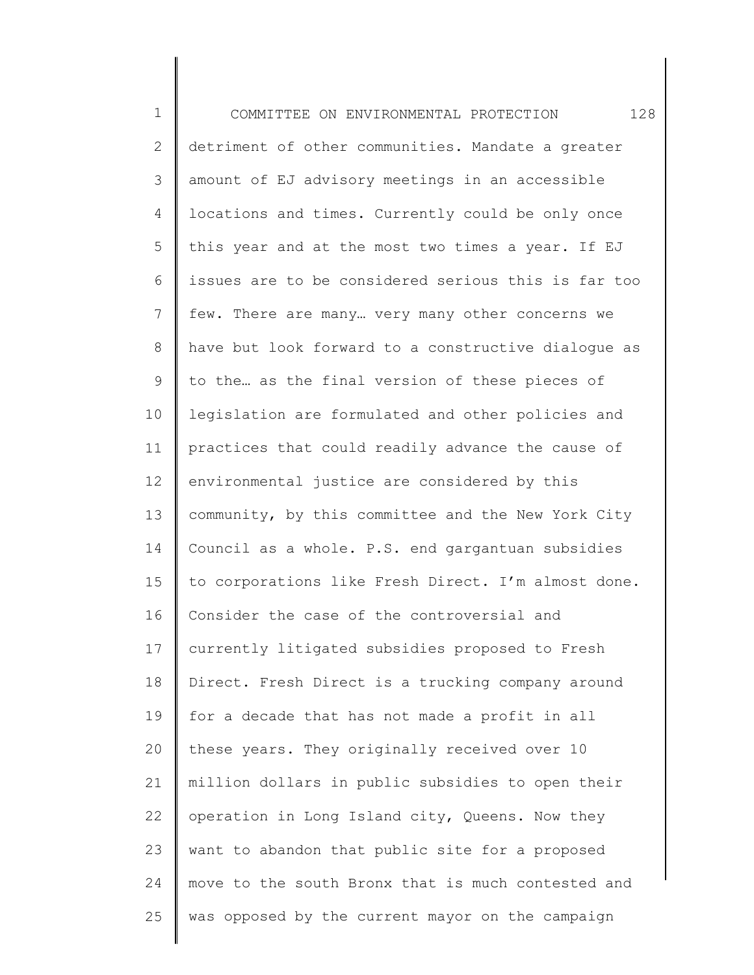1 2 3 4 5 6 7 8 9 10 11 12 13 14 15 16 17 18 19 20 21 22 23 24 25 COMMITTEE ON ENVIRONMENTAL PROTECTION 128 detriment of other communities. Mandate a greater amount of EJ advisory meetings in an accessible locations and times. Currently could be only once this year and at the most two times a year. If EJ issues are to be considered serious this is far too few. There are many… very many other concerns we have but look forward to a constructive dialogue as to the… as the final version of these pieces of legislation are formulated and other policies and practices that could readily advance the cause of environmental justice are considered by this community, by this committee and the New York City Council as a whole. P.S. end gargantuan subsidies to corporations like Fresh Direct. I'm almost done. Consider the case of the controversial and currently litigated subsidies proposed to Fresh Direct. Fresh Direct is a trucking company around for a decade that has not made a profit in all these years. They originally received over 10 million dollars in public subsidies to open their operation in Long Island city, Queens. Now they want to abandon that public site for a proposed move to the south Bronx that is much contested and was opposed by the current mayor on the campaign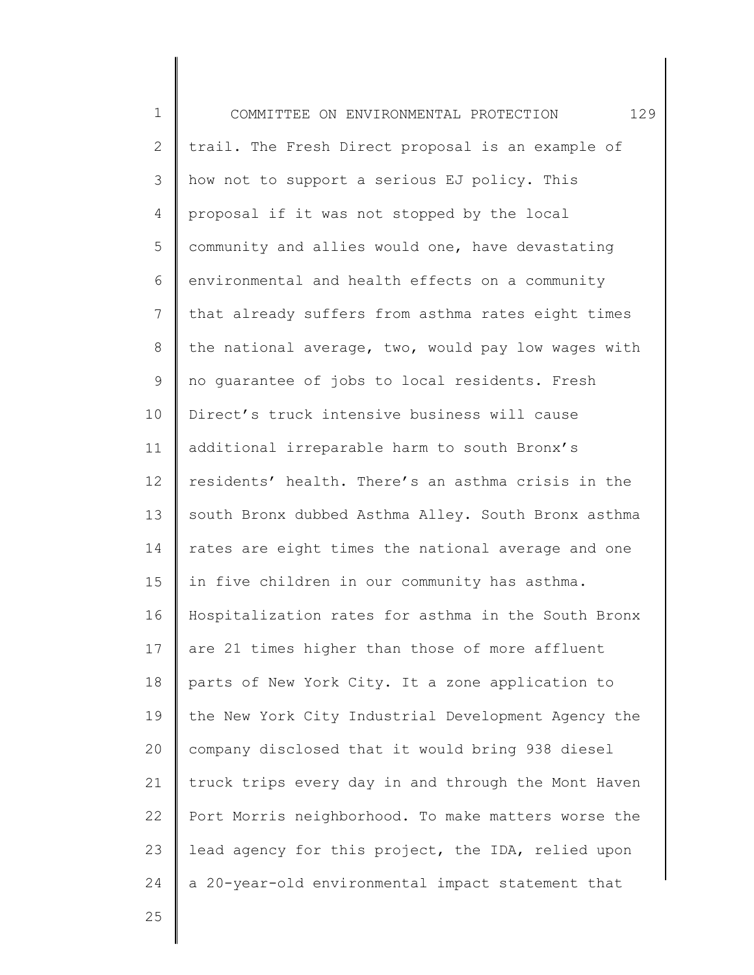1 2 3 4 5 6 7 8 9 10 11 12 13 14 15 16 17 18 19 20 21 22 23 24 COMMITTEE ON ENVIRONMENTAL PROTECTION 129 trail. The Fresh Direct proposal is an example of how not to support a serious EJ policy. This proposal if it was not stopped by the local community and allies would one, have devastating environmental and health effects on a community that already suffers from asthma rates eight times the national average, two, would pay low wages with no guarantee of jobs to local residents. Fresh Direct's truck intensive business will cause additional irreparable harm to south Bronx's residents' health. There's an asthma crisis in the south Bronx dubbed Asthma Alley. South Bronx asthma rates are eight times the national average and one in five children in our community has asthma. Hospitalization rates for asthma in the South Bronx are 21 times higher than those of more affluent parts of New York City. It a zone application to the New York City Industrial Development Agency the company disclosed that it would bring 938 diesel truck trips every day in and through the Mont Haven Port Morris neighborhood. To make matters worse the lead agency for this project, the IDA, relied upon a 20-year-old environmental impact statement that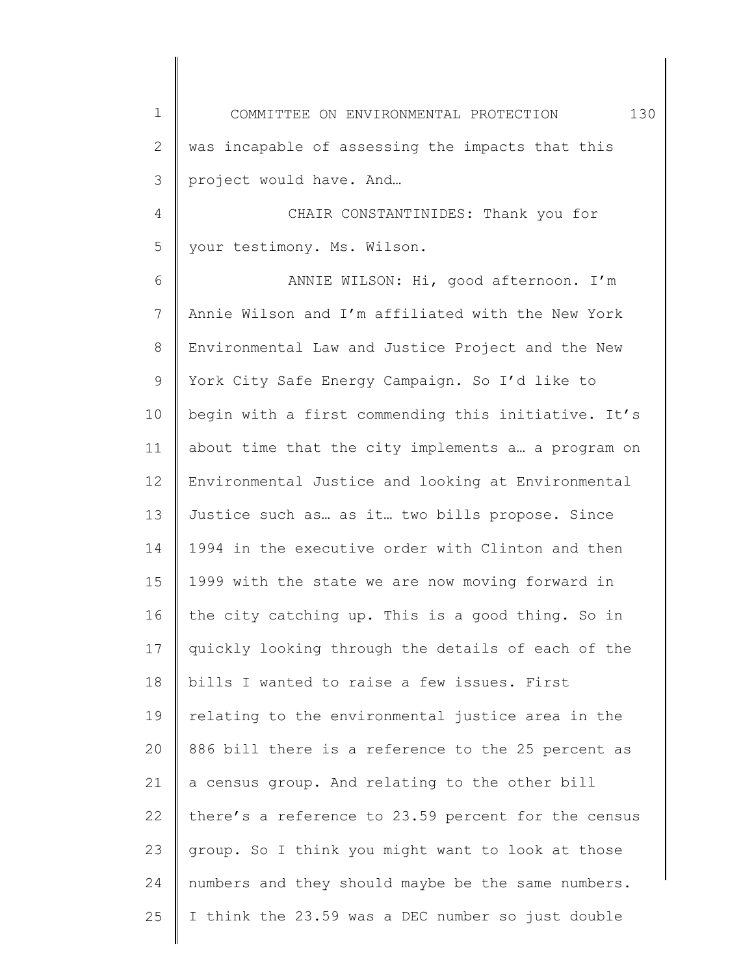1 2 3 4 5 6 7 8 9 10 11 12 13 14 15 16 17 18 19 20 21 22 COMMITTEE ON ENVIRONMENTAL PROTECTION 130 was incapable of assessing the impacts that this project would have. And… CHAIR CONSTANTINIDES: Thank you for your testimony. Ms. Wilson. ANNIE WILSON: Hi, good afternoon. I'm Annie Wilson and I'm affiliated with the New York Environmental Law and Justice Project and the New York City Safe Energy Campaign. So I'd like to begin with a first commending this initiative. It's about time that the city implements a… a program on Environmental Justice and looking at Environmental Justice such as… as it… two bills propose. Since 1994 in the executive order with Clinton and then 1999 with the state we are now moving forward in the city catching up. This is a good thing. So in quickly looking through the details of each of the bills I wanted to raise a few issues. First relating to the environmental justice area in the 886 bill there is a reference to the 25 percent as a census group. And relating to the other bill there's a reference to 23.59 percent for the census

23 24 25 group. So I think you might want to look at those numbers and they should maybe be the same numbers. I think the 23.59 was a DEC number so just double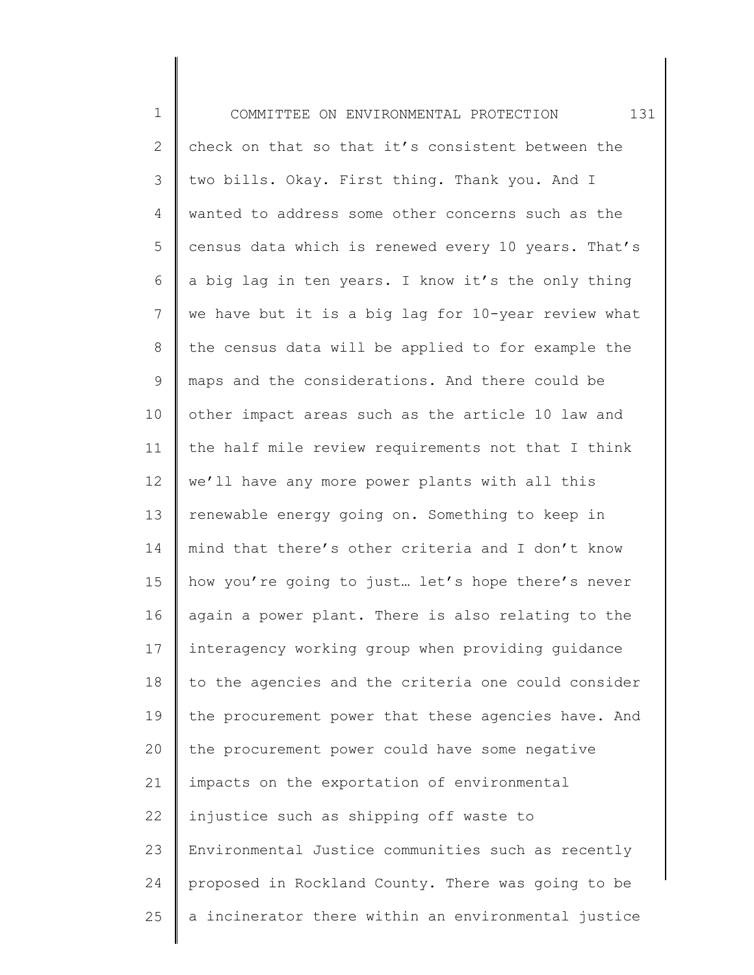1 2 3 4 5 6 7 8 9 10 11 12 13 14 15 16 17 18 19 20 21 22 23 24 25 COMMITTEE ON ENVIRONMENTAL PROTECTION 131 check on that so that it's consistent between the two bills. Okay. First thing. Thank you. And I wanted to address some other concerns such as the census data which is renewed every 10 years. That's a big lag in ten years. I know it's the only thing we have but it is a big lag for 10-year review what the census data will be applied to for example the maps and the considerations. And there could be other impact areas such as the article 10 law and the half mile review requirements not that I think we'll have any more power plants with all this renewable energy going on. Something to keep in mind that there's other criteria and I don't know how you're going to just… let's hope there's never again a power plant. There is also relating to the interagency working group when providing guidance to the agencies and the criteria one could consider the procurement power that these agencies have. And the procurement power could have some negative impacts on the exportation of environmental injustice such as shipping off waste to Environmental Justice communities such as recently proposed in Rockland County. There was going to be a incinerator there within an environmental justice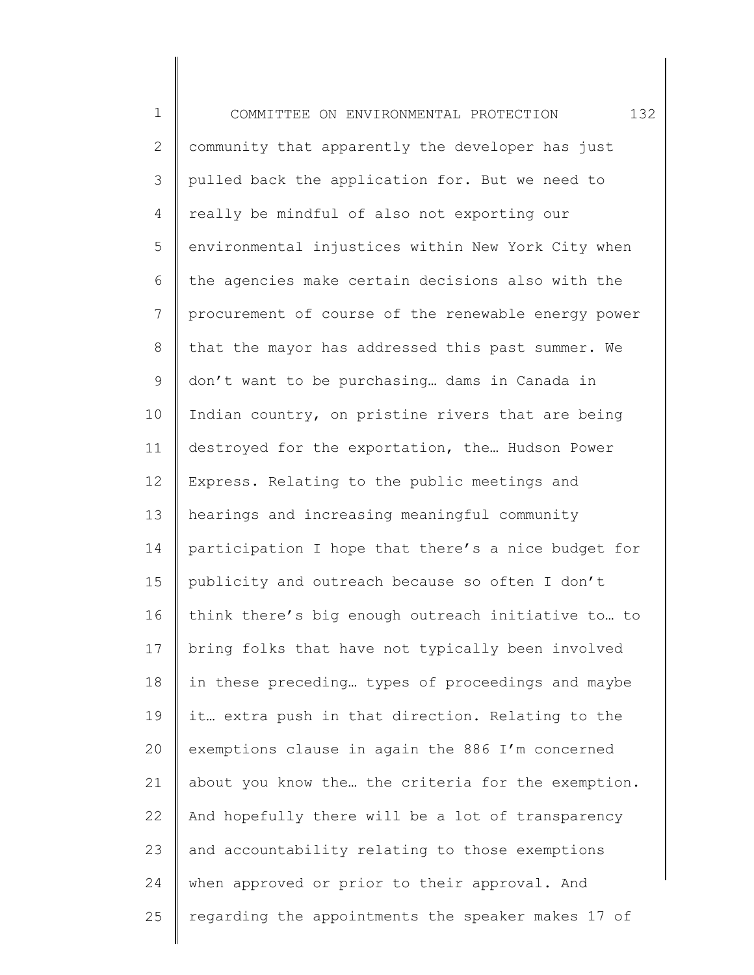1 2 3 4 5 6 7 8 9 10 11 12 13 14 15 16 17 18 19 20 21 22 23 24 25 COMMITTEE ON ENVIRONMENTAL PROTECTION 132 community that apparently the developer has just pulled back the application for. But we need to really be mindful of also not exporting our environmental injustices within New York City when the agencies make certain decisions also with the procurement of course of the renewable energy power that the mayor has addressed this past summer. We don't want to be purchasing… dams in Canada in Indian country, on pristine rivers that are being destroyed for the exportation, the… Hudson Power Express. Relating to the public meetings and hearings and increasing meaningful community participation I hope that there's a nice budget for publicity and outreach because so often I don't think there's big enough outreach initiative to… to bring folks that have not typically been involved in these preceding… types of proceedings and maybe it… extra push in that direction. Relating to the exemptions clause in again the 886 I'm concerned about you know the… the criteria for the exemption. And hopefully there will be a lot of transparency and accountability relating to those exemptions when approved or prior to their approval. And regarding the appointments the speaker makes 17 of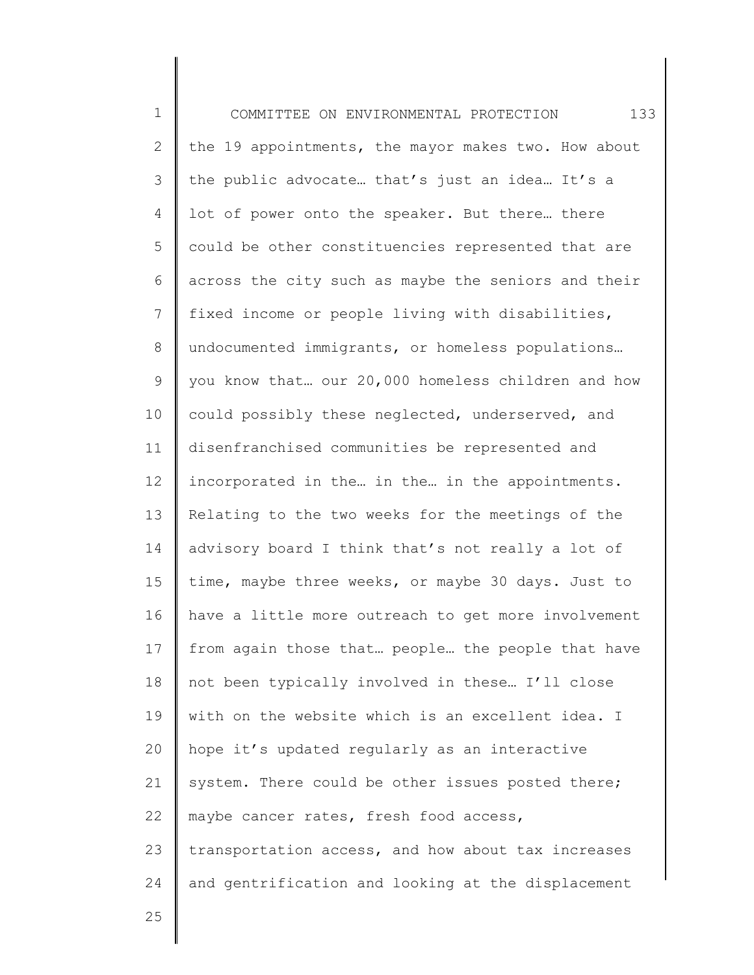| $\mathbf 1$  | 133<br>COMMITTEE ON ENVIRONMENTAL PROTECTION        |
|--------------|-----------------------------------------------------|
| $\mathbf{2}$ | the 19 appointments, the mayor makes two. How about |
| 3            | the public advocate that's just an idea It's a      |
| 4            | lot of power onto the speaker. But there there      |
| 5            | could be other constituencies represented that are  |
| 6            | across the city such as maybe the seniors and their |
| 7            | fixed income or people living with disabilities,    |
| $\,8\,$      | undocumented immigrants, or homeless populations    |
| 9            | you know that our 20,000 homeless children and how  |
| 10           | could possibly these neglected, underserved, and    |
| 11           | disenfranchised communities be represented and      |
| 12           | incorporated in the in the in the appointments.     |
| 13           | Relating to the two weeks for the meetings of the   |
| 14           | advisory board I think that's not really a lot of   |
| 15           | time, maybe three weeks, or maybe 30 days. Just to  |
| 16           | have a little more outreach to get more involvement |
| 17           | from again those that people the people that have   |
| 18           | not been typically involved in these I'll close     |
| 19           | with on the website which is an excellent idea. I   |
| 20           | hope it's updated reqularly as an interactive       |
| 21           | system. There could be other issues posted there;   |
| 22           | maybe cancer rates, fresh food access,              |
| 23           | transportation access, and how about tax increases  |
| 24           | and gentrification and looking at the displacement  |
| 25           |                                                     |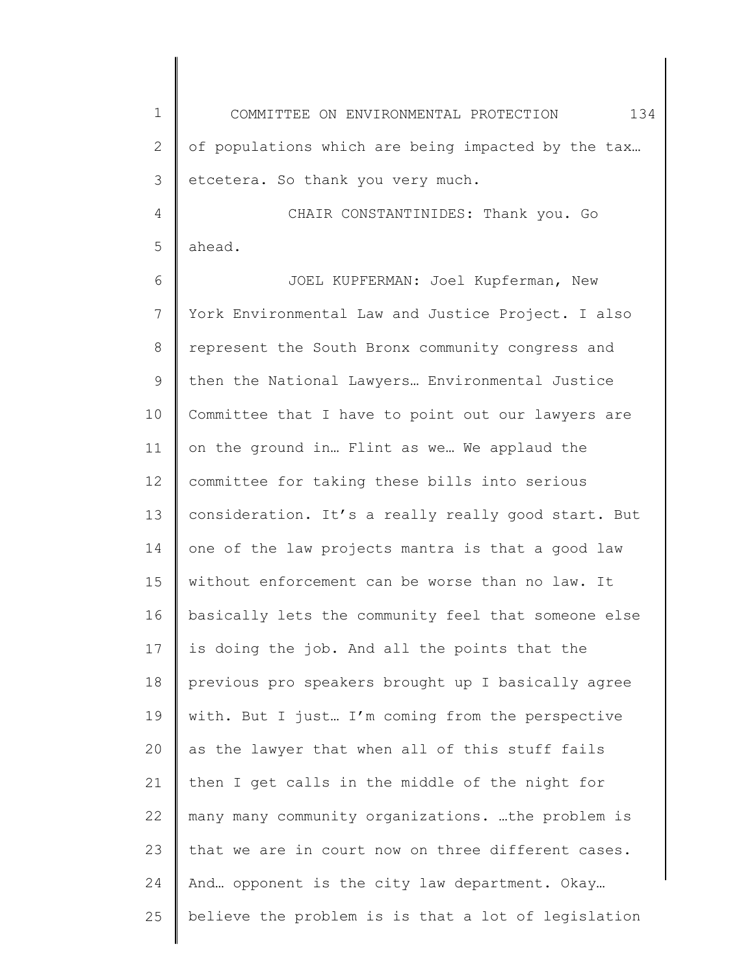1 2 3 COMMITTEE ON ENVIRONMENTAL PROTECTION 134 of populations which are being impacted by the tax… etcetera. So thank you very much.

4 5 CHAIR CONSTANTINIDES: Thank you. Go ahead.

6 7 8 9 10 11 12 13 14 15 16 17 18 19 20 21 22 23 24 25 JOEL KUPFERMAN: Joel Kupferman, New York Environmental Law and Justice Project. I also represent the South Bronx community congress and then the National Lawyers… Environmental Justice Committee that I have to point out our lawyers are on the ground in… Flint as we… We applaud the committee for taking these bills into serious consideration. It's a really really good start. But one of the law projects mantra is that a good law without enforcement can be worse than no law. It basically lets the community feel that someone else is doing the job. And all the points that the previous pro speakers brought up I basically agree with. But I just… I'm coming from the perspective as the lawyer that when all of this stuff fails then I get calls in the middle of the night for many many community organizations. …the problem is that we are in court now on three different cases. And… opponent is the city law department. Okay… believe the problem is is that a lot of legislation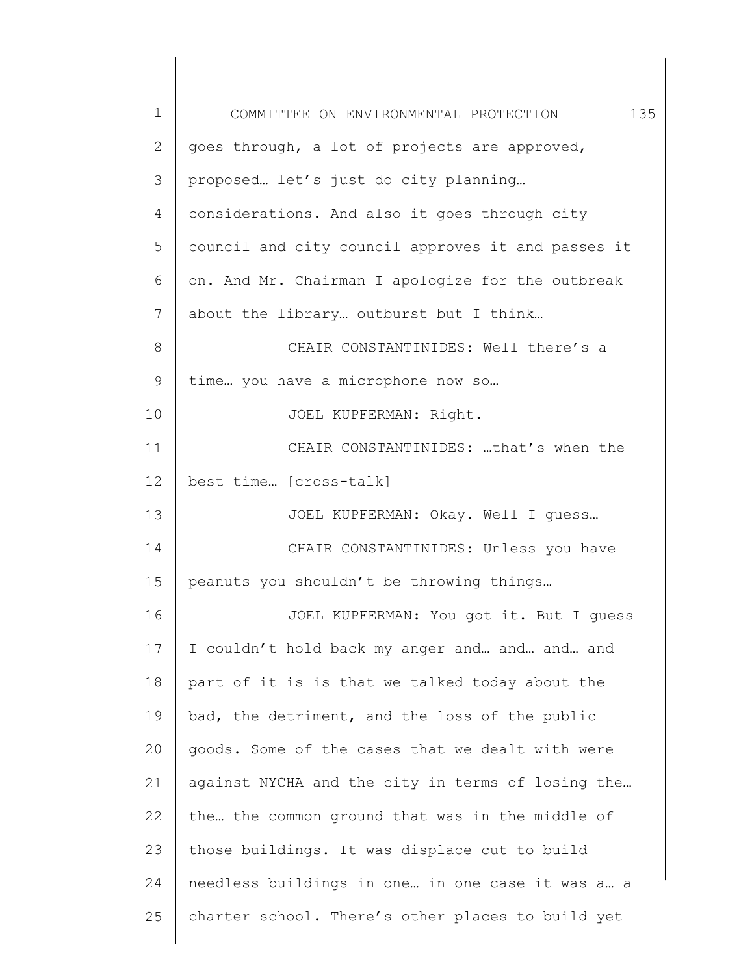| $\mathbf 1$  | 135<br>COMMITTEE ON ENVIRONMENTAL PROTECTION       |
|--------------|----------------------------------------------------|
| $\mathbf{2}$ | goes through, a lot of projects are approved,      |
| 3            | proposed let's just do city planning               |
| 4            | considerations. And also it goes through city      |
| 5            | council and city council approves it and passes it |
| 6            | on. And Mr. Chairman I apologize for the outbreak  |
| 7            | about the library outburst but I think             |
| 8            | CHAIR CONSTANTINIDES: Well there's a               |
| $\mathsf 9$  | time you have a microphone now so                  |
| 10           | JOEL KUPFERMAN: Right.                             |
| 11           | CHAIR CONSTANTINIDES: that's when the              |
| 12           | best time [cross-talk]                             |
| 13           | JOEL KUPFERMAN: Okay. Well I quess                 |
| 14           | CHAIR CONSTANTINIDES: Unless you have              |
| 15           | peanuts you shouldn't be throwing things           |
| 16           | JOEL KUPFERMAN: You got it. But I guess            |
| 17           | I couldn't hold back my anger and and and and      |
| 18           | part of it is is that we talked today about the    |
| 19           | bad, the detriment, and the loss of the public     |
| 20           | goods. Some of the cases that we dealt with were   |
| 21           | against NYCHA and the city in terms of losing the  |
| 22           | the the common ground that was in the middle of    |
| 23           | those buildings. It was displace cut to build      |
| 24           | needless buildings in one in one case it was a a   |
| 25           | charter school. There's other places to build yet  |
|              |                                                    |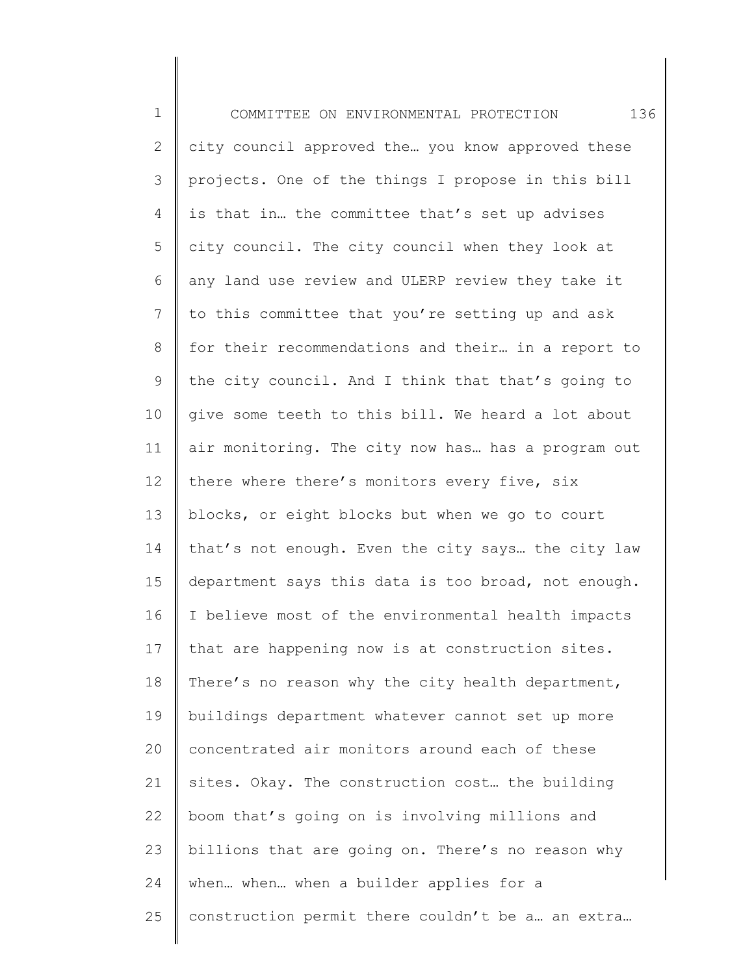1 2 3 4 5 6 7 8 9 10 11 12 13 14 15 16 17 18 19 20 21 22 23 24 25 COMMITTEE ON ENVIRONMENTAL PROTECTION 136 city council approved the… you know approved these projects. One of the things I propose in this bill is that in… the committee that's set up advises city council. The city council when they look at any land use review and ULERP review they take it to this committee that you're setting up and ask for their recommendations and their… in a report to the city council. And I think that that's going to give some teeth to this bill. We heard a lot about air monitoring. The city now has… has a program out there where there's monitors every five, six blocks, or eight blocks but when we go to court that's not enough. Even the city says… the city law department says this data is too broad, not enough. I believe most of the environmental health impacts that are happening now is at construction sites. There's no reason why the city health department, buildings department whatever cannot set up more concentrated air monitors around each of these sites. Okay. The construction cost… the building boom that's going on is involving millions and billions that are going on. There's no reason why when… when… when a builder applies for a construction permit there couldn't be a… an extra…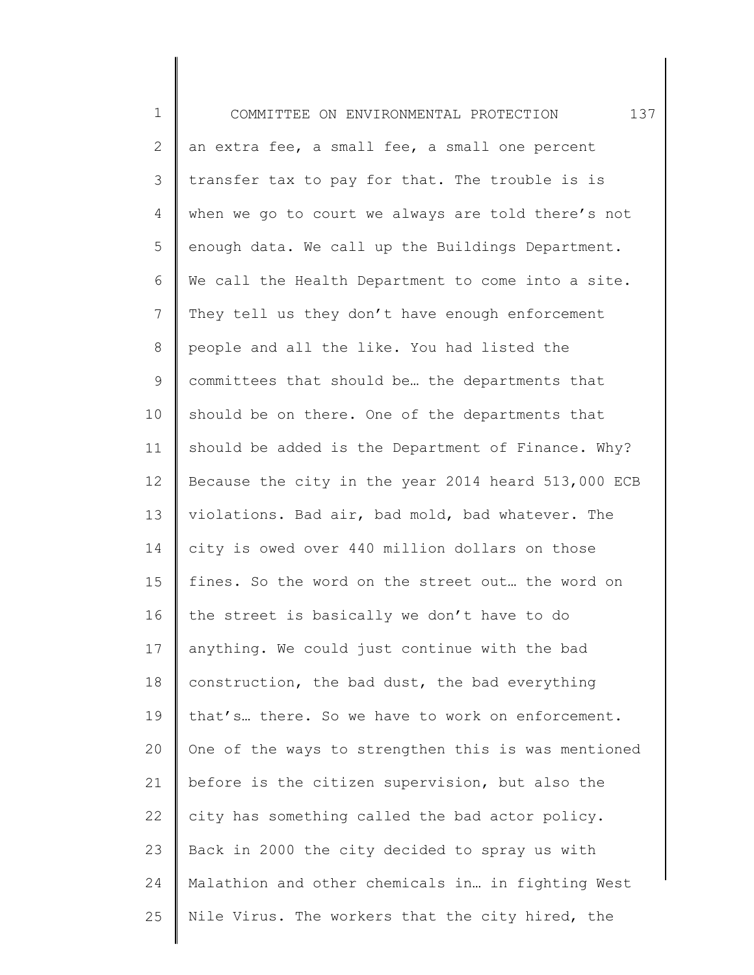1 2 3 4 5 6 7 8 9 10 11 12 13 14 15 16 17 18 19 20 21 22 23 24 25 COMMITTEE ON ENVIRONMENTAL PROTECTION 137 an extra fee, a small fee, a small one percent transfer tax to pay for that. The trouble is is when we go to court we always are told there's not enough data. We call up the Buildings Department. We call the Health Department to come into a site. They tell us they don't have enough enforcement people and all the like. You had listed the committees that should be… the departments that should be on there. One of the departments that should be added is the Department of Finance. Why? Because the city in the year 2014 heard 513,000 ECB violations. Bad air, bad mold, bad whatever. The city is owed over 440 million dollars on those fines. So the word on the street out… the word on the street is basically we don't have to do anything. We could just continue with the bad construction, the bad dust, the bad everything that's… there. So we have to work on enforcement. One of the ways to strengthen this is was mentioned before is the citizen supervision, but also the city has something called the bad actor policy. Back in 2000 the city decided to spray us with Malathion and other chemicals in… in fighting West Nile Virus. The workers that the city hired, the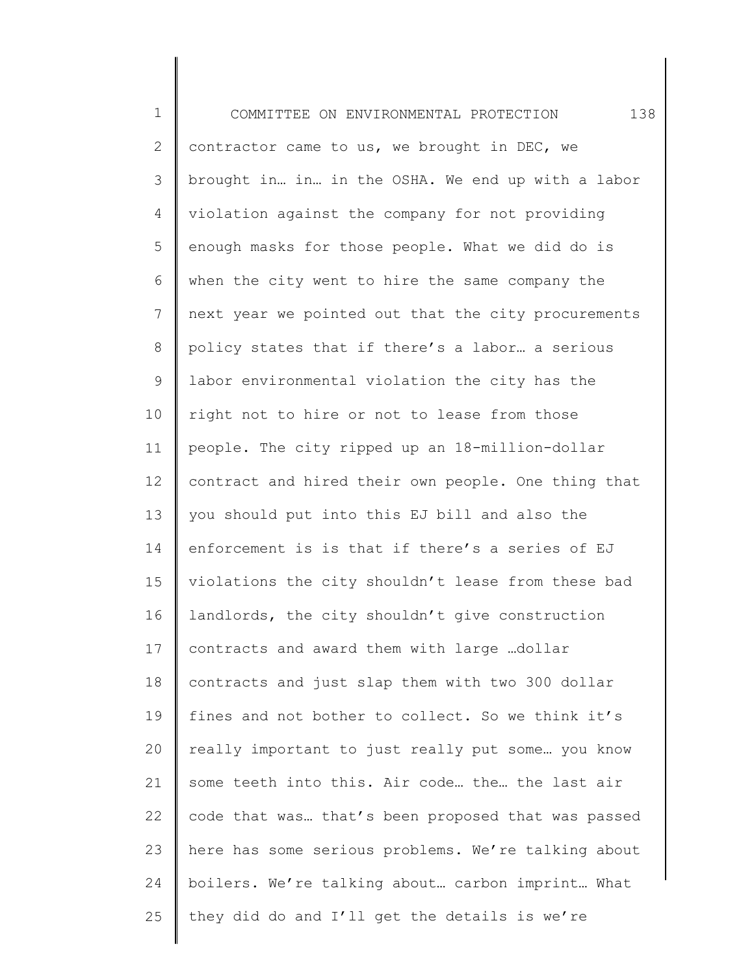1 2 3 4 5 6 7 8 9 10 11 12 13 14 15 16 17 18 19 20 21 22 23 24 25 COMMITTEE ON ENVIRONMENTAL PROTECTION 138 contractor came to us, we brought in DEC, we brought in… in… in the OSHA. We end up with a labor violation against the company for not providing enough masks for those people. What we did do is when the city went to hire the same company the next year we pointed out that the city procurements policy states that if there's a labor… a serious labor environmental violation the city has the right not to hire or not to lease from those people. The city ripped up an 18-million-dollar contract and hired their own people. One thing that you should put into this EJ bill and also the enforcement is is that if there's a series of EJ violations the city shouldn't lease from these bad landlords, the city shouldn't give construction contracts and award them with large …dollar contracts and just slap them with two 300 dollar fines and not bother to collect. So we think it's really important to just really put some… you know some teeth into this. Air code… the… the last air code that was… that's been proposed that was passed here has some serious problems. We're talking about boilers. We're talking about… carbon imprint… What they did do and I'll get the details is we're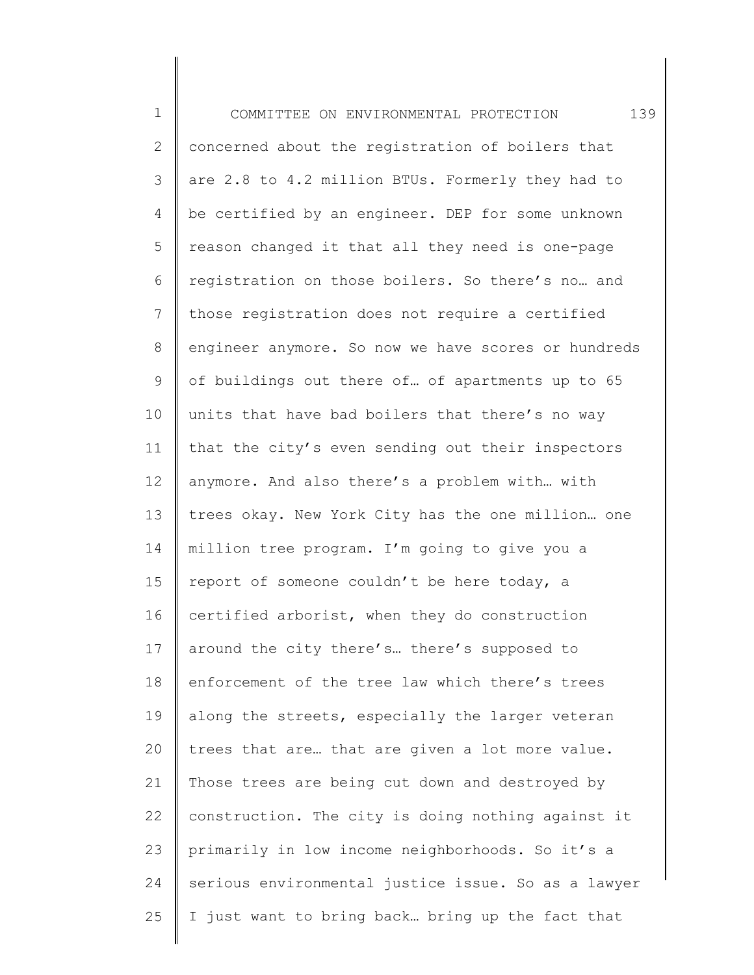1 2 3 4 5 6 7 8 9 10 11 12 13 14 15 16 17 18 19 20 21 22 23 24 25 COMMITTEE ON ENVIRONMENTAL PROTECTION 139 concerned about the registration of boilers that are 2.8 to 4.2 million BTUs. Formerly they had to be certified by an engineer. DEP for some unknown reason changed it that all they need is one-page registration on those boilers. So there's no… and those registration does not require a certified engineer anymore. So now we have scores or hundreds of buildings out there of… of apartments up to 65 units that have bad boilers that there's no way that the city's even sending out their inspectors anymore. And also there's a problem with… with trees okay. New York City has the one million… one million tree program. I'm going to give you a report of someone couldn't be here today, a certified arborist, when they do construction around the city there's… there's supposed to enforcement of the tree law which there's trees along the streets, especially the larger veteran trees that are… that are given a lot more value. Those trees are being cut down and destroyed by construction. The city is doing nothing against it primarily in low income neighborhoods. So it's a serious environmental justice issue. So as a lawyer I just want to bring back… bring up the fact that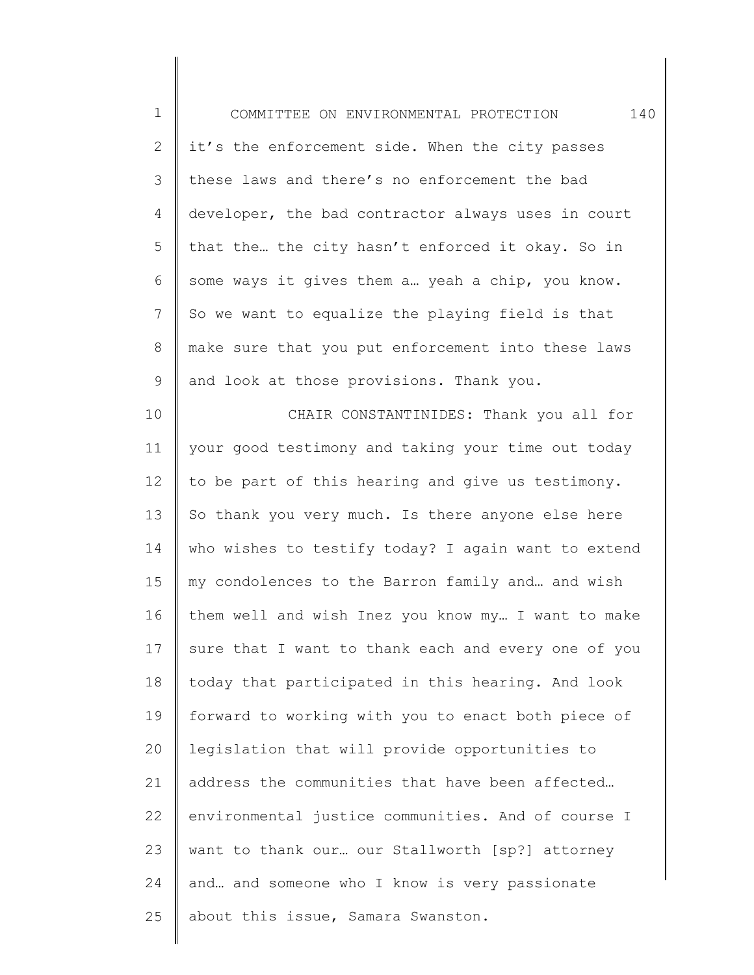| $\mathbf 1$    | 140<br>COMMITTEE ON ENVIRONMENTAL PROTECTION        |
|----------------|-----------------------------------------------------|
| $\overline{2}$ | it's the enforcement side. When the city passes     |
| 3              | these laws and there's no enforcement the bad       |
| 4              | developer, the bad contractor always uses in court  |
| 5              | that the the city hasn't enforced it okay. So in    |
| 6              | some ways it gives them a yeah a chip, you know.    |
| 7              | So we want to equalize the playing field is that    |
| $\,8\,$        | make sure that you put enforcement into these laws  |
| 9              | and look at those provisions. Thank you.            |
| 10             | CHAIR CONSTANTINIDES: Thank you all for             |
| 11             | your good testimony and taking your time out today  |
| 12             | to be part of this hearing and give us testimony.   |
| 13             | So thank you very much. Is there anyone else here   |
| 14             | who wishes to testify today? I again want to extend |
| 15             | my condolences to the Barron family and and wish    |
| 16             | them well and wish Inez you know my I want to make  |
| 17             | sure that I want to thank each and every one of you |
| 18             | today that participated in this hearing. And look   |
| 19             | forward to working with you to enact both piece of  |
| 20             | legislation that will provide opportunities to      |
| 21             | address the communities that have been affected     |
| 22             | environmental justice communities. And of course I  |
| 23             | want to thank our our Stallworth [sp?] attorney     |
| 24             | and and someone who I know is very passionate       |
| 25             | about this issue, Samara Swanston.                  |
|                |                                                     |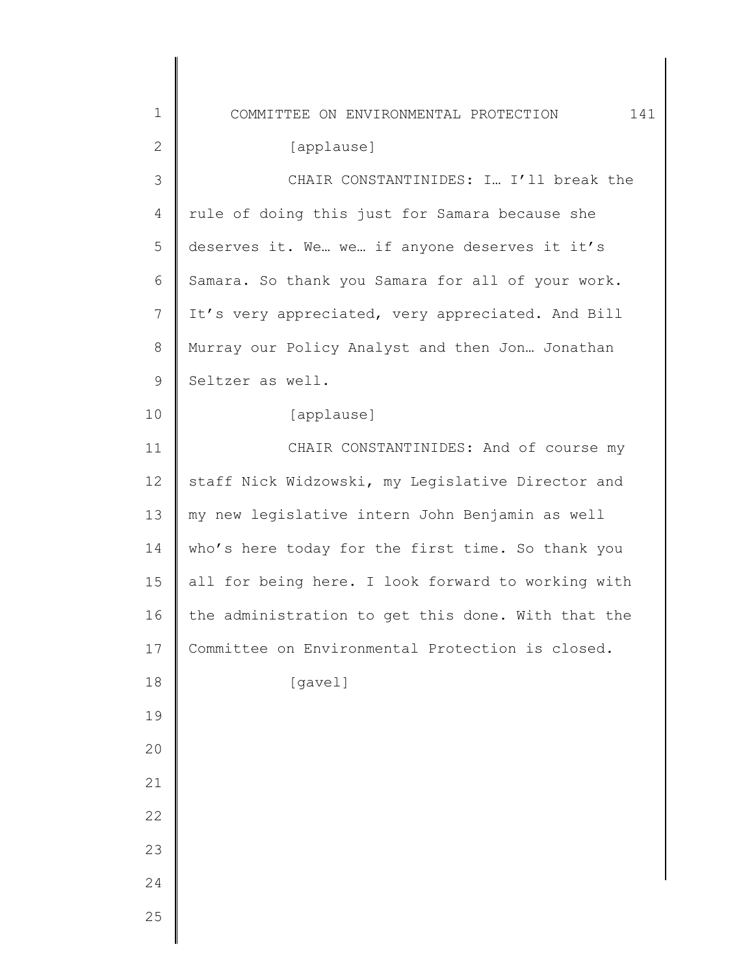| $\mathbf 1$  | 141<br>COMMITTEE ON ENVIRONMENTAL PROTECTION       |
|--------------|----------------------------------------------------|
| $\mathbf{2}$ | [applause]                                         |
| 3            | CHAIR CONSTANTINIDES: I I'll break the             |
| 4            | rule of doing this just for Samara because she     |
| 5            | deserves it. We we if anyone deserves it it's      |
| 6            | Samara. So thank you Samara for all of your work.  |
| 7            | It's very appreciated, very appreciated. And Bill  |
| 8            | Murray our Policy Analyst and then Jon Jonathan    |
| $\mathsf 9$  | Seltzer as well.                                   |
| 10           | [applause]                                         |
| 11           | CHAIR CONSTANTINIDES: And of course my             |
| 12           | staff Nick Widzowski, my Legislative Director and  |
| 13           | my new legislative intern John Benjamin as well    |
| 14           | who's here today for the first time. So thank you  |
| 15           | all for being here. I look forward to working with |
| 16           | the administration to get this done. With that the |
| 17           | Committee on Environmental Protection is closed.   |
| 18           | [gavel]                                            |
| 19           |                                                    |
| 20           |                                                    |
| 21           |                                                    |
| 22           |                                                    |
| 23           |                                                    |
| 24           |                                                    |
| 25           |                                                    |
|              |                                                    |